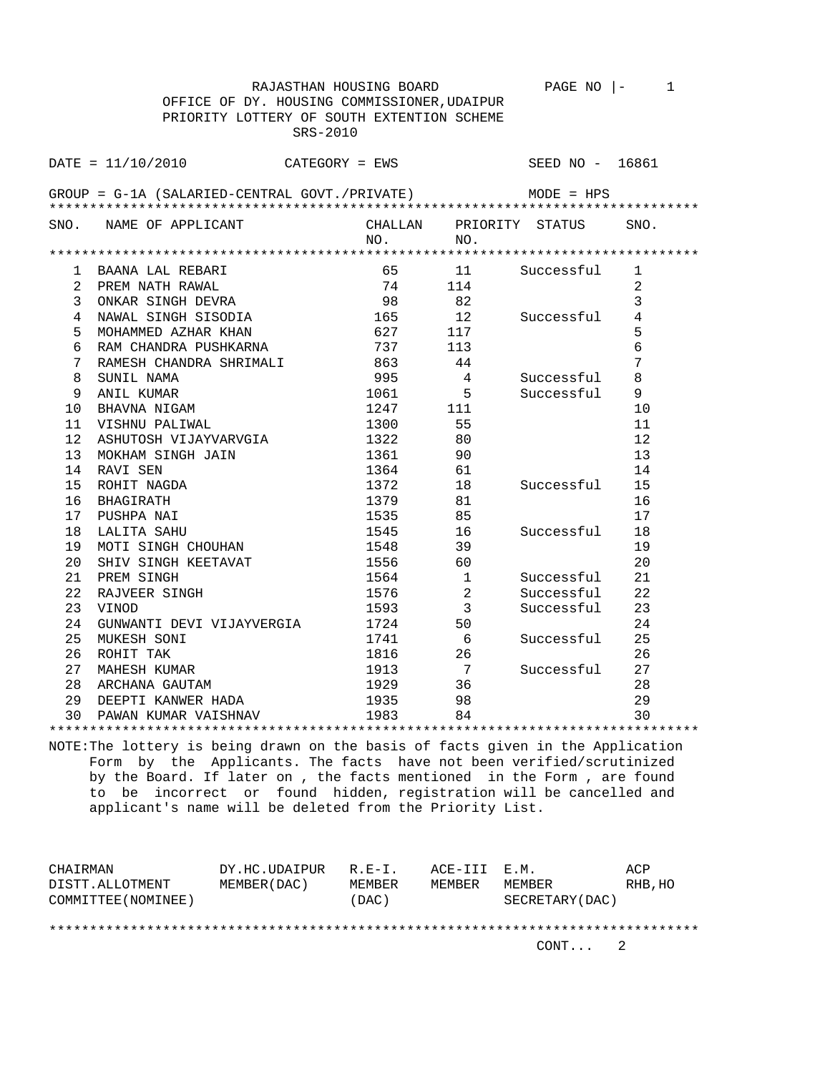|                                             |                                               |                |         | RAJASTHAN HOUSING BOARD | PAGE NO $ -$            | $\mathbf{1}$   |  |  |
|---------------------------------------------|-----------------------------------------------|----------------|---------|-------------------------|-------------------------|----------------|--|--|
| OFFICE OF DY. HOUSING COMMISSIONER, UDAIPUR |                                               |                |         |                         |                         |                |  |  |
|                                             | PRIORITY LOTTERY OF SOUTH EXTENTION SCHEME    |                |         |                         |                         |                |  |  |
|                                             |                                               | SRS-2010       |         |                         |                         |                |  |  |
|                                             |                                               |                |         |                         |                         |                |  |  |
|                                             | $DATA = 11/10/2010$                           | CATEGORY = EWS |         |                         | SEED NO - 16861         |                |  |  |
|                                             |                                               |                |         |                         |                         |                |  |  |
|                                             | GROUP = G-1A (SALARIED-CENTRAL GOVT./PRIVATE) |                |         |                         | $MODE = HPS$            |                |  |  |
|                                             |                                               |                |         |                         |                         |                |  |  |
|                                             | SNO. NAME OF APPLICANT                        |                |         |                         | CHALLAN PRIORITY STATUS | SNO.           |  |  |
|                                             |                                               |                | NO.     | NO.                     |                         |                |  |  |
|                                             |                                               |                |         |                         |                         |                |  |  |
| 1                                           | BAANA LAL REBARI                              |                | 65      | 11                      | Successful              | 1              |  |  |
| $\overline{2}$                              | PREM NATH RAWAL                               |                | 74      | 114                     |                         | 2              |  |  |
| 3                                           | ONKAR SINGH DEVRA                             |                | 98      | 82                      |                         | 3              |  |  |
| 4                                           | NAWAL SINGH SISODIA                           |                | 165     | 12                      | Successful              | $\overline{4}$ |  |  |
| 5                                           | MOHAMMED AZHAR KHAN                           |                | 627     | 117                     |                         | 5              |  |  |
| 6                                           | RAM CHANDRA PUSHKARNA                         |                | 737     | 113                     |                         | $\epsilon$     |  |  |
| 7                                           | RAMESH CHANDRA SHRIMALI                       | 863            |         | 44                      |                         | 7              |  |  |
| 8                                           | SUNIL NAMA                                    |                | 995     | $\overline{4}$          | Successful              | 8              |  |  |
| 9                                           | ANIL KUMAR                                    |                | 1061    | 5                       | Successful              | 9              |  |  |
| 10                                          | BHAVNA NIGAM                                  |                | 1247    | 111                     |                         | 10             |  |  |
| 11                                          | VISHNU PALIWAL                                |                | 1300    | 55                      |                         | 11             |  |  |
| 12                                          | ASHUTOSH VIJAYVARVGIA                         |                | 1322    | 80                      |                         | 12             |  |  |
| 13                                          | MOKHAM SINGH JAIN                             |                | 1361    | 90                      |                         | 13             |  |  |
| 14                                          | RAVI SEN                                      |                | 1364    | 61                      |                         | 14             |  |  |
| 15                                          | ROHIT NAGDA                                   |                | 1372    | 18                      | Successful              | 15             |  |  |
| 16                                          | BHAGIRATH                                     |                | 1379    | 81                      |                         | 16             |  |  |
| 17                                          | PUSHPA NAI                                    |                | 1535    | 85                      |                         | 17             |  |  |
| 18                                          | LALITA SAHU                                   |                | 1545    | $\frac{16}{1}$          | Successful              | 18             |  |  |
| 19                                          | MOTI SINGH CHOUHAN                            |                | 1548    | 39                      |                         | 19             |  |  |
| 20                                          | SHIV SINGH KEETAVAT                           |                | 1556 60 |                         |                         | 20             |  |  |
| 21                                          | PREM SINGH                                    |                | 1564    | $\overline{1}$          | Successful              | 21             |  |  |
| 22                                          | RAJVEER SINGH                                 |                | 1576    | 2                       | Successful              | 22             |  |  |
| 23                                          | VINOD                                         |                | 1593    | $\overline{3}$          | Successful              | 23             |  |  |
| 24                                          | GUNWANTI DEVI VIJAYVERGIA                     |                | 1724    | 50                      |                         | 24             |  |  |
| 25                                          | MUKESH SONI                                   |                | 1741    | - 6                     | Successful              | 25             |  |  |
| 26                                          | ROHIT TAK                                     |                | 1816    | 26                      |                         | 26             |  |  |
| 27                                          | MAHESH KUMAR                                  |                | 1913    | $\overline{7}$          | Successful              | 27             |  |  |
| 28                                          | ARCHANA GAUTAM                                |                | 1929 36 |                         |                         | 28             |  |  |
| 29                                          | DEEPTI KANWER HADA                            |                | 1935    | 98                      |                         | 29             |  |  |
| 30                                          | PAWAN KUMAR VAISHNAV                          |                | 1983    | 84                      |                         | 30             |  |  |
|                                             |                                               |                |         |                         |                         |                |  |  |

NOTE:The lottery is being drawn on the basis of facts given in the Application Form by the Applicants. The facts have not been verified/scrutinized by the Board. If later on , the facts mentioned in the Form , are found to be incorrect or found hidden, registration will be cancelled and applicant's name will be deleted from the Priority List.

| CHAIRMAN            | DY.HC.UDAIPUR | $R. F - T.$ | ACE-III E.M. |                 | ACP     |
|---------------------|---------------|-------------|--------------|-----------------|---------|
| DISTT.ALLOTMENT     | MEMBER (DAC)  | MEMBER      | MEMBER       | MEMBER          | RHB, HO |
| COMMITTEE (NOMINEE) |               | (DAC)       |              | SECRETARY (DAC) |         |
|                     |               |             |              |                 |         |
|                     |               |             |              |                 |         |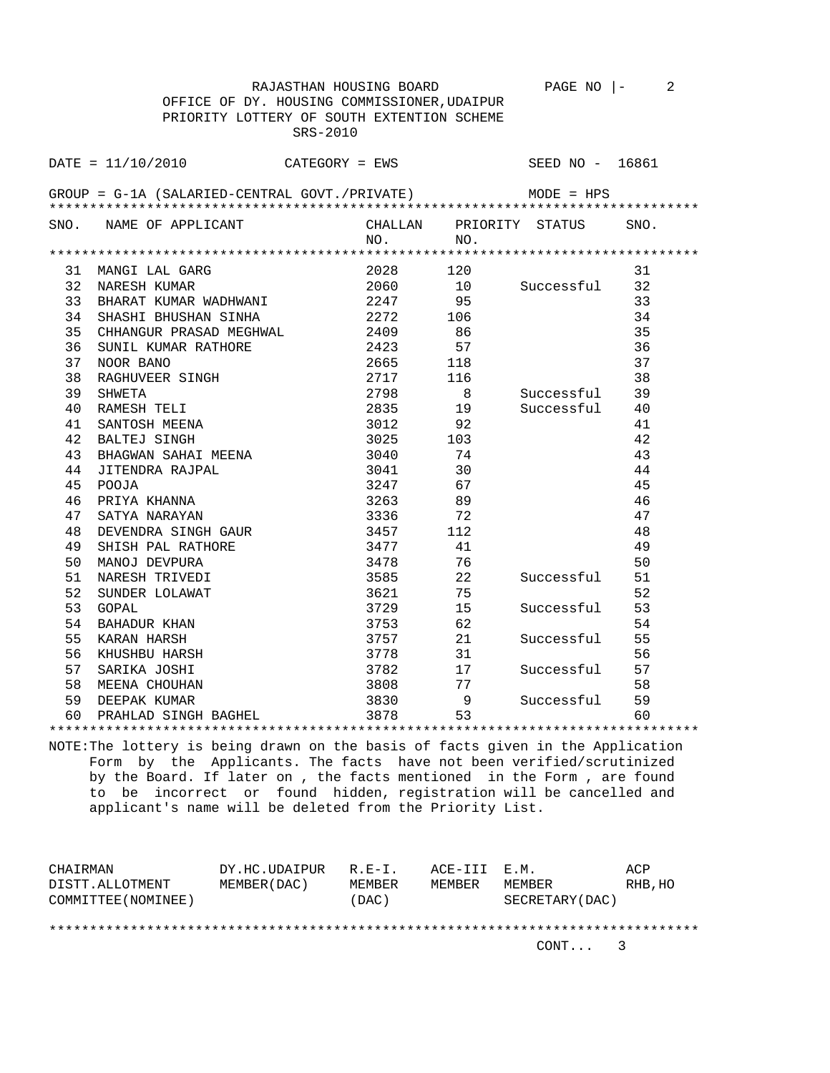|     | RAJASTHAN HOUSING BOARD                       |                    |                                                           | PAGE NO $ -$            | 2        |  |  |  |
|-----|-----------------------------------------------|--------------------|-----------------------------------------------------------|-------------------------|----------|--|--|--|
|     | OFFICE OF DY. HOUSING COMMISSIONER, UDAIPUR   |                    |                                                           |                         |          |  |  |  |
|     | PRIORITY LOTTERY OF SOUTH EXTENTION SCHEME    |                    |                                                           |                         |          |  |  |  |
|     | SRS-2010                                      |                    |                                                           |                         |          |  |  |  |
|     |                                               |                    |                                                           |                         |          |  |  |  |
|     | $\texttt{DATE} = 11/10/2010$ CATEGORY = EWS   |                    |                                                           | SEED NO - 16861         |          |  |  |  |
|     |                                               |                    |                                                           |                         |          |  |  |  |
|     | GROUP = G-1A (SALARIED-CENTRAL GOVT./PRIVATE) |                    |                                                           | $MODE = HPS$            |          |  |  |  |
|     |                                               |                    |                                                           |                         |          |  |  |  |
|     | SNO. NAME OF APPLICANT                        | NO.                | NO.                                                       | CHALLAN PRIORITY STATUS | SNO.     |  |  |  |
|     |                                               |                    |                                                           |                         |          |  |  |  |
|     | 31 MANGI LAL GARG                             | 2028               | 120                                                       |                         | 31       |  |  |  |
|     | 32 NARESH KUMAR                               | 2060               | 10                                                        | Successful              | 32       |  |  |  |
| 33  | BHARAT KUMAR WADHWANI                         | 2247 95            |                                                           |                         | 33       |  |  |  |
| 34  | SHASHI BHUSHAN SINHA                          |                    | 106                                                       |                         | 34       |  |  |  |
| 35  | CHHANGUR PRASAD MEGHWAL                       | 2272<br>2409       | 86                                                        |                         | 35       |  |  |  |
| 36  | SUNIL KUMAR RATHORE                           | 2423               | 57                                                        |                         | 36       |  |  |  |
| 37  | NOOR BANO                                     | 2665 118           |                                                           |                         | 37       |  |  |  |
| 38  | RAGHUVEER SINGH                               |                    |                                                           |                         | 38       |  |  |  |
| 39  | SHWETA                                        | 2717 116<br>2798   | 8 <sup>8</sup>                                            | Successful              | 39       |  |  |  |
| 40  | RAMESH TELI                                   | 2835 19            |                                                           | Successful              | 40       |  |  |  |
| 41  |                                               | 3012 92            |                                                           |                         |          |  |  |  |
|     | SANTOSH MEENA                                 |                    |                                                           |                         | 41<br>42 |  |  |  |
| 42  | BALTEJ SINGH                                  | 3025 103           |                                                           |                         |          |  |  |  |
| 43  | BHAGWAN SAHAI MEENA                           | 3040               | 74                                                        |                         | 43       |  |  |  |
| 44  | JITENDRA RAJPAL                               | 3041               | 30                                                        |                         | 44       |  |  |  |
| 45  | POOJA                                         | 3247 67            |                                                           |                         | 45       |  |  |  |
| 46  | PRIYA KHANNA                                  | 3263 89            |                                                           |                         | 46       |  |  |  |
| 47  | SATYA NARAYAN                                 | 3336               | 72<br>$\begin{array}{c} \n \overline{112} \n \end{array}$ |                         | 47       |  |  |  |
| 48  | DEVENDRA SINGH GAUR                           | 3457               |                                                           |                         | 48       |  |  |  |
| 49  | SHISH PAL RATHORE                             | 3477               | 41                                                        |                         | 49       |  |  |  |
| 50  | MANOJ DEVPURA                                 | 3478               | 76                                                        |                         | 50       |  |  |  |
| 51  | NARESH TRIVEDI                                | 3585               | 22                                                        | Successful              | 51       |  |  |  |
| 52  | SUNDER LOLAWAT                                | 3621               | 75                                                        |                         | 52       |  |  |  |
| 53  | GOPAL                                         | 3729               | 15                                                        | Successful              | 53       |  |  |  |
| 54  | BAHADUR KHAN                                  | 3753               | 62                                                        |                         | 54       |  |  |  |
| 55  | KARAN HARSH                                   | 3757 21<br>3778 31 |                                                           | Successful              | 55       |  |  |  |
| 56  | KHUSHBU HARSH                                 |                    |                                                           |                         | 56       |  |  |  |
| 57  | SARIKA JOSHI                                  | 3782               | 17                                                        | Successful              | 57       |  |  |  |
| 58  | MEENA CHOUHAN                                 | 3808               | 77                                                        |                         | 58       |  |  |  |
| 59  | DEEPAK KUMAR                                  | 3830               | - 9                                                       | Successful              | 59       |  |  |  |
| 60. | PRAHLAD SINGH BAGHEL                          | 3878               | 53                                                        |                         | 60       |  |  |  |
|     |                                               |                    |                                                           |                         |          |  |  |  |

NOTE:The lottery is being drawn on the basis of facts given in the Application Form by the Applicants. The facts have not been verified/scrutinized by the Board. If later on , the facts mentioned in the Form , are found to be incorrect or found hidden, registration will be cancelled and applicant's name will be deleted from the Priority List.

| CHAIRMAN            | DY.HC.UDAIPUR | $R$ $R$ $-$ T | ACE-III E.M. |                 | ACP     |
|---------------------|---------------|---------------|--------------|-----------------|---------|
| DISTT.ALLOTMENT     | MEMBER (DAC)  | MEMBER        | MEMBER       | MEMBER          | RHB, HO |
| COMMITTEE (NOMINEE) |               | (DAC)         |              | SECRETARY (DAC) |         |
|                     |               |               |              |                 |         |
|                     |               |               |              |                 |         |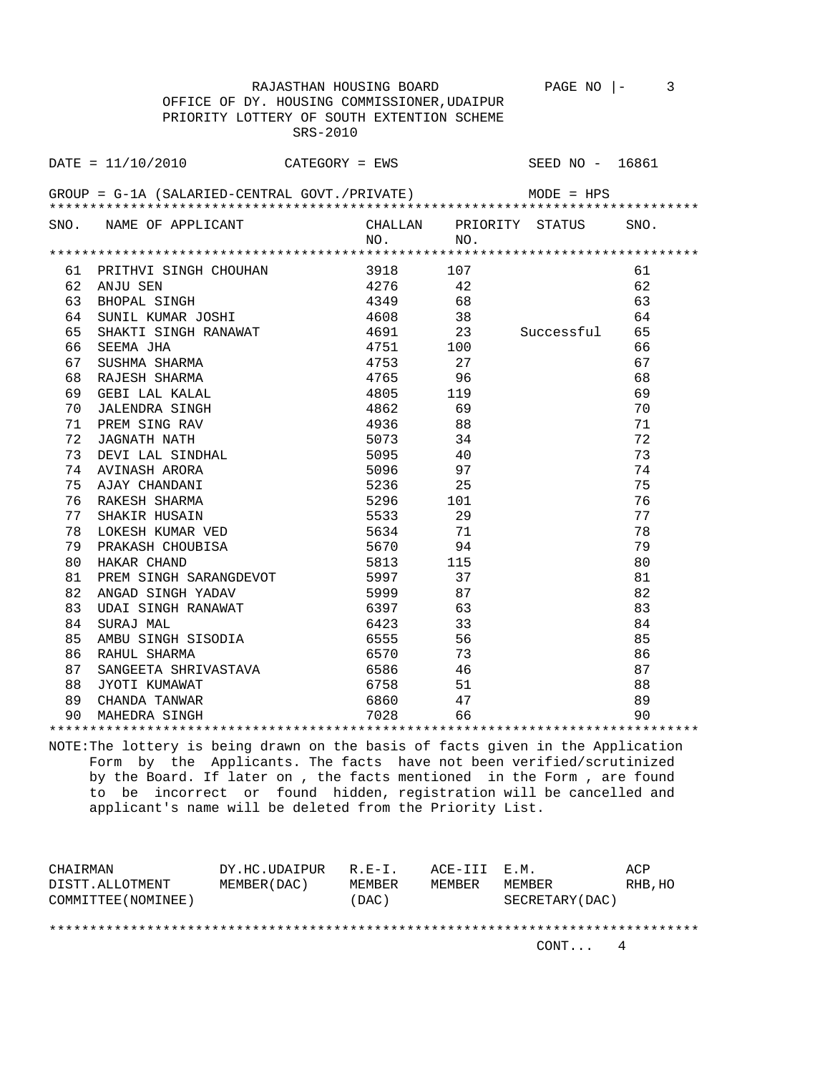| OFFICE OF DY. HOUSING COMMISSIONER, UDAIPUR |                                                                                                                                                                                                                                  |          |              |                 |                                                              |      |  |
|---------------------------------------------|----------------------------------------------------------------------------------------------------------------------------------------------------------------------------------------------------------------------------------|----------|--------------|-----------------|--------------------------------------------------------------|------|--|
|                                             | PRIORITY LOTTERY OF SOUTH EXTENTION SCHEME                                                                                                                                                                                       |          |              |                 |                                                              |      |  |
|                                             |                                                                                                                                                                                                                                  | SRS-2010 |              |                 |                                                              |      |  |
|                                             |                                                                                                                                                                                                                                  |          |              |                 |                                                              |      |  |
|                                             | $\text{DATE} = 11/10/2010$ CATEGORY = EWS                                                                                                                                                                                        |          |              |                 | SEED NO - 16861                                              |      |  |
|                                             |                                                                                                                                                                                                                                  |          |              |                 |                                                              |      |  |
|                                             | GROUP = $G-1A$ (SALARIED-CENTRAL GOVT./PRIVATE) MODE = HPS                                                                                                                                                                       |          |              |                 |                                                              |      |  |
|                                             |                                                                                                                                                                                                                                  |          |              |                 |                                                              |      |  |
|                                             | SNO. NAME OF APPLICANT                                                                                                                                                                                                           |          |              |                 | CHALLAN PRIORITY STATUS                                      | SNO. |  |
|                                             |                                                                                                                                                                                                                                  |          | NO.          | NO.             |                                                              |      |  |
|                                             |                                                                                                                                                                                                                                  |          |              |                 |                                                              |      |  |
|                                             | 61 PRITHVI SINGH CHOUHAN                                                                                                                                                                                                         |          | 3918 107     |                 |                                                              | 61   |  |
|                                             | 62 ANJU SEN                                                                                                                                                                                                                      |          | 4276 42      |                 | 4349 68<br>4608 38<br>4691 23 Successful<br>4751 100<br>4753 | 62   |  |
| 63                                          | BHOPAL SINGH                                                                                                                                                                                                                     |          |              |                 |                                                              | 63   |  |
| 64                                          | SUNIL KUMAR JOSHI                                                                                                                                                                                                                |          |              |                 |                                                              | 64   |  |
| 65                                          | SHAKTI SINGH RANAWAT                                                                                                                                                                                                             |          |              |                 |                                                              | 65   |  |
| 66                                          |                                                                                                                                                                                                                                  |          |              |                 |                                                              | 66   |  |
| 67                                          |                                                                                                                                                                                                                                  |          |              |                 |                                                              | 67   |  |
| 68                                          |                                                                                                                                                                                                                                  |          | 4765 96      |                 |                                                              | 68   |  |
| 69                                          |                                                                                                                                                                                                                                  |          | 4805         | 119             |                                                              | 69   |  |
| 70                                          |                                                                                                                                                                                                                                  |          | 4862         | 69              |                                                              | 70   |  |
| 71                                          | SEEMA JHA<br>SUSHMA SHARMA<br>RAJESH SHARMA<br>GEBI LAL KALAL<br>JALENDRA SINGH<br>PREM SING RAV<br>JAGNATH NATH<br>DEVI LAL SINDHAL<br>AVINASH ARORA<br>AJAY CHANDANI<br>RAKESH SHARMA<br>SHAKIR HUSANI<br>SHAKIR HUSANI        |          | 4936 88      |                 |                                                              | 71   |  |
| 72                                          |                                                                                                                                                                                                                                  |          | 5073 34      |                 |                                                              | 72   |  |
| 73                                          |                                                                                                                                                                                                                                  |          | 5095 40      |                 |                                                              | 73   |  |
| 74                                          |                                                                                                                                                                                                                                  |          | 5096         | 97              |                                                              | 74   |  |
| 75                                          |                                                                                                                                                                                                                                  |          | 5236         | $\frac{2}{25}$  |                                                              | 75   |  |
| 76                                          |                                                                                                                                                                                                                                  |          | 5296 101     |                 |                                                              | 76   |  |
| 77                                          |                                                                                                                                                                                                                                  |          | 5533 29      |                 |                                                              | 77   |  |
| 78                                          | LOKESH KUMAR VED                                                                                                                                                                                                                 |          | 5634 71      |                 |                                                              | 78   |  |
| 79                                          | PRAKASH CHOUBISA                                                                                                                                                                                                                 |          | 5670<br>5813 | 94              |                                                              | 79   |  |
| 80                                          | HAKAR CHAND                                                                                                                                                                                                                      |          |              | $\frac{115}{7}$ |                                                              | 80   |  |
| 81                                          | PREM SINGH SARANGDEVOT 5997                                                                                                                                                                                                      |          |              | 37              |                                                              | 81   |  |
| 82                                          | ANGAD SINGH YADAV 5999 87                                                                                                                                                                                                        |          |              |                 |                                                              | 82   |  |
| 83                                          | UDAI SINGH RANAWAT                                                                                                                                                                                                               |          | 6397 63      |                 |                                                              | 83   |  |
| 84                                          | SURAJ MAL                                                                                                                                                                                                                        |          | 6423         |                 |                                                              | 84   |  |
| 85                                          |                                                                                                                                                                                                                                  |          | 6555         | 33<br>56        |                                                              | 85   |  |
| 86                                          | AMBU SINGH SISODIA<br>RAHUL SHARMA                                                                                                                                                                                               |          | 6570         | 73              |                                                              | 86   |  |
| 87                                          | د، ان را وه البدار SANGEETA SHRIVASTAVA و البدار البدار البدار البدار البدار المستخدم المستخدم المستخدم المستخ<br>البدار البدار البدار المستخدم المستخدم المستخدم المستخدم المستخدم المستخدم المستخدم المستخدم المستخدم المستخدم |          |              |                 |                                                              | 87   |  |
| 88                                          | JYOTI KUMAWAT                                                                                                                                                                                                                    |          | 6758 51      |                 |                                                              | 88   |  |
| 89                                          |                                                                                                                                                                                                                                  |          | 6860         | 47              |                                                              | 89   |  |
|                                             | 90 MAHEDRA SINGH                                                                                                                                                                                                                 |          |              | 66              |                                                              | 90   |  |
|                                             |                                                                                                                                                                                                                                  |          |              |                 |                                                              |      |  |

NOTE:The lottery is being drawn on the basis of facts given in the Application Form by the Applicants. The facts have not been verified/scrutinized by the Board. If later on , the facts mentioned in the Form , are found to be incorrect or found hidden, registration will be cancelled and applicant's name will be deleted from the Priority List.

| CHAIRMAN            | DY.HC.UDAIPUR | $R$ . $F - T$ . | ACE-TTT F.M. |                 | ACP     |
|---------------------|---------------|-----------------|--------------|-----------------|---------|
| DISTT.ALLOTMENT     | MEMBER (DAC)  | MEMBER          | MEMBER       | MEMBER          | RHB, HO |
| COMMITTEE (NOMINEE) |               | (DAC)           |              | SECRETARY (DAC) |         |
|                     |               |                 |              |                 |         |
|                     |               |                 |              |                 |         |

CONT... 4

RAJASTHAN HOUSING BOARD PAGE NO  $\vert - \vert$  3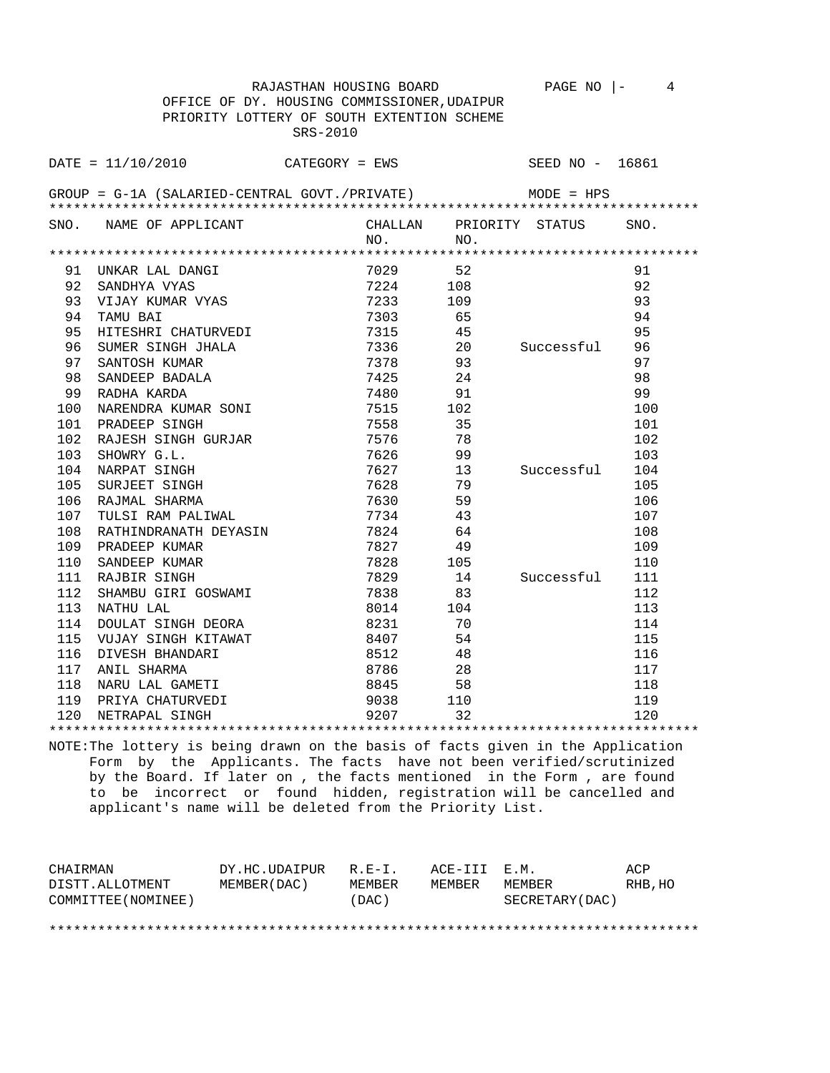| OFFICE OF DY. HOUSING COMMISSIONER, UDAIPUR |                                                                                   |          |          |     |                         |      |  |
|---------------------------------------------|-----------------------------------------------------------------------------------|----------|----------|-----|-------------------------|------|--|
|                                             | PRIORITY LOTTERY OF SOUTH EXTENTION SCHEME                                        |          |          |     |                         |      |  |
|                                             |                                                                                   | SRS-2010 |          |     |                         |      |  |
|                                             |                                                                                   |          |          |     |                         |      |  |
|                                             | DATE = $11/10/2010$ CATEGORY = EWS                                                |          |          |     | SEED NO - 16861         |      |  |
|                                             | GROUP = $G-1A$ (SALARIED-CENTRAL GOVT./PRIVATE) MODE = HPS                        |          |          |     |                         |      |  |
|                                             |                                                                                   |          |          |     |                         |      |  |
|                                             | SNO. NAME OF APPLICANT                                                            |          |          |     | CHALLAN PRIORITY STATUS | SNO. |  |
|                                             |                                                                                   |          | NO.      | NO. |                         |      |  |
|                                             |                                                                                   |          |          |     |                         |      |  |
|                                             | 91 UNKAR LAL DANGI                                                                |          | 7029 52  |     |                         | 91   |  |
| 92                                          |                                                                                   |          |          |     |                         | 92   |  |
| 93                                          |                                                                                   |          |          |     |                         | 93   |  |
| 94                                          | TAMU BAI                                                                          |          | 7303     | 65  |                         | 94   |  |
| 95                                          | TAMU BAI<br>HITESHRI CHATURVEDI                                                   |          | 7315 45  |     |                         | 95   |  |
| 96                                          | SUMER SINGH JHALA 7336 20 Successful 96                                           |          |          |     |                         |      |  |
| 97                                          | SANTOSH KUMAR                                                                     |          | 7378 93  |     |                         | 97   |  |
| 98                                          | SANDEEP BADALA                                                                    |          | 7425     | 24  |                         | 98   |  |
| 99                                          | RADHA KARDA                                                                       |          | 7480     | 91  |                         | 99   |  |
| 100                                         | NARENDRA KUMAR SONI                                                               |          | 7515 102 |     |                         | 100  |  |
|                                             | 101 PRADEEP SINGH                                                                 | 7558     |          | 35  |                         | 101  |  |
| 102                                         | RAJESH SINGH GURJAR 7576                                                          |          |          | 78  |                         | 102  |  |
| 103                                         | SHOWRY G.L.                                                                       |          | 7626     |     |                         | 103  |  |
|                                             | 104 NARPAT SINGH                                                                  |          |          |     | Successful 104          |      |  |
| 105                                         | SURJEET SINGH                                                                     |          |          |     |                         | 105  |  |
|                                             | 106 RAJMAL SHARMA                                                                 |          | 7630 59  |     |                         | 106  |  |
| 107                                         | TULSI RAM PALIWAL                                                                 |          | 7734 43  |     |                         | 107  |  |
|                                             | 108 RATHINDRANATH DEYASIN<br>109 PRADEEP KUMAR                                    |          | 7824     | 64  |                         | 108  |  |
| 109                                         | PRADEEP KUMAR                                                                     |          | 7827     | 49  |                         | 109  |  |
| 110                                         | SANDEEP KUMAR                                                                     |          | 7828 105 |     |                         | 110  |  |
|                                             | 111 RAJBIR SINGH                                                                  |          |          |     | 7829 14 Successful 111  |      |  |
| 112                                         | SHAMBU GIRI GOSWAMI 7838                                                          |          |          | 83  |                         | 112  |  |
|                                             | 113 NATHU LAL                                                                     |          | 8014 104 |     |                         | 113  |  |
|                                             | 114 DOULAT SINGH DEORA                                                            |          | 8231     | 70  |                         | 114  |  |
| 115                                         | VUJAY SINGH KITAWAT<br>DIVESH BHANDARI                                            |          | 8407     | 54  |                         | 115  |  |
| 116                                         |                                                                                   |          | 8512 48  |     |                         | 116  |  |
|                                             | 117 ANIL SHARMA                                                                   | 8786 28  |          |     |                         | 117  |  |
|                                             | 118 NARU LAL GAMETI                                                               |          | 8845     | 58  |                         | 118  |  |
|                                             | 119 PRIYA CHATURVEDI<br>120 NETRAPAL SINGH                                   9207 |          | 9038     | 110 |                         | 119  |  |
|                                             |                                                                                   |          |          | 32  |                         | 120  |  |
|                                             |                                                                                   |          |          |     |                         |      |  |

RAJASTHAN HOUSING BOARD PAGE NO |- 4

NOTE:The lottery is being drawn on the basis of facts given in the Application Form by the Applicants. The facts have not been verified/scrutinized by the Board. If later on , the facts mentioned in the Form , are found to be incorrect or found hidden, registration will be cancelled and applicant's name will be deleted from the Priority List.

| CHAIRMAN            | DY.HC.UDAIPUR | $R.F-T$ . | ACE-III E.M. |                 | ACP     |
|---------------------|---------------|-----------|--------------|-----------------|---------|
| DISTT.ALLOTMENT     | MEMBER (DAC ) | MEMBER    | MEMBER       | MEMBER          | RHB, HO |
| COMMITTEE (NOMINEE) |               | (DAC)     |              | SECRETARY (DAC) |         |

\*\*\*\*\*\*\*\*\*\*\*\*\*\*\*\*\*\*\*\*\*\*\*\*\*\*\*\*\*\*\*\*\*\*\*\*\*\*\*\*\*\*\*\*\*\*\*\*\*\*\*\*\*\*\*\*\*\*\*\*\*\*\*\*\*\*\*\*\*\*\*\*\*\*\*\*\*\*\*\*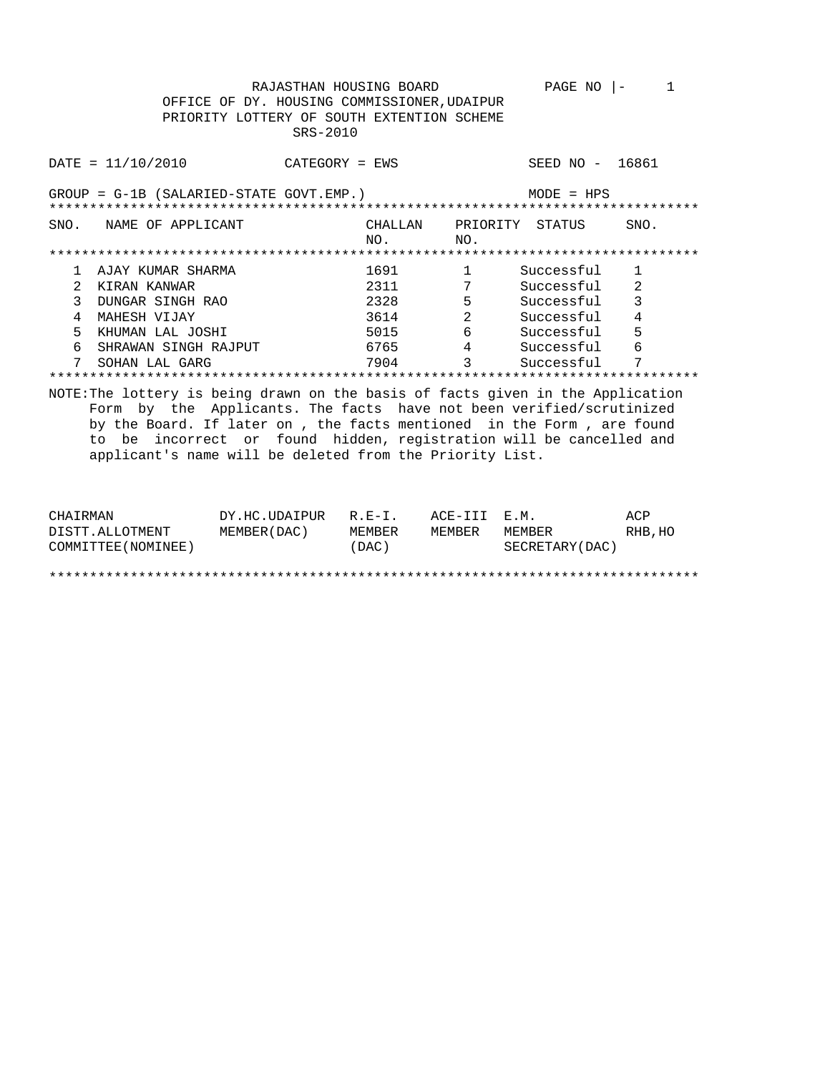|                                                                                                                                                                                                                                                                                                                                                                     | RAJASTHAN HOUSING BOARD<br>OFFICE OF DY. HOUSING COMMISSIONER, UDAIPUR<br>PRIORITY LOTTERY OF SOUTH EXTENTION SCHEME<br>$SRS-2010$ |                               | PAGE NO         | 1<br>$\vert -$ |
|---------------------------------------------------------------------------------------------------------------------------------------------------------------------------------------------------------------------------------------------------------------------------------------------------------------------------------------------------------------------|------------------------------------------------------------------------------------------------------------------------------------|-------------------------------|-----------------|----------------|
| DATA 2010                                                                                                                                                                                                                                                                                                                                                           | CATEGORY = EWS                                                                                                                     |                               | SEED NO - 16861 |                |
| $GROUP = G-1B (SALARIED-STATE GOUT. EMP.)$                                                                                                                                                                                                                                                                                                                          |                                                                                                                                    |                               | $MODE = HPS$    |                |
| SNO. NAME OF APPLICANT                                                                                                                                                                                                                                                                                                                                              | CHALLAN<br>NO.                                                                                                                     | NO.                           | PRIORITY STATUS | SNO.           |
|                                                                                                                                                                                                                                                                                                                                                                     |                                                                                                                                    |                               |                 |                |
| AJAY KUMAR SHARMA<br>$\mathbf{1}$                                                                                                                                                                                                                                                                                                                                   | 1691                                                                                                                               | $\mathbf{1}$                  | Successful      | $\mathbf{1}$   |
| $\mathcal{L}$<br>KIRAN KANWAR                                                                                                                                                                                                                                                                                                                                       | 2311                                                                                                                               | $7\phantom{.0}$               | Successful      | 2              |
| 3<br>DUNGAR SINGH RAO                                                                                                                                                                                                                                                                                                                                               | 2328                                                                                                                               | 5                             | Successful      | 3              |
| $\overline{4}$<br>MAHESH VIJAY                                                                                                                                                                                                                                                                                                                                      | 3614                                                                                                                               | $\overline{2}$                | Successful      | $\overline{4}$ |
| 5<br>KHUMAN LAL JOSHI                                                                                                                                                                                                                                                                                                                                               | 5015 700                                                                                                                           | 6                             | Successful      | 5              |
| 6<br>SHRAWAN SINGH RAJPUT                                                                                                                                                                                                                                                                                                                                           | 6765 — 100                                                                                                                         |                               | 4 Successful    | 6              |
| SOHAN LAL GARG                                                                                                                                                                                                                                                                                                                                                      | 7904                                                                                                                               | $\overline{3}$ $\overline{3}$ | Successful      | 7              |
|                                                                                                                                                                                                                                                                                                                                                                     |                                                                                                                                    |                               |                 |                |
| NOTE: The lottery is being drawn on the basis of facts given in the Application<br>Form by the Applicants. The facts have not been verified/scrutinized<br>by the Board. If later on, the facts mentioned in the Form, are found<br>to be incorrect or found hidden, registration will be cancelled and<br>applicant's name will be deleted from the Priority List. |                                                                                                                                    |                               |                 |                |

| CHAIRMAN            | DY.HC.UDAIPUR | $R.F - T$ . | ACE-III E.M. |                 | ACP     |
|---------------------|---------------|-------------|--------------|-----------------|---------|
| DISTT.ALLOTMENT     | MEMBER (DAC)  | MEMBER      | MEMBER       | MEMBER          | RHB, HO |
| COMMITTEE (NOMINEE) |               | (DAC)       |              | SECRETARY (DAC) |         |
|                     |               |             |              |                 |         |
|                     |               |             |              |                 |         |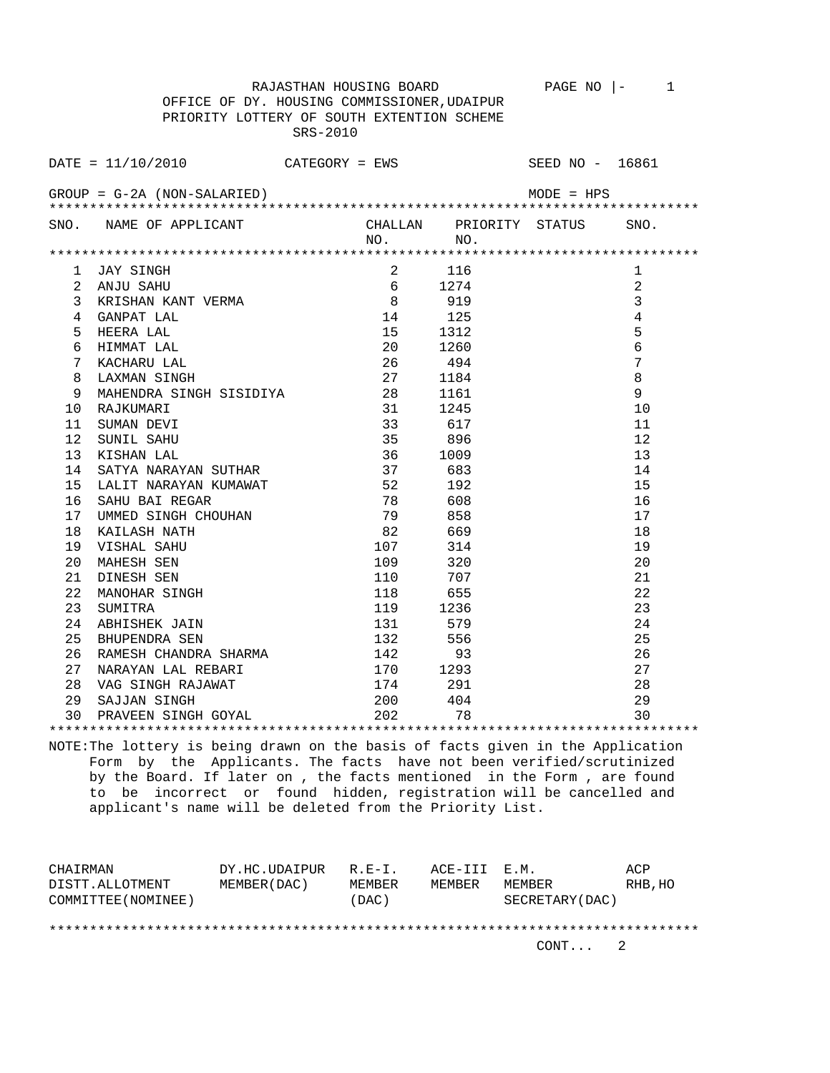RAJASTHAN HOUSING BOARD PAGE NO |- 1 OFFICE OF DY. HOUSING COMMISSIONER,UDAIPUR PRIORITY LOTTERY OF SOUTH EXTENTION SCHEME SRS-2010 DATE = 11/10/2010 CATEGORY = EWS SEED NO - 16861 GROUP = G-2A (NON-SALARIED) MODE = HPS \*\*\*\*\*\*\*\*\*\*\*\*\*\*\*\*\*\*\*\*\*\*\*\*\*\*\*\*\*\*\*\*\*\*\*\*\*\*\*\*\*\*\*\*\*\*\*\*\*\*\*\*\*\*\*\*\*\*\*\*\*\*\*\*\*\*\*\*\*\*\*\*\*\*\*\*\*\*\*\* SNO. NAME OF APPLICANT CHALLAN PRIORITY STATUS SNO. NO. NO. \*\*\*\*\*\*\*\*\*\*\*\*\*\*\*\*\*\*\*\*\*\*\*\*\*\*\*\*\*\*\*\*\*\*\*\*\*\*\*\*\*\*\*\*\*\*\*\*\*\*\*\*\*\*\*\*\*\*\*\*\*\*\*\*\*\*\*\*\*\*\*\*\*\*\*\*\*\*\*\* 1 JAY SINGH 1 2 116<br>2 ANJU SAHU 1 6 1274 2 2 ANJU SAHU 6 1274 2<br>3 KRISHAN KANT VERMA 8 919 3 3 3 KRISHAN KANT VERMA 8 919 3 4 GANPAT LAL 14 125 4 5 HEERA LAL 15 1312 5 6 HIMMAT LAL 20 1260 6 7 KACHARU LAL 26 494 7 ARD 27 1184<br>
8 LAXMAN SINGH 27 1184<br>
9 MAHENDRA SINGH SISIDIYA 28 1161 9 MAHENDRA SINGH SISIDIYA 28 1161 9 10 RAJKUMARI 31 1245<br>11 SUMAN DEVI 33 617 11 SUMAN DEVI 33 617 11 12 SUNIL SAHU 35 896 12 13 KISHAN LAL 36 1009 13 14 SATYA NARAYAN SUTHAR 37 683 14 15 LALIT NARAYAN KUMAWAT 52 192 15 16 SAHU BAI REGAR 16 20 16 78 608 16 16<br>17 UMMED SINGH CHOUHAN 179 858 17 17 UMMED SINGH CHOUHAN 79 858 17 18 KAILASH NATH 82 669 18 19 VISHAL SAHU 107 314 19 20 MAHESH SEN 109 320 20 21 DINESH SEN 110 707 21<br>
22 MANOHAR SINGH 118 655 22<br>
23 SUMITRA 119 1236 23 22 MANOHAR SINGH 118 655 22<br>23 SUMITRA 119 1236 23 23 SUMITRA 119 1236 23<br>24 ABHISHEK JAIN 131 579 24 24 ABHISHEK JAIN 131 579 24 25 BHUPENDRA SEN 132 556 25 26 RAMESH CHANDRA SHARMA 142 93 26 27 NARAYAN LAL REBARI 170 1293 27 28 VAG SINGH RAJAWAT 174 291 28<br>29 SAJJAN SINGH 200 404 29 29 SAJJAN SINGH 200 404 29 30 PRAVEEN SINGH GOYAL 202 78 30 \*\*\*\*\*\*\*\*\*\*\*\*\*\*\*\*\*\*\*\*\*\*\*\*\*\*\*\*\*\*\*\*\*\*\*\*\*\*\*\*\*\*\*\*\*\*\*\*\*\*\*\*\*\*\*\*\*\*\*\*\*\*\*\*\*\*\*\*\*\*\*\*\*\*\*\*\*\*\*\*

NOTE:The lottery is being drawn on the basis of facts given in the Application Form by the Applicants. The facts have not been verified/scrutinized by the Board. If later on , the facts mentioned in the Form , are found to be incorrect or found hidden, registration will be cancelled and applicant's name will be deleted from the Priority List.

| CHAIRMAN            | DY.HC.UDAIPUR | $R.F - T$ | ACE-III E.M. |                 | ACP     |
|---------------------|---------------|-----------|--------------|-----------------|---------|
| DISTT.ALLOTMENT     | MEMBER (DAC)  | MEMBER    | MEMBER       | MEMBER          | RHB, HO |
| COMMITTEE (NOMINEE) |               | (DAC)     |              | SECRETARY (DAC) |         |
|                     |               |           |              |                 |         |
|                     |               |           |              |                 |         |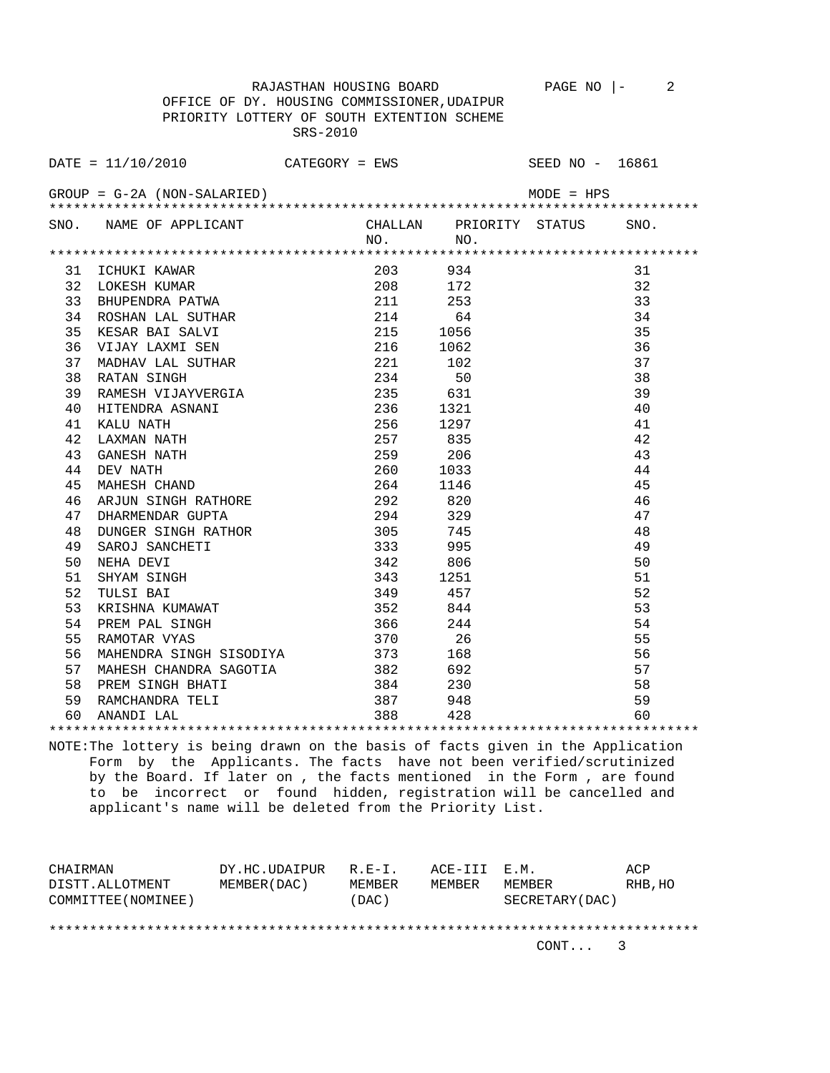OFFICE OF DY. HOUSING COMMISSIONER,UDAIPUR PRIORITY LOTTERY OF SOUTH EXTENTION SCHEME SRS-2010 DATE = 11/10/2010 CATEGORY = EWS SEED NO - 16861 GROUP = G-2A (NON-SALARIED) MODE = HPS \*\*\*\*\*\*\*\*\*\*\*\*\*\*\*\*\*\*\*\*\*\*\*\*\*\*\*\*\*\*\*\*\*\*\*\*\*\*\*\*\*\*\*\*\*\*\*\*\*\*\*\*\*\*\*\*\*\*\*\*\*\*\*\*\*\*\*\*\*\*\*\*\*\*\*\*\*\*\*\* SNO. NAME OF APPLICANT CHALLAN PRIORITY STATUS SNO. NO. NO. \*\*\*\*\*\*\*\*\*\*\*\*\*\*\*\*\*\*\*\*\*\*\*\*\*\*\*\*\*\*\*\*\*\*\*\*\*\*\*\*\*\*\*\*\*\*\*\*\*\*\*\*\*\*\*\*\*\*\*\*\*\*\*\*\*\*\*\*\*\*\*\*\*\*\*\*\*\*\*\* 31 ICHUKI KAWAR 203 934 31 32 LOKESH KUMAR 208 172 32 33 BHUPENDRA PATWA 211 253 33 34 ROSHAN LAL SUTHAR 214 64 34 35 KESAR BAI SALVI 215 1056 35 36 VIJAY LAXMI SEN 216 1062 36 37 MADHAV LAL SUTHAR  $221$   $102$   $37$  38 RATAN SINGH 234 50 38 39 RAMESH VIJAYVERGIA 235 631 39 40 HITENDRA ASNANI 236 1321 40 41 KALU NATH 256 1297 41 42 LAXMAN NATH 257 835 42 43 GANESH NATH 259 206 43 44 DEV NATH 260 1033 44<br>45 MAHESH CHAND 264 1146 45 45 MAHESH CHAND 45 MAHESH CHAND 45<br>46 ARJUN SINGH RATHORE 46 292 820 46 46 ARJUN SINGH RATHORE 292 820 46 47 DHARMENDAR GUPTA 294 329 294 329 47 48 DUNGER SINGH RATHOR 305 745 48 49 SAROJ SANCHETI 333 995 49 50 NEHA DEVI 342 806 50 51 SHYAM SINGH 51 343 1251 51 51 51<br>52 TULSI BAI 52 349 457 52<br>53 KRISHNA KUMAWAT 53 352 844 53 52 TULSI BAI 349 457 52 53 KRISHNA KUMAWAT 53 S2 844 53<br>54 PREM PAL SINGH 54 366 244 54 54 PREM PAL SINGH 366 244 54 55 RAMOTAR VYAS 370 26 55 56 MAHENDRA SINGH SISODIYA 373 168 56 57 MAHESH CHANDRA SAGOTIA 382 692 57 58 PREM SINGH BHATI 384 230 58 59 RAMCHANDRA TELI 387 948 59 60 ANANDI LAL 388 428 60 \*\*\*\*\*\*\*\*\*\*\*\*\*\*\*\*\*\*\*\*\*\*\*\*\*\*\*\*\*\*\*\*\*\*\*\*\*\*\*\*\*\*\*\*\*\*\*\*\*\*\*\*\*\*\*\*\*\*\*\*\*\*\*\*\*\*\*\*\*\*\*\*\*\*\*\*\*\*\*\*

RAJASTHAN HOUSING BOARD PAGE NO |- 2

NOTE:The lottery is being drawn on the basis of facts given in the Application Form by the Applicants. The facts have not been verified/scrutinized by the Board. If later on , the facts mentioned in the Form , are found

 to be incorrect or found hidden, registration will be cancelled and applicant's name will be deleted from the Priority List.

| CHAIRMAN            | DY.HC.UDAIPUR | $R.E-I.$ | ACE-III E.M. |                 | ACP     |
|---------------------|---------------|----------|--------------|-----------------|---------|
| DISTT.ALLOTMENT     | MEMBER (DAC)  | MEMBER   | MEMBER       | MEMBER          | RHB, HO |
| COMMITTEE (NOMINEE) |               | DAC)     |              | SECRETARY (DAC) |         |
|                     |               |          |              |                 |         |
|                     |               |          |              |                 |         |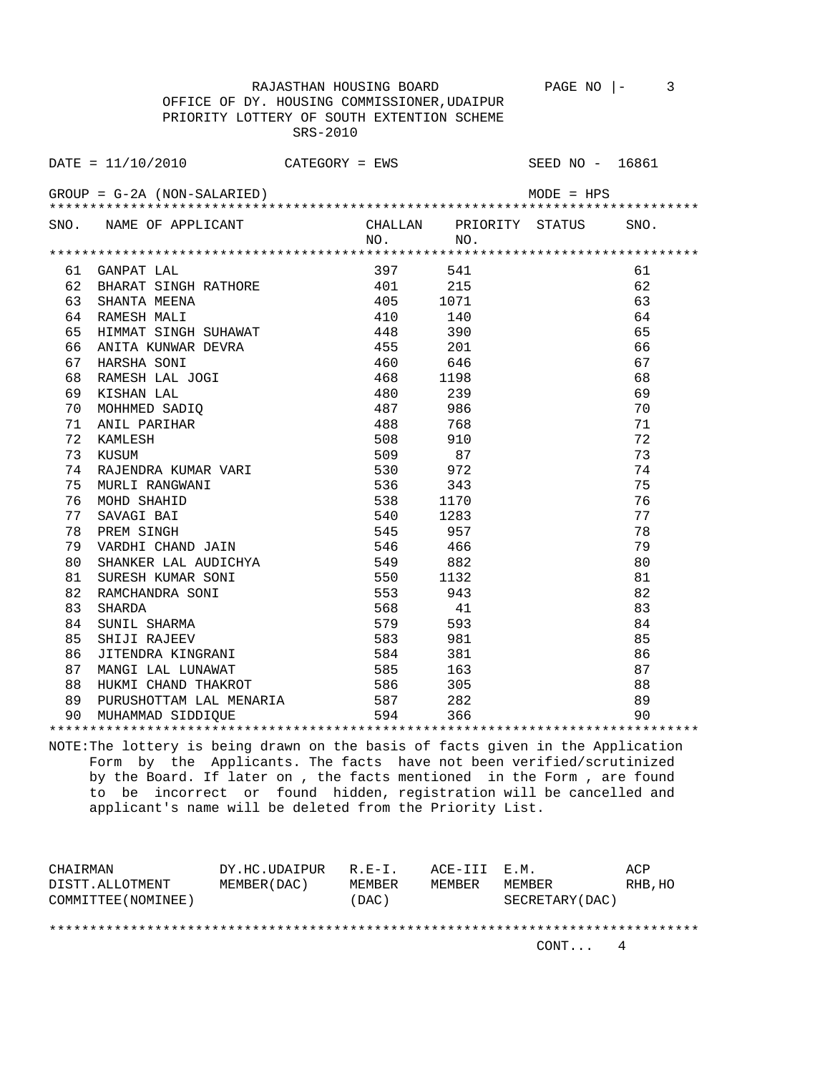OFFICE OF DY. HOUSING COMMISSIONER,UDAIPUR PRIORITY LOTTERY OF SOUTH EXTENTION SCHEME SRS-2010 DATE = 11/10/2010 CATEGORY = EWS SEED NO - 16861 GROUP = G-2A (NON-SALARIED) MODE = HPS \*\*\*\*\*\*\*\*\*\*\*\*\*\*\*\*\*\*\*\*\*\*\*\*\*\*\*\*\*\*\*\*\*\*\*\*\*\*\*\*\*\*\*\*\*\*\*\*\*\*\*\*\*\*\*\*\*\*\*\*\*\*\*\*\*\*\*\*\*\*\*\*\*\*\*\*\*\*\*\* SNO. NAME OF APPLICANT CHALLAN PRIORITY STATUS SNO. NO. NO. \*\*\*\*\*\*\*\*\*\*\*\*\*\*\*\*\*\*\*\*\*\*\*\*\*\*\*\*\*\*\*\*\*\*\*\*\*\*\*\*\*\*\*\*\*\*\*\*\*\*\*\*\*\*\*\*\*\*\*\*\*\*\*\*\*\*\*\*\*\*\*\*\*\*\*\*\*\*\*\* 61 GANPAT LAL 397 541 61 62 BHARAT SINGH RATHORE 401 215 62<br>63 SHANTA MEENA 405 1071 63 63 SHANTA MEENA 405 1071 63 64 RAMESH MALI 410 140 64 65 HIMMAT SINGH SUHAWAT 448 390 65 66 ANITA KUNWAR DEVRA 455 201 66 67 HARSHA SONI 460 646 67 68 RAMESH LAL JOGI 468 1198 68 69 KISHAN LAL 480 239 69 70 MOHHMED SADIQ 487 986 70 71 ANIL PARIHAR 488 768 71 72 KAMLESH 508 910 72 73 KUSUM 509 87 73 74 RAJENDRA KUMAR VARI 530 972 74 75 MURLI RANGWANI 536 343 75 76 MOHD SHAHID 538 1170 76 77 SAVAGI BAI 540 1283 77 78 PREM SINGH 545 957 957 78 79 VARDHI CHAND JAIN 546 466 79 80 SHANKER LAL AUDICHYA 549 882 80 81 SURESH KUMAR SONI 550 1132 81<br>82 RAMCHANDRA SONI 553 943 82 82 RAMCHANDRA SONI 553 943 82 83 SHARDA 83 SHARDA 83 SHARDA 83 SHARDA 83 SHARMA 84 SUNIL SHARMA 84 SUNIL SHARMA 84 SHARMA 84 SHARMA 84 SHARMA 84 SUNIL SHARMA 579 593 84 85 SHIJI RAJEEV 583 981 85 86 JITENDRA KINGRANI 584 381 86 87 MANGI LAL LUNAWAT 585 163 87 88 HUKMI CHAND THAKROT 586 305 88 89 PURUSHOTTAM LAL MENARIA 587 282 89 90 MUHAMMAD SIDDIQUE 594 366 90 \*\*\*\*\*\*\*\*\*\*\*\*\*\*\*\*\*\*\*\*\*\*\*\*\*\*\*\*\*\*\*\*\*\*\*\*\*\*\*\*\*\*\*\*\*\*\*\*\*\*\*\*\*\*\*\*\*\*\*\*\*\*\*\*\*\*\*\*\*\*\*\*\*\*\*\*\*\*\*\*

RAJASTHAN HOUSING BOARD PAGE NO |- 3

NOTE:The lottery is being drawn on the basis of facts given in the Application Form by the Applicants. The facts have not been verified/scrutinized by the Board. If later on , the facts mentioned in the Form , are found to be incorrect or found hidden, registration will be cancelled and applicant's name will be deleted from the Priority List.

| CHAIRMAN            | DY.HC.UDAIPUR | $R.F - T$ . | ACE-III E.M. |                 | ACP     |
|---------------------|---------------|-------------|--------------|-----------------|---------|
| DISTT.ALLOTMENT     | MEMBER (DAC)  | MEMBER      | MEMBER       | MEMBER          | RHB, HO |
| COMMITTEE (NOMINEE) |               | (DAC)       |              | SECRETARY (DAC) |         |
|                     |               |             |              |                 |         |
|                     |               |             |              |                 |         |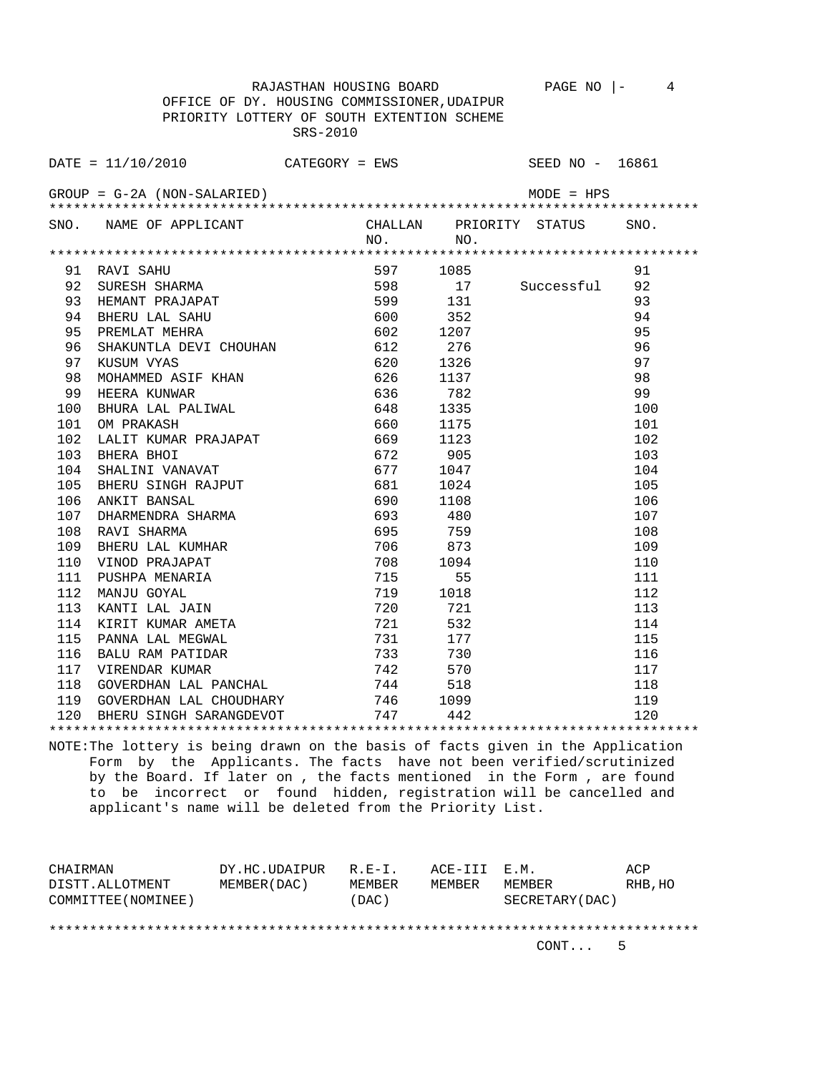RAJASTHAN HOUSING BOARD PAGE NO  $\vert - \vert$  4 OFFICE OF DY. HOUSING COMMISSIONER,UDAIPUR PRIORITY LOTTERY OF SOUTH EXTENTION SCHEME

SRS-2010

|     | $\texttt{DATE} = 11/10/2010$ CATEGORY = EWS |     |          |                                                                                                                                                                                                                                                                                                                                                              | SEED NO - 16861 |      |
|-----|---------------------------------------------|-----|----------|--------------------------------------------------------------------------------------------------------------------------------------------------------------------------------------------------------------------------------------------------------------------------------------------------------------------------------------------------------------|-----------------|------|
|     | GROUP = G-2A (NON-SALARIED)                 |     |          | $\label{eq:3.1} \frac{1}{2} \sum_{i=1}^n \frac{1}{2} \sum_{j=1}^n \frac{1}{2} \sum_{j=1}^n \frac{1}{2} \sum_{j=1}^n \frac{1}{2} \sum_{j=1}^n \frac{1}{2} \sum_{j=1}^n \frac{1}{2} \sum_{j=1}^n \frac{1}{2} \sum_{j=1}^n \frac{1}{2} \sum_{j=1}^n \frac{1}{2} \sum_{j=1}^n \frac{1}{2} \sum_{j=1}^n \frac{1}{2} \sum_{j=1}^n \frac{1}{2} \sum_{j=1}^n \frac{$ | $MODE = HPS$    |      |
|     |                                             |     |          |                                                                                                                                                                                                                                                                                                                                                              |                 |      |
|     | SNO. NAME OF APPLICANT                      |     |          | CHALLAN PRIORITY STATUS                                                                                                                                                                                                                                                                                                                                      |                 | SNO. |
|     |                                             |     | NO.      | NO.                                                                                                                                                                                                                                                                                                                                                          |                 |      |
|     |                                             |     |          |                                                                                                                                                                                                                                                                                                                                                              |                 |      |
| 91  | RAVI SAHU                                   |     | 597      | 1085                                                                                                                                                                                                                                                                                                                                                         |                 | 91   |
| 92  | SURESH SHARMA                               |     | 598      | 17 Successful                                                                                                                                                                                                                                                                                                                                                |                 | 92   |
| 93  | HEMANT PRAJAPAT                             |     | 599 131  |                                                                                                                                                                                                                                                                                                                                                              |                 | 93   |
| 94  | BHERU LAL SAHU                              |     | 600      | 352                                                                                                                                                                                                                                                                                                                                                          |                 | 94   |
| 95  | PREMLAT MEHRA                               |     | 602 1207 |                                                                                                                                                                                                                                                                                                                                                              |                 | 95   |
| 96  | SHAKUNTLA DEVI CHOUHAN                      |     | 612      | 276                                                                                                                                                                                                                                                                                                                                                          |                 | 96   |
| 97  | KUSUM VYAS                                  |     | 620      | 1326                                                                                                                                                                                                                                                                                                                                                         |                 | 97   |
| 98  | MOHAMMED ASIF KHAN                          |     | 626      | 1137                                                                                                                                                                                                                                                                                                                                                         |                 | 98   |
| 99  | HEERA KUNWAR                                | 636 |          | 782                                                                                                                                                                                                                                                                                                                                                          |                 | 99   |
| 100 | BHURA LAL PALIWAL                           |     | 648      | 1335                                                                                                                                                                                                                                                                                                                                                         |                 | 100  |
| 101 | OM PRAKASH                                  |     | 660      | 1175                                                                                                                                                                                                                                                                                                                                                         |                 | 101  |
| 102 | LALIT KUMAR PRAJAPAT                        |     | 669      | 1123                                                                                                                                                                                                                                                                                                                                                         |                 | 102  |
| 103 | BHERA BHOI                                  |     | 672      | 905                                                                                                                                                                                                                                                                                                                                                          |                 | 103  |
| 104 | SHALINI VANAVAT                             |     | 677      | 1047                                                                                                                                                                                                                                                                                                                                                         |                 | 104  |
| 105 | BHERU SINGH RAJPUT<br>ANKIT BANSAL          |     | 681      | 1024                                                                                                                                                                                                                                                                                                                                                         |                 | 105  |
| 106 |                                             |     | 690      | 1108                                                                                                                                                                                                                                                                                                                                                         |                 | 106  |
| 107 | DHARMENDRA SHARMA                           |     | 693      | 480                                                                                                                                                                                                                                                                                                                                                          |                 | 107  |
| 108 | RAVI SHARMA                                 |     | 695      | 759                                                                                                                                                                                                                                                                                                                                                          |                 | 108  |
| 109 | BHERU LAL KUMHAR                            |     | 706      | 873                                                                                                                                                                                                                                                                                                                                                          |                 | 109  |
| 110 | VINOD PRAJAPAT                              |     | 708      | 1094                                                                                                                                                                                                                                                                                                                                                         |                 | 110  |
| 111 | PUSHPA MENARIA                              |     | 715      | 55                                                                                                                                                                                                                                                                                                                                                           |                 | 111  |
| 112 | MANJU GOYAL                                 |     | 719      | 1018                                                                                                                                                                                                                                                                                                                                                         |                 | 112  |
| 113 | KANTI LAL JAIN                              |     | 720 721  |                                                                                                                                                                                                                                                                                                                                                              |                 | 113  |
| 114 | KIRIT KUMAR AMETA                           |     | 721      | 532                                                                                                                                                                                                                                                                                                                                                          |                 | 114  |
| 115 | PANNA LAL MEGWAL                            |     | 731      | 177                                                                                                                                                                                                                                                                                                                                                          |                 | 115  |
| 116 | BALU RAM PATIDAR                            |     | 733      | 730                                                                                                                                                                                                                                                                                                                                                          |                 | 116  |
| 117 | VIRENDAR KUMAR                              |     | 742      | 570                                                                                                                                                                                                                                                                                                                                                          |                 | 117  |
| 118 | GOVERDHAN LAL PANCHAL                       |     | 744      | 518                                                                                                                                                                                                                                                                                                                                                          |                 | 118  |
|     |                                             |     |          |                                                                                                                                                                                                                                                                                                                                                              |                 |      |

\*\*\*\*\*\*\*\*\*\*\*\*\*\*\*\*\*\*\*\*\*\*\*\*\*\*\*\*\*\*\*\*\*\*\*\*\*\*\*\*\*\*\*\*\*\*\*\*\*\*\*\*\*\*\*\*\*\*\*\*\*\*\*\*\*\*\*\*\*\*\*\*\*\*\*\*\*\*\*\* NOTE:The lottery is being drawn on the basis of facts given in the Application Form by the Applicants. The facts have not been verified/scrutinized by the Board. If later on , the facts mentioned in the Form , are found to be incorrect or found hidden, registration will be cancelled and applicant's name will be deleted from the Priority List.

119 GOVERDHAN LAL CHOUDHARY 1999 1099 119<br>120 BHERU SINGH SARANGDEVOT 197 142 120 BHERU SINGH SARANGDEVOT 747 442 120

| CHAIRMAN            | DY.HC.UDAIPUR R.E-I. |        | ACE-III E.M. |                  | ACP     |
|---------------------|----------------------|--------|--------------|------------------|---------|
| DISTT.ALLOTMENT     | MEMBER (DAC )        | MEMBER | MEMBER       | MEMBER           | RHB, HO |
| COMMITTEE (NOMINEE) |                      | (DAC)  |              | SECRETARY (DAC ) |         |
|                     |                      |        |              |                  |         |

\*\*\*\*\*\*\*\*\*\*\*\*\*\*\*\*\*\*\*\*\*\*\*\*\*\*\*\*\*\*\*\*\*\*\*\*\*\*\*\*\*\*\*\*\*\*\*\*\*\*\*\*\*\*\*\*\*\*\*\*\*\*\*\*\*\*\*\*\*\*\*\*\*\*\*\*\*\*\*\*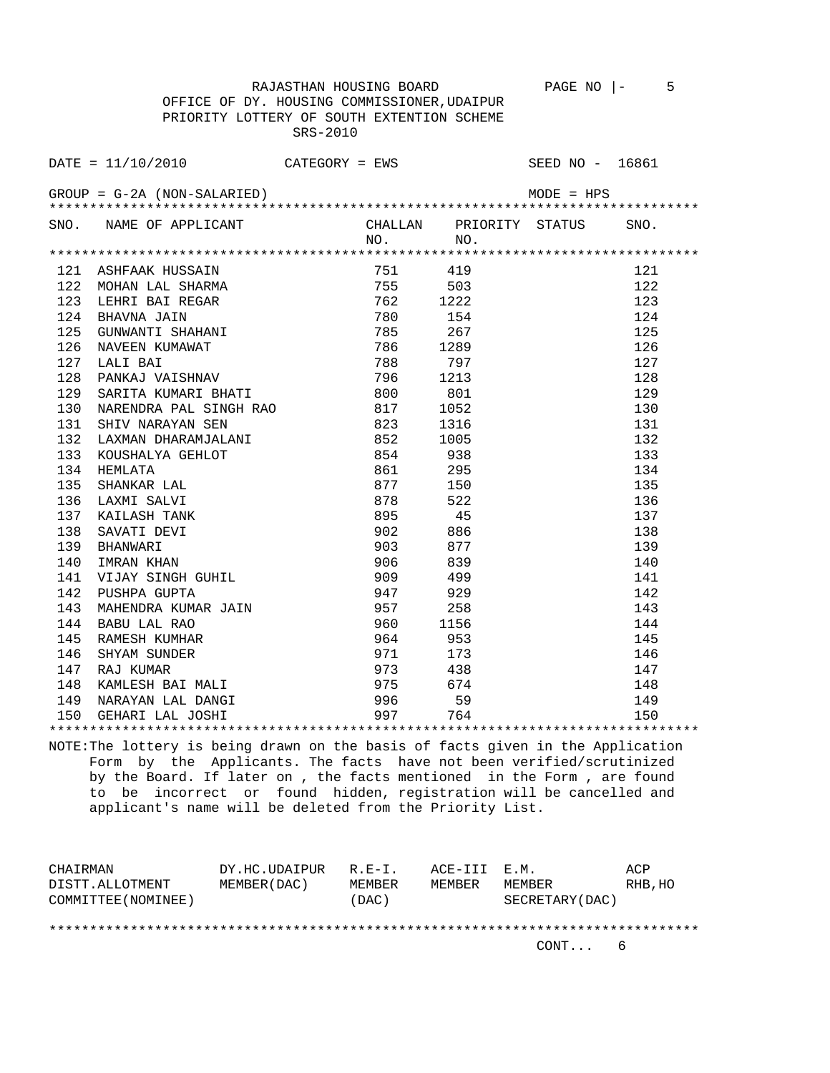RAJASTHAN HOUSING BOARD PAGE NO  $\vert -$  5 OFFICE OF DY. HOUSING COMMISSIONER,UDAIPUR PRIORITY LOTTERY OF SOUTH EXTENTION SCHEME SRS-2010

|     | DATE = $11/10/2010$ CATEGORY = EWS SEED NO - 16861                                                                                                                                                                                                                                 |     |                 |              |      |
|-----|------------------------------------------------------------------------------------------------------------------------------------------------------------------------------------------------------------------------------------------------------------------------------------|-----|-----------------|--------------|------|
|     | $GROUP = G-2A (NON-SALARIED)$                                                                                                                                                                                                                                                      |     |                 | $MODE = HPS$ |      |
|     | SNO. NAME OF APPLICANT CHALLAN PRIORITY STATUS                                                                                                                                                                                                                                     | NO. | NO <sub>1</sub> |              | SNO. |
|     |                                                                                                                                                                                                                                                                                    |     |                 |              |      |
|     | 121 ASHFAAK HUSSAIN 751 419<br>122 MOHAN LAL SHARMA 755 503<br>123 LEHRI BAI REGAR 762 1222<br>124 BHAVNA JAIN 780 154<br>125 GUNWANTI SHAHANI 785 267<br>126 NAVEEN KUMAWAT 786 1289<br>127 LALI BAI 788 797<br>128 PANKAJ VAISHNAV 796 121                                       |     |                 |              | 121  |
|     |                                                                                                                                                                                                                                                                                    |     |                 |              | 122  |
|     |                                                                                                                                                                                                                                                                                    |     |                 |              | 123  |
|     |                                                                                                                                                                                                                                                                                    |     |                 |              | 124  |
|     |                                                                                                                                                                                                                                                                                    |     |                 |              | 125  |
|     |                                                                                                                                                                                                                                                                                    |     |                 |              | 126  |
|     |                                                                                                                                                                                                                                                                                    |     |                 |              | 127  |
|     |                                                                                                                                                                                                                                                                                    |     |                 |              | 128  |
| 129 | SARITA KUMARI BHATI                                                                                                                                                                                                                                                                | 800 | 801             |              | 129  |
| 130 | NARENDRA PAL SINGH RAO 817<br>MARAYAN SEN 817 1052<br>SHIV NARAYAN SEN 823 1316<br>LAXMAN DHARAMJALANI 852 1005<br>KOUSHALYA GEHLOT 854 938<br>HEMLATA<br>HEMLATA 861 295<br>SHANKAR LAL<br>LAXMI SALVI 878 522<br>KAILASH TANK 895 45<br>SHANWARI 902 886<br>BHANWARI 903 877<br> |     | 1052            |              | 130  |
| 131 |                                                                                                                                                                                                                                                                                    |     |                 |              | 131  |
| 132 |                                                                                                                                                                                                                                                                                    |     |                 |              | 132  |
| 133 |                                                                                                                                                                                                                                                                                    |     |                 |              | 133  |
| 134 |                                                                                                                                                                                                                                                                                    |     |                 |              | 134  |
| 135 |                                                                                                                                                                                                                                                                                    |     |                 |              | 135  |
| 136 |                                                                                                                                                                                                                                                                                    |     |                 |              | 136  |
| 137 |                                                                                                                                                                                                                                                                                    |     |                 |              | 137  |
| 138 |                                                                                                                                                                                                                                                                                    |     |                 |              | 138  |
| 139 |                                                                                                                                                                                                                                                                                    |     |                 |              | 139  |
| 140 |                                                                                                                                                                                                                                                                                    |     |                 |              | 140  |
| 141 |                                                                                                                                                                                                                                                                                    |     |                 |              | 141  |
| 142 |                                                                                                                                                                                                                                                                                    | 947 |                 |              | 142  |
| 143 | MAHENDRA KUMAR JAIN 6957 258                                                                                                                                                                                                                                                       |     |                 |              | 143  |
| 144 |                                                                                                                                                                                                                                                                                    |     |                 |              | 144  |
| 145 |                                                                                                                                                                                                                                                                                    |     |                 |              | 145  |
| 146 |                                                                                                                                                                                                                                                                                    |     |                 |              | 146  |
| 147 |                                                                                                                                                                                                                                                                                    |     |                 |              | 147  |
| 148 | BABU LAL RAO 3957 250<br>BABU LAL RAO 360 1156<br>RAMESH KUMHAR 3964 353<br>SHYAM SUNDER 371 173<br>RAJ KUMAR 3973 438<br>KAMLESH BAI MALI 375 674                                                                                                                                 |     |                 |              | 148  |

NOTE:The lottery is being drawn on the basis of facts given in the Application Form by the Applicants. The facts have not been verified/scrutinized by the Board. If later on , the facts mentioned in the Form , are found to be incorrect or found hidden, registration will be cancelled and applicant's name will be deleted from the Priority List.

 149 NARAYAN LAL DANGI 996 59 149 150 GEHARI LAL JOSHI 997 764 150 \*\*\*\*\*\*\*\*\*\*\*\*\*\*\*\*\*\*\*\*\*\*\*\*\*\*\*\*\*\*\*\*\*\*\*\*\*\*\*\*\*\*\*\*\*\*\*\*\*\*\*\*\*\*\*\*\*\*\*\*\*\*\*\*\*\*\*\*\*\*\*\*\*\*\*\*\*\*\*\*

| CHAIRMAN            | DY.HC.UDAIPUR | R.E-I. | ACE-III E.M. |                 | ACP     |
|---------------------|---------------|--------|--------------|-----------------|---------|
| DISTT.ALLOTMENT     | MEMBER (DAC)  | MEMBER | MEMBER       | MEMBER          | RHB, HO |
| COMMITTEE (NOMINEE) |               | (DAC)  |              | SECRETARY (DAC) |         |
|                     |               |        |              |                 |         |
|                     |               |        |              |                 |         |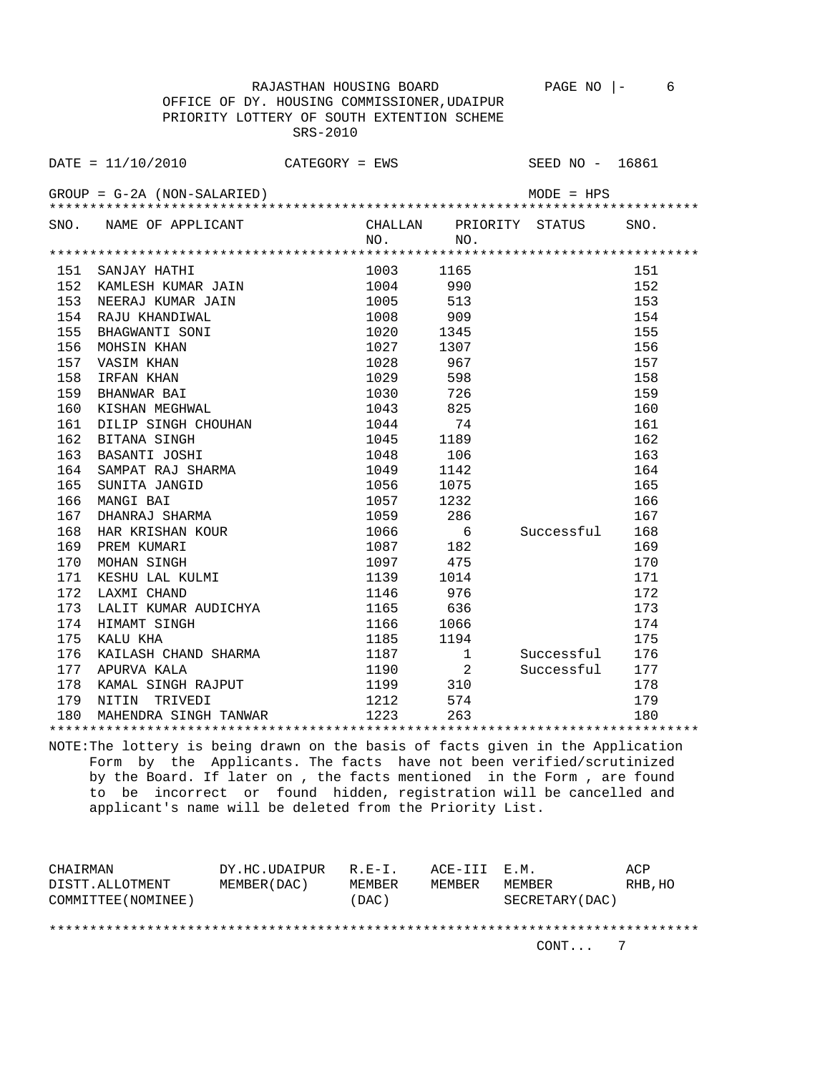RAJASTHAN HOUSING BOARD PAGE NO |- 6 OFFICE OF DY. HOUSING COMMISSIONER,UDAIPUR PRIORITY LOTTERY OF SOUTH EXTENTION SCHEME SRS-2010

DATE = 11/10/2010 CATEGORY = EWS SEED NO - 16861 GROUP = G-2A (NON-SALARIED) MODE = HPS \*\*\*\*\*\*\*\*\*\*\*\*\*\*\*\*\*\*\*\*\*\*\*\*\*\*\*\*\*\*\*\*\*\*\*\*\*\*\*\*\*\*\*\*\*\*\*\*\*\*\*\*\*\*\*\*\*\*\*\*\*\*\*\*\*\*\*\*\*\*\*\*\*\*\*\*\*\*\*\* SNO. NAME OF APPLICANT CHALLAN PRIORITY STATUS SNO. NO. NO. \*\*\*\*\*\*\*\*\*\*\*\*\*\*\*\*\*\*\*\*\*\*\*\*\*\*\*\*\*\*\*\*\*\*\*\*\*\*\*\*\*\*\*\*\*\*\*\*\*\*\*\*\*\*\*\*\*\*\*\*\*\*\*\*\*\*\*\*\*\*\*\*\*\*\*\*\*\*\*\* 151 SANJAY HATHI 1003 1165 151 152 KAMLESH KUMAR JAIN 1004 990 152 153 NEERAJ KUMAR JAIN 1005 513 153 154 RAJU KHANDIWAL 1008 909 154 155 BHAGWANTI SONI 1020 1345 155 154 RAJU KHANDIWAL 1008 909 154<br>155 BHAGWANTI SONI 1020 1345 155 MOHSIN KHAN 1027 1307 156<br>157 VASIM KHAN 1028 967 157 157 VASIM KHAN 1028 967 157 158 IRFAN KHAN 1029 598 158 159 BHANWAR BAI 1030 726 159 160 KISHAN MEGHWAL 1043 825 160 161 DILIP SINGH CHOUHAN 1044 74 161 162 BITANA SINGH 1045 1189 162 163 BASANTI JOSHI 1048 106 163 164 SAMPAT RAJ SHARMA 1049 1142 164 165 SUNITA JANGID 1056 1075 1056 1075<br>166 MANGI BAI 1057 1232 166 1057 1232 166<br>1059 286 167<br>1066 6 Successful 168 167 DHANRAJ SHARMA 1059 286 167 168 HAR KRISHAN KOUR 1066 6 Successful 168 169 PREM KUMARI 1087 182 169 169 PREM KUMARI 1087 182 169<br>170 MOHAN SINGH 1097 475 170<br>171 KESHU LAL KULMI 1139 1014 171 171 KESHU LAL KULMI 1139 1139<br>172 LAXMI CHAND 1146 172 LAXMI CHAND 1146 976 172 173 LALIT KUMAR AUDICHYA 1165 636 173 174 HIMAMT SINGH 1166 1066 174 175 KALU KHA 1185 1194 175 176 KAILASH CHAND SHARMA 1187 1 Successful 176 177 APURVA KALA 1190 2 Successful 177 178 KAMAL SINGH RAJPUT 1199 310 178 179 NITIN TRIVEDI 1212 574 179 180 MAHENDRA SINGH TANWAR 1223 263 180

NOTE:The lottery is being drawn on the basis of facts given in the Application Form by the Applicants. The facts have not been verified/scrutinized by the Board. If later on , the facts mentioned in the Form , are found to be incorrect or found hidden, registration will be cancelled and applicant's name will be deleted from the Priority List.

\*\*\*\*\*\*\*\*\*\*\*\*\*\*\*\*\*\*\*\*\*\*\*\*\*\*\*\*\*\*\*\*\*\*\*\*\*\*\*\*\*\*\*\*\*\*\*\*\*\*\*\*\*\*\*\*\*\*\*\*\*\*\*\*\*\*\*\*\*\*\*\*\*\*\*\*\*\*\*\*

| CHAIRMAN            | DY.HC.UDAIPUR | $R.E-I.$      | ACE-III E.M. |                 | ACP     |
|---------------------|---------------|---------------|--------------|-----------------|---------|
| DISTT.ALLOTMENT     | MEMBER (DAC)  | <b>MEMBER</b> | MEMBER       | MEMBER          | RHB, HO |
| COMMITTEE (NOMINEE) |               | (DAC)         |              | SECRETARY (DAC) |         |
|                     |               |               |              |                 |         |
|                     |               |               |              |                 |         |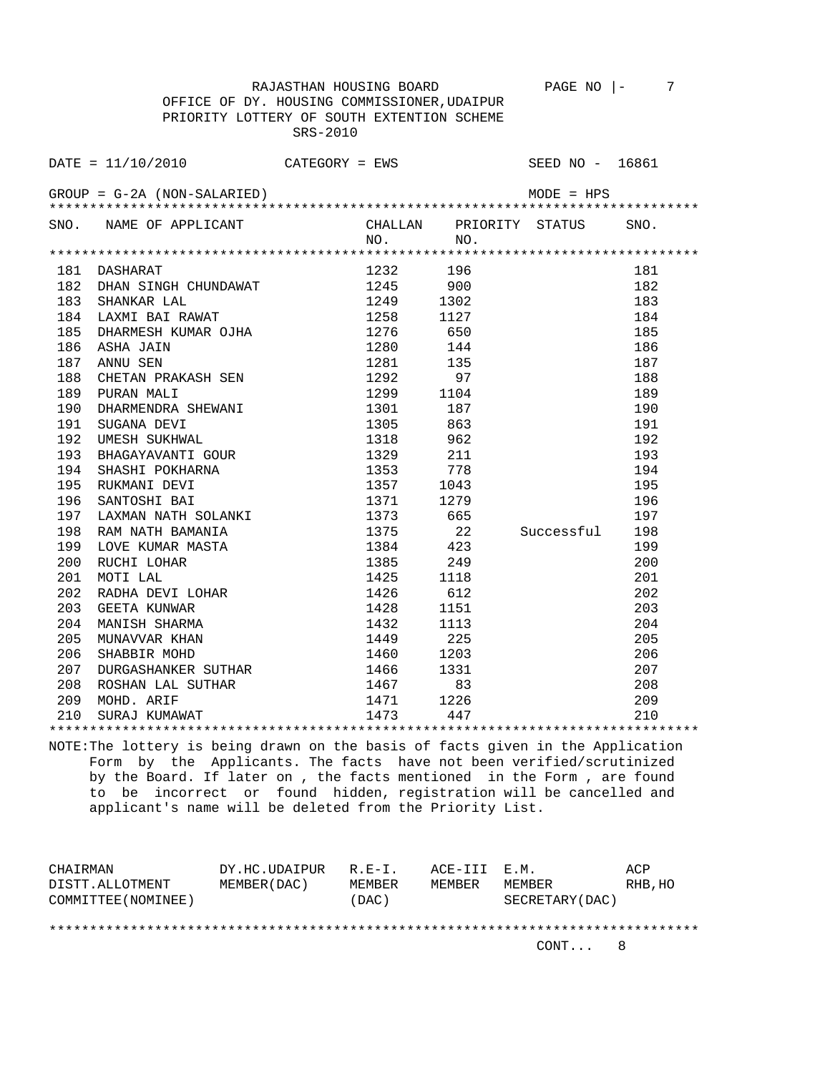OFFICE OF DY. HOUSING COMMISSIONER,UDAIPUR PRIORITY LOTTERY OF SOUTH EXTENTION SCHEME SRS-2010

RAJASTHAN HOUSING BOARD PAGE NO |- 7

|     | SNO. NAME OF APPLICANT                                                                                                                                                                                                                     |              |      | CHALLAN PRIORITY STATUS SNO. |     |
|-----|--------------------------------------------------------------------------------------------------------------------------------------------------------------------------------------------------------------------------------------------|--------------|------|------------------------------|-----|
|     |                                                                                                                                                                                                                                            | $NO.$ NO.    |      |                              |     |
|     |                                                                                                                                                                                                                                            |              |      |                              |     |
|     | 181 DASHARAT                                                                                                                                                                                                                               | 1232 196     |      |                              | 181 |
|     | 182 DHAN SINGH CHUNDAWAT 1245 900                                                                                                                                                                                                          |              |      |                              | 182 |
|     |                                                                                                                                                                                                                                            |              |      |                              | 183 |
|     |                                                                                                                                                                                                                                            |              |      |                              | 184 |
|     |                                                                                                                                                                                                                                            |              |      |                              | 185 |
|     | 184 LAXMI BAI RAWAT 1258 1127<br>185 DHARMESH KUMAR OJHA 1276 650 186 ASHA JAIN 1276 650 144<br>187 ANNU SEN 1280 144<br>188 CHETAN PRAKASH SEN 1291 135<br>189 PURAN MALI 1292 97<br>189 PURAN MALI 1299 1104<br>190 DHARMENDRA SHEWANI 1 |              |      |                              | 186 |
|     |                                                                                                                                                                                                                                            |              |      |                              | 187 |
|     |                                                                                                                                                                                                                                            |              |      |                              | 188 |
|     |                                                                                                                                                                                                                                            |              |      |                              | 189 |
|     |                                                                                                                                                                                                                                            |              |      |                              | 190 |
|     |                                                                                                                                                                                                                                            |              |      |                              | 191 |
|     |                                                                                                                                                                                                                                            |              |      |                              | 192 |
|     |                                                                                                                                                                                                                                            |              |      |                              | 193 |
|     |                                                                                                                                                                                                                                            |              |      |                              | 194 |
|     |                                                                                                                                                                                                                                            |              |      |                              | 195 |
|     |                                                                                                                                                                                                                                            |              |      |                              | 196 |
|     |                                                                                                                                                                                                                                            | 1371<br>1373 | 665  |                              | 197 |
|     | 197 LAXMAN NATH SOLANKI<br>198 RAM NATH BAMANIA                                                                                                                                                                                            | 1375         |      | 22 Successful                | 198 |
| 199 |                                                                                                                                                                                                                                            | $1384$ $423$ |      |                              | 199 |
| 200 |                                                                                                                                                                                                                                            | 1385         | 249  |                              | 200 |
| 201 | HARAIR BAMANIA<br>LOVE KUMAR MASTA<br>RUCHI LOHAR<br>MOTI LAL<br>RADHA DEVI IOUAR<br>NADHA DEVI LOHAR<br>CEETA KUNWAR<br>MANISH SHARMA<br>MUNAVVAR KHAN<br>SHABBIR MOHD<br>SHABBIR MOHD<br>DURGASHANKER SITTILLE                           | 1425         | 1118 |                              | 201 |
| 202 |                                                                                                                                                                                                                                            | 1426         | 612  |                              | 202 |
| 203 |                                                                                                                                                                                                                                            | 1428         | 1151 |                              | 203 |
| 204 |                                                                                                                                                                                                                                            | 1432         | 1113 |                              | 204 |
| 205 |                                                                                                                                                                                                                                            | 1449         | 225  |                              | 205 |
| 206 |                                                                                                                                                                                                                                            | 1460         | 1203 |                              | 206 |
| 207 | DURGASHANKER SUTHAR 1466                                                                                                                                                                                                                   |              | 1331 |                              | 207 |
|     |                                                                                                                                                                                                                                            |              |      |                              |     |
|     | 208 ROSHAN LAL SUTHAR<br>209 MOHD, ARIF 1471 1226 209<br>210 SURAJ KUMAWAT 1473 447 210                                                                                                                                                    |              |      |                              |     |
|     |                                                                                                                                                                                                                                            |              |      |                              |     |
|     |                                                                                                                                                                                                                                            |              |      |                              |     |

NOTE:The lottery is being drawn on the basis of facts given in the Application Form by the Applicants. The facts have not been verified/scrutinized by the Board. If later on , the facts mentioned in the Form , are found to be incorrect or found hidden, registration will be cancelled and applicant's name will be deleted from the Priority List.

| CHAIRMAN            | DY.HC.UDAIPUR | R.E-I. | ACE-III E.M. |                 | ACP     |
|---------------------|---------------|--------|--------------|-----------------|---------|
| DISTT.ALLOTMENT     | MEMBER (DAC)  | MEMBER | MEMBER       | MEMBER          | RHB, HO |
| COMMITTEE (NOMINEE) |               | (DAC)  |              | SECRETARY (DAC) |         |
|                     |               |        |              |                 |         |
|                     |               |        |              |                 |         |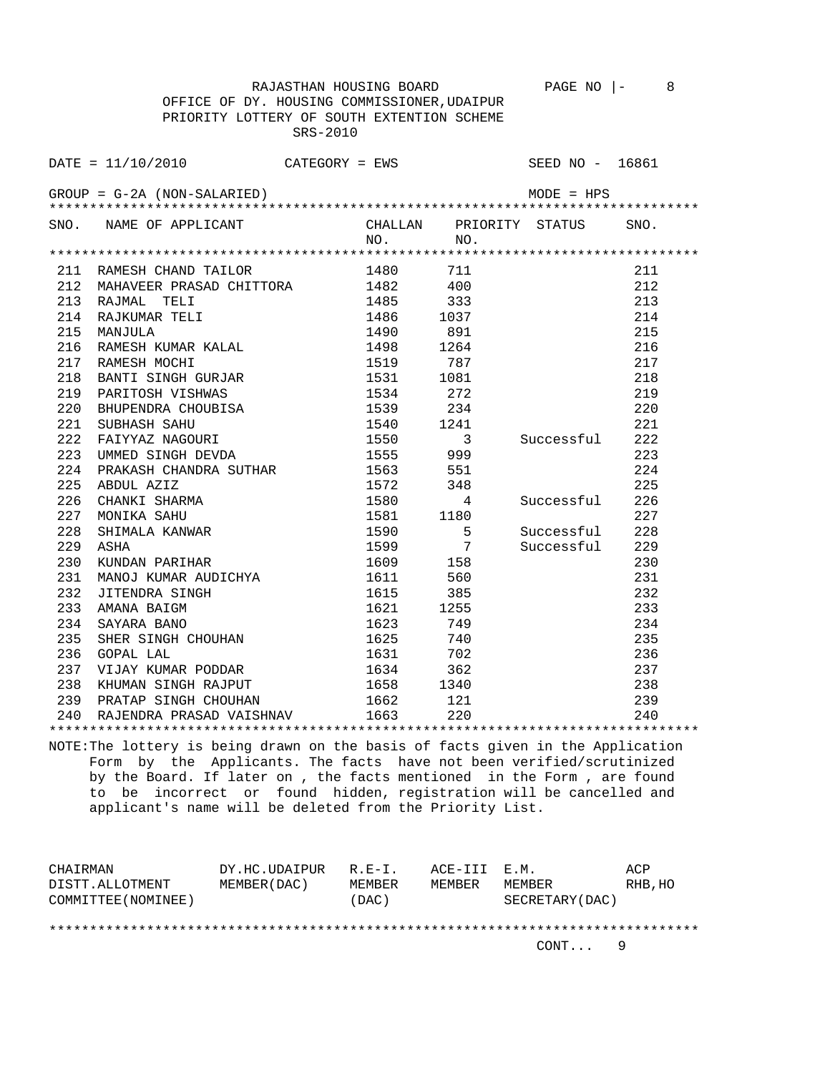OFFICE OF DY. HOUSING COMMISSIONER,UDAIPUR SRS-2010

RAJASTHAN HOUSING BOARD PAGE NO |- 8

 PRIORITY LOTTERY OF SOUTH EXTENTION SCHEME  $\text{DATE} = 11/10/2010$  CATEGORY = EWS SEED NO - 16861

 $GROUP = G-2A (NON-SALARIED)$  MODE = HPS \*\*\*\*\*\*\*\*\*\*\*\*\*\*\*\*\*\*\*\*\*\*\*\*\*\*\*\*\*\*\*\*\*\*\*\*\*\*\*\*\*\*\*\*\*\*\*\*\*\*\*\*\*\*\*\*\*\*\*\*\*\*\*\*\*\*\*\*\*\*\*\*\*\*\*\*\*\*\*\* SNO. NAME OF APPLICANT CHALLAN PRIORITY STATUS SNO. NO. NO. \*\*\*\*\*\*\*\*\*\*\*\*\*\*\*\*\*\*\*\*\*\*\*\*\*\*\*\*\*\*\*\*\*\*\*\*\*\*\*\*\*\*\*\*\*\*\*\*\*\*\*\*\*\*\*\*\*\*\*\*\*\*\*\*\*\*\*\*\*\*\*\*\*\*\*\*\*\*\*\* 211 RAMESH CHAND TAILOR 1980 711 211 211 212<br>212 MAHAVEER PRASAD CHITTORA 1482 400 212 212 MAHAVEER PRASAD CHITTORA 1482 400 212 213 RAJMAL TELI 1485 333 213 214 RAJKUMAR TELI 1486 1037 214 215 MANJULA 1490 891 215 216 RAMESH KUMAR KALAL 1498 1264 216 217 RAMESH MOCHI 1519 787 217<br>218 BANTI SINGH GURJAR 1531 1081 218 218 BANTI SINGH GURJAR 1531 1081 218 219 PARITOSH VISHWAS 1534 272 219 220 BHUPENDRA CHOUBISA 1539 234 220 221 SUBHASH SAHU 1540 1241 221 222 FAIYYAZ NAGOURI 1550 3 Successful 222 222 FAIYYAZ NAGOURI 1550 3 Successful 222 223 UMMED SINGH DEVDA 1555 999 223<br>224 PRAKASH CHANDRA SUTHAR 1563 551 224 223 UNIVED SINGH DEVER<br>224 PRAKASH CHANDRA SUTHAR 1563 551 224 225 ABDUL AZIZ 1572 348 225 226 CHANKI SHARMA 1580 4 Successful 226 227 MONIKA SAHU 1581 1180 227 228 SHIMALA KANWAR 1590 5 Successful 228 229 ASHA 1599 7 Successful 229 230 KUNDAN PARIHAR 1609 158 230 231 MANOJ KUMAR AUDICHYA 1611 560 231 232 JITENDRA SINGH 1615 385 232<br>233 AMANA BAIGM 1621 1255 233 233 AMANA BAIGM 1621 1255 233 234 SAYARA BANO 1623 749 234 235 SHER SINGH CHOUHAN 1625 740 235 236 GOPAL LAL 1631 702 236 237 VIJAY KUMAR PODDAR 1634 362 237 238 KHUMAN SINGH RAJPUT 1658 1340 238<br>239 PRATAP SINGH CHOUHAN 1662 121 239<br>240 RAJENDRA PRASAD VAISHNAV 1663 220 240 239 PRATAP SINGH CHOUHAN 1662 121 239 240 RAJENDRA PRASAD VAISHNAV 1663 220 240 \*\*\*\*\*\*\*\*\*\*\*\*\*\*\*\*\*\*\*\*\*\*\*\*\*\*\*\*\*\*\*\*\*\*\*\*\*\*\*\*\*\*\*\*\*\*\*\*\*\*\*\*\*\*\*\*\*\*\*\*\*\*\*\*\*\*\*\*\*\*\*\*\*\*\*\*\*\*\*\*

NOTE:The lottery is being drawn on the basis of facts given in the Application Form by the Applicants. The facts have not been verified/scrutinized by the Board. If later on , the facts mentioned in the Form , are found to be incorrect or found hidden, registration will be cancelled and applicant's name will be deleted from the Priority List.

| CHAIRMAN            | DY.HC.UDAIPUR | R.F.-T. | ACE-III E.M. |                  | ACP     |
|---------------------|---------------|---------|--------------|------------------|---------|
| DISTT.ALLOTMENT     | MEMBER (DAC ) | MEMBER  | MEMBER       | MEMBER           | RHB, HO |
| COMMITTEE (NOMINEE) |               | (DAC)   |              | SECRETARY (DAC ) |         |
|                     |               |         |              |                  |         |

\*\*\*\*\*\*\*\*\*\*\*\*\*\*\*\*\*\*\*\*\*\*\*\*\*\*\*\*\*\*\*\*\*\*\*\*\*\*\*\*\*\*\*\*\*\*\*\*\*\*\*\*\*\*\*\*\*\*\*\*\*\*\*\*\*\*\*\*\*\*\*\*\*\*\*\*\*\*\*\*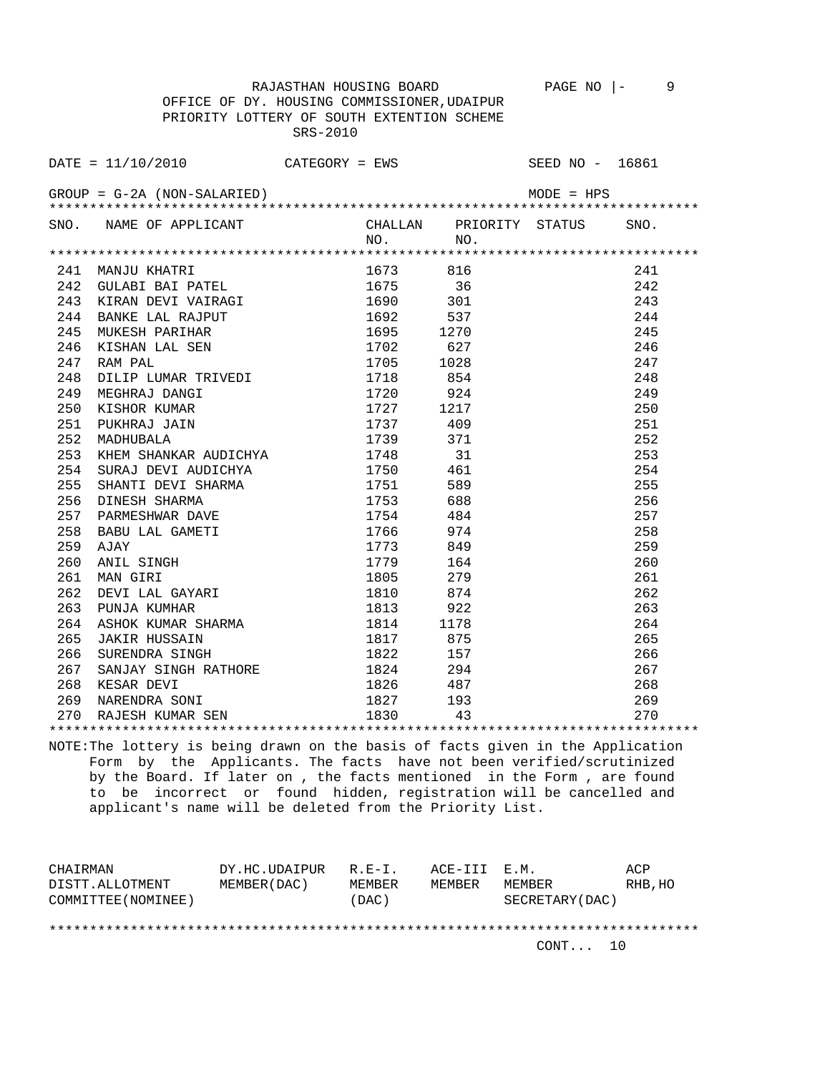RAJASTHAN HOUSING BOARD PAGE NO  $\vert - \vert$  9 OFFICE OF DY. HOUSING COMMISSIONER,UDAIPUR PRIORITY LOTTERY OF SOUTH EXTENTION SCHEME SRS-2010

|     | DATE = $11/10/2010$ CATEGORY = EWS SEED NO - 16861                                                           |           |      |              |      |
|-----|--------------------------------------------------------------------------------------------------------------|-----------|------|--------------|------|
|     | $GROUP = G-2A (NON-SALARIED)$                                                                                |           |      | $MODE = HPS$ |      |
|     | SNO. NAME OF APPLICANT CHALLAN PRIORITY STATUS                                                               | NO.       | NO.  |              | SNO. |
|     |                                                                                                              |           |      |              |      |
|     | 241 MANJU KHATRI                                                                                             | 1673 816  |      |              | 241  |
| 242 |                                                                                                              | 1675 36   |      |              | 242  |
|     | -----<br>GULABI BAI PATEL<br>KIRAN DEVI VATRACT<br>243 KIRAN DEVI VAIRAGI                                    | 1690 301  |      |              | 243  |
|     | AND LAL RAJPUT<br>MUKESH PARIHAR<br>KISHAN LAL SEN<br>RAM PAL<br>DILIP LUMAR TRITHER<br>244 BANKE LAL RAJPUT | 1692 537  |      |              | 244  |
| 245 |                                                                                                              | 1695 1270 |      |              | 245  |
| 246 |                                                                                                              | 1702      | 627  |              | 246  |
| 247 |                                                                                                              | 1705 1028 |      |              | 247  |
| 248 | DILIP LUMAR TRIVEDI 1718 854                                                                                 |           |      |              | 248  |
| 249 |                                                                                                              | 1720 924  |      |              | 249  |
| 250 | MEGHRAJ DANGI<br>KISHOR KUMAR<br>PUKHRAJ JAIN<br>MADHUBALA<br>KHEM SULANGI                                   | 1727      | 1217 |              | 250  |
| 251 |                                                                                                              | 1737 409  |      |              | 251  |
| 252 |                                                                                                              | 1739 371  |      |              | 252  |
| 253 | KHEM SHANKAR AUDICHYA 1748 31                                                                                |           |      |              | 253  |
| 254 | SURAJ DEVI AUDICHYA 1750 461                                                                                 |           |      |              | 254  |
| 255 |                                                                                                              | 1751 589  |      |              | 255  |
| 256 | SHANTI DEVI SHARMA<br>DINESH SHARMA<br>PARMESHWAR DAVE<br>BABU LAL GAMETI<br>AJAY<br>ANIL SINGH<br>MAN GIRI  | 1753      | 688  |              | 256  |
| 257 |                                                                                                              | 1754 484  |      |              | 257  |
| 258 |                                                                                                              | 1766 974  |      |              | 258  |
| 259 |                                                                                                              | 1773 849  |      |              | 259  |
| 260 |                                                                                                              | 1779 164  |      |              | 260  |
| 261 |                                                                                                              | 1805 279  |      |              | 261  |
| 262 |                                                                                                              | 1810      | 874  |              | 262  |
| 263 | DEVI LAL GAYARI<br>PUNJA KUMHAR<br>AGUOT TITULI                                                              | 1813 922  |      |              | 263  |
| 264 |                                                                                                              |           |      |              | 264  |
| 265 |                                                                                                              |           |      |              | 265  |
| 266 |                                                                                                              |           |      |              | 266  |
| 267 | SANJAY SINGH RATHORE                                                                                         | 1824      | 294  |              | 267  |

\*\*\*\*\*\*\*\*\*\*\*\*\*\*\*\*\*\*\*\*\*\*\*\*\*\*\*\*\*\*\*\*\*\*\*\*\*\*\*\*\*\*\*\*\*\*\*\*\*\*\*\*\*\*\*\*\*\*\*\*\*\*\*\*\*\*\*\*\*\*\*\*\*\*\*\*\*\*\*\* NOTE:The lottery is being drawn on the basis of facts given in the Application Form by the Applicants. The facts have not been verified/scrutinized by the Board. If later on , the facts mentioned in the Form , are found to be incorrect or found hidden, registration will be cancelled and applicant's name will be deleted from the Priority List.

 268 KESAR DEVI 1826 487 268 269 NARENDRA SONI 1827 193 269 270 RAJESH KUMAR SEN 1830 43 270

| CHAIRMAN            | DY.HC.UDAIPUR | $R.F - T$ . | ACE-III E.M. |                  | ACP     |
|---------------------|---------------|-------------|--------------|------------------|---------|
| DISTT.ALLOTMENT     | MEMBER (DAC)  | MEMBER      | MEMBER       | MEMBER           | RHB, HO |
| COMMITTEE (NOMINEE) |               | (DAC)       |              | SECRETARY (DAC ) |         |
|                     |               |             |              |                  |         |
|                     |               |             |              |                  |         |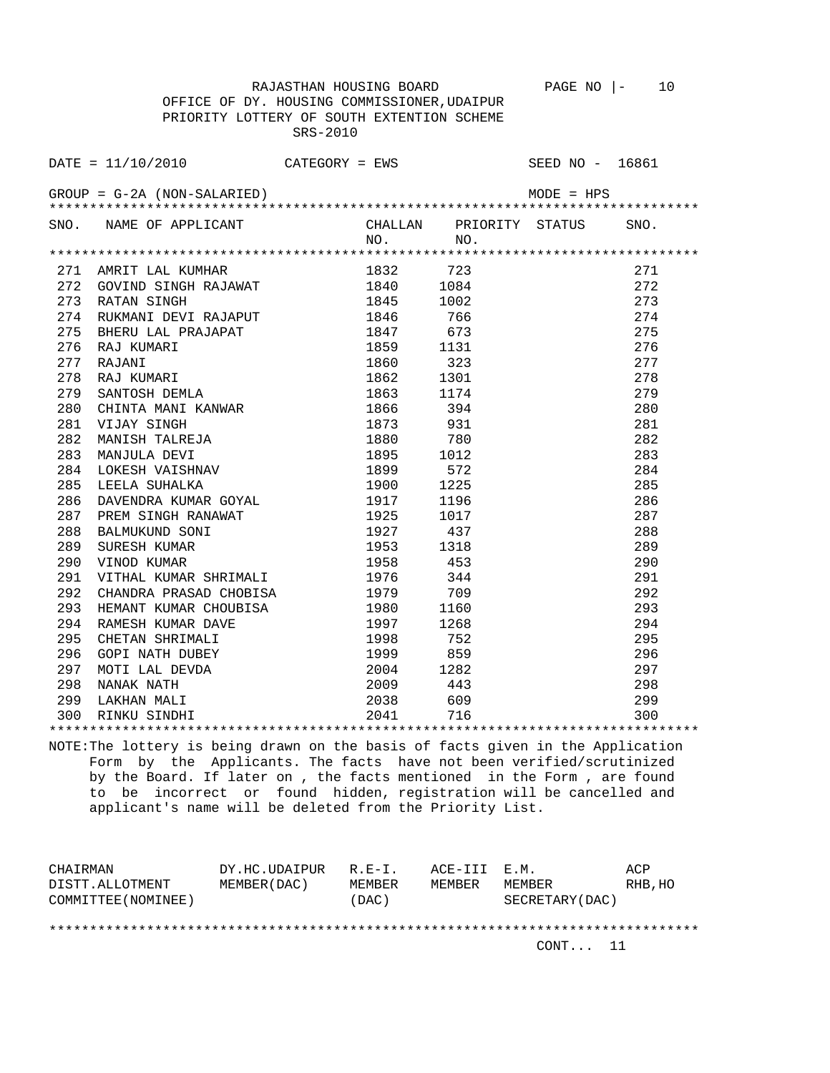RAJASTHAN HOUSING BOARD PAGE NO  $|-$  10 OFFICE OF DY. HOUSING COMMISSIONER,UDAIPUR PRIORITY LOTTERY OF SOUTH EXTENTION SCHEME SRS-2010

|     | DATE = $11/10/2010$ CATEGORY = EWS                  |           |          | SEED NO - 16861         |      |
|-----|-----------------------------------------------------|-----------|----------|-------------------------|------|
|     | $GROUP = G-2A (NON-SALARIED)$                       |           |          | $MODE = HPS$            |      |
|     | SNO. NAME OF APPLICANT                              | NO.       | NO.      | CHALLAN PRIORITY STATUS | SNO. |
|     |                                                     |           |          |                         |      |
|     | 271 AMRIT LAL KUMHAR                                | 1832      | 723      |                         | 271  |
| 272 | GOVIND SINGH RAJAWAT                                | 1840      | 1084     |                         | 272  |
| 273 | RATAN SINGH                                         | 1845      | 1002     |                         | 273  |
| 274 | RUKMANI DEVI RAJAPUT                                | 1846      | 766      |                         | 274  |
| 275 | BHERU LAL PRAJAPAT                                  | 1847      | 673      |                         | 275  |
| 276 | AAU KUMARI<br>RAJANI<br>RAJ KUMARI<br>SANTOSH DEMII | 1859      | 1131     |                         | 276  |
| 277 |                                                     | 1860      | 323      |                         | 277  |
| 278 |                                                     | 1862      | 1301     |                         | 278  |
| 279 |                                                     | 1863      | 1174     |                         | 279  |
| 280 | CHINTA MANI KANWAR                                  | 1866      | 394      |                         | 280  |
| 281 | VIJAY SINGH                                         | 1873      | 931      |                         | 281  |
| 282 | MANISH TALREJA                                      | 1880      | 780      |                         | 282  |
| 283 | MANJULA DEVI                                        | 1895      | 1012     |                         | 283  |
| 284 | LOKESH VAISHNAV                                     | 1899      | 572      |                         | 284  |
| 285 | LEELA SUHALKA                                       | 1900      | 1225     |                         | 285  |
| 286 | DAVENDRA KUMAR GOYAL                                | 1917      | 1196     |                         | 286  |
| 287 | PREM SINGH RANAWAT                                  | 1925      | 1017     |                         | 287  |
| 288 | BALMUKUND SONI                                      | 1927      | 437      |                         | 288  |
| 289 | SURESH KUMAR                                        | 1953      | 1318     |                         | 289  |
| 290 | VINOD KUMAR                                         | 1958 453  |          |                         | 290  |
| 291 | VITHAL KUMAR SHRIMALI                               | 1976      | 344      |                         | 291  |
| 292 | CHANDRA PRASAD CHOBISA                              | 1979 709  |          |                         | 292  |
| 293 | HEMANT KUMAR CHOUBISA                               | 1980      | 1160     |                         | 293  |
| 294 | RAMESH KUMAR DAVE                                   | 1997      | 1268     |                         | 294  |
| 295 | CHETAN SHRIMALI                                     | 1998 752  |          |                         | 295  |
| 296 | GOPI NATH DUBEY                                     | 1999 859  |          |                         | 296  |
| 297 | MOTI LAL DEVDA<br>NANAK NATH                        | 2004 1282 |          |                         | 297  |
| 298 |                                                     | 2009 443  |          |                         | 298  |
| 299 | LAKHAN MALI                                         |           | 2038 609 |                         | 299  |
|     | 300 RINKU SINDHI                                    | 2041      | 716      |                         | 300  |
|     |                                                     |           |          |                         |      |

NOTE:The lottery is being drawn on the basis of facts given in the Application Form by the Applicants. The facts have not been verified/scrutinized by the Board. If later on , the facts mentioned in the Form , are found to be incorrect or found hidden, registration will be cancelled and applicant's name will be deleted from the Priority List.

| CHAIRMAN            | DY.HC.UDAIPUR | $R.F - T$ . | ACE-III E.M. |                  | ACP     |
|---------------------|---------------|-------------|--------------|------------------|---------|
| DISTT.ALLOTMENT     | MEMBER (DAC)  | MEMBER      | MEMBER       | MEMBER           | RHB, HO |
| COMMITTEE (NOMINEE) |               | (DAC)       |              | SECRETARY (DAC ) |         |
|                     |               |             |              |                  |         |
|                     |               |             |              |                  |         |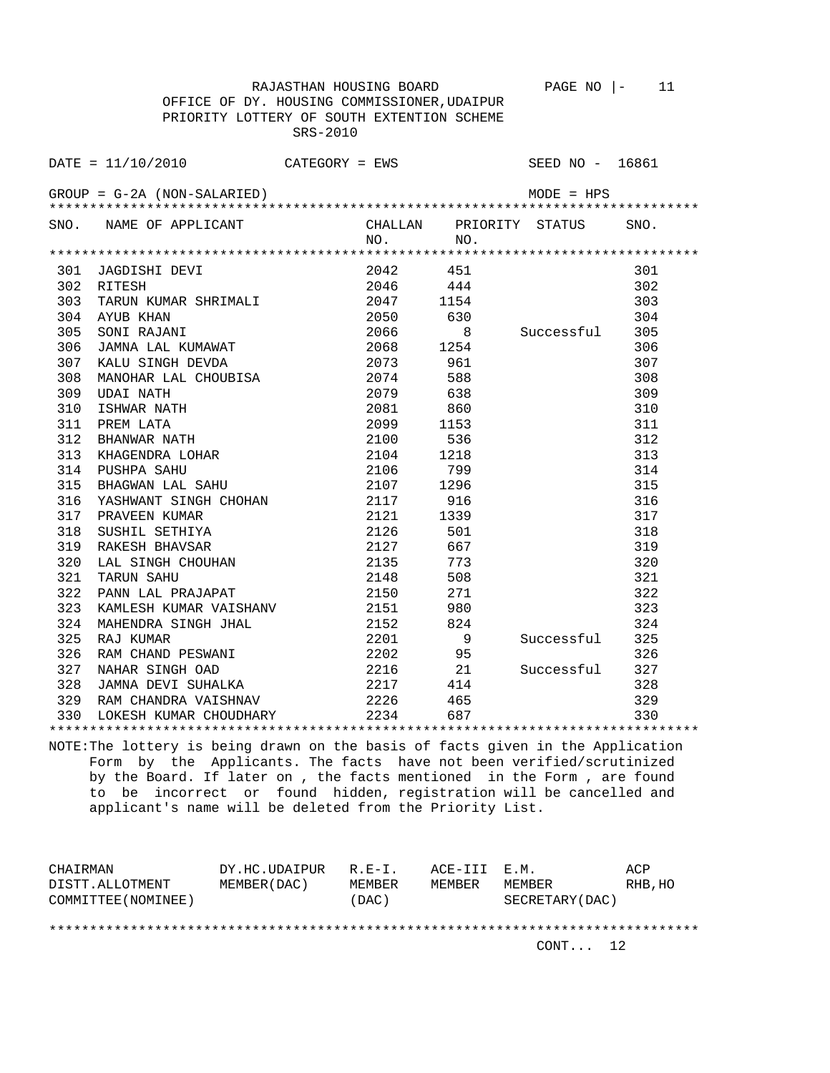RAJASTHAN HOUSING BOARD PAGE NO |- 11

 OFFICE OF DY. HOUSING COMMISSIONER,UDAIPUR PRIORITY LOTTERY OF SOUTH EXTENTION SCHEME SRS-2010

|     | DATE = $11/10/2010$ CATEGORY = EWS SEED NO - 16861                                                                                                                                                                                    |                                   |              |                |                         |      |
|-----|---------------------------------------------------------------------------------------------------------------------------------------------------------------------------------------------------------------------------------------|-----------------------------------|--------------|----------------|-------------------------|------|
|     | GROUP = G-2A (NON-SALARIED)                                                                                                                                                                                                           |                                   |              |                |                         |      |
|     | SNO. NAME OF APPLICANT                                                                                                                                                                                                                |                                   | NO.          | NO.            | CHALLAN PRIORITY STATUS | SNO. |
|     |                                                                                                                                                                                                                                       |                                   |              |                |                         |      |
| 301 |                                                                                                                                                                                                                                       |                                   |              |                |                         | 301  |
|     | JAGDISHI DEVI<br>RITESH<br>302 RITESH                                                                                                                                                                                                 |                                   |              |                |                         | 302  |
| 303 |                                                                                                                                                                                                                                       |                                   |              |                |                         | 303  |
|     | AYUB KHAN 2050 630<br>SONI RAJANI 2066 8<br>JAMNA LAL KUMAWAT 2068 1254<br>304 AYUB KHAN                                                                                                                                              |                                   |              |                |                         | 304  |
| 305 |                                                                                                                                                                                                                                       |                                   |              |                | 8 Successful 305        |      |
| 306 |                                                                                                                                                                                                                                       |                                   |              |                |                         | 306  |
| 307 | KALU SINGH DEVDA 2073 961                                                                                                                                                                                                             |                                   |              |                |                         | 307  |
| 308 | MANOHAR LAL CHOUBISA 2074 588                                                                                                                                                                                                         |                                   |              |                |                         | 308  |
| 309 | VIDAI NATH<br>ISHWAR NATH<br>ISHWAR NATH<br>PREM LATA<br>PREM LATA<br>BHANWAR NATH<br>2009 1153<br>SHANWAR NATH<br>2100 536<br>KHAGENDRA LOHAR<br>PUSHPA SAHU<br>PUSHPA SAHU<br>PUSHPA SAHU<br>PUSHPA SAHU<br>PUSHPA SAHU<br>2106 799 |                                   |              |                |                         | 309  |
| 310 |                                                                                                                                                                                                                                       |                                   |              |                |                         | 310  |
| 311 |                                                                                                                                                                                                                                       |                                   |              |                |                         | 311  |
| 312 |                                                                                                                                                                                                                                       |                                   |              |                |                         | 312  |
| 313 |                                                                                                                                                                                                                                       |                                   |              |                |                         | 313  |
|     | 314 PUSHPA SAHU                                                                                                                                                                                                                       |                                   |              |                |                         | 314  |
| 315 | BHAGWAN LAL SAHU                                                                                                                                                                                                                      |                                   | 2107 1296    |                |                         | 315  |
| 316 | YASHWANT SINGH CHOHAN 2117                                                                                                                                                                                                            |                                   |              | 916            |                         | 316  |
| 317 | PRAVEEN KUMAR                                                                                                                                                                                                                         |                                   |              |                |                         | 317  |
| 318 | SUSHIL SETHIYA                                                                                                                                                                                                                        |                                   |              |                |                         | 318  |
| 319 | RAKESH BHAVSAR                                                                                                                                                                                                                        | 2121 1339<br>2126 501<br>2127 667 |              |                |                         | 319  |
| 320 | LAL SINGH CHOUHAN<br>TARIIN SAHII                                                                                                                                                                                                     |                                   | 2127<br>2135 | 773            |                         | 320  |
| 321 |                                                                                                                                                                                                                                       |                                   |              | 508            |                         | 321  |
| 322 |                                                                                                                                                                                                                                       |                                   |              | 271            |                         | 322  |
| 323 |                                                                                                                                                                                                                                       |                                   |              | 980            |                         | 323  |
| 324 |                                                                                                                                                                                                                                       |                                   |              | 824            |                         | 324  |
| 325 | RAJ KUMAR                                                                                                                                                                                                                             |                                   | 2201         | $\overline{9}$ | Successful              | 325  |
| 326 |                                                                                                                                                                                                                                       |                                   | 2202 95      |                |                         | 326  |
| 327 |                                                                                                                                                                                                                                       |                                   |              |                | Successful 327          |      |
| 328 |                                                                                                                                                                                                                                       |                                   |              |                |                         | 328  |
| 329 |                                                                                                                                                                                                                                       |                                   |              |                |                         | 329  |
|     | 330 LOKESH KUMAR CHOUDHARY                                                                                                                                                                                                            |                                   |              |                |                         | 330  |
|     |                                                                                                                                                                                                                                       |                                   |              |                |                         |      |

NOTE:The lottery is being drawn on the basis of facts given in the Application Form by the Applicants. The facts have not been verified/scrutinized by the Board. If later on , the facts mentioned in the Form , are found to be incorrect or found hidden, registration will be cancelled and applicant's name will be deleted from the Priority List.

| CHAIRMAN            | DY.HC.UDAIPUR | $R$ $R - T$ | ACE-III E.M. |                 | ACP     |
|---------------------|---------------|-------------|--------------|-----------------|---------|
| DISTT.ALLOTMENT     | MEMBER (DAC)  | MEMBER      | MEMBER       | MEMBER          | RHB, HO |
| COMMITTEE (NOMINEE) |               | (DAC)       |              | SECRETARY (DAC) |         |
|                     |               |             |              |                 |         |
|                     |               |             |              |                 |         |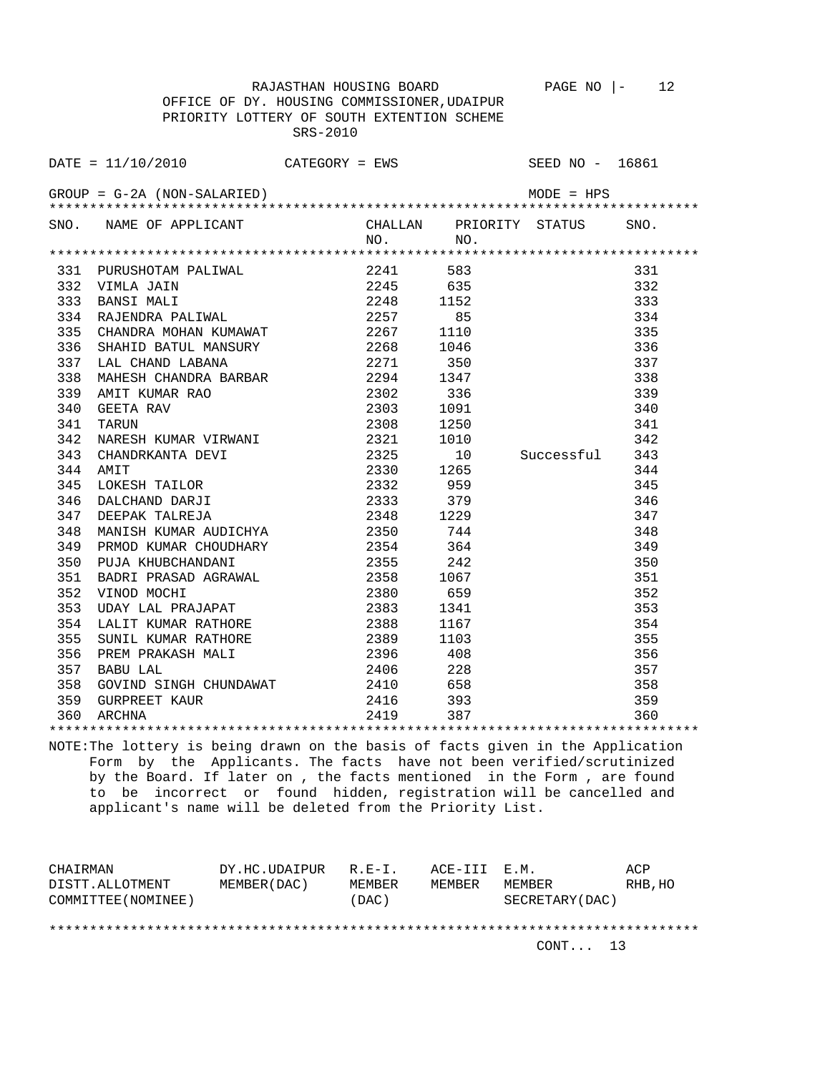RAJASTHAN HOUSING BOARD PAGE NO |- 12 OFFICE OF DY. HOUSING COMMISSIONER,UDAIPUR PRIORITY LOTTERY OF SOUTH EXTENTION SCHEME SRS-2010

DATE = 11/10/2010 CATEGORY = EWS SEED NO - 16861 GROUP = G-2A (NON-SALARIED) MODE = HPS \*\*\*\*\*\*\*\*\*\*\*\*\*\*\*\*\*\*\*\*\*\*\*\*\*\*\*\*\*\*\*\*\*\*\*\*\*\*\*\*\*\*\*\*\*\*\*\*\*\*\*\*\*\*\*\*\*\*\*\*\*\*\*\*\*\*\*\*\*\*\*\*\*\*\*\*\*\*\*\* SNO. NAME OF APPLICANT CHALLAN PRIORITY STATUS SNO. NO. NO. \*\*\*\*\*\*\*\*\*\*\*\*\*\*\*\*\*\*\*\*\*\*\*\*\*\*\*\*\*\*\*\*\*\*\*\*\*\*\*\*\*\*\*\*\*\*\*\*\*\*\*\*\*\*\*\*\*\*\*\*\*\*\*\*\*\*\*\*\*\*\*\*\*\*\*\*\*\*\*\* 331 PURUSHOTAM PALIWAL 2241 583 331 332 VIMLA JAIN 2245 635 332 331 PURUSHOTAM PALIWAL<br>
332 VIMLA JAIN<br>
332 NIMLA JAIN<br>
333 BANSI MALI 2248 1152<br>
333 BANSI MALI 2248 1152<br>
2257 85 334<br>
334<br>
334<br>
334<br>
335<br>
334<br>
335 334 RAJENDRA PALIWAL 2257 85 334 335 CHANDRA MOHAN KUMAWAT 2267 1110 335 336 SHAHID BATUL MANSURY 2268 1046 336 337 LAL CHAND LABANA  $2271$  350 337<br>338 MAHESH CHANDRA BARBAR 2294 1347 338<br>338 AMIT KUMAR RAQ 2202 3202 326 338 MAHESH CHANDRA BARBAR 2294 1347 338 339 AMIT KUMAR RAO 2302 336 339 340 GEETA RAV 341 TARUN 2308 1250<br>342 NARESH KUMAR VIRWANI 2321 1010 342 342 NARESH KUMAR VIRWANI 2321 1010 342 343 CHANDRKANTA DEVI 2325 10 Successful 343 344 AMIT 2330 1265 344 345 LOKESH TAILOR 2332 959 345 346 DALCHAND DARJI 2333 379 346 347 DEEPAK TALREJA 2348 1229 347 348 MANISH KUMAR AUDICHYA 2350 744 348 349 PRMOD KUMAR CHOUDHARY 2354 364 349 350 PUJA KHUBCHANDANI 2355 242 350 351 BADRI PRASAD AGRAWAL 2358 1067 351 352 VINOD MOCHI 2380 659 352 353 UDAY LAL PRAJAPAT 2383 1341 353 354 LALIT KUMAR RATHORE 2388 1167 354 355 SUNIL KUMAR RATHORE 2389 1103 355 356 PREM PRAKASH MALI 2396 408 356 357 BABU LAL 2406 228 357 358 GOVIND SINGH CHUNDAWAT 2410 658 358 359 GURPREET KAUR 2416 393 359 360 ARCHNA 2419 387 360

\*\*\*\*\*\*\*\*\*\*\*\*\*\*\*\*\*\*\*\*\*\*\*\*\*\*\*\*\*\*\*\*\*\*\*\*\*\*\*\*\*\*\*\*\*\*\*\*\*\*\*\*\*\*\*\*\*\*\*\*\*\*\*\*\*\*\*\*\*\*\*\*\*\*\*\*\*\*\*\* NOTE:The lottery is being drawn on the basis of facts given in the Application Form by the Applicants. The facts have not been verified/scrutinized by the Board. If later on , the facts mentioned in the Form , are found to be incorrect or found hidden, registration will be cancelled and applicant's name will be deleted from the Priority List.

| CHAIRMAN            | DY.HC.UDAIPUR | $R.F - T$ .   | ACE-III E.M. |                  | ACP     |
|---------------------|---------------|---------------|--------------|------------------|---------|
| DISTT.ALLOTMENT     | MEMBER (DAC)  | <b>MEMBER</b> | MF.MBF.R     | MF.MBF.R         | RHB, HO |
| COMMITTEE (NOMINEE) |               | (DAC)         |              | SECRETARY (DAC ) |         |
|                     |               |               |              |                  |         |
|                     |               |               |              |                  |         |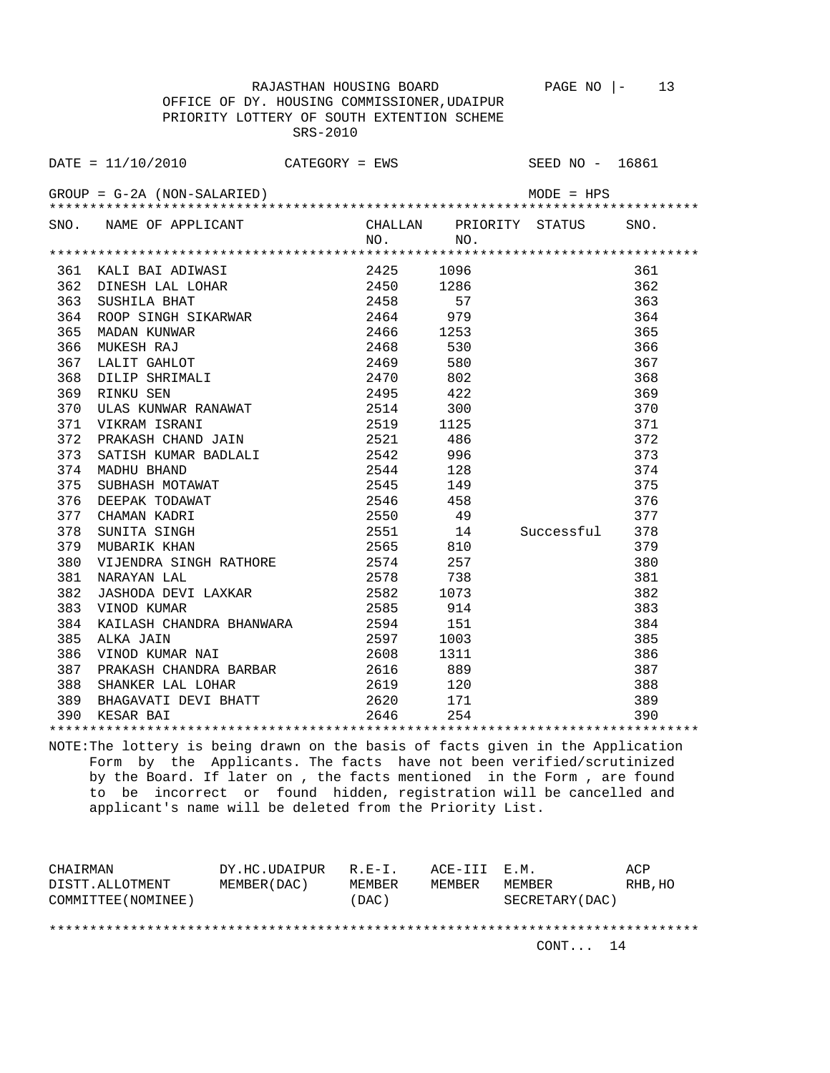RAJASTHAN HOUSING BOARD PAGE NO |- 13 OFFICE OF DY. HOUSING COMMISSIONER,UDAIPUR PRIORITY LOTTERY OF SOUTH EXTENTION SCHEME SRS-2010

|     | SNO. NAME OF APPLICANT                                                                                                                                                                                                                                                                                                                                                                   | $NO.$ NO. |     | CHALLAN PRIORITY STATUS | SNO. |
|-----|------------------------------------------------------------------------------------------------------------------------------------------------------------------------------------------------------------------------------------------------------------------------------------------------------------------------------------------------------------------------------------------|-----------|-----|-------------------------|------|
|     |                                                                                                                                                                                                                                                                                                                                                                                          |           |     |                         |      |
|     | $\begin{tabular}{lcccc} \textbf{361} & \textbf{KALI} & \textbf{BAI} & \textbf{ADINAR} \\ \textbf{362} & \textbf{DINESH} & \textbf{LAL} & \textbf{LOHAR} \\ \textbf{363} & \textbf{SUSHILA} & \textbf{BHAT} & 2425 & 1096 & 361 \\ \textbf{364} & \textbf{SUSHILA} & \textbf{BHAT} & 2450 & 1286 & 361 \\ \textbf{365} & \textbf{SUSHILA} & \textbf{BHAT} & 2450 & 1286 & 362 \\ \textbf$ |           |     |                         |      |
|     |                                                                                                                                                                                                                                                                                                                                                                                          |           |     |                         |      |
|     |                                                                                                                                                                                                                                                                                                                                                                                          |           |     |                         |      |
|     |                                                                                                                                                                                                                                                                                                                                                                                          |           |     |                         |      |
|     |                                                                                                                                                                                                                                                                                                                                                                                          |           |     |                         |      |
|     |                                                                                                                                                                                                                                                                                                                                                                                          |           |     |                         |      |
|     |                                                                                                                                                                                                                                                                                                                                                                                          |           |     |                         |      |
|     |                                                                                                                                                                                                                                                                                                                                                                                          |           |     |                         |      |
|     |                                                                                                                                                                                                                                                                                                                                                                                          |           |     |                         |      |
|     |                                                                                                                                                                                                                                                                                                                                                                                          |           |     |                         |      |
|     |                                                                                                                                                                                                                                                                                                                                                                                          |           |     |                         |      |
|     |                                                                                                                                                                                                                                                                                                                                                                                          |           |     |                         |      |
|     |                                                                                                                                                                                                                                                                                                                                                                                          |           |     |                         |      |
|     |                                                                                                                                                                                                                                                                                                                                                                                          |           |     |                         |      |
|     |                                                                                                                                                                                                                                                                                                                                                                                          |           |     |                         |      |
|     |                                                                                                                                                                                                                                                                                                                                                                                          |           |     |                         |      |
|     |                                                                                                                                                                                                                                                                                                                                                                                          |           |     |                         |      |
|     |                                                                                                                                                                                                                                                                                                                                                                                          |           |     |                         |      |
|     |                                                                                                                                                                                                                                                                                                                                                                                          |           |     |                         |      |
|     | 380 VIJENDRA SINGH RATHORE 2574 257                                                                                                                                                                                                                                                                                                                                                      |           |     |                         | 380  |
|     | 381 NARAYAN LAL                                                                                                                                                                                                                                                                                                                                                                          | 2578 738  |     |                         | 381  |
| 382 | 1938<br>1073<br>1073<br>1073<br>1073<br>2585<br>2585<br>2585<br>214                                                                                                                                                                                                                                                                                                                      |           |     |                         | 382  |
|     | 383 VINOD KUMAR                                                                                                                                                                                                                                                                                                                                                                          |           |     |                         | 383  |
|     | 384 KAILASH CHANDRA BHANWARA 2594 151<br>385 ALKA JAIN 2597 1003<br>386 VINOD KUMAR NAI 2608 1311                                                                                                                                                                                                                                                                                        |           |     |                         | 384  |
|     |                                                                                                                                                                                                                                                                                                                                                                                          |           |     |                         | 385  |
|     |                                                                                                                                                                                                                                                                                                                                                                                          |           |     |                         | 386  |
|     |                                                                                                                                                                                                                                                                                                                                                                                          |           |     |                         | 387  |
|     | 1003 / 111<br>387 PRAKASH CHANDRA BARBAR 2616 2616 889<br>388 SHANKER LAL LOHAR 2619 2619 120                                                                                                                                                                                                                                                                                            |           |     |                         | 388  |
|     | 389 BHAGAVATI DEVI BHATT 380 2620 171                                                                                                                                                                                                                                                                                                                                                    |           |     |                         | 389  |
|     | 390 KESAR BAI                                                                                                                                                                                                                                                                                                                                                                            | 2646      | 254 |                         | 390  |

\*\*\*\*\*\*\*\*\*\*\*\*\*\*\*\*\*\*\*\*\*\*\*\*\*\*\*\*\*\*\*\*\*\*\*\*\*\*\*\*\*\*\*\*\*\*\*\*\*\*\*\*\*\*\*\*\*\*\*\*\*\*\*\*\*\*\*\*\*\*\*\*\*\*\*\*\*\*\*\* NOTE:The lottery is being drawn on the basis of facts given in the Application Form by the Applicants. The facts have not been verified/scrutinized by the Board. If later on , the facts mentioned in the Form , are found to be incorrect or found hidden, registration will be cancelled and applicant's name will be deleted from the Priority List.

| CHAIRMAN            | DY.HC.UDAIPUR | $R.F - T$ . | ACE-TTT F.M. |                 | ACP     |
|---------------------|---------------|-------------|--------------|-----------------|---------|
| DISTT.ALLOTMENT     | MEMBER (DAC)  | MEMBER      | MEMBER       | MEMBER          | RHB, HO |
| COMMITTEE (NOMINEE) |               | (DAC)       |              | SECRETARY (DAC) |         |
|                     |               |             |              |                 |         |
|                     |               |             |              |                 |         |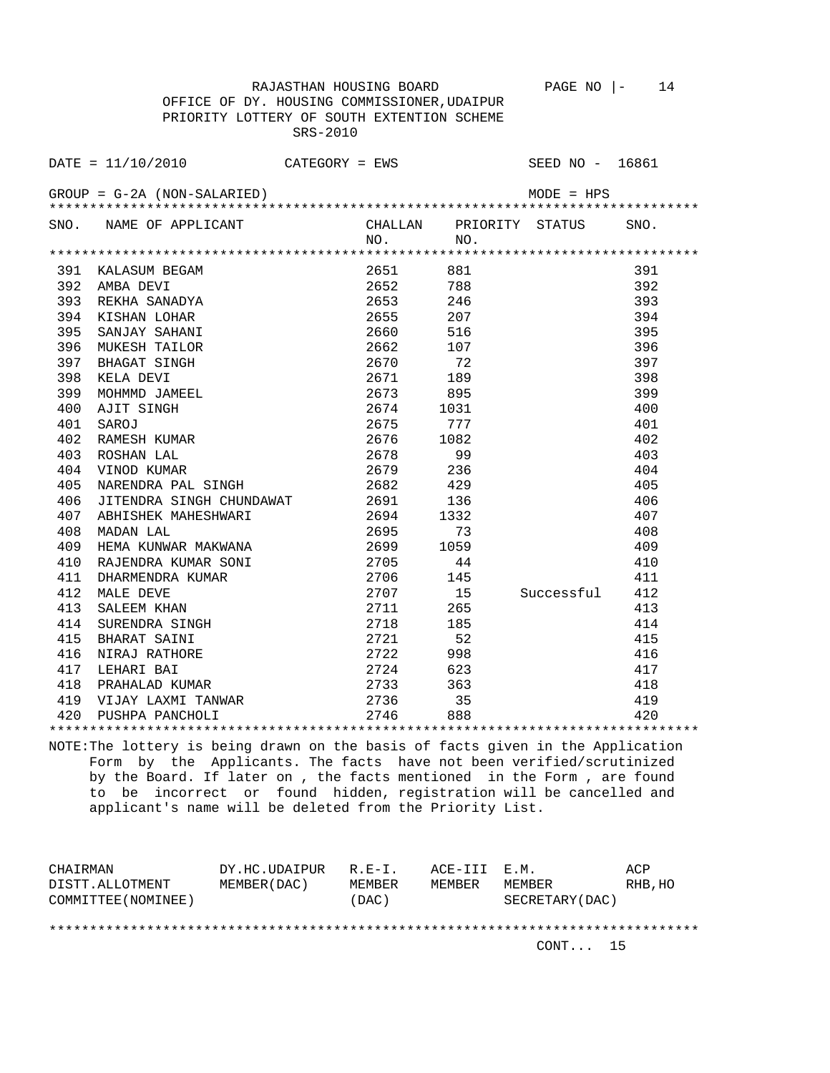RAJASTHAN HOUSING BOARD PAGE NO  $|-$  14 OFFICE OF DY. HOUSING COMMISSIONER,UDAIPUR

|      |                               | PRIORITY LOTTERY OF SOUTH EXTENTION SCHEME<br>$SRS-2010$ |          |                 |                 |      |
|------|-------------------------------|----------------------------------------------------------|----------|-----------------|-----------------|------|
|      | DATA / 10 / 2010              | $CATEGORY = EWS$                                         |          |                 | SEED NO - 16861 |      |
|      | $GROUP = G-2A (NON-SALARIED)$ |                                                          |          |                 | $MODE = HPS$    |      |
| SNO. | NAME OF APPLICANT             |                                                          | CHALLAN. | PRIORITY STATUS |                 | SNO. |

 NO. NO. \*\*\*\*\*\*\*\*\*\*\*\*\*\*\*\*\*\*\*\*\*\*\*\*\*\*\*\*\*\*\*\*\*\*\*\*\*\*\*\*\*\*\*\*\*\*\*\*\*\*\*\*\*\*\*\*\*\*\*\*\*\*\*\*\*\*\*\*\*\*\*\*\*\*\*\*\*\*\*\* 391 KALASUM BEGAM 2651 881 391 392 AMBA DEVI 2652 788 392 393 REKHA SANADYA 2653 246 393 394 KISHAN LOHAR 2655 207 394 395 SANJAY SAHANI 2660 516 395 396 MUKESH TAILOR 2662 107 396 397 BHAGAT SINGH 2670 72 397<br>398 KELA DEVI 2671 189 398 398 KELA DEVI 2671 189 398 399 MOHMMD JAMEEL 2673 895 399<br>400 AJIT SINGH 2674 1031 400 400 AJIT SINGH 2674 1031 400 401 SAROJ 2675 777 401 402 RAMESH KUMAR 2676 1082 402 403 ROSHAN LAL 2678 99 403 404 VINOD KUMAR 2679 236<br>405 NARENDRA PAL SINGH 2682 429 405 NARENDRA PAL SINGH 2682 429 405 406 JITENDRA SINGH CHUNDAWAT 2691 136 406 407 ABHISHEK MAHESHWARI 2694 1332 407 406 JITENDRA SINGH CHUNDAWAT 2691 136 406<br>
407 ABHISHEK MAHESHWARI 2694 1332 407<br>
408 MADAN LAL 2695 73 408<br>
409 HEMA KUNWAR MAKWANA 2699 1059 409<br>
------ 2011 409 HEMA KUNWAR MAKWANA 2699 1059 409 410 RAJENDRA KUMAR SONI 2705 44 410 411 DHARMENDRA KUMAR 2706 145 411 15 Successful 412<br>265 413 413 SALEEM KHAN 2711 265 413 414 SURENDRA SINGH 2718 185 414 415 BHARAT SAINI 2721 52 415 416 NIRAJ RATHORE 2722 998 416 417 LEHARI BAI 2724 623 417 418 PRAHALAD KUMAR 2733 363 418 419 VIJAY LAXMI TANWAR 2736 35 419 420 PUSHPA PANCHOLI 2746 888 420 \*\*\*\*\*\*\*\*\*\*\*\*\*\*\*\*\*\*\*\*\*\*\*\*\*\*\*\*\*\*\*\*\*\*\*\*\*\*\*\*\*\*\*\*\*\*\*\*\*\*\*\*\*\*\*\*\*\*\*\*\*\*\*\*\*\*\*\*\*\*\*\*\*\*\*\*\*\*\*\*

NOTE:The lottery is being drawn on the basis of facts given in the Application Form by the Applicants. The facts have not been verified/scrutinized by the Board. If later on , the facts mentioned in the Form , are found to be incorrect or found hidden, registration will be cancelled and applicant's name will be deleted from the Priority List.

| CHAIRMAN            | DY.HC.UDAIPUR | $R.E-I.$ | ACE-III E.M. |                 | ACP     |
|---------------------|---------------|----------|--------------|-----------------|---------|
| DISTT.ALLOTMENT     | MEMBER (DAC)  | MEMBER   | MEMBER       | MEMBER          | RHB, HO |
| COMMITTEE (NOMINEE) |               | (DAC)    |              | SECRETARY (DAC) |         |
|                     |               |          |              |                 |         |
|                     |               |          |              |                 |         |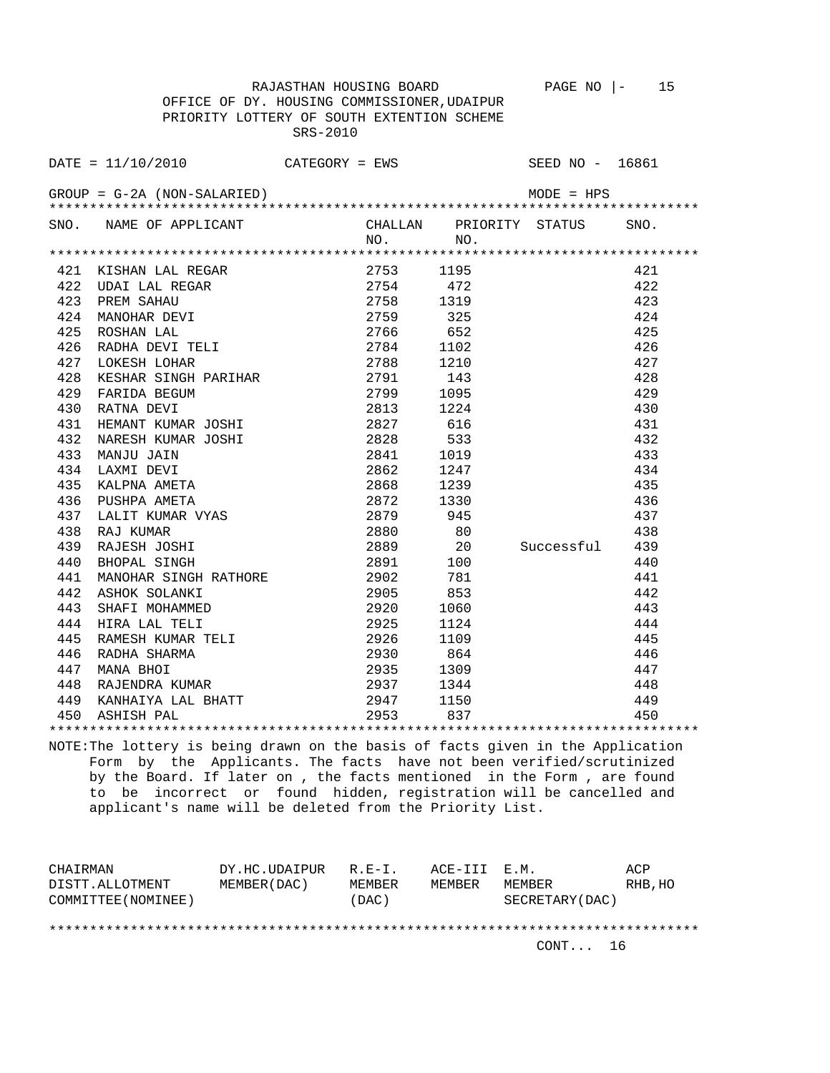RAJASTHAN HOUSING BOARD PAGE NO  $|-$  15 OFFICE OF DY. HOUSING COMMISSIONER,UDAIPUR PRIORITY LOTTERY OF SOUTH EXTENTION SCHEME SRS-2010

DATE = 11/10/2010 CATEGORY = EWS SEED NO - 16861 GROUP = G-2A (NON-SALARIED) MODE = HPS \*\*\*\*\*\*\*\*\*\*\*\*\*\*\*\*\*\*\*\*\*\*\*\*\*\*\*\*\*\*\*\*\*\*\*\*\*\*\*\*\*\*\*\*\*\*\*\*\*\*\*\*\*\*\*\*\*\*\*\*\*\*\*\*\*\*\*\*\*\*\*\*\*\*\*\*\*\*\*\* SNO. NAME OF APPLICANT CHALLAN PRIORITY STATUS SNO.<br>NO. NO. NO. NO. \*\*\*\*\*\*\*\*\*\*\*\*\*\*\*\*\*\*\*\*\*\*\*\*\*\*\*\*\*\*\*\*\*\*\*\*\*\*\*\*\*\*\*\*\*\*\*\*\*\*\*\*\*\*\*\*\*\*\*\*\*\*\*\*\*\*\*\*\*\*\*\*\*\*\*\*\*\*\*\* 421 KISHAN LAL REGAR 2753 1195 421 422 UDAI LAL REGAR 2754 472 422 423 PREM SAHAU 2758 1319 423

| 424 | MANOHAR DEVI               | 2759      | 325  |            | 424 |
|-----|----------------------------|-----------|------|------------|-----|
| 425 | ROSHAN LAL                 | 2766      | 652  |            | 425 |
| 426 | RADHA DEVI TELI            | 2784      | 1102 |            | 426 |
| 427 | LOKESH LOHAR               | 2788      | 1210 |            | 427 |
| 428 | KESHAR SINGH PARIHAR       | 2791      | 143  |            | 428 |
| 429 | FARIDA BEGUM               | 2799      | 1095 |            | 429 |
| 430 | RATNA DEVI                 | 2813      | 1224 |            | 430 |
| 431 | HEMANT KUMAR JOSHI         | 2827      | 616  |            | 431 |
| 432 | NARESH KUMAR JOSHI         | 2828      | 533  |            | 432 |
| 433 | MANJU JAIN                 | 2841      | 1019 |            | 433 |
| 434 | LAXMI DEVI                 | 2862      | 1247 |            | 434 |
| 435 | KALPNA AMETA               | 2868      | 1239 |            | 435 |
| 436 | PUSHPA AMETA               | 2872      | 1330 |            | 436 |
| 437 | LALIT KUMAR VYAS           | 2879 945  |      |            | 437 |
| 438 | RAJ KUMAR                  | 2880 80   |      |            | 438 |
| 439 | RAJESH JOSHI               | 2889 20   |      | Successful | 439 |
| 440 | BHOPAL SINGH               | 2891      | 100  |            | 440 |
| 441 | MANOHAR SINGH RATHORE 2902 |           | 781  |            | 441 |
| 442 | ASHOK SOLANKI              | 2905 853  |      |            | 442 |
| 443 | SHAFI MOHAMMED             | 2920      | 1060 |            | 443 |
| 444 | HIRA LAL TELI              | 2925      | 1124 |            | 444 |
| 445 | RAMESH KUMAR TELI          | 2926      | 1109 |            | 445 |
| 446 | RADHA SHARMA               | 2930      | 864  |            | 446 |
| 447 | MANA BHOI                  | 2935      | 1309 |            | 447 |
| 448 | RAJENDRA KUMAR             | 2937      | 1344 |            | 448 |
| 449 | KANHAIYA LAL BHATT         | 2947 1150 |      |            | 449 |
| 450 | ASHISH PAL                 | 2953 837  |      |            | 450 |
|     |                            |           |      |            |     |

NOTE:The lottery is being drawn on the basis of facts given in the Application Form by the Applicants. The facts have not been verified/scrutinized by the Board. If later on , the facts mentioned in the Form , are found to be incorrect or found hidden, registration will be cancelled and applicant's name will be deleted from the Priority List.

| CHAIRMAN            | DY.HC.UDAIPUR | $R.F - T$ . | ACE-III E.M. |                 | ACP     |
|---------------------|---------------|-------------|--------------|-----------------|---------|
| DISTT.ALLOTMENT     | MEMBER (DAC)  | MEMBER      | MEMBER       | MF.MBF.R        | RHB, HO |
| COMMITTEE (NOMINEE) |               | (DAC)       |              | SECRETARY (DAC) |         |
|                     |               |             |              |                 |         |
|                     |               |             |              |                 |         |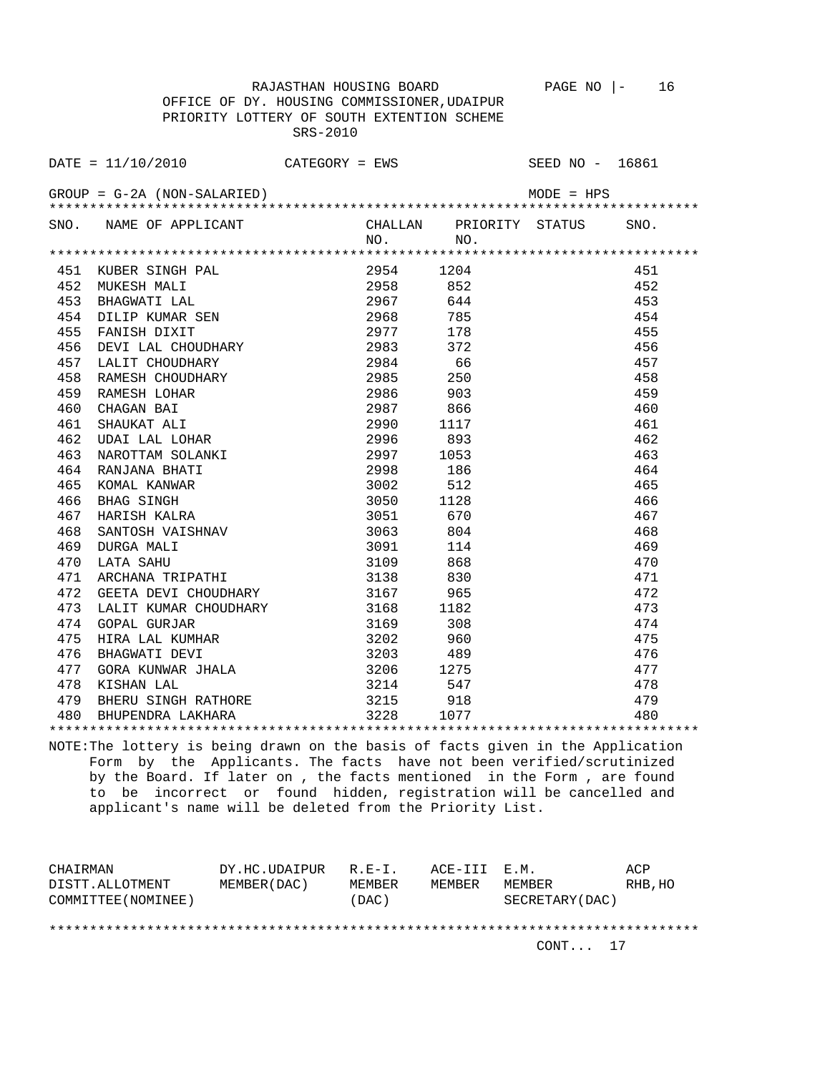RAJASTHAN HOUSING BOARD PAGE NO |- 16

 OFFICE OF DY. HOUSING COMMISSIONER,UDAIPUR PRIORITY LOTTERY OF SOUTH EXTENTION SCHEME SRS-2010

|     | $\texttt{DATE} = 11/10/2010$ CATEGORY = EWS                       |      |          |                                | SEED NO - 16861 |      |
|-----|-------------------------------------------------------------------|------|----------|--------------------------------|-----------------|------|
|     | $GROUP = G-2A (NON-SALARIED)$                                     |      |          |                                | $MODE = HPS$    |      |
|     | SNO. NAME OF APPLICANT                                            |      | NO.      | CHALLAN PRIORITY STATUS<br>NO. |                 | SNO. |
|     |                                                                   |      |          |                                |                 |      |
| 451 |                                                                   |      | 2954     | 1204                           |                 | 451  |
| 452 |                                                                   |      | 2958     | 852                            |                 | 452  |
| 453 | KUBER SINGH PAL<br>MUKESH MALI<br>BHAGWATI LAL<br>DILIP KUMAR SEN |      | 2967     | 644                            |                 | 453  |
| 454 |                                                                   |      | 2968     | 785                            |                 | 454  |
| 455 | FANISH DIXIT                                                      |      | 2977 178 |                                |                 | 455  |
| 456 | DEVI LAL CHOUDHARY                                                |      | 2983 372 |                                |                 | 456  |
| 457 | LALIT CHOUDHARY                                                   |      | 2984     | 66                             |                 | 457  |
| 458 | RAMESH CHOUDHARY                                                  |      | 2985 250 |                                |                 | 458  |
| 459 | RAMESH LOHAR                                                      |      | 2986 903 |                                |                 | 459  |
| 460 | CHAGAN BAI                                                        |      | 2987     | 866                            |                 | 460  |
| 461 | SHAUKAT ALI                                                       |      | 2990     | 1117                           |                 | 461  |
| 462 | UDAI LAL LOHAR                                                    |      | 2996     | 893                            |                 | 462  |
| 463 | NAROTTAM SOLANKI<br>RANJANA BHATI<br>KOMAL KANWAR<br>BHAG SINGH   |      | 2997     | 1053                           |                 | 463  |
| 464 |                                                                   |      | 2998     | 186                            |                 | 464  |
| 465 |                                                                   |      | 3002     | 512                            |                 | 465  |
| 466 |                                                                   |      | 3050     | 1128                           |                 | 466  |
| 467 |                                                                   |      | 3051     | 670                            |                 | 467  |
| 468 |                                                                   |      | 3063     | 804                            |                 | 468  |
| 469 |                                                                   |      | 3091     | 114                            |                 | 469  |
| 470 | SHAG SINGH<br>HARISH KALRA<br>SANTOSH VAISHNAV<br>TAA MALI        |      | 3109     | 868                            |                 | 470  |
| 471 | ARCHANA TRIPATHI                                                  |      | 3138     | 830                            |                 | 471  |
| 472 | GEETA DEVI CHOUDHARY                                              |      | 3167     | 965                            |                 | 472  |
| 473 | LALIT KUMAR CHOUDHARY 3168 1182                                   |      |          |                                |                 | 473  |
| 474 | <b>GOPAL GURJAR</b>                                               |      | 3169 308 |                                |                 | 474  |
| 475 | HIRA LAL KUMHAR                                                   | 3202 |          | 960                            |                 | 475  |
| 476 | BHAGWATI DEVI                                                     | 3203 |          | 489                            |                 | 476  |
| 477 | GORA KUNWAR JHALA                                                 | 3206 |          | 1275                           |                 | 477  |
| 478 | KISHAN LAL                                                        |      | 3214     | 547                            |                 | 478  |
| 479 | BHERU SINGH RATHORE                                               |      | 3215     | 918                            |                 | 479  |
| 480 | BHUPENDRA LAKHARA                                                 |      | 3228     | 1077                           |                 | 480  |
|     |                                                                   |      |          |                                |                 |      |

NOTE:The lottery is being drawn on the basis of facts given in the Application Form by the Applicants. The facts have not been verified/scrutinized by the Board. If later on , the facts mentioned in the Form , are found to be incorrect or found hidden, registration will be cancelled and applicant's name will be deleted from the Priority List.

| CHAIRMAN            | DY.HC.UDAIPUR | $R.F - T$ . | ACE-III E.M. |                 | ACP     |
|---------------------|---------------|-------------|--------------|-----------------|---------|
| DISTT.ALLOTMENT     | MEMBER (DAC)  | MF.MBF.R    | MEMBER       | MEMBER          | RHB, HO |
| COMMITTEE (NOMINEE) |               | (DAC)       |              | SECRETARY (DAC) |         |
|                     |               |             |              |                 |         |
|                     |               |             |              |                 |         |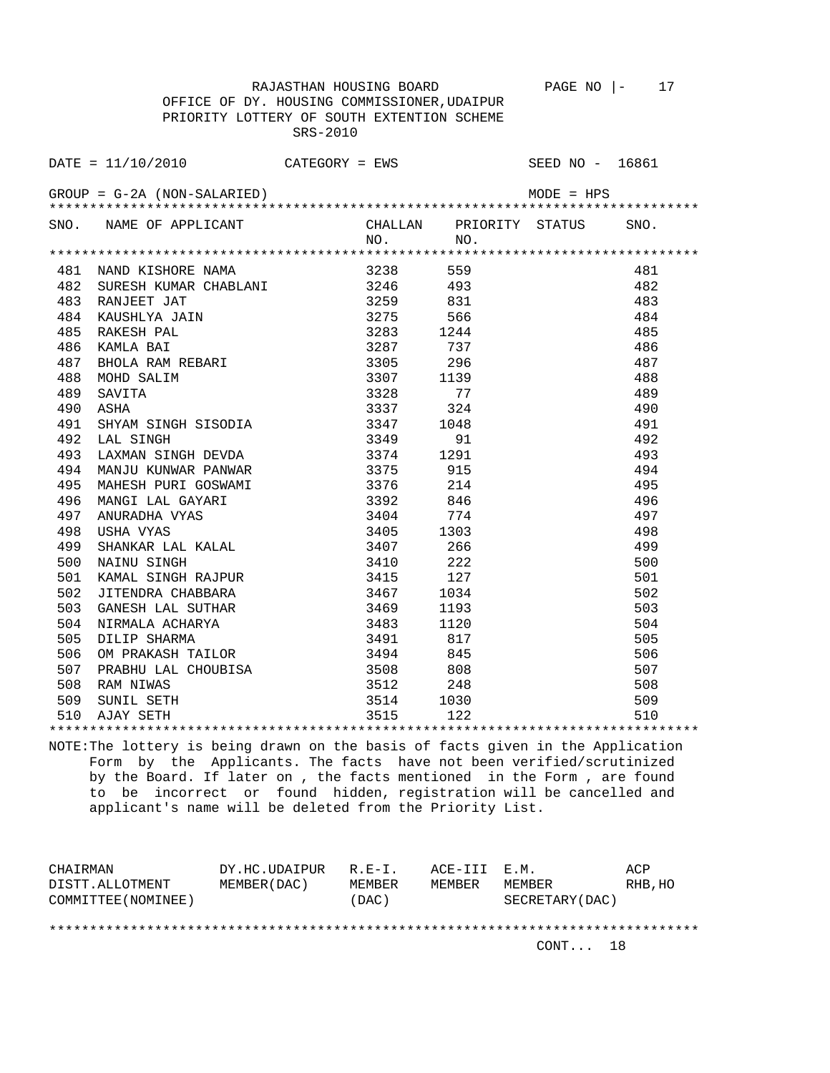RAJASTHAN HOUSING BOARD PAGE NO  $|-$  17 OFFICE OF DY. HOUSING COMMISSIONER,UDAIPUR PRIORITY LOTTERY OF SOUTH EXTENTION SCHEME SRS-2010

DATE = 11/10/2010 CATEGORY = EWS SEED NO - 16861 GROUP = G-2A (NON-SALARIED) MODE = HPS \*\*\*\*\*\*\*\*\*\*\*\*\*\*\*\*\*\*\*\*\*\*\*\*\*\*\*\*\*\*\*\*\*\*\*\*\*\*\*\*\*\*\*\*\*\*\*\*\*\*\*\*\*\*\*\*\*\*\*\*\*\*\*\*\*\*\*\*\*\*\*\*\*\*\*\*\*\*\*\* SNO. NAME OF APPLICANT CHALLAN PRIORITY STATUS SNO.

|     |                       | NO.      | NO.  |     |
|-----|-----------------------|----------|------|-----|
|     |                       |          |      |     |
| 481 | NAND KISHORE NAMA     | 3238     | 559  | 481 |
| 482 | SURESH KUMAR CHABLANI | 3246 493 |      | 482 |
| 483 | RANJEET JAT           | 3259     | 831  | 483 |
| 484 | KAUSHLYA JAIN         | 3275     | 566  | 484 |
| 485 | RAKESH PAL            | 3283     | 1244 | 485 |
| 486 | KAMLA BAI             | 3287     | 737  | 486 |
| 487 | BHOLA RAM REBARI      | 3305     | 296  | 487 |
| 488 | MOHD SALIM            | 3307     | 1139 | 488 |
| 489 | SAVITA                | 3328     | 77   | 489 |
| 490 | ASHA                  | 3337     | 324  | 490 |
| 491 | SHYAM SINGH SISODIA   | 3347     | 1048 | 491 |
| 492 | LAL SINGH             | 3349     | 91   | 492 |
| 493 | LAXMAN SINGH DEVDA    | 3374     | 1291 | 493 |
| 494 | MANJU KUNWAR PANWAR   | 3375     | 915  | 494 |
| 495 | MAHESH PURI GOSWAMI   | 3376     | 214  | 495 |
| 496 | MANGI LAL GAYARI      | 3392     | 846  | 496 |
| 497 | ANURADHA VYAS         | 3404     | 774  | 497 |
| 498 | USHA VYAS             | 3405     | 1303 | 498 |
| 499 | SHANKAR LAL KALAL     | 3407     | 266  | 499 |
| 500 | NAINU SINGH           | 3410     | 222  | 500 |
| 501 | KAMAL SINGH RAJPUR    | 3415     | 127  | 501 |
| 502 | JITENDRA CHABBARA     | 3467     | 1034 | 502 |
| 503 | GANESH LAL SUTHAR     | 3469     | 1193 | 503 |
| 504 | NIRMALA ACHARYA       | 3483     | 1120 | 504 |
| 505 | DILIP SHARMA          | 3491     | 817  | 505 |
| 506 | OM PRAKASH TAILOR     | 3494     | 845  | 506 |
| 507 | PRABHU LAL CHOUBISA   | 3508     | 808  | 507 |
| 508 | RAM NIWAS             | 3512     | 248  | 508 |
| 509 | SUNIL SETH            | 3514     | 1030 | 509 |
| 510 | AJAY SETH             | 3515     | 122  | 510 |
|     |                       |          |      |     |

NOTE:The lottery is being drawn on the basis of facts given in the Application Form by the Applicants. The facts have not been verified/scrutinized by the Board. If later on , the facts mentioned in the Form , are found to be incorrect or found hidden, registration will be cancelled and applicant's name will be deleted from the Priority List.

| CHAIRMAN            | DY.HC.UDAIPUR | $R.E-I.$      | ACE-III E.M. |                 | ACP     |
|---------------------|---------------|---------------|--------------|-----------------|---------|
| DISTT.ALLOTMENT     | MEMBER (DAC)  | <b>MEMBER</b> | MEMBER       | MEMBER          | RHB, HO |
| COMMITTEE (NOMINEE) |               | (DAC)         |              | SECRETARY (DAC) |         |
|                     |               |               |              |                 |         |
|                     |               |               |              |                 |         |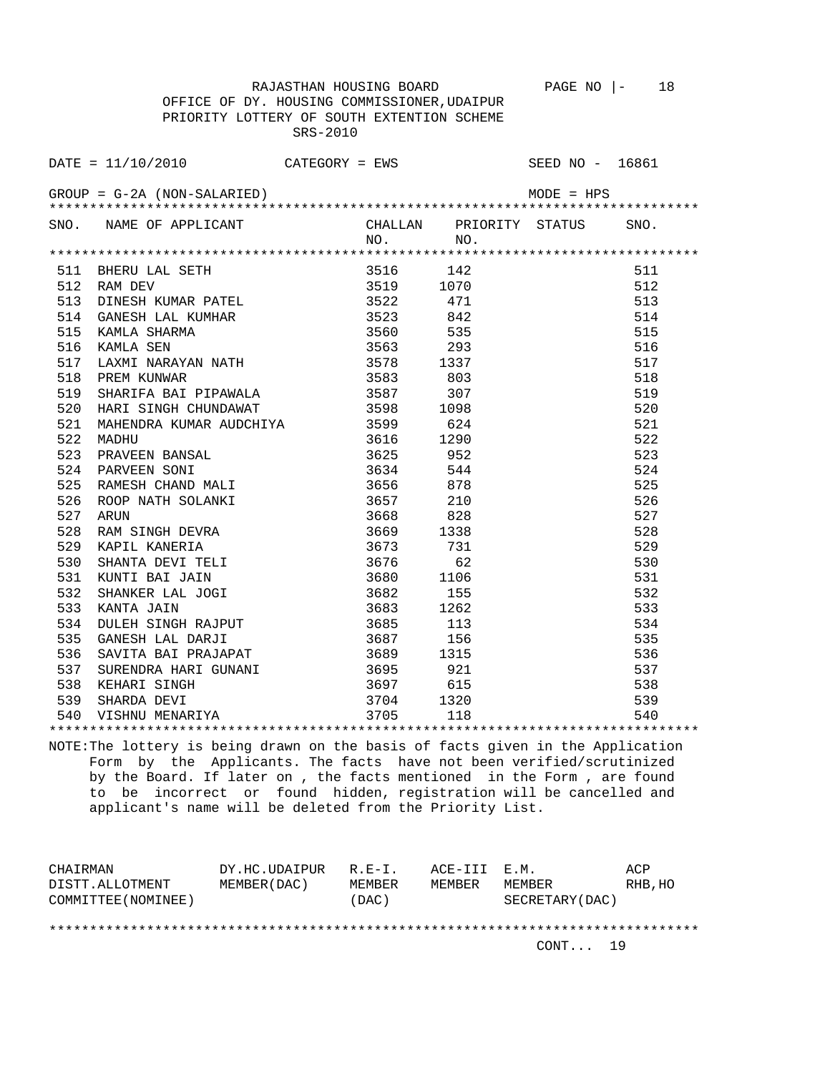RAJASTHAN HOUSING BOARD PAGE NO  $\vert -$  18 OFFICE OF DY. HOUSING COMMISSIONER,UDAIPUR PRIORITY LOTTERY OF SOUTH EXTENTION SCHEME SRS-2010

DATE = 11/10/2010 CATEGORY = EWS SEED NO - 16861 GROUP = G-2A (NON-SALARIED) MODE = HPS \*\*\*\*\*\*\*\*\*\*\*\*\*\*\*\*\*\*\*\*\*\*\*\*\*\*\*\*\*\*\*\*\*\*\*\*\*\*\*\*\*\*\*\*\*\*\*\*\*\*\*\*\*\*\*\*\*\*\*\*\*\*\*\*\*\*\*\*\*\*\*\*\*\*\*\*\*\*\*\* SNO. NAME OF APPLICANT CHALLAN PRIORITY STATUS SNO.

|     |                                                                                                             | NO.       | NO.  |     |
|-----|-------------------------------------------------------------------------------------------------------------|-----------|------|-----|
|     |                                                                                                             |           |      |     |
|     | 511 BHERU LAL SETH<br>512 RAM DEV                                                                           | 3516 142  |      | 511 |
|     |                                                                                                             | 3519      | 1070 | 512 |
|     | 512 KAN DEV<br>513 DINESH KUMAR PATEL 3522<br>3522                                                          |           | 471  | 513 |
| 514 | GANESH LAL KUMHAR 3523 842                                                                                  |           |      | 514 |
| 515 | KAMLA SHARMA                                                                                                | 3560 535  |      | 515 |
| 516 | KAMLA SEN                                                                                                   |           |      | 516 |
| 517 |                                                                                                             |           |      | 517 |
| 518 | PREM KUNWAR                                                                                                 |           |      | 518 |
|     |                                                                                                             |           | 307  | 519 |
|     |                                                                                                             |           | 1098 | 520 |
| 521 | MAHENDRA KUMAR AUDCHIYA 3599 624                                                                            |           |      | 521 |
| 522 | MADHU                                                                                                       | 3616      | 1290 | 522 |
| 523 | PRAVEEN BANSAL 3625 3625 952<br>PARVEEN SONI 3634 544                                                       |           |      | 523 |
| 524 | PARVEEN SONI                                                                                                |           |      | 524 |
|     | 525 RAMESH CHAND MALI 3656 878                                                                              |           |      | 525 |
| 526 | ROOP NATH SOLANKI 3657<br>ROOP NATH SOLANKI 3657<br>ARUN 3668                                               |           | 210  | 526 |
| 527 |                                                                                                             | 3668 828  |      | 527 |
| 528 | RAM SINGH DEVRA                                                                                             | 3669      | 1338 | 528 |
| 529 | KAPIL KANERIA                                                                                               | 3673      | 731  | 529 |
| 530 | SHANTA DEVI TELI<br>SHANTA DEVI IELL<br>KUNTI BAI JAIN 3682<br>SHANKER LAL JOGI 3682<br>------ 3683<br>3683 | 3676      | 62   | 530 |
| 531 |                                                                                                             | 3680 1106 |      | 531 |
| 532 |                                                                                                             |           | 155  | 532 |
| 533 | KANTA JAIN                                                                                                  |           | 1262 | 533 |
| 534 | DULEH SINGH RAJPUT                                                                                          | 3685 113  |      | 534 |
| 535 | GANESH LAL DARJI                                                                                            | 3687 156  |      | 535 |
| 536 | SAVITA BAI PRAJAPAT                                                                                         | 3689      | 1315 | 536 |
| 537 |                                                                                                             |           |      | 537 |
|     |                                                                                                             |           |      | 538 |
|     |                                                                                                             |           |      | 539 |
|     | 538 KEHARI SINGH 3697 615<br>539 SHARDA DEVI 3704 1320<br>540 VISHNU MENARIYA 3705 118                      |           |      | 540 |
|     |                                                                                                             |           |      |     |

NOTE:The lottery is being drawn on the basis of facts given in the Application Form by the Applicants. The facts have not been verified/scrutinized by the Board. If later on , the facts mentioned in the Form , are found to be incorrect or found hidden, registration will be cancelled and applicant's name will be deleted from the Priority List.

| CHAIRMAN            | DY.HC.UDAIPUR | $R.F - T$ .   | ACE-III E.M. |                  | ACP     |
|---------------------|---------------|---------------|--------------|------------------|---------|
| DISTT.ALLOTMENT     | MEMBER (DAC)  | <b>MEMBER</b> | MF.MBF.R     | MF.MBF.R         | RHB, HO |
| COMMITTEE (NOMINEE) |               | (DAC)         |              | SECRETARY (DAC ) |         |
|                     |               |               |              |                  |         |
|                     |               |               |              |                  |         |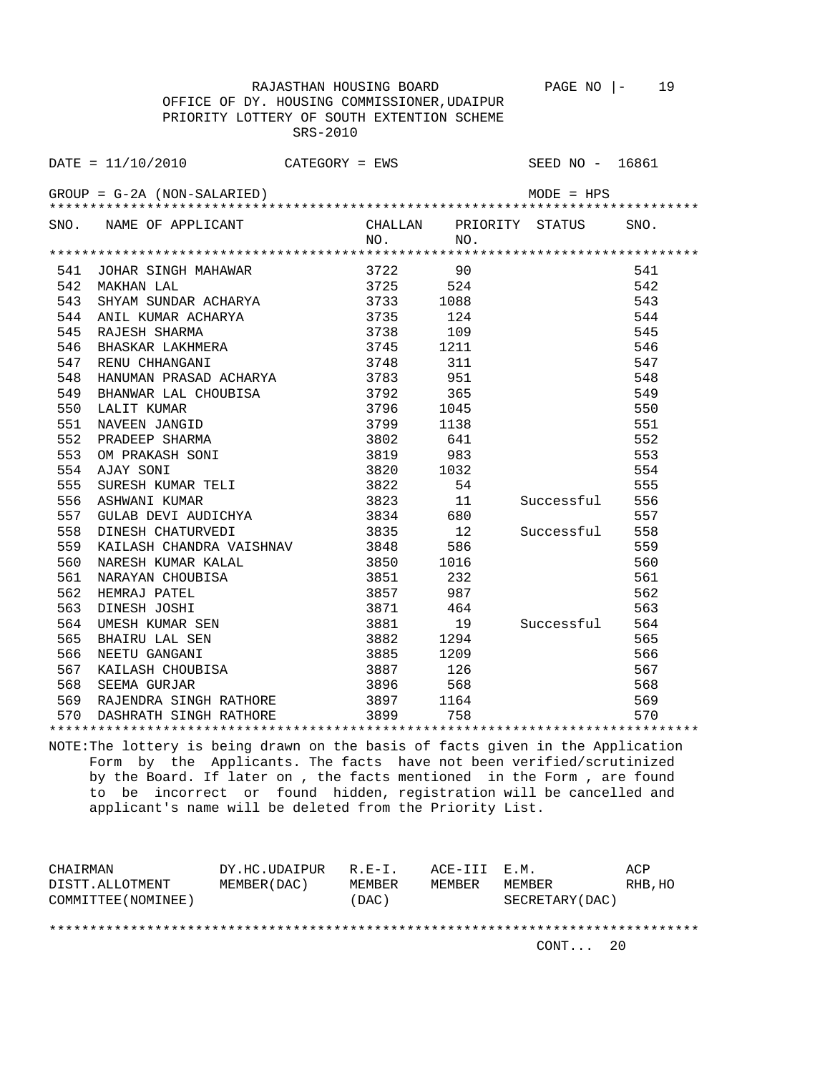RAJASTHAN HOUSING BOARD PAGE NO  $|-$  19 OFFICE OF DY. HOUSING COMMISSIONER,UDAIPUR

 PRIORITY LOTTERY OF SOUTH EXTENTION SCHEME SRS-2010 DATE = 11/10/2010 CATEGORY = EWS SEED NO - 16861 GROUP = G-2A (NON-SALARIED) MODE = HPS \*\*\*\*\*\*\*\*\*\*\*\*\*\*\*\*\*\*\*\*\*\*\*\*\*\*\*\*\*\*\*\*\*\*\*\*\*\*\*\*\*\*\*\*\*\*\*\*\*\*\*\*\*\*\*\*\*\*\*\*\*\*\*\*\*\*\*\*\*\*\*\*\*\*\*\*\*\*\*\* SNO. NAME OF APPLICANT CHALLAN PRIORITY STATUS SNO.<br>NO. NO. NO. NO. \*\*\*\*\*\*\*\*\*\*\*\*\*\*\*\*\*\*\*\*\*\*\*\*\*\*\*\*\*\*\*\*\*\*\*\*\*\*\*\*\*\*\*\*\*\*\*\*\*\*\*\*\*\*\*\*\*\*\*\*\*\*\*\*\*\*\*\*\*\*\*\*\*\*\*\*\*\*\*\* 541 JOHAR SINGH MAHAWAR

| コセエ | JOHAR SINGH MAHAWAR                                             | 3122                   |      |            | コセエ |  |
|-----|-----------------------------------------------------------------|------------------------|------|------------|-----|--|
| 542 | MAKHAN LAL                                                      | 3725 524               |      |            | 542 |  |
| 543 | SHYAM SUNDAR ACHARYA 3733                                       |                        | 1088 |            | 543 |  |
| 544 |                                                                 |                        | 124  |            | 544 |  |
| 545 |                                                                 |                        | 109  |            | 545 |  |
| 546 |                                                                 |                        | 1211 |            | 546 |  |
| 547 | RENU CHHANGANI                                                  | 3748                   | 311  |            | 547 |  |
| 548 | HANUMAN PRASAD ACHARYA 3783 951                                 |                        |      |            | 548 |  |
| 549 | BHANWAR LAL CHOUBISA                                            | 3792 365               |      |            | 549 |  |
| 550 |                                                                 |                        | 1045 |            | 550 |  |
| 551 |                                                                 |                        | 1138 |            | 551 |  |
| 552 | 3792<br>NAVEEN JANGID<br>PRADEEP SHARMA<br>OM PRAKASH SONT<br>T | 3802 641               |      |            | 552 |  |
| 553 |                                                                 | 3819 983               |      |            | 553 |  |
| 554 | AJAY SONI                                                       | 3820 1032              |      |            | 554 |  |
| 555 | SURESH KUMAR TELI                                               | $3822$ 54<br>$3823$ 11 |      |            | 555 |  |
| 556 | ASHWANI KUMAR                                                   |                        |      | Successful | 556 |  |
| 557 | GULAB DEVI AUDICHYA 3834 680                                    |                        |      |            | 557 |  |
| 558 | DINESH CHATURVEDI                                               | 3835 12                |      | Successful | 558 |  |
| 559 | KAILASH CHANDRA VAISHNAV 3848                                   |                        | 586  |            | 559 |  |
| 560 | NARESH KUMAR KALAL 3850 1016                                    |                        |      |            | 560 |  |
| 561 |                                                                 |                        |      |            | 561 |  |
| 562 |                                                                 |                        |      |            | 562 |  |
| 563 | DINESH JOSHI                                                    | 3871 464               |      |            | 563 |  |
| 564 | UMESH KUMAR SEN<br>BHAIRU LAL SEN                               | 3881 19                |      | Successful | 564 |  |
| 565 |                                                                 | 3882 1294              |      |            | 565 |  |
| 566 | NEETU GANGANI                                                   | 3885 1209              |      |            | 566 |  |
| 567 |                                                                 |                        |      |            | 567 |  |
| 568 |                                                                 |                        |      |            | 568 |  |
|     | 569 RAJENDRA SINGH RATHORE 3897 1164                            |                        |      |            | 569 |  |
|     | 570 DASHRATH SINGH RATHORE 3899 758                             |                        |      |            | 570 |  |
|     |                                                                 |                        |      |            |     |  |

NOTE:The lottery is being drawn on the basis of facts given in the Application Form by the Applicants. The facts have not been verified/scrutinized by the Board. If later on , the facts mentioned in the Form , are found to be incorrect or found hidden, registration will be cancelled and applicant's name will be deleted from the Priority List.

| CHAIRMAN            | DY.HC.UDAIPUR | $R.E-I.$ | ACE-III E.M. |                 | ACP     |
|---------------------|---------------|----------|--------------|-----------------|---------|
| DISTT.ALLOTMENT     | MEMBER (DAC)  | MEMBER   | MEMBER       | MEMBER          | RHB, HO |
| COMMITTEE (NOMINEE) |               | (DAC)    |              | SECRETARY (DAC) |         |
|                     |               |          |              |                 |         |
|                     |               |          |              |                 |         |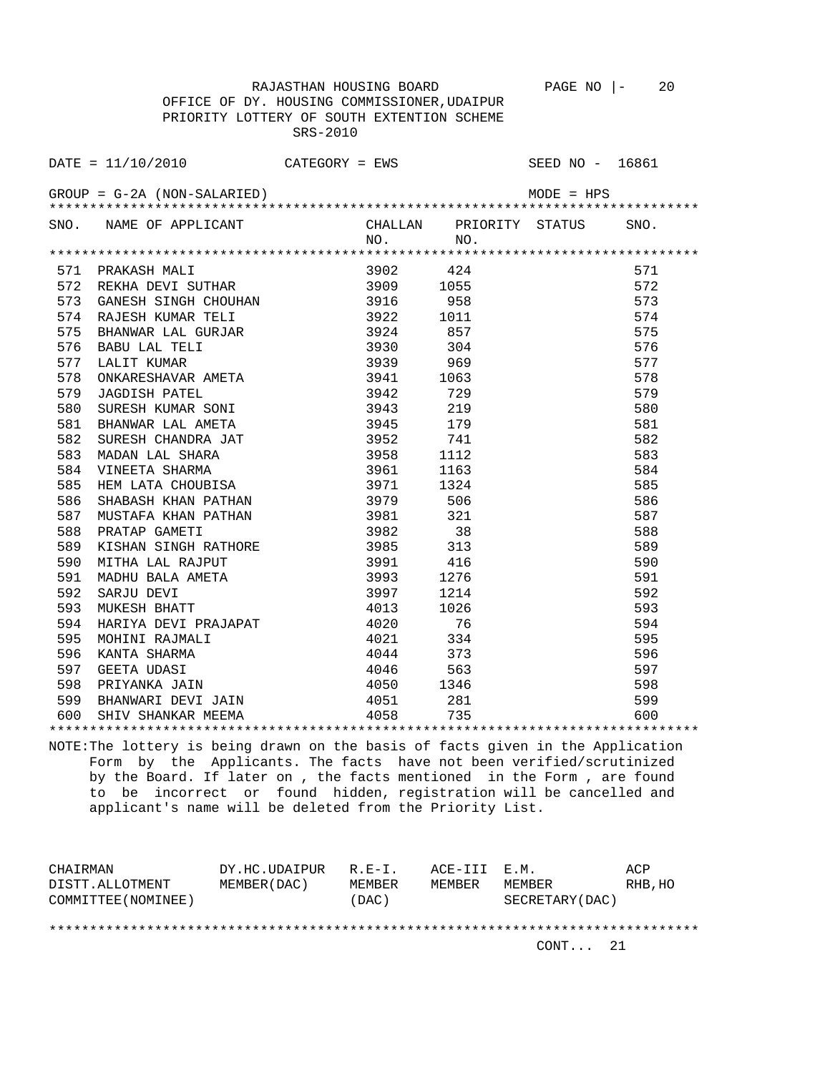RAJASTHAN HOUSING BOARD PAGE NO |- 20

 OFFICE OF DY. HOUSING COMMISSIONER,UDAIPUR PRIORITY LOTTERY OF SOUTH EXTENTION SCHEME SRS-2010

DATE = 11/10/2010 CATEGORY = EWS SEED NO - 16861  $GROUP = G-2A (NON-SALARIED)$  MODE = HPS \*\*\*\*\*\*\*\*\*\*\*\*\*\*\*\*\*\*\*\*\*\*\*\*\*\*\*\*\*\*\*\*\*\*\*\*\*\*\*\*\*\*\*\*\*\*\*\*\*\*\*\*\*\*\*\*\*\*\*\*\*\*\*\*\*\*\*\*\*\*\*\*\*\*\*\*\*\*\*\* SNO. NAME OF APPLICANT CHALLAN PRIORITY STATUS SNO. NO. NO. \*\*\*\*\*\*\*\*\*\*\*\*\*\*\*\*\*\*\*\*\*\*\*\*\*\*\*\*\*\*\*\*\*\*\*\*\*\*\*\*\*\*\*\*\*\*\*\*\*\*\*\*\*\*\*\*\*\*\*\*\*\*\*\*\*\*\*\*\*\*\*\*\*\*\*\*\*\*\*\* 571 PRAKASH MALI 3902 424 571 PRAKASH MALI 3902 424 571 572<br>572 REKHA DEVI SUTHAR 3909 1055 572 572 REKHA DEVI SUTHAR 3909 1055 572 573 GANESH SINGH CHOUHAN 3916 958 573<br>574 RAJESH KUMAR TELI 3922 1011 574 574 RAJESH KUMAR TELI 3922 1011 574 575 BHANWAR LAL GURJAR 3924 857 575 576 BABU LAL TELI 3930 304 576 577 LALIT KUMAR<br>577 LALIT KUMAR (1993) 969 – 1989 – 1989 – 1989 – 1989 – 1989 – 1989 – 1989 – 1989 – 1989 – 1989 – 1989 – 198<br>579 JAGDISH PATEL (1994) 1994 – 1999 – 1999 – 1999 – 1999 – 1999 – 1999 – 1999 – 1999 – 1999 – 578 ONKARESHAVAR AMETA 3941 1063 578 579 JAGDISH PATEL 3942 729 579 580 SURESH KUMAR SONI 3943 219 580 581 BHANWAR LAL AMETA 3945 179 581 582 SURESH CHANDRA JAT 3952 741 582 583 MADAN LAL SHARA 3958 1112 583 584 VINEETA SHARMA 3961 1163 584 585 HEM LATA CHOUBISA 3971 1324 585 586 SHABASH KHAN PATHAN 3979 506 586 587 MUSTAFA KHAN PATHAN 3981 321 587 588 PRATAP GAMETI 3982 38 588 589 KISHAN SINGH RATHORE 3985 313 589 589 MITHA LAL RAJPUT 3991 416 590 MITHA LAL RAJPUT 3993 1276 591 592 SARJU DEVI 3997 1214 592 590 MITHA LAL RAJPUT 3991 416 590 591 MADHU BALA AMETA 3993 1276 591 592 SARJU DEVI 3997 1214 592 593 MUKESH BHATT 4013 1026 593 595 Hormon Dinit<br>594 HARIYA DEVI PRAJAPAT 4020 76 594 595 MOHINI RAJMALI 4021 334 595 596 KANTA SHARMA 4044 373 596 597 GEETA UDASI 4046 563 597 598 PRIYANKA JAIN 4050 1346 598 599 BHANWARI DEVI JAIN 4051 281 599 600 SHIV SHANKAR MEEMA 4058 735 600 \*\*\*\*\*\*\*\*\*\*\*\*\*\*\*\*\*\*\*\*\*\*\*\*\*\*\*\*\*\*\*\*\*\*\*\*\*\*\*\*\*\*\*\*\*\*\*\*\*\*\*\*\*\*\*\*\*\*\*\*\*\*\*\*\*\*\*\*\*\*\*\*\*\*\*\*\*\*\*\*

NOTE:The lottery is being drawn on the basis of facts given in the Application Form by the Applicants. The facts have not been verified/scrutinized by the Board. If later on , the facts mentioned in the Form , are found to be incorrect or found hidden, registration will be cancelled and applicant's name will be deleted from the Priority List.

| CHAIRMAN            | DY.HC.UDAIPUR | $R.F - T$ . | ACE-III E.M. |                 | ACP     |
|---------------------|---------------|-------------|--------------|-----------------|---------|
| DISTT.ALLOTMENT     | MEMBER (DAC)  | MEMBER      | MEMBER       | MEMBER          | RHB, HO |
| COMMITTEE (NOMINEE) |               | (DAC)       |              | SECRETARY (DAC) |         |
|                     |               |             |              |                 |         |
|                     |               |             |              |                 |         |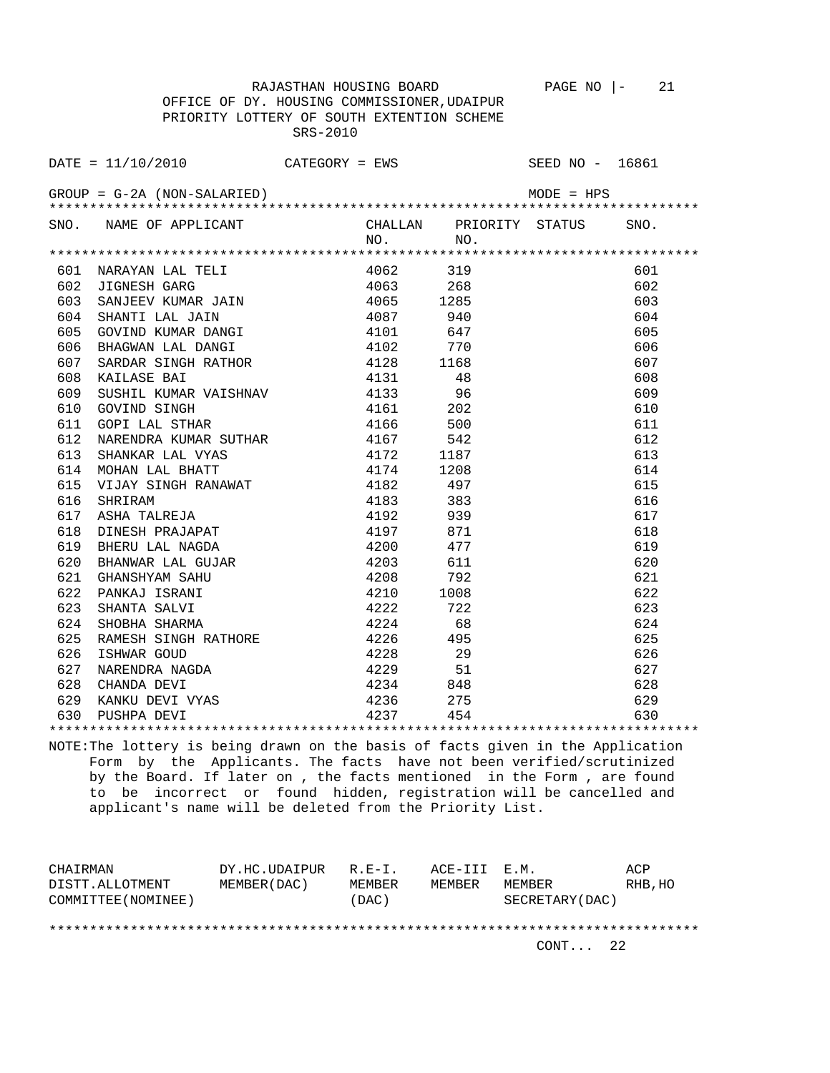RAJASTHAN HOUSING BOARD PAGE NO |- 21 OFFICE OF DY. HOUSING COMMISSIONER,UDAIPUR PRIORITY LOTTERY OF SOUTH EXTENTION SCHEME SRS-2010

DATE = 11/10/2010 CATEGORY = EWS SEED NO - 16861  $GROUP = G-2A (NON-SALARIED)$  MODE = HPS \*\*\*\*\*\*\*\*\*\*\*\*\*\*\*\*\*\*\*\*\*\*\*\*\*\*\*\*\*\*\*\*\*\*\*\*\*\*\*\*\*\*\*\*\*\*\*\*\*\*\*\*\*\*\*\*\*\*\*\*\*\*\*\*\*\*\*\*\*\*\*\*\*\*\*\*\*\*\*\* SNO. NAME OF APPLICANT CHALLAN PRIORITY STATUS SNO. NO. NO. \*\*\*\*\*\*\*\*\*\*\*\*\*\*\*\*\*\*\*\*\*\*\*\*\*\*\*\*\*\*\*\*\*\*\*\*\*\*\*\*\*\*\*\*\*\*\*\*\*\*\*\*\*\*\*\*\*\*\*\*\*\*\*\*\*\*\*\*\*\*\*\*\*\*\*\*\*\*\*\* 601 NARAYAN LAL TELI 4062 319 601 602 JIGNESH GARG 4063 268 602 603 SANJEEV KUMAR JAIN 4065 1285 603 604 SHANTI LAL JAIN 4087 940 604 605 GOVIND KUMAR DANGI 4101 647 605 606 BHAGWAN LAL DANGI 4102 770 606 607 SARDAR SINGH RATHOR 4128 1168 607 608 KAILASE BAI 4131 48 608 609 SUSHIL KUMAR VAISHNAV 4133 96 609 610 GOVIND SINGH 4161 202 610 611 GOPI LAL STHAR 4166 500 611 612 NARENDRA KUMAR SUTHAR 4167 542 612 613 SHANKAR LAL VYAS 4172 1187 613 614 MOHAN LAL BHATT 4174 1208 614 615 VIJAY SINGH RANAWAT 4182 497 615 616 SHRIRAM 4183 383 616 617 ASHA TALREJA 4192 939 617 618 DINESH PRAJAPAT 4197 871 618 619 BHERU LAL NAGDA 4200 477 619 620 BHANWAR LAL GUJAR 4203 611 620 621 GHANSHYAM SAHU 4208 792 621 622 PANKAJ ISRANI 4210 1008 622 623 SHANTA SALVI 4222 722 623 624 SHOBHA SHARMA 4224 68 624 625 RAMESH SINGH RATHORE 4226 495 625

 626 ISHWAR GOUD 4228 29 626 627 NARENDRA NAGDA 4229 51 627 628 CHANDA DEVI 4234 848 628 629 KANKU DEVI VYAS 4236 275 629 630 PUSHPA DEVI 4237 454 630 \*\*\*\*\*\*\*\*\*\*\*\*\*\*\*\*\*\*\*\*\*\*\*\*\*\*\*\*\*\*\*\*\*\*\*\*\*\*\*\*\*\*\*\*\*\*\*\*\*\*\*\*\*\*\*\*\*\*\*\*\*\*\*\*\*\*\*\*\*\*\*\*\*\*\*\*\*\*\*\* NOTE:The lottery is being drawn on the basis of facts given in the Application

 Form by the Applicants. The facts have not been verified/scrutinized by the Board. If later on , the facts mentioned in the Form , are found to be incorrect or found hidden, registration will be cancelled and applicant's name will be deleted from the Priority List.

| CHAIRMAN            | DY.HC.UDAIPUR | $R.E-I.$      | ACE-III E.M. |                 | ACP     |
|---------------------|---------------|---------------|--------------|-----------------|---------|
| DISTT.ALLOTMENT     | MEMBER (DAC)  | <b>MEMBER</b> | MEMBER       | MEMBER          | RHB, HO |
| COMMITTEE (NOMINEE) |               | (DAC)         |              | SECRETARY (DAC) |         |
|                     |               |               |              |                 |         |
|                     |               |               |              |                 |         |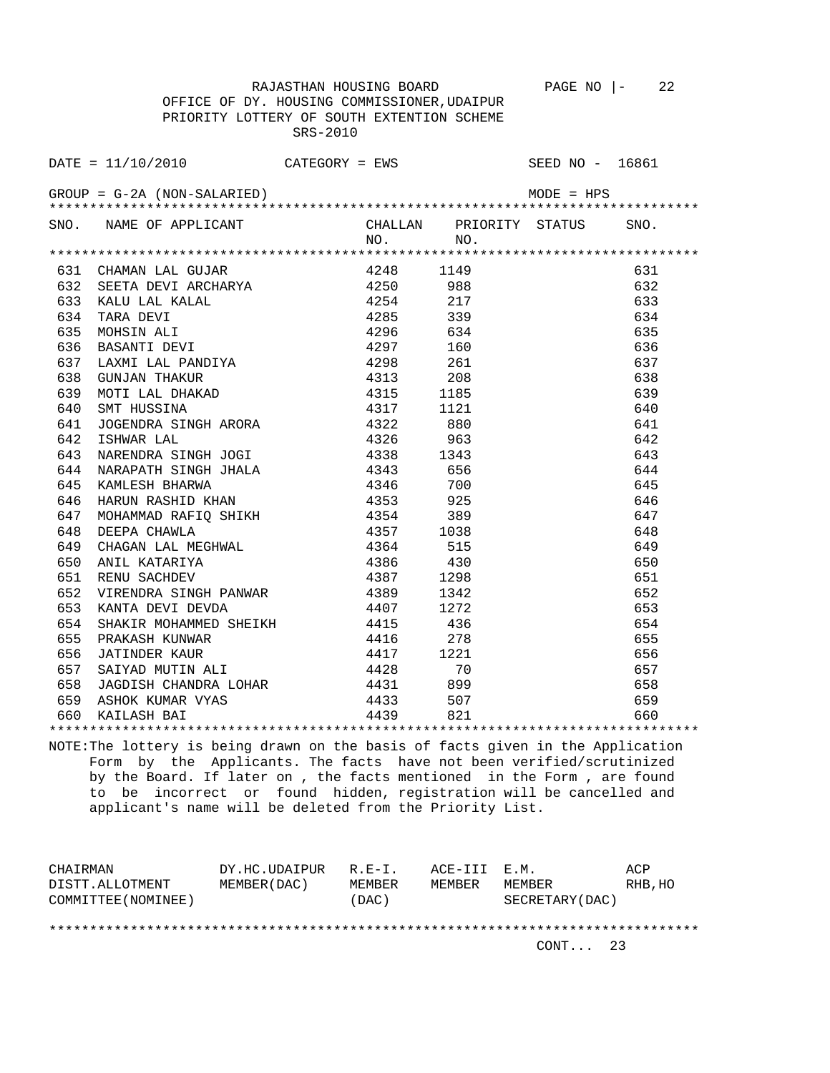RAJASTHAN HOUSING BOARD PAGE NO |- 22 OFFICE OF DY. HOUSING COMMISSIONER,UDAIPUR PRIORITY LOTTERY OF SOUTH EXTENTION SCHEME SRS-2010

DATE = 11/10/2010 CATEGORY = EWS SEED NO - 16861  $GROUP = G-2A (NON-SALARIED)$  MODE = HPS \*\*\*\*\*\*\*\*\*\*\*\*\*\*\*\*\*\*\*\*\*\*\*\*\*\*\*\*\*\*\*\*\*\*\*\*\*\*\*\*\*\*\*\*\*\*\*\*\*\*\*\*\*\*\*\*\*\*\*\*\*\*\*\*\*\*\*\*\*\*\*\*\*\*\*\*\*\*\*\* SNO. NAME OF APPLICANT CHALLAN PRIORITY STATUS SNO.<br>NO. NO. NO. NO. \*\*\*\*\*\*\*\*\*\*\*\*\*\*\*\*\*\*\*\*\*\*\*\*\*\*\*\*\*\*\*\*\*\*\*\*\*\*\*\*\*\*\*\*\*\*\*\*\*\*\*\*\*\*\*\*\*\*\*\*\*\*\*\*\*\*\*\*\*\*\*\*\*\*\*\*\*\*\*\* 631 CHAMAN LAL GUJAR 4248 1149 631 632 SEETA DEVI ARCHARYA 4250 988 632 633 KALU LAL KALAL 4254 217 633 634 TARA DEVI 4285 339 634 635 MOHSIN ALI 4296 634 635 636 BASANTI DEVI 4297 160 636 637 LAXMI LAL PANDIYA 4298 261 637 638 GUNJAN THAKUR 4313 208 638 639 MOTI LAL DHAKAD 4315 1185 639 640 SMT HUSSINA 1317 1121 640<br>641 JOGENDRA SINGH ARORA 1322 880 641 641 JOGENDRA SINGH ARORA 4322 880 641 642 ISHWAR LAL 4326 963 642 643 NARENDRA SINGH JOGI 4338 1343 643 644 NARAPATH SINGH JHALA 4343 656 644 645 KAMLESH BHARWA 4346 700 645 646 HARUN RASHID KHAN 4353 925 646 647 MOHAMMAD RAFIQ SHIKH 4354 389 647 648 DEEPA CHAWLA 4357 1038 648 649 CHAGAN LAL MEGHWAL 4364 515 649 650 ANIL KATARIYA 4386 430 650 651 RENU SACHDEV 4387 1298 651 652 VIRENDRA SINGH PANWAR 4389 1342 652 653 KANTA DEVI DEVDA 4407 1272 653 654 SHAKIR MOHAMMED SHEIKH 4415 436 654 655 PRAKASH KUNWAR 4416 278 655 656 JATINDER KAUR 4417 1221 656 657 SAIYAD MUTIN ALI 4428 70 657 658 JAGDISH CHANDRA LOHAR 4431 899 658 659 ASHOK KUMAR VYAS 4433 507 659 660 KAILASH BAI 4439 821 660

NOTE:The lottery is being drawn on the basis of facts given in the Application Form by the Applicants. The facts have not been verified/scrutinized by the Board. If later on , the facts mentioned in the Form , are found to be incorrect or found hidden, registration will be cancelled and applicant's name will be deleted from the Priority List.

\*\*\*\*\*\*\*\*\*\*\*\*\*\*\*\*\*\*\*\*\*\*\*\*\*\*\*\*\*\*\*\*\*\*\*\*\*\*\*\*\*\*\*\*\*\*\*\*\*\*\*\*\*\*\*\*\*\*\*\*\*\*\*\*\*\*\*\*\*\*\*\*\*\*\*\*\*\*\*\*

| CHAIRMAN            | DY.HC.UDAIPUR | $R.E-I.$ | ACE-III E.M. |                 | ACP     |
|---------------------|---------------|----------|--------------|-----------------|---------|
| DISTT.ALLOTMENT     | MEMBER (DAC)  | MEMBER   | MEMBER       | MEMBER          | RHB, HO |
| COMMITTEE (NOMINEE) |               | (DAC)    |              | SECRETARY (DAC) |         |
|                     |               |          |              |                 |         |
|                     |               |          |              |                 |         |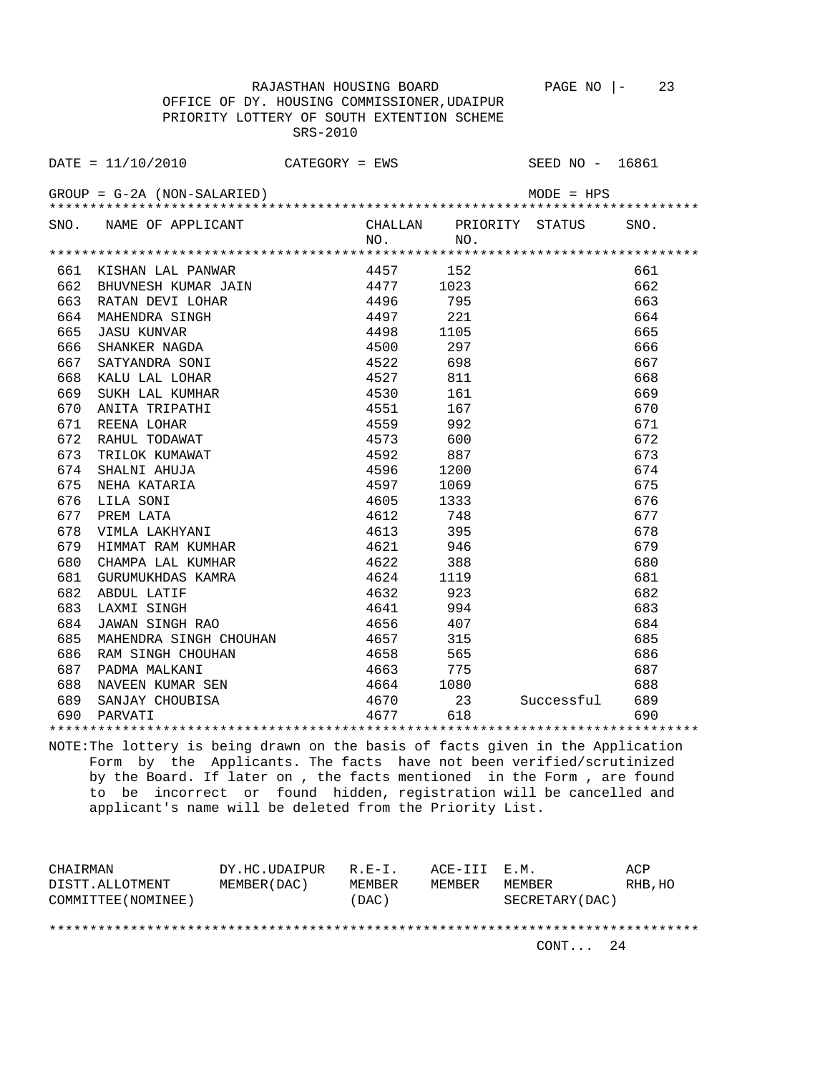RAJASTHAN HOUSING BOARD PAGE NO  $\vert - \vert$  23 OFFICE OF DY. HOUSING COMMISSIONER,UDAIPUR PRIORITY LOTTERY OF SOUTH EXTENTION SCHEME SRS-2010

DATE = 11/10/2010 CATEGORY = EWS SEED NO - 16861  $GROUP = G-2A (NON-SALARIED)$  MODE = HPS \*\*\*\*\*\*\*\*\*\*\*\*\*\*\*\*\*\*\*\*\*\*\*\*\*\*\*\*\*\*\*\*\*\*\*\*\*\*\*\*\*\*\*\*\*\*\*\*\*\*\*\*\*\*\*\*\*\*\*\*\*\*\*\*\*\*\*\*\*\*\*\*\*\*\*\*\*\*\*\* SNO. NAME OF APPLICANT CHALLAN PRIORITY STATUS SNO.<br>NO. NO. NO. NO. \*\*\*\*\*\*\*\*\*\*\*\*\*\*\*\*\*\*\*\*\*\*\*\*\*\*\*\*\*\*\*\*\*\*\*\*\*\*\*\*\*\*\*\*\*\*\*\*\*\*\*\*\*\*\*\*\*\*\*\*\*\*\*\*\*\*\*\*\*\*\*\*\*\*\*\*\*\*\*\* 661 KISHAN LAL PANWAR 4457 152 661

| 662 | BHUVNESH KUMAR JAIN    | 4477     | 1023 |            | 662 |  |  |  |  |
|-----|------------------------|----------|------|------------|-----|--|--|--|--|
| 663 | RATAN DEVI LOHAR       | 4496     | 795  |            | 663 |  |  |  |  |
| 664 | MAHENDRA SINGH         | 4497     | 221  |            | 664 |  |  |  |  |
| 665 | <b>JASU KUNVAR</b>     | 4498     | 1105 |            | 665 |  |  |  |  |
| 666 | SHANKER NAGDA          | 4500     | 297  |            | 666 |  |  |  |  |
| 667 | SATYANDRA SONI         | 4522     | 698  |            | 667 |  |  |  |  |
| 668 | KALU LAL LOHAR         | 4527     | 811  |            | 668 |  |  |  |  |
| 669 | SUKH LAL KUMHAR        | 4530     | 161  |            | 669 |  |  |  |  |
| 670 | ANITA TRIPATHI         | 4551     | 167  |            | 670 |  |  |  |  |
| 671 | REENA LOHAR            | 4559     | 992  |            | 671 |  |  |  |  |
| 672 | RAHUL TODAWAT          | 4573     | 600  |            | 672 |  |  |  |  |
| 673 | TRILOK KUMAWAT         | 4592     | 887  |            | 673 |  |  |  |  |
| 674 | SHALNI AHUJA           | 4596     | 1200 |            | 674 |  |  |  |  |
| 675 | NEHA KATARIA           | 4597     | 1069 |            | 675 |  |  |  |  |
| 676 | LILA SONI              | 4605     | 1333 |            | 676 |  |  |  |  |
| 677 | PREM LATA              | 4612     | 748  |            | 677 |  |  |  |  |
| 678 | VIMLA LAKHYANI         | 4613     | 395  |            | 678 |  |  |  |  |
| 679 | HIMMAT RAM KUMHAR      | 4621     | 946  |            | 679 |  |  |  |  |
| 680 | CHAMPA LAL KUMHAR      | 4622     | 388  |            | 680 |  |  |  |  |
| 681 | GURUMUKHDAS KAMRA      | 4624     | 1119 |            | 681 |  |  |  |  |
| 682 | ABDUL LATIF            | 4632     | 923  |            | 682 |  |  |  |  |
| 683 | LAXMI SINGH            | 4641     | 994  |            | 683 |  |  |  |  |
| 684 | JAWAN SINGH RAO        | 4656     | 407  |            | 684 |  |  |  |  |
| 685 | MAHENDRA SINGH CHOUHAN | 4657     | 315  |            | 685 |  |  |  |  |
| 686 | RAM SINGH CHOUHAN      | 4658     | 565  |            | 686 |  |  |  |  |
| 687 | PADMA MALKANI          | 4663     | 775  |            | 687 |  |  |  |  |
| 688 | NAVEEN KUMAR SEN       | 4664     | 1080 |            | 688 |  |  |  |  |
| 689 | SANJAY CHOUBISA        | 4670 300 | 23   | Successful | 689 |  |  |  |  |
| 690 | PARVATI                | 4677     | 618  |            | 690 |  |  |  |  |
|     |                        |          |      |            |     |  |  |  |  |

NOTE:The lottery is being drawn on the basis of facts given in the Application Form by the Applicants. The facts have not been verified/scrutinized by the Board. If later on , the facts mentioned in the Form , are found to be incorrect or found hidden, registration will be cancelled and applicant's name will be deleted from the Priority List.

| CHAIRMAN            | DY.HC.UDAIPUR | $R.F - T$ . | ACE-III E.M. |                 | ACP     |
|---------------------|---------------|-------------|--------------|-----------------|---------|
| DISTT.ALLOTMENT     | MEMBER (DAC)  | MEMBER      | MEMBER       | MF.MBF.R        | RHB, HO |
| COMMITTEE (NOMINEE) |               | (DAC)       |              | SECRETARY (DAC) |         |
|                     |               |             |              |                 |         |
|                     |               |             |              |                 |         |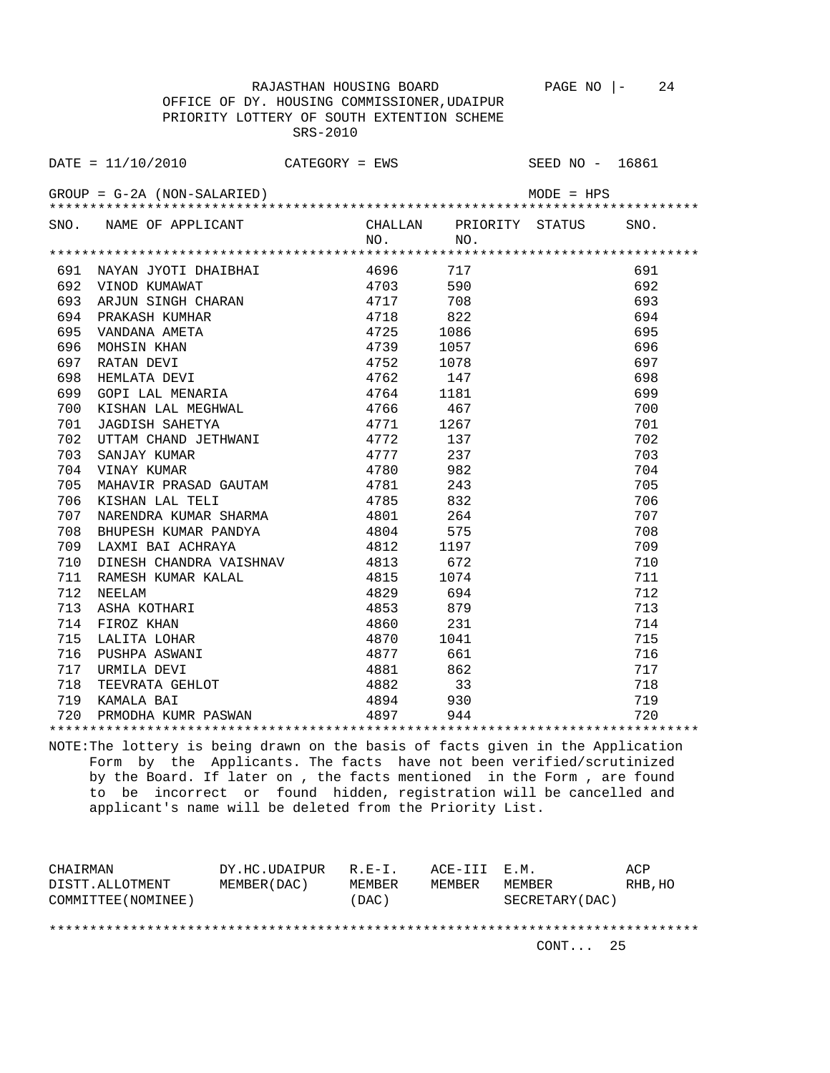SRS-2010

RAJASTHAN HOUSING BOARD PAGE NO |- 24

 OFFICE OF DY. HOUSING COMMISSIONER,UDAIPUR PRIORITY LOTTERY OF SOUTH EXTENTION SCHEME

 $\text{DATE} = 11/10/2010$  CATEGORY = EWS SEED NO - 16861 GROUP = G-2A (NON-SALARIED) MODE = HPS \*\*\*\*\*\*\*\*\*\*\*\*\*\*\*\*\*\*\*\*\*\*\*\*\*\*\*\*\*\*\*\*\*\*\*\*\*\*\*\*\*\*\*\*\*\*\*\*\*\*\*\*\*\*\*\*\*\*\*\*\*\*\*\*\*\*\*\*\*\*\*\*\*\*\*\*\*\*\*\* SNO. NAME OF APPLICANT CHALLAN PRIORITY STATUS SNO. NO. NO. \*\*\*\*\*\*\*\*\*\*\*\*\*\*\*\*\*\*\*\*\*\*\*\*\*\*\*\*\*\*\*\*\*\*\*\*\*\*\*\*\*\*\*\*\*\*\*\*\*\*\*\*\*\*\*\*\*\*\*\*\*\*\*\*\*\*\*\*\*\*\*\*\*\*\*\*\*\*\*\* 691 NAYAN JYOTI DHAIBHAI 4696 717 691 692 VINOD KUMAWAT 4703 590 692 693 ARJUN SINGH CHARAN 4717 708 693 694 PRAKASH KUMHAR 4718 822 694 695 VANDANA AMETA 4725 1086 695 696 MOHSIN KHAN 4739 1057 696 697 RATAN DEVI 4752 1078 697 698 HEMLATA DEVI 19762 147 147 698 ورة السبت السبت المستشرق المستشرق المستشرق المستشرق المستشرق المستشرق المستشرق المستشرق المستشرق المستشرق المس<br>100 167 1691 1700 1700 1700 1812 1766 1700 1812 1700 1814 700 KISHAN LAL MEGHWAL 4766 467 700 701 JAGDISH SAHETYA 4771 1267 701 702 UTTAM CHAND JETHWANI 4772 137 702 703 SANJAY KUMAR 4777 237 703 704 VINAY KUMAR 4780 982 704 705 MAHAVIR PRASAD GAUTAM 4781 243 705 706 KISHAN LAL TELI 4785 832 706 707 NARENDRA KUMAR SHARMA 4801 264 707 708 BHUPESH KUMAR PANDYA 4804 575 708 107 NARENDRA KUMAR SHARMA 4801 264 707<br>
264 708 BHUPESH KUMAR PANDYA 4804 575 708<br>
2709 LAXMI BAI ACHRAYA 4812 1197 709<br>
2710 DINESH CHANDRA VAISHNAV 4813 672 710<br>
2711 RAMESH KUMAR KALAL 4815 1074 711 710 DINESH CHANDRA VAISHNAV 4813 672 710 711 RAMESH KUMAR KALAL 4815 1074 711 712 NEELAM 4829 694 712 713 ASHA KOTHARI 4853 879 713 714 FIROZ KHAN 4860 231 714 715 LALITA LOHAR 4870 1041 715 716 PUSHPA ASWANI 4877 661 716 717 URMILA DEVI 4881 862 717 718 TEEVRATA GEHLOT 4882 33 718 719 KAMALA BAI 4894 930 719 720 PRMODHA KUMR PASWAN 4897 944 720 \*\*\*\*\*\*\*\*\*\*\*\*\*\*\*\*\*\*\*\*\*\*\*\*\*\*\*\*\*\*\*\*\*\*\*\*\*\*\*\*\*\*\*\*\*\*\*\*\*\*\*\*\*\*\*\*\*\*\*\*\*\*\*\*\*\*\*\*\*\*\*\*\*\*\*\*\*\*\*\*

NOTE:The lottery is being drawn on the basis of facts given in the Application Form by the Applicants. The facts have not been verified/scrutinized by the Board. If later on , the facts mentioned in the Form , are found to be incorrect or found hidden, registration will be cancelled and applicant's name will be deleted from the Priority List.

CHAIRMAN DY.HC.UDAIPUR R.E-I. ACE-III E.M. ACP DISTT.ALLOTMENT MEMBER(DAC) MEMBER MEMBER MEMBER RHB,HO COMMITTEE(NOMINEE) (DAC) SECRETARY(DAC) \*\*\*\*\*\*\*\*\*\*\*\*\*\*\*\*\*\*\*\*\*\*\*\*\*\*\*\*\*\*\*\*\*\*\*\*\*\*\*\*\*\*\*\*\*\*\*\*\*\*\*\*\*\*\*\*\*\*\*\*\*\*\*\*\*\*\*\*\*\*\*\*\*\*\*\*\*\*\*\*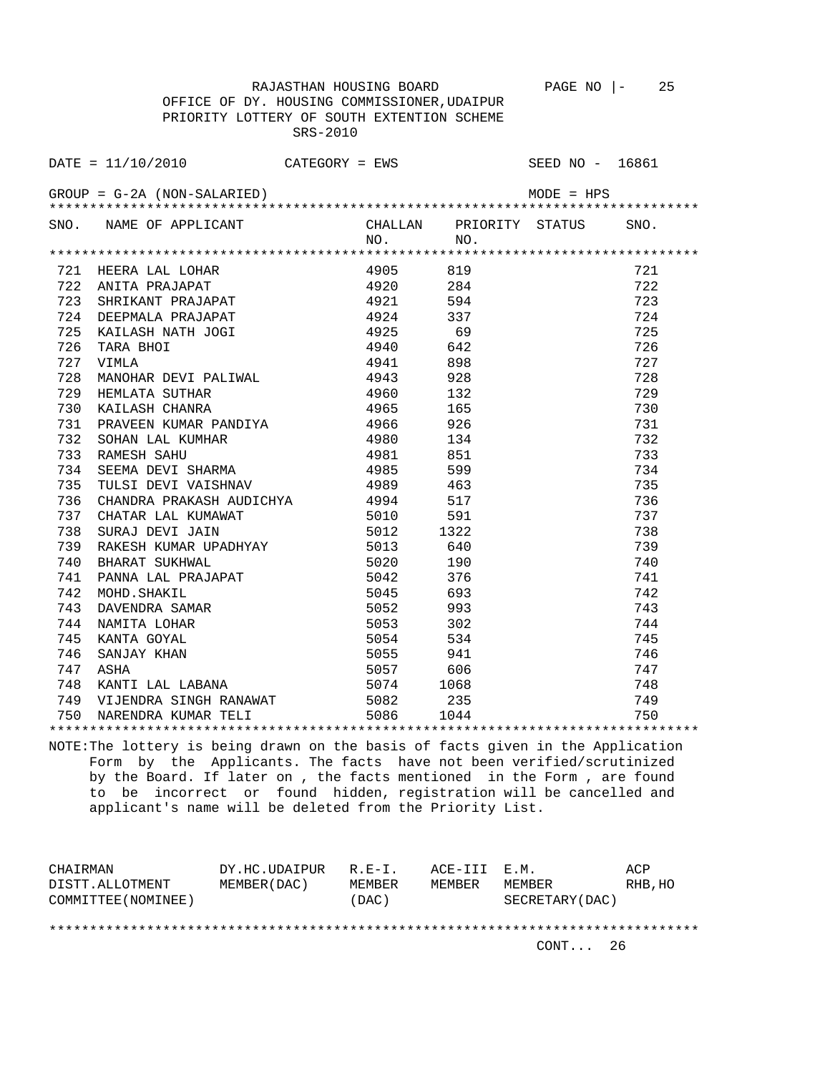RAJASTHAN HOUSING BOARD PAGE NO |- 25 OFFICE OF DY. HOUSING COMMISSIONER,UDAIPUR PRIORITY LOTTERY OF SOUTH EXTENTION SCHEME SRS-2010

DATE = 11/10/2010 CATEGORY = EWS SEED NO - 16861  $GROUP = G-2A (NON-SALARIED)$  MODE = HPS \*\*\*\*\*\*\*\*\*\*\*\*\*\*\*\*\*\*\*\*\*\*\*\*\*\*\*\*\*\*\*\*\*\*\*\*\*\*\*\*\*\*\*\*\*\*\*\*\*\*\*\*\*\*\*\*\*\*\*\*\*\*\*\*\*\*\*\*\*\*\*\*\*\*\*\*\*\*\*\* SNO. NAME OF APPLICANT CHALLAN PRIORITY STATUS SNO.<br>NO. NO. NO. NO. \*\*\*\*\*\*\*\*\*\*\*\*\*\*\*\*\*\*\*\*\*\*\*\*\*\*\*\*\*\*\*\*\*\*\*\*\*\*\*\*\*\*\*\*\*\*\*\*\*\*\*\*\*\*\*\*\*\*\*\*\*\*\*\*\*\*\*\*\*\*\*\*\*\*\*\*\*\*\*\* 721 HEERA LAL LOHAR 4905 819 721 722 ANITA PRAJAPAT 4920 284 722 723 SHRIKANT PRAJAPAT 4921 594 723 724 DEEPMALA PRAJAPAT 4924 337 724 725 KAILASH NATH JOGI 4925 69 725 726 TARA BHOI 4940 642 726 727 VIMLA 4941 898 727 728 MANOHAR DEVI PALIWAL 4943 928 728 729 HEMLATA SUTHAR 4960 132 729 730 KAILASH CHANRA 4965 165 730 731 PRAVEEN KUMAR PANDIYA 4966 926 731 732 SOHAN LAL KUMHAR 4980 134 732 733 RAMESH SAHU 4981 851 733 734 SEEMA DEVI SHARMA 4985 599 734 735 TULSI DEVI VAISHNAV 4989 463 735 736 CHANDRA PRAKASH AUDICHYA 4994 517 736 737 CHANDRA FRARADH ADDECHTA (1991) 5010 591 (1991) 737<br>
738 SURAJ DEVIL JAIN 5010 591 737 738<br>
RURAJ BURAJ MAJ 5012 1322 738

 738 SURAJ DEVI JAIN 5012 1322 738 739 RAKESH KUMAR UPADHYAY 5013 640 739 740 BHARAT SUKHWAL 5020 190 740 741 PANNA LAL PRAJAPAT 5042 376 741 742 MOHD.SHAKIL 5045 693 742 743 DAVENDRA SAMAR 5052 993 743 744 NAMITA LOHAR 5053 302 744 745 KANTA GOYAL 5054 534 745 746 SANJAY KHAN 5055 941 746 747 ASHA 5057 606 747 748 KANTI LAL LABANA 5074 1068 748 749 VIJENDRA SINGH RANAWAT 5082 235 749 750 NARENDRA KUMAR TELI 5086 1044 750 \*\*\*\*\*\*\*\*\*\*\*\*\*\*\*\*\*\*\*\*\*\*\*\*\*\*\*\*\*\*\*\*\*\*\*\*\*\*\*\*\*\*\*\*\*\*\*\*\*\*\*\*\*\*\*\*\*\*\*\*\*\*\*\*\*\*\*\*\*\*\*\*\*\*\*\*\*\*\*\*

NOTE:The lottery is being drawn on the basis of facts given in the Application Form by the Applicants. The facts have not been verified/scrutinized by the Board. If later on , the facts mentioned in the Form , are found to be incorrect or found hidden, registration will be cancelled and applicant's name will be deleted from the Priority List.

| CHAIRMAN            | DY.HC.UDAIPUR R.E-I. |        | ACE-III E.M. |                  | ACP     |
|---------------------|----------------------|--------|--------------|------------------|---------|
| DISTT.ALLOTMENT     | MEMBER (DAC)         | MEMBER | MEMBER       | MEMBER           | RHB, HO |
| COMMITTEE (NOMINEE) |                      | (DAC)  |              | SECRETARY (DAC ) |         |
|                     |                      |        |              |                  |         |

\*\*\*\*\*\*\*\*\*\*\*\*\*\*\*\*\*\*\*\*\*\*\*\*\*\*\*\*\*\*\*\*\*\*\*\*\*\*\*\*\*\*\*\*\*\*\*\*\*\*\*\*\*\*\*\*\*\*\*\*\*\*\*\*\*\*\*\*\*\*\*\*\*\*\*\*\*\*\*\*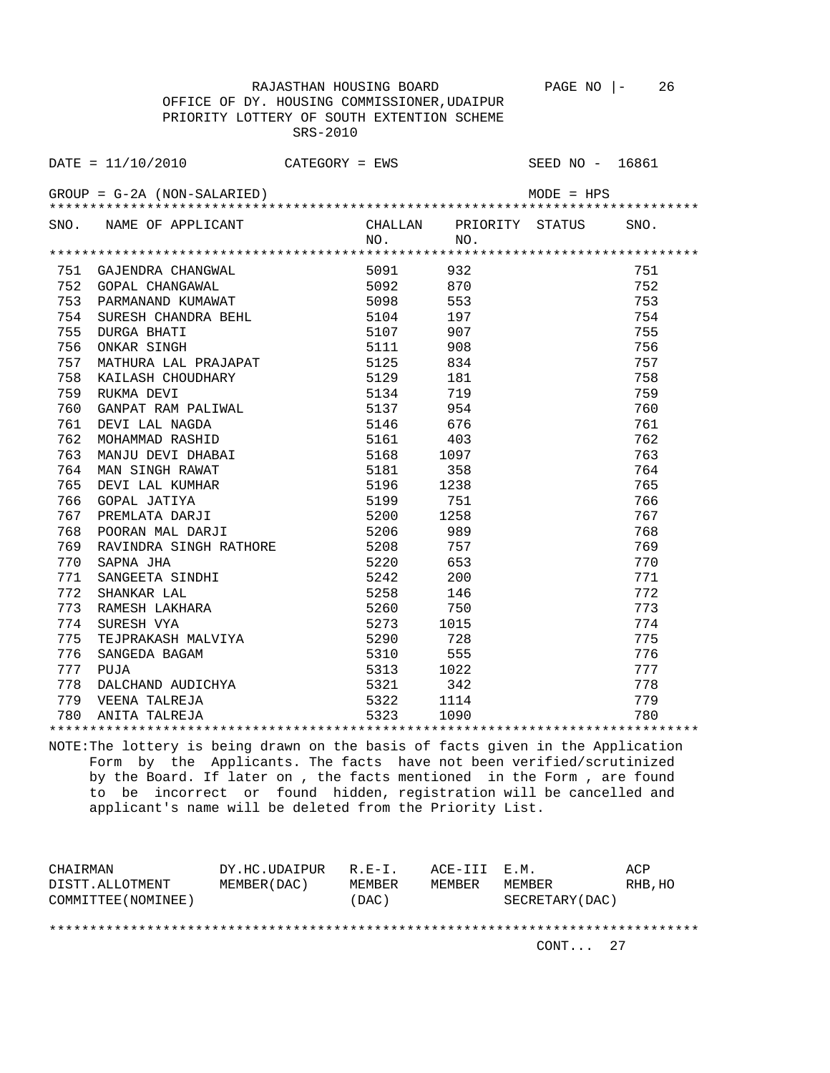RAJASTHAN HOUSING BOARD PAGE NO |- 26 OFFICE OF DY. HOUSING COMMISSIONER,UDAIPUR PRIORITY LOTTERY OF SOUTH EXTENTION SCHEME SRS-2010

DATE = 11/10/2010 CATEGORY = EWS SEED NO - 16861 GROUP = G-2A (NON-SALARIED) MODE = HPS \*\*\*\*\*\*\*\*\*\*\*\*\*\*\*\*\*\*\*\*\*\*\*\*\*\*\*\*\*\*\*\*\*\*\*\*\*\*\*\*\*\*\*\*\*\*\*\*\*\*\*\*\*\*\*\*\*\*\*\*\*\*\*\*\*\*\*\*\*\*\*\*\*\*\*\*\*\*\*\* SNO. NAME OF APPLICANT CHALLAN PRIORITY STATUS SNO.<br>NO. NO. NO. NO. \*\*\*\*\*\*\*\*\*\*\*\*\*\*\*\*\*\*\*\*\*\*\*\*\*\*\*\*\*\*\*\*\*\*\*\*\*\*\*\*\*\*\*\*\*\*\*\*\*\*\*\*\*\*\*\*\*\*\*\*\*\*\*\*\*\*\*\*\*\*\*\*\*\*\*\*\*\*\*\* 751 GAJENDRA CHANGWAL 5091 932 751 752 GOPAL CHANGAWAL 5092 870 752 753 PARMANAND KUMAWAT 5098 553 753 754 SURESH CHANDRA BEHL 5104 197 754 755 DURGA BHATI 5107 907 755 756 ONKAR SINGH 5111 908 756 757 MATHURA LAL PRAJAPAT 5125 834 757 758 KAILASH CHOUDHARY 5129 181 758 759 RUKMA DEVI 5134 719 759 760 GANPAT RAM PALIWAL 5137 954 760 761 DEVI LAL NAGDA 5146 676 761 762 MOHAMMAD RASHID 5161 403 762 763 MANJU DEVI DHABAI 5168 1097 763 764 MAN SINGH RAWAT 5181 358<br>765 DEVI LAL KUMHAR 5196 1238 765 DEVI LAL KUMHAR 5196 1238 765 766 GOPAL JATIYA 5199 751 766 767 PREMLATA DARJI 5200 1258 767 768 POORAN MAL DARJI 5206 989 768 769 RAVINDRA SINGH RATHORE 5208 757 769 770 SAPNA JHA 5220 653 770 771 SANGEETA SINDHI 5242 200 771 172 SHANKAR LAL 172 SHANKAR LAL 15258 146<br>173 RAMESH LAKHARA 1988 1680 1750 1750 1773 773 RAMESH LAKHARA 5260 750 773 774 SURESH VYA 5273 1015 774 775 TEJPRAKASH MALVIYA 5290 728 775 776 SANGEDA BAGAM 5310 555 776

 780 ANITA TALREJA 5323 1090 780 \*\*\*\*\*\*\*\*\*\*\*\*\*\*\*\*\*\*\*\*\*\*\*\*\*\*\*\*\*\*\*\*\*\*\*\*\*\*\*\*\*\*\*\*\*\*\*\*\*\*\*\*\*\*\*\*\*\*\*\*\*\*\*\*\*\*\*\*\*\*\*\*\*\*\*\*\*\*\*\* NOTE:The lottery is being drawn on the basis of facts given in the Application Form by the Applicants. The facts have not been verified/scrutinized by the Board. If later on , the facts mentioned in the Form , are found to be incorrect or found hidden, registration will be cancelled and applicant's name will be deleted from the Priority List.

 777 PUJA 5313 1022 777 778 DALCHAND AUDICHYA 5321 342 778 779 VEENA TALREJA 5322 1114 779

| CHAIRMAN            | DY.HC.UDAIPUR | $R.E-I.$ | ACE-III E.M. |                 | ACP     |
|---------------------|---------------|----------|--------------|-----------------|---------|
| DISTT.ALLOTMENT     | MEMBER (DAC)  | MEMBER   | MEMBER       | MEMBER          | RHB, HO |
| COMMITTEE (NOMINEE) |               | DAC)     |              | SECRETARY (DAC) |         |
|                     |               |          |              |                 |         |
|                     |               |          |              |                 |         |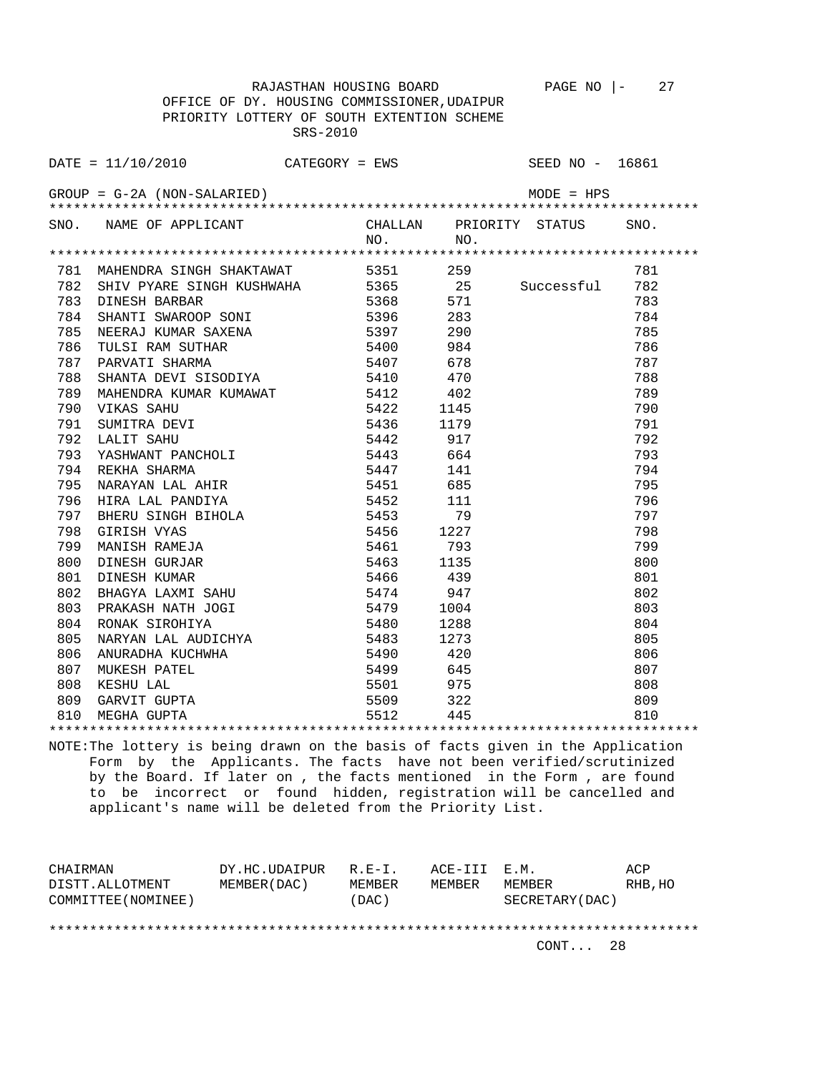RAJASTHAN HOUSING BOARD PAGE NO  $|-$  27

 OFFICE OF DY. HOUSING COMMISSIONER,UDAIPUR PRIORITY LOTTERY OF SOUTH EXTENTION SCHEME SRS-2010

|                                               | $\texttt{DATE} = 11/10/2010$ CATEGORY = EWS |           |                                | SEED NO - 16861 |      |  |  |
|-----------------------------------------------|---------------------------------------------|-----------|--------------------------------|-----------------|------|--|--|
| $GROUP = G-2A (NON-SALARIED)$<br>$MODE = HPS$ |                                             |           |                                |                 |      |  |  |
|                                               | SNO. NAME OF APPLICANT                      | NO.       | CHALLAN PRIORITY STATUS<br>NO. |                 | SNO. |  |  |
|                                               |                                             |           |                                |                 |      |  |  |
| 781                                           | MAHENDRA SINGH SHAKTAWAT                    | 5351      | 259                            |                 | 781  |  |  |
| 782                                           | SHIV PYARE SINGH KUSHWAHA                   | 5365      | 25                             | Successful      | 782  |  |  |
| 783                                           | DINESH BARBAR                               | 5368      | 571                            |                 | 783  |  |  |
| 784                                           | SHANTI SWAROOP SONI                         | 5396      | 283                            |                 | 784  |  |  |
| 785                                           | NEERAJ KUMAR SAXENA                         | 5397      | 290                            |                 | 785  |  |  |
| 786                                           | TULSI RAM SUTHAR                            | 5400 984  |                                |                 | 786  |  |  |
| 787                                           | PARVATI SHARMA                              | 5407 678  |                                |                 | 787  |  |  |
| 788                                           | SHANTA DEVI SISODIYA 5410 470               |           |                                |                 | 788  |  |  |
| 789                                           | MAHENDRA KUMAR KUMAWAT 5412 402             |           |                                |                 | 789  |  |  |
| 790                                           | VIKAS SAHU                                  | 5422 1145 |                                |                 | 790  |  |  |
| 791                                           | SUMITRA DEVI                                | 5436 1179 |                                |                 | 791  |  |  |
| 792                                           | LALIT SAHU                                  | 5442      | 917                            |                 | 792  |  |  |
| 793                                           | YASHWANT PANCHOLI                           | 5443      | 664                            |                 | 793  |  |  |
| 794                                           | REKHA SHARMA                                | 5447      | 141                            |                 | 794  |  |  |
| 795                                           | NARAYAN LAL AHIR                            | 5451      | 685                            |                 | 795  |  |  |
| 796                                           | HIRA LAL PANDIYA                            | 5452      | 111                            |                 | 796  |  |  |
| 797                                           | BHERU SINGH BIHOLA                          | 5453      | 79                             |                 | 797  |  |  |
| 798                                           | GIRISH VYAS                                 | 5456      | 1227                           |                 | 798  |  |  |
| 799                                           | MANISH RAMEJA                               | 5461      | 793                            |                 | 799  |  |  |
| 800                                           | DINESH GURJAR                               | 5463      | 1135                           |                 | 800  |  |  |
| 801                                           | DINESH KUMAR                                | 5466      | 439                            |                 | 801  |  |  |
| 802                                           | BHAGYA LAXMI SAHU                           | 5474      | 947                            |                 | 802  |  |  |
| 803                                           | PRAKASH NATH JOGI                           | 5479      | 1004                           |                 | 803  |  |  |
| 804                                           | RONAK SIROHIYA                              | 5480 1288 |                                |                 | 804  |  |  |
| 805                                           | NARYAN LAL AUDICHYA                         | 5483      | 1273                           |                 | 805  |  |  |
| 806                                           | ANURADHA KUCHWHA                            | 5490      | 420                            |                 | 806  |  |  |
| 807                                           | MUKESH PATEL                                | 5499      | 645                            |                 | 807  |  |  |
| 808                                           | KESHU LAL                                   | 5501      | 975                            |                 | 808  |  |  |
| 809                                           | GARVIT GUPTA<br>MEGHA GUPTA                 | 5509      | 322                            |                 | 809  |  |  |
| 810                                           |                                             | 5512      | 445                            |                 | 810  |  |  |
|                                               |                                             |           |                                |                 |      |  |  |

NOTE:The lottery is being drawn on the basis of facts given in the Application Form by the Applicants. The facts have not been verified/scrutinized by the Board. If later on , the facts mentioned in the Form , are found to be incorrect or found hidden, registration will be cancelled and applicant's name will be deleted from the Priority List.

| CHAIRMAN            | DY.HC.UDAIPUR | $R.F - T$ . | ACE-III E.M. |                 | ACP     |
|---------------------|---------------|-------------|--------------|-----------------|---------|
| DISTT.ALLOTMENT     | MEMBER (DAC)  | MEMBER      | MEMBER       | MEMBER          | RHB, HO |
| COMMITTEE (NOMINEE) |               | (DAC)       |              | SECRETARY (DAC) |         |
|                     |               |             |              |                 |         |
|                     |               |             |              |                 |         |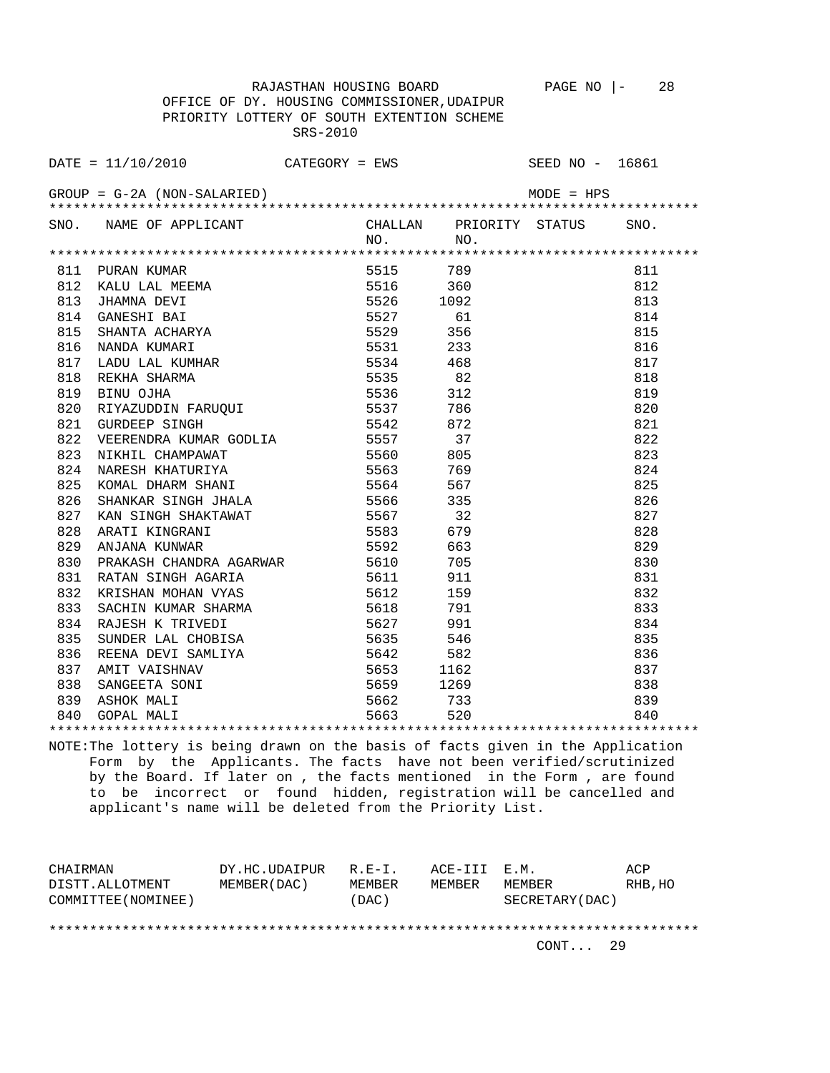OFFICE OF DY. HOUSING COMMISSIONER,UDAIPUR SRS-2010

RAJASTHAN HOUSING BOARD PAGE NO |- 28

 PRIORITY LOTTERY OF SOUTH EXTENTION SCHEME  $\text{DATE} = 11/10/2010$  CATEGORY = EWS SEED NO - 16861

GROUP = G-2A (NON-SALARIED) MODE = HPS \*\*\*\*\*\*\*\*\*\*\*\*\*\*\*\*\*\*\*\*\*\*\*\*\*\*\*\*\*\*\*\*\*\*\*\*\*\*\*\*\*\*\*\*\*\*\*\*\*\*\*\*\*\*\*\*\*\*\*\*\*\*\*\*\*\*\*\*\*\*\*\*\*\*\*\*\*\*\*\* SNO. NAME OF APPLICANT CHALLAN PRIORITY STATUS SNO. NO. NO. \*\*\*\*\*\*\*\*\*\*\*\*\*\*\*\*\*\*\*\*\*\*\*\*\*\*\*\*\*\*\*\*\*\*\*\*\*\*\*\*\*\*\*\*\*\*\*\*\*\*\*\*\*\*\*\*\*\*\*\*\*\*\*\*\*\*\*\*\*\*\*\*\*\*\*\*\*\*\*\* 811 PURAN KUMAR 5515 789 811 812 KALU LAL MEEMA 5516 360 812 813 JHAMNA DEVI 5526 1092 813 814 GANESHI BAI 65527 61 814 815 SHANTA ACHARYA 5529 356 815 816 NANDA KUMARI 5531 233 816 817 LADU LAL KUMHAR 5534 468 817 818 REKHA SHARMA 5535 82 818 819 BINU OJHA 5536 312 819 820 RIYAZUDDIN FARUQUI 5537 786 820 821 GURDEEP SINGH 5542 872 821 822 VEERENDRA KUMAR GODLIA 5557 37 822 823 NIKHIL CHAMPAWAT 65560 805 823 824 NARESH KHATURIYA 5563 769 824 825 KOMAL DHARM SHANI 5564 567 825 826 SHANKAR SINGH JHALA 5566 335 826 827 KAN SINGH SHAKTAWAT 5567 32 827 828 ARATI KINGRANI 5583 679 828 829 ANJANA KUNWAR 5592 663 829 830 PRAKASH CHANDRA AGARWAR 5610 705 830 831 RATAN SINGH AGARIA 5611 911 831 832 KRISHAN MOHAN VYAS 5612 159 832 833 SACHIN KUMAR SHARMA 5618 791 833 834 RAJESH K TRIVEDI 5627 991 834 835 SUNDER LAL CHOBISA 5635 546 835 836 REENA DEVI SAMLIYA 5642 582 836 837 AMIT VAISHNAV 5653 1162 837 838 SANGEETA SONI 5659 1269 838 839 ASHOK MALI 5662 733 839 840 GOPAL MALI 5663 520 840 \*\*\*\*\*\*\*\*\*\*\*\*\*\*\*\*\*\*\*\*\*\*\*\*\*\*\*\*\*\*\*\*\*\*\*\*\*\*\*\*\*\*\*\*\*\*\*\*\*\*\*\*\*\*\*\*\*\*\*\*\*\*\*\*\*\*\*\*\*\*\*\*\*\*\*\*\*\*\*\*

NOTE:The lottery is being drawn on the basis of facts given in the Application Form by the Applicants. The facts have not been verified/scrutinized by the Board. If later on , the facts mentioned in the Form , are found to be incorrect or found hidden, registration will be cancelled and applicant's name will be deleted from the Priority List.

CHAIRMAN DY.HC.UDAIPUR R.E-I. ACE-III E.M. ACP DISTT.ALLOTMENT MEMBER(DAC) MEMBER MEMBER MEMBER RHB,HO COMMITTEE(NOMINEE) (DAC) SECRETARY(DAC) \*\*\*\*\*\*\*\*\*\*\*\*\*\*\*\*\*\*\*\*\*\*\*\*\*\*\*\*\*\*\*\*\*\*\*\*\*\*\*\*\*\*\*\*\*\*\*\*\*\*\*\*\*\*\*\*\*\*\*\*\*\*\*\*\*\*\*\*\*\*\*\*\*\*\*\*\*\*\*\*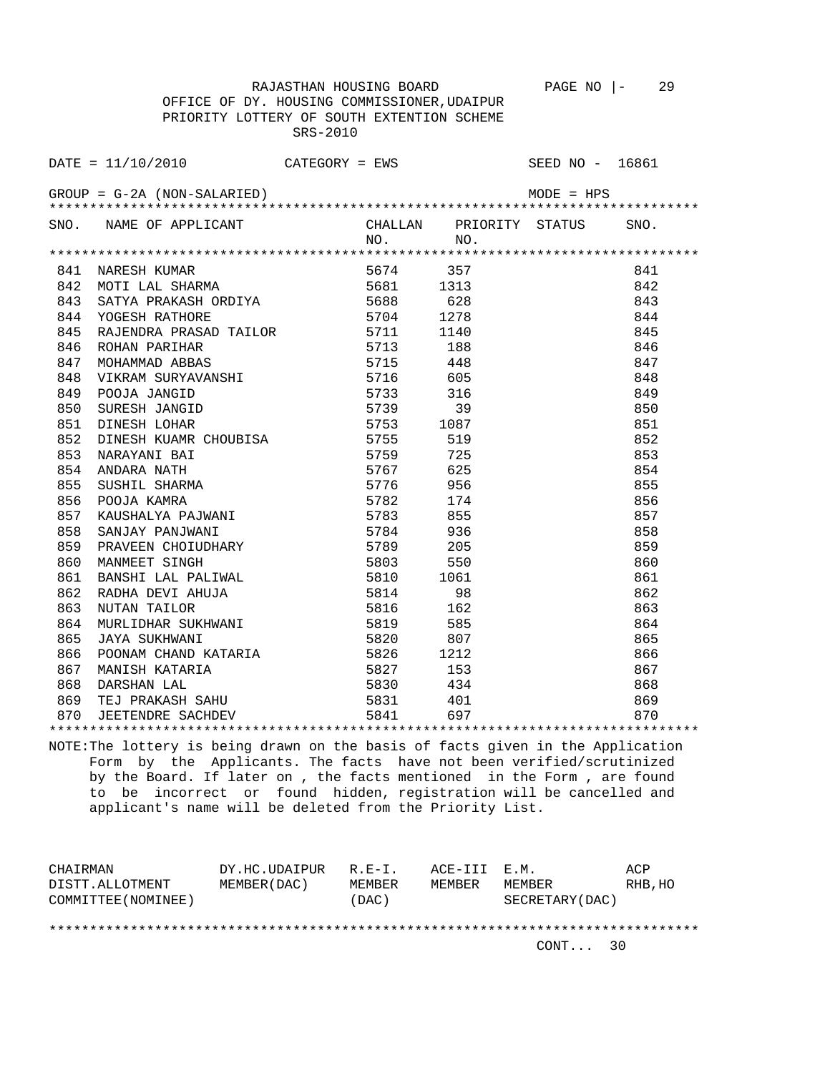RAJASTHAN HOUSING BOARD PAGE NO |- 29 OFFICE OF DY. HOUSING COMMISSIONER,UDAIPUR PRIORITY LOTTERY OF SOUTH EXTENTION SCHEME SRS-2010

 $\text{DATE} = 11/10/2010$  CATEGORY = EWS SEED NO - 16861

GROUP = G-2A (NON-SALARIED) MODE = HPS \*\*\*\*\*\*\*\*\*\*\*\*\*\*\*\*\*\*\*\*\*\*\*\*\*\*\*\*\*\*\*\*\*\*\*\*\*\*\*\*\*\*\*\*\*\*\*\*\*\*\*\*\*\*\*\*\*\*\*\*\*\*\*\*\*\*\*\*\*\*\*\*\*\*\*\*\*\*\*\* SNO. NAME OF APPLICANT CHALLAN PRIORITY STATUS SNO. NO. NO. \*\*\*\*\*\*\*\*\*\*\*\*\*\*\*\*\*\*\*\*\*\*\*\*\*\*\*\*\*\*\*\*\*\*\*\*\*\*\*\*\*\*\*\*\*\*\*\*\*\*\*\*\*\*\*\*\*\*\*\*\*\*\*\*\*\*\*\*\*\*\*\*\*\*\*\*\*\*\*\* 841 NARESH KUMAR 5674 357 841 842 MOTI LAL SHARMA 5681 1313 842 843 SATYA PRAKASH ORDIYA 5688 628 843 844 YOGESH RATHORE 5704 1278 844 845 RAJENDRA PRASAD TAILOR 5711 1140 845 846 ROHAN PARIHAR 1988 188 846 847 MOHAMMAD ABBAS 6715 448 647 MOHAMMAD ABBAS 848 VIKRAM SURYAVANSHI 5716 605 848 849 POOJA JANGID 5733 316 849 850 SURESH JANGID 5739 851 DINESH LOHAR 5753 1087 851 852 DINESH KUAMR CHOUBISA 5755 519 852 853 NARAYANI BAI 5759 725 853 854 ANDARA NATH 5767 625 854 855 SUSHIL SHARMA 5776 956 855 856 POOJA KAMRA 5782 174 856 857 KAUSHALYA PAJWANI 5783 855 857 858 SANJAY PANJWANI 5784 936 858 859 PRAVEEN CHOIUDHARY 5789 205 859 860 MANMEET SINGH 5803 550 S50 860 861 BANSHI LAL PALIWAL 5810 1061 861 862 RADHA DEVI AHUJA 5814 98 862 863 NUTAN TAILOR 5816 162 863 864 MURLIDHAR SUKHWANI 5819 585 864 865 JAYA SUKHWANI 5820 807 865 866 POONAM CHAND KATARIA 5826 1212 866 867 MANISH KATARIA 5827 153 867 868 DARSHAN LAL 5830 434 868 869 TEJ PRAKASH SAHU 5831 401 869 870 JEETENDRE SACHDEV 5841 697 870 \*\*\*\*\*\*\*\*\*\*\*\*\*\*\*\*\*\*\*\*\*\*\*\*\*\*\*\*\*\*\*\*\*\*\*\*\*\*\*\*\*\*\*\*\*\*\*\*\*\*\*\*\*\*\*\*\*\*\*\*\*\*\*\*\*\*\*\*\*\*\*\*\*\*\*\*\*\*\*\*

NOTE:The lottery is being drawn on the basis of facts given in the Application Form by the Applicants. The facts have not been verified/scrutinized by the Board. If later on , the facts mentioned in the Form , are found to be incorrect or found hidden, registration will be cancelled and applicant's name will be deleted from the Priority List.

| CHAIRMAN            | DY.HC.UDAIPUR | $R.E-I.$ | ACE-III E.M. |                 | ACP     |
|---------------------|---------------|----------|--------------|-----------------|---------|
| DISTT.ALLOTMENT     | MEMBER (DAC)  | MEMBER   | MEMBER       | MEMBER          | RHB, HO |
| COMMITTEE (NOMINEE) |               | (DAC)    |              | SECRETARY (DAC) |         |
|                     |               |          |              |                 |         |
|                     |               |          |              |                 |         |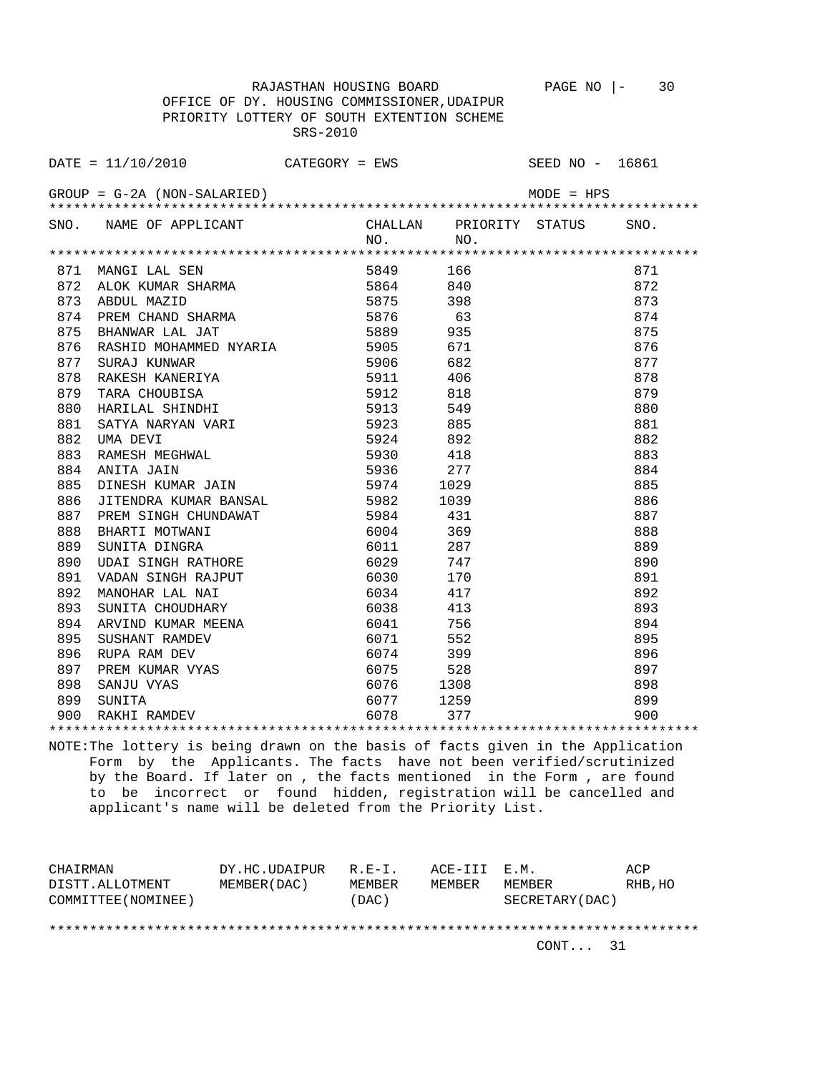RAJASTHAN HOUSING BOARD PAGE NO |- 30 OFFICE OF DY. HOUSING COMMISSIONER,UDAIPUR PRIORITY LOTTERY OF SOUTH EXTENTION SCHEME SRS-2010

DATE = 11/10/2010 CATEGORY = EWS SEED NO - 16861 GROUP = G-2A (NON-SALARIED) MODE = HPS \*\*\*\*\*\*\*\*\*\*\*\*\*\*\*\*\*\*\*\*\*\*\*\*\*\*\*\*\*\*\*\*\*\*\*\*\*\*\*\*\*\*\*\*\*\*\*\*\*\*\*\*\*\*\*\*\*\*\*\*\*\*\*\*\*\*\*\*\*\*\*\*\*\*\*\*\*\*\*\* SNO. NAME OF APPLICANT CHALLAN PRIORITY STATUS SNO. NO. NO. \*\*\*\*\*\*\*\*\*\*\*\*\*\*\*\*\*\*\*\*\*\*\*\*\*\*\*\*\*\*\*\*\*\*\*\*\*\*\*\*\*\*\*\*\*\*\*\*\*\*\*\*\*\*\*\*\*\*\*\*\*\*\*\*\*\*\*\*\*\*\*\*\*\*\*\*\*\*\*\* 871 MANGI LAL SEN 5849 166 871 872 ALOK KUMAR SHARMA 5864 840 872 873 ABDUL MAZID 5875 398 873 874 PREM CHAND SHARMA 5876 63 874 875 BHANWAR LAL JAT 5889 935 875 876 RASHID MOHAMMED NYARIA 5905 671 876 877 SURAJ KUNWAR 5906 682 877 878 RAKESH KANERIYA 5911 406 878 879 TARA CHOUBISA 5912 818 879 880 HARILAL SHINDHI 5913 549 549 880 881 SATYA NARYAN VARI 5923 885 881 882 UMA DEVI 5924 892 882 883 RAMESH MEGHWAL 5930 418 883 884 ANITA JAIN 5936 277 884 885 DINESH KUMAR JAIN 5974 1029 885 edd - 1999 - 1999<br>1039 - 11 Julie Homes, 1039 - 1039<br>1887 - 1388 - 13984 - 131 887 PREM SINGH CHUNDAWAT 5984 431 887 888 BHARTI MOTWANI 6004 369 888 889 SUNITA DINGRA 6011 287 889 890 UDAI SINGH RATHORE 6029 747 890 891 VADAN SINGH RAJPUT 6030 170 170 891 892 MANOHAR LAL NAI 892 MANOHAR LAL NAI 6034 417 892 893 SUNITA CHOUDHARY 6038 413 893 894 ARVIND KUMAR MEENA 6041 756 894 895 SUSHANT RAMDEV 6071 552 895 896 RUPA RAM DEV 6074 399 896 897 PREM KUMAR VYAS 6075 528 528 897

\*\*\*\*\*\*\*\*\*\*\*\*\*\*\*\*\*\*\*\*\*\*\*\*\*\*\*\*\*\*\*\*\*\*\*\*\*\*\*\*\*\*\*\*\*\*\*\*\*\*\*\*\*\*\*\*\*\*\*\*\*\*\*\*\*\*\*\*\*\*\*\*\*\*\*\*\*\*\*\* NOTE:The lottery is being drawn on the basis of facts given in the Application Form by the Applicants. The facts have not been verified/scrutinized by the Board. If later on , the facts mentioned in the Form , are found to be incorrect or found hidden, registration will be cancelled and applicant's name will be deleted from the Priority List.

 898 SANJU VYAS 6076 1308 898 899 SUNITA 6077 1259 899 900 RAKHI RAMDEV 6078 377 900

| CHAIRMAN            | DY.HC.UDAIPUR | $R.E-I.$ | ACE-III E.M. |                 | ACP     |
|---------------------|---------------|----------|--------------|-----------------|---------|
| DISTT.ALLOTMENT     | MEMBER (DAC)  | MEMBER   | MEMBER       | MEMBER          | RHB, HO |
| COMMITTEE (NOMINEE) |               | (DAC)    |              | SECRETARY (DAC) |         |
|                     |               |          |              |                 |         |
|                     |               |          |              |                 |         |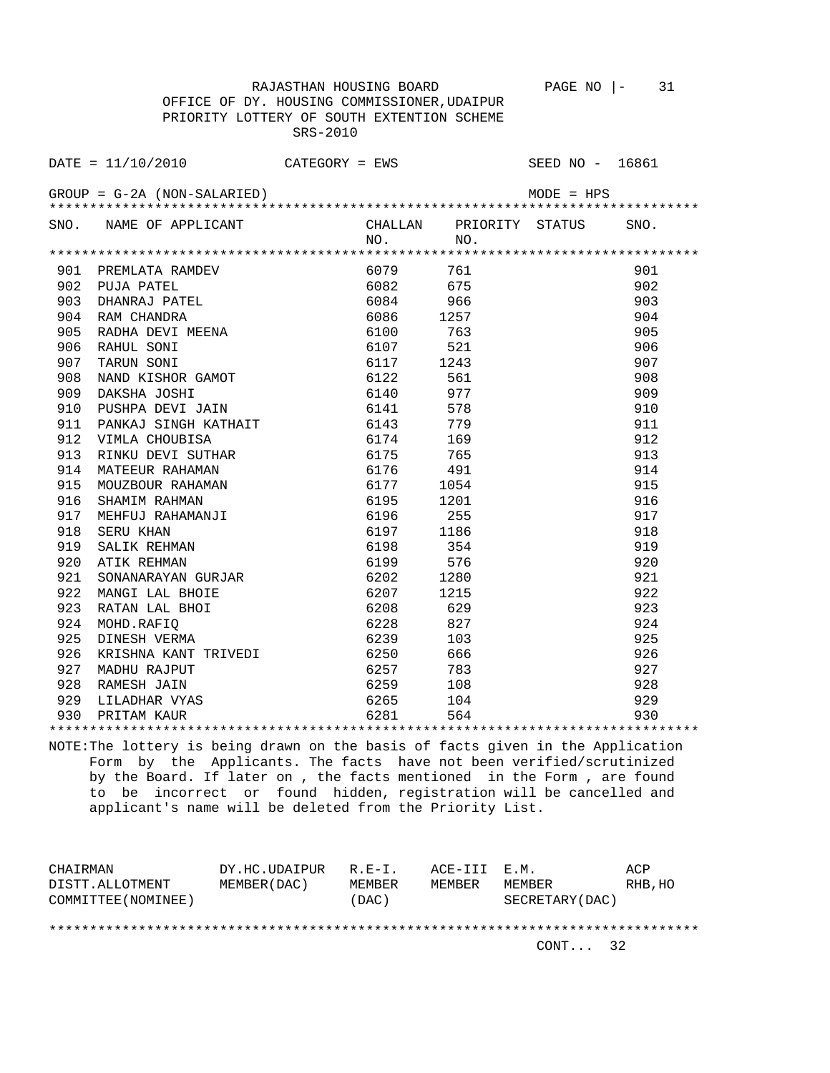RAJASTHAN HOUSING BOARD PAGE NO |- 31 OFFICE OF DY. HOUSING COMMISSIONER,UDAIPUR PRIORITY LOTTERY OF SOUTH EXTENTION SCHEME SRS-2010

DATE = 11/10/2010 CATEGORY = EWS SEED NO - 16861 GROUP = G-2A (NON-SALARIED) MODE = HPS \*\*\*\*\*\*\*\*\*\*\*\*\*\*\*\*\*\*\*\*\*\*\*\*\*\*\*\*\*\*\*\*\*\*\*\*\*\*\*\*\*\*\*\*\*\*\*\*\*\*\*\*\*\*\*\*\*\*\*\*\*\*\*\*\*\*\*\*\*\*\*\*\*\*\*\*\*\*\*\* SNO. NAME OF APPLICANT CHALLAN PRIORITY STATUS SNO. NO. NO. \*\*\*\*\*\*\*\*\*\*\*\*\*\*\*\*\*\*\*\*\*\*\*\*\*\*\*\*\*\*\*\*\*\*\*\*\*\*\*\*\*\*\*\*\*\*\*\*\*\*\*\*\*\*\*\*\*\*\*\*\*\*\*\*\*\*\*\*\*\*\*\*\*\*\*\*\*\*\*\* 901 PREMLATA RAMDEV 6079 761 901 902 PUJA PATEL 6082 675 902<br>903 DHANRAJ PATEL 6084 966 903<br>904 RAM CHANDRA 6086 1257 904<br>905 6086 1257 905 903 DHANRAJ PATEL 6084 966 903 904 RAM CHANDRA 6086 1257 904 905 RADHA DEVI MEENA 6100 763 905 906 RAHUL SONI 6107 521 906 907 TARUN SONI 6117 1243 907 908 NAND KISHOR GAMOT 6122 561 908<br>909 DAKSHA JOSHI 6140 977 909 909 DAKSHA JOSHI 6140 977 909 910 PUSHPA DEVI JAIN 6141 578 910 911 PANKAJ SINGH KATHAIT 6143 779 911 912 VIMLA CHOUBISA 6174 169 912 913 RINKU DEVI SUTHAR 6175 765 913 914 MATEEUR RAHAMAN 6176 491<br>915 MOUZBOUR RAHAMAN 6177 1054 915 MOUZBOUR RAHAMAN 6177 1054<br>916 SHAMIM RAHMAN 6195 1201 916 916 SHAMIM RAHMAN 6195 1201 916 917 MEHFUJ RAHAMANJI 6196 255 917 918 SERU KHAN 6197 1186 918 919 SALIK REHMAN 6198 354 919

 922 MANGI LAL BHOIE 6207 1215 922 923 RATAN LAL BHOI 6208 629 923 924 MOHD.RAFIQ 6228 827 924 925 DINESH VERMA 6239 103 925 926 KRISHNA KANT TRIVEDI 6250 666 926 927 MADHU RAJPUT 6257 783 927 928 RAMESH JAIN 6259 108 928 929 LILADHAR VYAS 6265 104 929 930 PRITAM KAUR 6281 564 930 \*\*\*\*\*\*\*\*\*\*\*\*\*\*\*\*\*\*\*\*\*\*\*\*\*\*\*\*\*\*\*\*\*\*\*\*\*\*\*\*\*\*\*\*\*\*\*\*\*\*\*\*\*\*\*\*\*\*\*\*\*\*\*\*\*\*\*\*\*\*\*\*\*\*\*\*\*\*\*\* NOTE:The lottery is being drawn on the basis of facts given in the Application

920 ATIK REHMAN 6199 576 920

921 SONANARAYAN GURJAR 6202 1280 921

 Form by the Applicants. The facts have not been verified/scrutinized by the Board. If later on , the facts mentioned in the Form , are found to be incorrect or found hidden, registration will be cancelled and applicant's name will be deleted from the Priority List.

| CHAIRMAN            | DY.HC.UDAIPUR | $R.E-I.$      | ACE-III E.M. |                 | ACP     |
|---------------------|---------------|---------------|--------------|-----------------|---------|
| DISTT.ALLOTMENT     | MEMBER (DAC)  | <b>MEMBER</b> | MEMBER       | MEMBER          | RHB, HO |
| COMMITTEE (NOMINEE) |               | (DAC)         |              | SECRETARY (DAC) |         |
|                     |               |               |              |                 |         |
|                     |               |               |              |                 |         |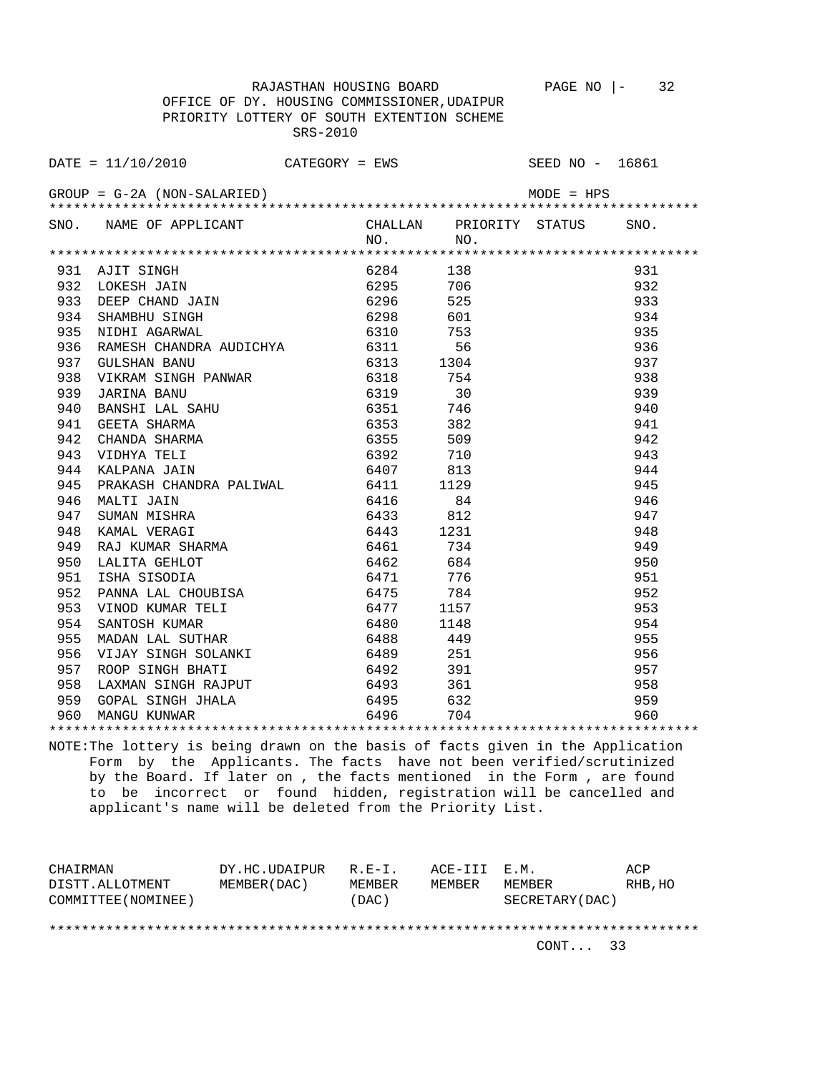RAJASTHAN HOUSING BOARD PAGE NO |- 32 OFFICE OF DY. HOUSING COMMISSIONER,UDAIPUR PRIORITY LOTTERY OF SOUTH EXTENTION SCHEME SRS-2010

 $\text{DATE} = 11/10/2010$  CATEGORY = EWS SEED NO - 16861 GROUP = G-2A (NON-SALARIED) MODE = HPS \*\*\*\*\*\*\*\*\*\*\*\*\*\*\*\*\*\*\*\*\*\*\*\*\*\*\*\*\*\*\*\*\*\*\*\*\*\*\*\*\*\*\*\*\*\*\*\*\*\*\*\*\*\*\*\*\*\*\*\*\*\*\*\*\*\*\*\*\*\*\*\*\*\*\*\*\*\*\*\* SNO. NAME OF APPLICANT CHALLAN PRIORITY STATUS SNO. NO. NO. \*\*\*\*\*\*\*\*\*\*\*\*\*\*\*\*\*\*\*\*\*\*\*\*\*\*\*\*\*\*\*\*\*\*\*\*\*\*\*\*\*\*\*\*\*\*\*\*\*\*\*\*\*\*\*\*\*\*\*\*\*\*\*\*\*\*\*\*\*\*\*\*\*\*\*\*\*\*\*\* 931 AJIT SINGH 6284 138 931 932 LOKESH JAIN 6295 706 932 933 DEEP CHAND JAIN 6296 525 933 934 SHAMBHU SINGH 6298 601 934 935 NIDHI AGARWAL 6310 753 935 936 RAMESH CHANDRA AUDICHYA 6311 56 56 511 937 GULSHAN BANU 6313 1304 937 938 VIKRAM SINGH PANWAR 6318 754 938 939 JARINA BANU 6319 30 939 940 BANSHI LAL SAHU 6351 941 GEETA SHARMA 6353 382 941 942 CHANDA SHARMA 6355 509 942 943 VIDHYA TELI 6392 710 943 944 KALPANA JAIN 6407 813<br>945 PRAKASH CHANDRA PALIWAL 6411 1129 945 PRAKASH CHANDRA PALIWAL 6411 1129 945 946 MALTI JAIN 6416 84 946 947 SUMAN MISHRA 6433 812 947 948 KAMAL VERAGI 6443 1231 948 949 RAJ KUMAR SHARMA 6461 734 949 950 LALITA GEHLOT 6462 684 950 951 ISHA SISODIA 6471 776 951 952 PANNA LAL CHOUBISA 6475 784 952 953 VINOD KUMAR TELI 6477 1157 953 954 SANTOSH KUMAR 6480 1148 954 955 MADAN LAL SUTHAR 6488 449 955 956 VIJAY SINGH SOLANKI 6489 251 956 957 ROOP SINGH BHATI 6492 391 957 958 LAXMAN SINGH RAJPUT 6493 361 958<br>959 GOPAL SINGH JHALA 6495 632 959<br>960 MANGU KUNWAR 6496 704 960 960 959 GOPAL SINGH JHALA 6495 632 959 960 MANGU KUNWAR 6496 704 960

NOTE:The lottery is being drawn on the basis of facts given in the Application Form by the Applicants. The facts have not been verified/scrutinized by the Board. If later on , the facts mentioned in the Form , are found to be incorrect or found hidden, registration will be cancelled and applicant's name will be deleted from the Priority List.

\*\*\*\*\*\*\*\*\*\*\*\*\*\*\*\*\*\*\*\*\*\*\*\*\*\*\*\*\*\*\*\*\*\*\*\*\*\*\*\*\*\*\*\*\*\*\*\*\*\*\*\*\*\*\*\*\*\*\*\*\*\*\*\*\*\*\*\*\*\*\*\*\*\*\*\*\*\*\*\*

CHAIRMAN DY.HC.UDAIPUR R.E-I. ACE-III E.M. ACP DISTT.ALLOTMENT MEMBER(DAC) MEMBER MEMBER MEMBER RHB,HO COMMITTEE(NOMINEE) (DAC) SECRETARY(DAC) \*\*\*\*\*\*\*\*\*\*\*\*\*\*\*\*\*\*\*\*\*\*\*\*\*\*\*\*\*\*\*\*\*\*\*\*\*\*\*\*\*\*\*\*\*\*\*\*\*\*\*\*\*\*\*\*\*\*\*\*\*\*\*\*\*\*\*\*\*\*\*\*\*\*\*\*\*\*\*\*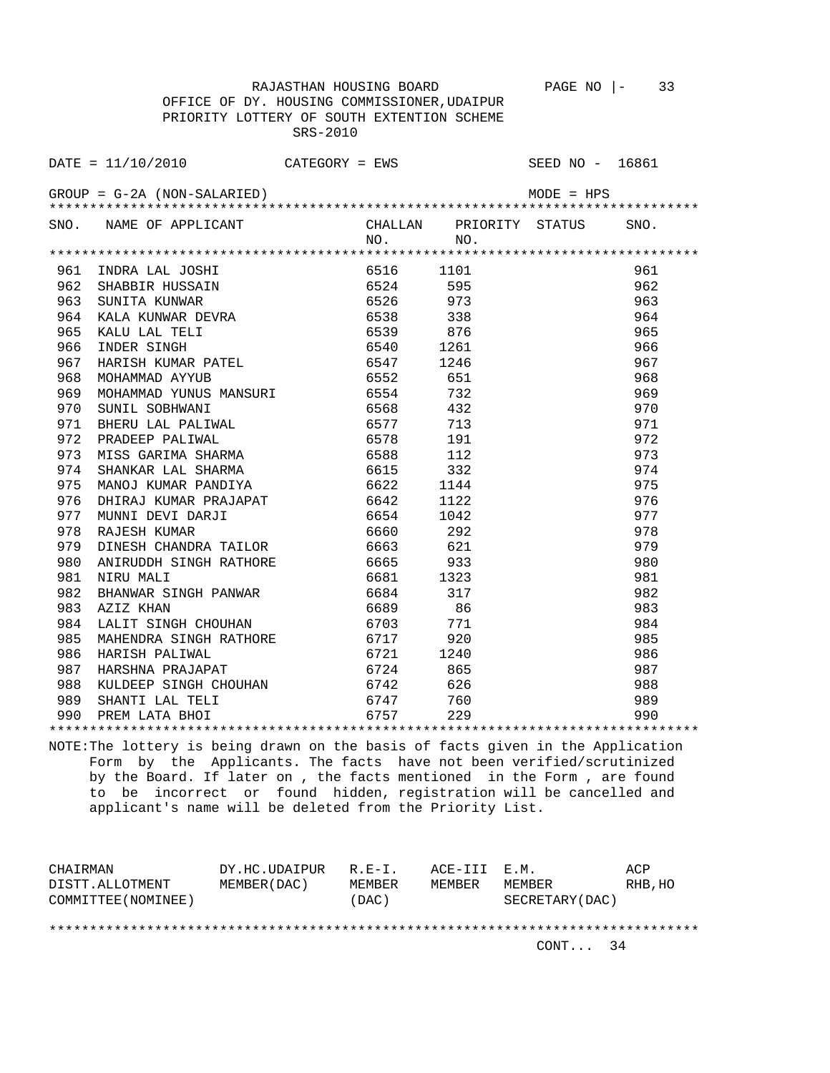OFFICE OF DY. HOUSING COMMISSIONER,UDAIPUR PRIORITY LOTTERY OF SOUTH EXTENTION SCHEME SRS-2010

|     | DATE = $11/10/2010$ CATEGORY = EWS SEED NO - 16861                                                                                                    |      |           |                                |      |
|-----|-------------------------------------------------------------------------------------------------------------------------------------------------------|------|-----------|--------------------------------|------|
|     | $GROUP = G-2A (NON-SALARIED)$                                                                                                                         |      |           |                                |      |
|     | SNO. NAME OF APPLICANT                                                                                                                                |      | NO.       | CHALLAN PRIORITY STATUS<br>NO. | SNO. |
|     |                                                                                                                                                       |      |           |                                |      |
| 961 | 1101<br>SHABBIR HUSSAIN<br>SUNITA KUNWAR DEVRA<br>KALA KUNWAR DEVRA 6538 338<br>KALU LAL TELI 6539 876<br>INDER SINGH 6540 1261                       |      |           |                                | 961  |
| 962 |                                                                                                                                                       |      |           |                                | 962  |
| 963 |                                                                                                                                                       |      |           |                                | 963  |
| 964 |                                                                                                                                                       |      |           |                                | 964  |
| 965 |                                                                                                                                                       |      |           |                                | 965  |
| 966 |                                                                                                                                                       |      |           |                                | 966  |
| 967 | HARISH KUMAR PATEL 6547 1246                                                                                                                          |      |           |                                | 967  |
| 968 | MOHAMMAD AYYUB                                                                                                                                        |      | 6552 651  |                                | 968  |
| 969 | MOHAMMAD YUNUS MANSURI 6554 732                                                                                                                       |      |           |                                | 969  |
| 970 | SUNIL SOBHWANI                                                                                                                                        |      | 6568 432  |                                | 970  |
| 971 |                                                                                                                                                       |      |           |                                | 971  |
| 972 | BHERU LAL PALIWAL 6577 713<br>PRADEEP PALIWAL 6578 191<br>MISS GARIMA SHARMA 6588 112<br>SHANKAR LAL SHARMA 6615 332<br>MANOJ KUMAR PANDIYA 6622 1144 |      |           |                                | 972  |
| 973 |                                                                                                                                                       |      |           |                                | 973  |
| 974 |                                                                                                                                                       |      |           |                                | 974  |
| 975 |                                                                                                                                                       |      |           |                                | 975  |
| 976 |                                                                                                                                                       |      | 6642      | 1122                           | 976  |
| 977 |                                                                                                                                                       |      | 6654      | 1042                           | 977  |
| 978 | DHIRAJ KUMAR PRAJAPAT<br>MUNNI DEVI DARJI<br>RAJESH KUMAR                                                                                             |      | 6660      | 292                            | 978  |
| 979 | DINESH CHANDRA TAILOR                                                                                                                                 |      | 6663 621  |                                | 979  |
| 980 | ANIRUDDH SINGH RATHORE 6665 933                                                                                                                       |      |           |                                | 980  |
| 981 | NIRU MALI                                                                                                                                             |      | 6681 1323 |                                | 981  |
| 982 | BHANWAR SINGH PANWAR                                                                                                                                  |      | 6684 317  |                                | 982  |
| 983 | AZIZ KHAN                                                                                                                                             |      | 6689      | 86                             | 983  |
| 984 | LALIT SINGH CHOUHAN 6703                                                                                                                              |      |           | 771                            | 984  |
| 985 | MAHENDRA SINGH RATHORE 6717 920                                                                                                                       |      |           |                                | 985  |
| 986 | HARISH PALIWAL                                                                                                                                        | 6721 |           | 1240                           | 986  |
| 987 | HARSHNA PRAJAPAT                                                                                                                                      |      | 6724      | 865                            | 987  |
| 988 | KULDEEP SINGH CHOUHAN 6742                                                                                                                            |      |           | 626                            | 988  |
|     |                                                                                                                                                       |      |           | 760                            | 989  |
|     | 989 SHANTI LAL TELI 6747<br>990 PREM LATA BHOI 6757                                                                                                   |      |           | 229                            | 990  |
|     |                                                                                                                                                       |      |           |                                |      |

NOTE:The lottery is being drawn on the basis of facts given in the Application Form by the Applicants. The facts have not been verified/scrutinized by the Board. If later on , the facts mentioned in the Form , are found to be incorrect or found hidden, registration will be cancelled and applicant's name will be deleted from the Priority List.

| CHAIRMAN            | DY.HC.UDAIPUR | $R.F - T$ . | ACE-III E.M. |                  | ACP     |
|---------------------|---------------|-------------|--------------|------------------|---------|
| DISTT.ALLOTMENT     | MEMBER (DAC)  | MEMBER      | MEMBER       | MEMBER           | RHB, HO |
| COMMITTEE (NOMINEE) |               | (DAC)       |              | SECRETARY (DAC ) |         |
|                     |               |             |              |                  |         |
|                     |               |             |              |                  |         |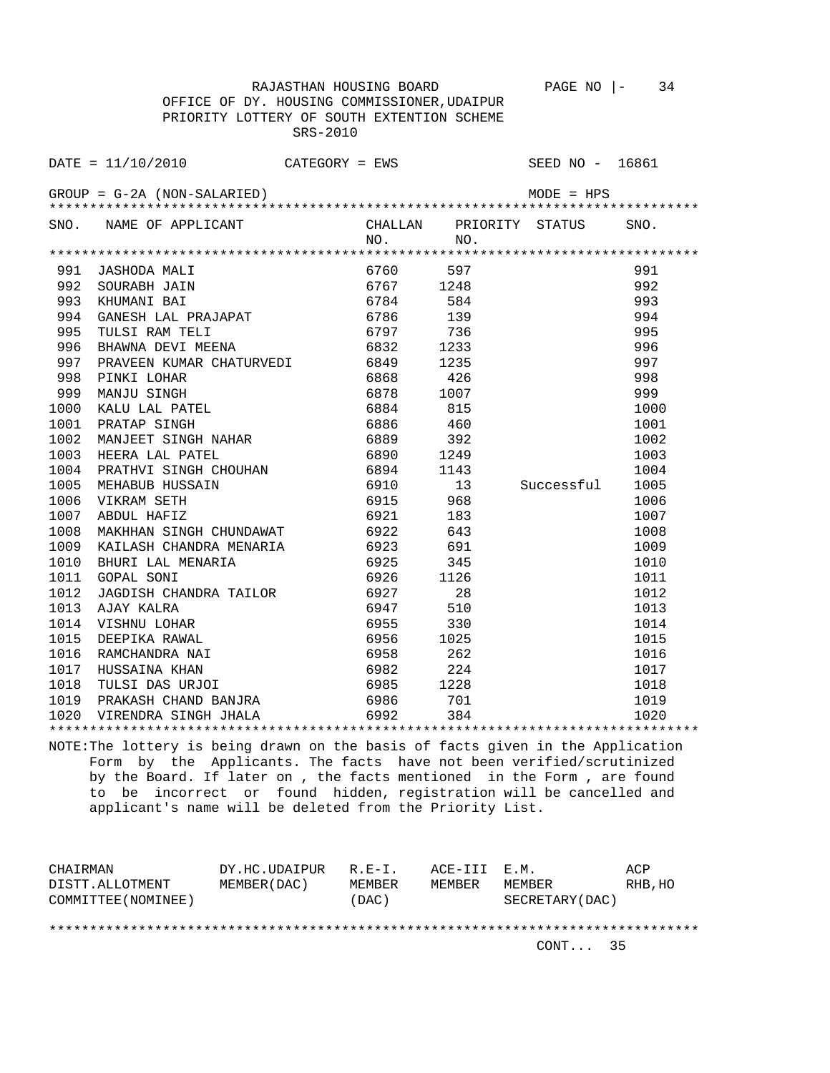RAJASTHAN HOUSING BOARD PAGE NO |- 34 OFFICE OF DY. HOUSING COMMISSIONER,UDAIPUR PRIORITY LOTTERY OF SOUTH EXTENTION SCHEME

SRS-2010

|      | $\texttt{DATE} = 11/10/2010$ CATEGORY = EWS |      |      |                                | SEED NO - 16861 |      |
|------|---------------------------------------------|------|------|--------------------------------|-----------------|------|
|      |                                             |      |      |                                |                 |      |
|      |                                             |      |      |                                |                 |      |
| SNO. | NAME OF APPLICANT                           |      | NO.  | CHALLAN PRIORITY STATUS<br>NO. |                 | SNO. |
|      |                                             |      |      |                                |                 |      |
| 991  | JASHODA MALI                                |      | 6760 | 597                            |                 | 991  |
| 992  | SOURABH JAIN                                |      | 6767 | 1248                           |                 | 992  |
| 993  | KHUMANI BAI                                 |      | 6784 | 584                            |                 | 993  |
| 994  | GANESH LAL PRAJAPAT                         |      | 6786 | 139                            |                 | 994  |
| 995  | TULSI RAM TELI                              |      | 6797 | 736                            |                 | 995  |
| 996  | BHAWNA DEVI MEENA                           |      | 6832 | 1233                           |                 | 996  |
| 997  | PRAVEEN KUMAR CHATURVEDI 6849               |      |      | 1235                           |                 | 997  |
| 998  | PINKI LOHAR                                 |      | 6868 | 426                            |                 | 998  |
| 999  | MANJU SINGH                                 |      | 6878 | 1007                           |                 | 999  |
| 1000 | KALU LAL PATEL                              |      | 6884 | 815                            |                 | 1000 |
| 1001 | PRATAP SINGH                                |      | 6886 | 460                            |                 | 1001 |
| 1002 | MANJEET SINGH NAHAR                         |      | 6889 | 392                            |                 | 1002 |
| 1003 | HEERA LAL PATEL                             |      | 6890 | 1249                           |                 | 1003 |
| 1004 | PRATHVI SINGH CHOUHAN                       |      | 6894 | 1143                           |                 | 1004 |
| 1005 | MEHABUB HUSSAIN                             |      | 6910 | 13                             | Successful      | 1005 |
| 1006 | VIKRAM SETH                                 |      | 6915 | 968                            |                 | 1006 |
| 1007 | ABDUL HAFIZ                                 |      | 6921 | 183                            |                 | 1007 |
| 1008 | MAKHHAN SINGH CHUNDAWAT                     |      | 6922 | 643                            |                 | 1008 |
| 1009 | KAILASH CHANDRA MENARIA                     |      | 6923 | 691                            |                 | 1009 |
| 1010 | BHURI LAL MENARIA                           |      | 6925 | 345                            |                 | 1010 |
| 1011 | <b>GOPAL SONI</b>                           |      | 6926 | 1126                           |                 | 1011 |
| 1012 | JAGDISH CHANDRA TAILOR                      | 6927 |      | 28                             |                 | 1012 |
| 1013 | AJAY KALRA                                  |      | 6947 | 510                            |                 | 1013 |
| 1014 | VISHNU LOHAR                                | 6955 |      | 330                            |                 | 1014 |
| 1015 | DEEPIKA RAWAL                               | 6956 |      | 1025                           |                 | 1015 |
| 1016 | RAMCHANDRA NAI                              | 6958 |      | 262                            |                 | 1016 |
| 1017 | HUSSAINA KHAN                               |      | 6982 | 224                            |                 | 1017 |
| 1018 | TULSI DAS URJOI                             |      | 6985 | 1228                           |                 | 1018 |
| 1019 | PRAKASH CHAND BANJRA                        |      | 6986 | 701                            |                 | 1019 |
|      | 1020 VIRENDRA SINGH JHALA                   |      | 6992 | 384                            |                 | 1020 |
|      |                                             |      |      |                                |                 |      |

NOTE:The lottery is being drawn on the basis of facts given in the Application Form by the Applicants. The facts have not been verified/scrutinized by the Board. If later on , the facts mentioned in the Form , are found to be incorrect or found hidden, registration will be cancelled and applicant's name will be deleted from the Priority List.

| CHAIRMAN            | DY.HC.UDAIPUR | $R.F - T$ . | ACE-III E.M. |                  | ACP     |
|---------------------|---------------|-------------|--------------|------------------|---------|
| DISTT.ALLOTMENT     | MEMBER (DAC)  | MEMBER      | MEMBER       | MEMBER           | RHB, HO |
| COMMITTEE (NOMINEE) |               | (DAC)       |              | SECRETARY (DAC ) |         |
|                     |               |             |              |                  |         |
|                     |               |             |              |                  |         |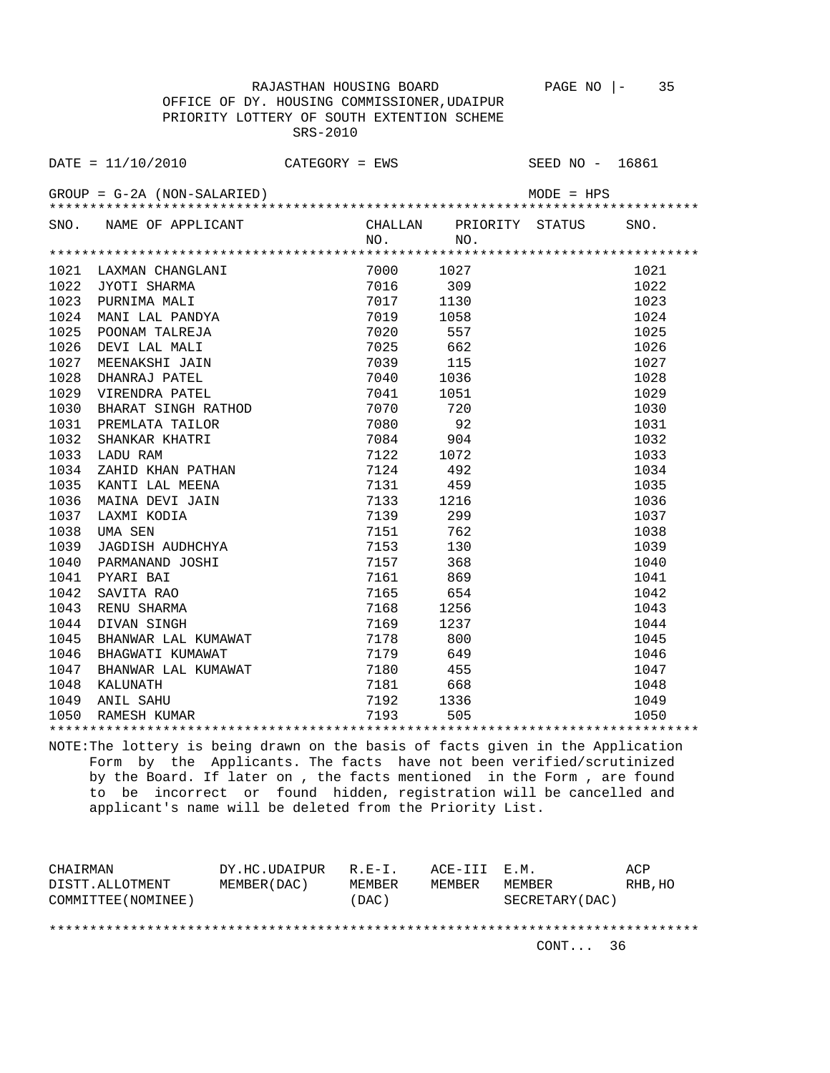OFFICE OF DY. HOUSING COMMISSIONER,UDAIPUR PRIORITY LOTTERY OF SOUTH EXTENTION SCHEME SRS-2010

|      | $\texttt{DATE} = 11/10/2010$ CATEGORY = EWS SEED NO - 16861                                             |                               |                                |              |      |
|------|---------------------------------------------------------------------------------------------------------|-------------------------------|--------------------------------|--------------|------|
|      | $GROUP = G-2A (NON-SALARIED)$                                                                           |                               |                                | $MODE = HPS$ |      |
|      | SNO. NAME OF APPLICANT                                                                                  | NO.                           | CHALLAN PRIORITY STATUS<br>NO. |              | SNO. |
|      |                                                                                                         |                               |                                |              |      |
| 1021 | LAXMAN CHANGLANI<br>JYOTI SHARMA<br>PURNIMA MALI<br>MANI LAL PANDYA                                     | 7000 1027                     |                                |              | 1021 |
| 1022 |                                                                                                         | 7016                          | 309                            |              | 1022 |
| 1023 |                                                                                                         | 7017 1130                     |                                |              | 1023 |
| 1024 |                                                                                                         | 7019 1058                     |                                |              | 1024 |
| 1025 | POONAM TALREJA                                                                                          | 7020 557                      |                                |              | 1025 |
| 1026 | DEVI LAL MALI                                                                                           | 7025 662                      |                                |              | 1026 |
| 1027 | MEENAKSHI JAIN                                                                                          | 7039 115                      |                                |              | 1027 |
| 1028 | DHANRAJ PATEL                                                                                           | 7040 1036                     |                                |              | 1028 |
| 1029 | VIRENDRA PATEL                                                                                          | 7041 1051                     |                                |              | 1029 |
| 1030 | BHARAT SINGH RATHOD                                                                                     | 7070 720                      |                                |              | 1030 |
| 1031 | PREMLATA TAILOR                                                                                         | 7080 92                       |                                |              | 1031 |
| 1032 | SHANKAR KHATRI                                                                                          | 7084 904                      |                                |              | 1032 |
| 1033 | LADU RAM                                                                                                | 7122 1072                     |                                |              | 1033 |
| 1034 | ZAHID KHAN PATHAN                                                                                       | 7124 492                      |                                |              | 1034 |
| 1035 | KANTI LAL MEENA                                                                                         | 7131 459                      |                                |              | 1035 |
| 1036 |                                                                                                         | 7133 1216                     |                                |              | 1036 |
| 1037 | MAINA DEVI JAIN<br>LAXMI KODIA                                                                          | 7139                          | 299                            |              | 1037 |
| 1038 | UMA SEN                                                                                                 | 7151                          | 762                            |              | 1038 |
| 1039 |                                                                                                         | 7153                          | 130                            |              | 1039 |
| 1040 | UMA SEN<br>JAGDISH AUDHCHYA<br>PARMANAND JOSHI<br>PYARI BAI<br>SAVITA RAO<br>RENU SHARMA<br>DIVAN SINGH | 7157                          | 368                            |              | 1040 |
| 1041 |                                                                                                         | 7161                          | 869                            |              | 1041 |
| 1042 |                                                                                                         | 7165                          | 654                            |              | 1042 |
| 1043 |                                                                                                         | 7168                          | 1256                           |              | 1043 |
| 1044 |                                                                                                         | 7169                          | 1237                           |              | 1044 |
| 1045 |                                                                                                         | , 10 <i>9</i><br>7178<br>7179 | 800                            |              | 1045 |
| 1046 | BHANWAR LAL KUMAWAT<br>BHAGWATI KUMAWAT<br>BHAGWATI KUMAWAT                                             |                               | 649                            |              | 1046 |
|      |                                                                                                         |                               |                                |              | 1047 |
|      |                                                                                                         |                               |                                |              | 1048 |
|      |                                                                                                         |                               |                                |              | 1049 |
|      |                                                                                                         |                               |                                |              | 1050 |
|      |                                                                                                         |                               |                                |              |      |

NOTE:The lottery is being drawn on the basis of facts given in the Application Form by the Applicants. The facts have not been verified/scrutinized by the Board. If later on , the facts mentioned in the Form , are found to be incorrect or found hidden, registration will be cancelled and applicant's name will be deleted from the Priority List.

| CHAIRMAN            | DY.HC.UDAIPUR | $R.F - T$ . | ACE-III E.M. |                 | ACP     |
|---------------------|---------------|-------------|--------------|-----------------|---------|
| DISTT.ALLOTMENT     | MEMBER (DAC ) | MEMBER      | MEMBER       | MEMBER          | RHB, HO |
| COMMITTEE (NOMINEE) |               | (DAC)       |              | SECRETARY (DAC) |         |
|                     |               |             |              |                 |         |
|                     |               |             |              |                 |         |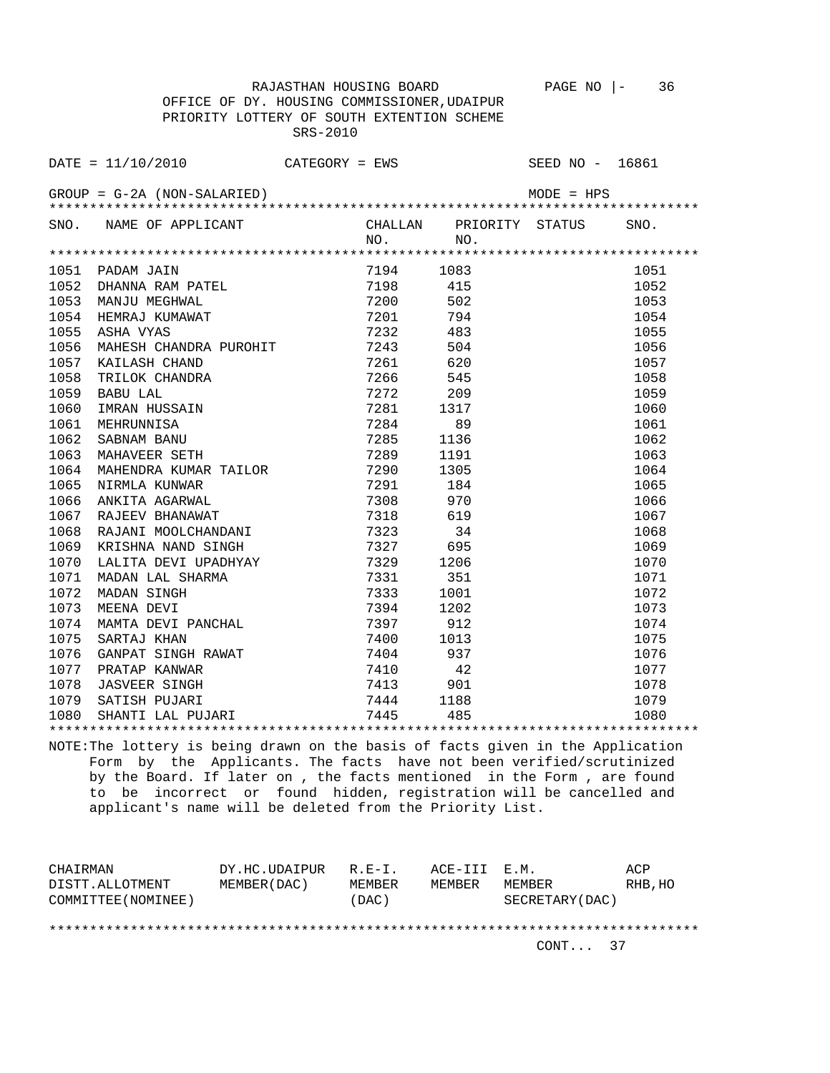OFFICE OF DY. HOUSING COMMISSIONER,UDAIPUR PRIORITY LOTTERY OF SOUTH EXTENTION SCHEME SRS-2010

|      | $\texttt{DATE} = 11/10/2010$ CATEGORY = EWS SEED NO - 16861                                                                                                                                                                    |                      |                                |              |      |
|------|--------------------------------------------------------------------------------------------------------------------------------------------------------------------------------------------------------------------------------|----------------------|--------------------------------|--------------|------|
|      | $GROUP = G-2A (NON-SALARIED)$                                                                                                                                                                                                  |                      |                                | $MODE = HPS$ |      |
|      | SNO. NAME OF APPLICANT                                                                                                                                                                                                         | NO.                  | CHALLAN PRIORITY STATUS<br>NO. |              | SNO. |
|      |                                                                                                                                                                                                                                |                      |                                |              |      |
|      | 1051 PADAM JAIN                                                                                                                                                                                                                | 7194 1083            |                                |              | 1051 |
| 1052 | PADAM JAIN<br>DHANNA RAM PATEL<br>MANJU MEGHWAL<br>HEMRAJ KUMAWAT<br>ASHA VYAS<br>MAURGU GUILLE                                                                                                                                | 7198                 | 415                            |              | 1052 |
| 1053 |                                                                                                                                                                                                                                | 7200                 | 502                            |              | 1053 |
| 1054 |                                                                                                                                                                                                                                | 7201                 | 794                            |              | 1054 |
| 1055 |                                                                                                                                                                                                                                | 7232                 | 483                            |              | 1055 |
| 1056 | MAHESH CHANDRA PUROHIT 7243                                                                                                                                                                                                    |                      | 504                            |              | 1056 |
| 1057 | KAILASH CHAND                                                                                                                                                                                                                  | 7261 620             |                                |              | 1057 |
| 1058 | KAILASH CHAND<br>TRILOK CHANDRA                                                                                                                                                                                                | 7266 545             |                                |              | 1058 |
| 1059 | DABU LAL<br>IMRAN HUSSAIN<br>MEHRUNNISA<br>SABNAM BANU<br>MAHAVEER SETH<br>MAHENDRA KINGRA                                                                                                                                     | 7272 209             |                                |              | 1059 |
| 1060 |                                                                                                                                                                                                                                | 7281 1317            |                                |              | 1060 |
| 1061 |                                                                                                                                                                                                                                | 7284 89              |                                |              | 1061 |
| 1062 |                                                                                                                                                                                                                                | 7285                 | 1136                           |              | 1062 |
| 1063 |                                                                                                                                                                                                                                | 7289 1191            |                                |              | 1063 |
| 1064 | MAHENDRA KUMAR TAILOR 7290 1305                                                                                                                                                                                                |                      |                                |              | 1064 |
| 1065 | EXAMPLE THE MANUSCRIPT OF THE MANUSCRIPT OF THE MANUSCRIPT OF THE MANUSCRIPT OF THE MANUSCRIPT OF THE MANUSCRIPT OF THE MANUSCRIPT OF THE MANUSCRIPT OF THE MANUSCRIPT OF THE MANUSCRIPT OF THE MANUSCRIPT OF THE MANUSCRIPT O |                      |                                |              | 1065 |
| 1066 |                                                                                                                                                                                                                                |                      |                                |              | 1066 |
| 1067 |                                                                                                                                                                                                                                |                      |                                |              | 1067 |
| 1068 | RAJANI MOOLCHANDANI                                                                                                                                                                                                            | 7323                 | 34                             |              | 1068 |
| 1069 | KRISHNA NAND SINGH                                                                                                                                                                                                             |                      | 695                            |              | 1069 |
| 1070 |                                                                                                                                                                                                                                |                      | 1206                           |              | 1070 |
| 1071 | LALITA DEVI UPADHYAY<br>MADAN LAL SHARMA<br>MADAN SINGH<br>MEENA DEVI                                                                                                                                                          | 7327<br>7329<br>7331 | 351                            |              | 1071 |
| 1072 |                                                                                                                                                                                                                                | 7333                 | 1001                           |              | 1072 |
| 1073 | MEENA DEVI                                                                                                                                                                                                                     | 7394                 | 1202                           |              | 1073 |
| 1074 | MAMTA DEVI PANCHAL                                                                                                                                                                                                             | 7397                 | 912                            |              | 1074 |
|      |                                                                                                                                                                                                                                |                      |                                |              | 1075 |
|      |                                                                                                                                                                                                                                |                      |                                |              | 1076 |
|      |                                                                                                                                                                                                                                |                      |                                |              | 1077 |
|      |                                                                                                                                                                                                                                |                      |                                |              | 1078 |
|      |                                                                                                                                                                                                                                |                      |                                |              | 1079 |
|      |                                                                                                                                                                                                                                |                      |                                |              | 1080 |
|      |                                                                                                                                                                                                                                |                      |                                |              |      |

NOTE:The lottery is being drawn on the basis of facts given in the Application Form by the Applicants. The facts have not been verified/scrutinized by the Board. If later on , the facts mentioned in the Form , are found to be incorrect or found hidden, registration will be cancelled and applicant's name will be deleted from the Priority List.

| CHAIRMAN            | DY.HC.UDAIPUR | $R.F - T$ . | ACE-III E.M. |                  | ACP     |
|---------------------|---------------|-------------|--------------|------------------|---------|
| DISTT.ALLOTMENT     | MEMBER (DAC)  | MEMBER      | MEMBER       | MEMBER           | RHB, HO |
| COMMITTEE (NOMINEE) |               | (DAC)       |              | SECRETARY (DAC ) |         |
|                     |               |             |              |                  |         |
|                     |               |             |              |                  |         |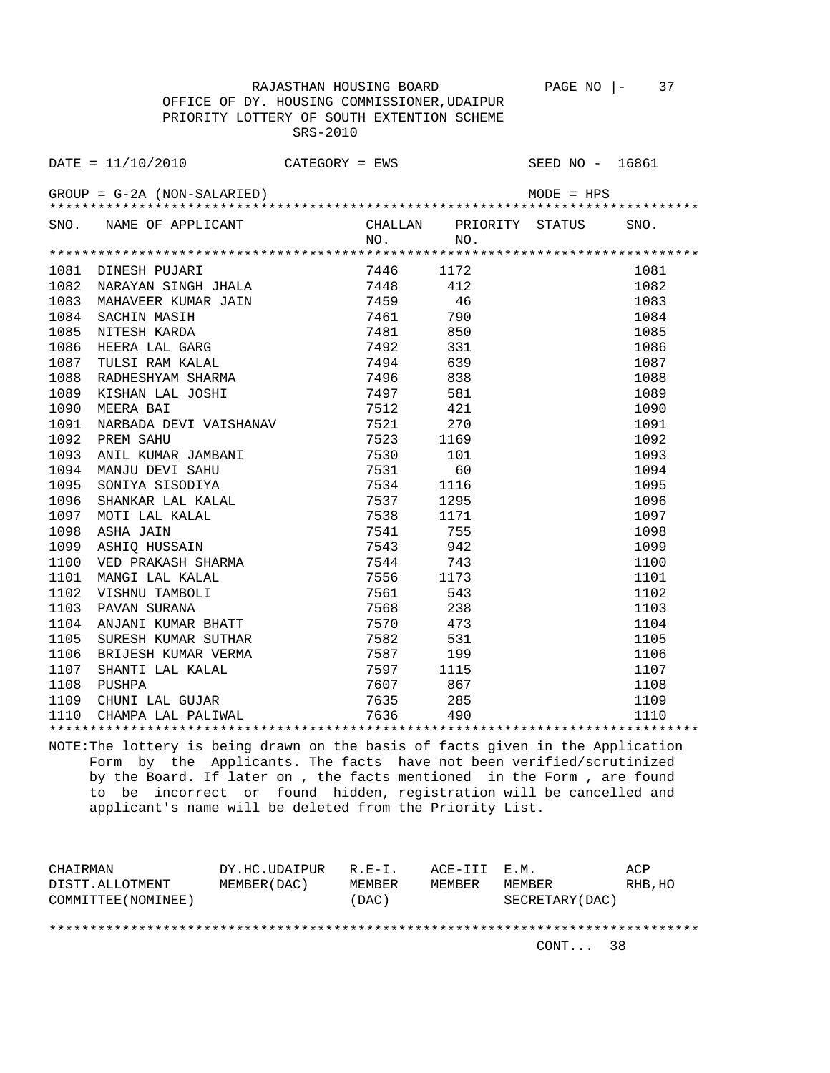OFFICE OF DY. HOUSING COMMISSIONER,UDAIPUR PRIORITY LOTTERY OF SOUTH EXTENTION SCHEME SRS-2010

|      | DATE = 11/10/2010 CATEGORY = EWS SEED NO - 16861                                                                                                                                                                                                                     |             |                         |      |
|------|----------------------------------------------------------------------------------------------------------------------------------------------------------------------------------------------------------------------------------------------------------------------|-------------|-------------------------|------|
|      | $GROUP = G-2A (NON-SALARIED)$                                                                                                                                                                                                                                        |             | $MODE = HPS$            |      |
|      | SNO. NAME OF APPLICANT                                                                                                                                                                                                                                               | $NO.$ $NO.$ | CHALLAN PRIORITY STATUS | SNO. |
|      |                                                                                                                                                                                                                                                                      |             |                         |      |
|      | DINESH PUJARI 7446 1172<br>NARAYAN SINGH JHALA 7448 412<br>MAHAVEER KUMAR JAIN 7459 46<br>SACHIN MASIH 7461 790<br>NITESH KARDA 7481 850<br>HEERA LAL GARG 7492 331<br>TULSI RAM KALAL 7494 639<br>RADHESHYAM SHARMA 7496 838<br>KISHAN LAL JO<br>1081 DINESH PUJARI |             |                         | 1081 |
| 1082 |                                                                                                                                                                                                                                                                      |             |                         | 1082 |
| 1083 |                                                                                                                                                                                                                                                                      |             |                         | 1083 |
| 1084 |                                                                                                                                                                                                                                                                      |             |                         | 1084 |
| 1085 |                                                                                                                                                                                                                                                                      |             |                         | 1085 |
| 1086 |                                                                                                                                                                                                                                                                      |             |                         | 1086 |
| 1087 |                                                                                                                                                                                                                                                                      |             |                         | 1087 |
| 1088 |                                                                                                                                                                                                                                                                      |             |                         | 1088 |
| 1089 | XISHAN LAL JOSHI 7497 581<br>MEERA BAI 7512 421                                                                                                                                                                                                                      |             |                         | 1089 |
| 1090 |                                                                                                                                                                                                                                                                      |             |                         | 1090 |
| 1091 | NARBADA DEVI VAISHANAV 7521 270                                                                                                                                                                                                                                      |             |                         | 1091 |
| 1092 | PREM SAHU                                                                                                                                                                                                                                                            | 7523 1169   |                         | 1092 |
| 1093 | ANIL KUMAR JAMBANI 7530 101<br>MANJU DEVI SAHU 7531 60<br>SONIYA SISODIYA 7534 1116                                                                                                                                                                                  |             |                         | 1093 |
| 1094 |                                                                                                                                                                                                                                                                      |             |                         | 1094 |
| 1095 |                                                                                                                                                                                                                                                                      |             |                         | 1095 |
| 1096 |                                                                                                                                                                                                                                                                      |             |                         | 1096 |
| 1097 |                                                                                                                                                                                                                                                                      |             |                         | 1097 |
| 1098 |                                                                                                                                                                                                                                                                      |             |                         | 1098 |
| 1099 |                                                                                                                                                                                                                                                                      |             |                         | 1099 |
| 1100 |                                                                                                                                                                                                                                                                      |             |                         | 1100 |
|      |                                                                                                                                                                                                                                                                      |             |                         | 1101 |
|      |                                                                                                                                                                                                                                                                      |             |                         | 1102 |
|      |                                                                                                                                                                                                                                                                      |             |                         | 1103 |
|      |                                                                                                                                                                                                                                                                      |             |                         | 1104 |
|      |                                                                                                                                                                                                                                                                      |             |                         | 1105 |
|      |                                                                                                                                                                                                                                                                      |             |                         | 1106 |
|      | 101 MANGI LAL KALAL 7556 1173<br>1101 MANGI LAL KALAL 7556 1173<br>1102 VISHNU TAMBOLI 7561 543<br>1103 PAVAN SURANA 7568 238<br>1104 ANJANI KUMAR BHATT 7570 473<br>1105 SURESH KUMAR SUTHAR 7582 531<br>1106 BRIJESH KUMAR VERMA 7587 19                           |             |                         | 1107 |
|      |                                                                                                                                                                                                                                                                      |             |                         | 1108 |
|      |                                                                                                                                                                                                                                                                      |             |                         | 1109 |
|      |                                                                                                                                                                                                                                                                      |             |                         | 1110 |
|      |                                                                                                                                                                                                                                                                      |             |                         |      |

NOTE:The lottery is being drawn on the basis of facts given in the Application Form by the Applicants. The facts have not been verified/scrutinized by the Board. If later on , the facts mentioned in the Form , are found to be incorrect or found hidden, registration will be cancelled and applicant's name will be deleted from the Priority List.

| CHAIRMAN            | DY.HC.UDAIPUR | $R.E-I.$ | ACE-III E.M. |                 | ACP     |
|---------------------|---------------|----------|--------------|-----------------|---------|
| DISTT.ALLOTMENT     | MEMBER (DAC)  | MEMBER   | MEMBER       | MEMBER          | RHB, HO |
| COMMITTEE (NOMINEE) |               | (DAC)    |              | SECRETARY (DAC) |         |
|                     |               |          |              |                 |         |
|                     |               |          |              |                 |         |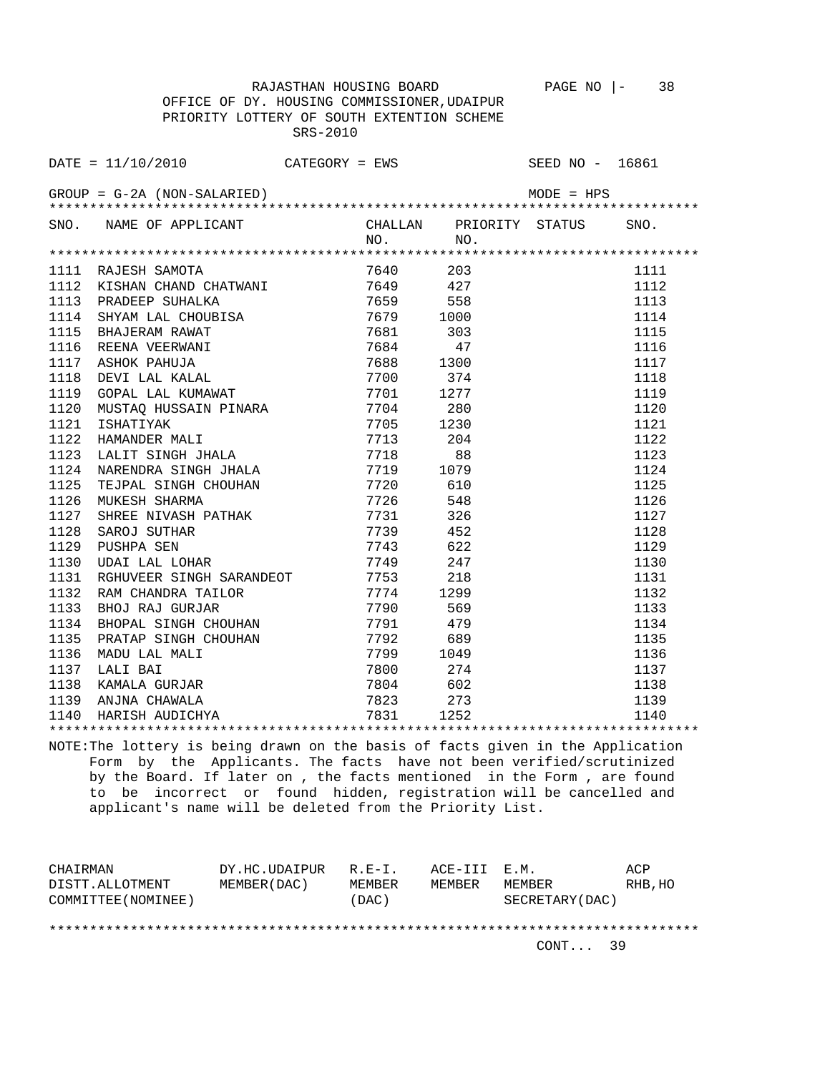OFFICE OF DY. HOUSING COMMISSIONER,UDAIPUR PRIORITY LOTTERY OF SOUTH EXTENTION SCHEME SRS-2010

|      | DATE = 11/10/2010 CATEGORY = EWS SEED NO - 16861                                                                                                                                                                                                                     |      |          |                         |              |      |
|------|----------------------------------------------------------------------------------------------------------------------------------------------------------------------------------------------------------------------------------------------------------------------|------|----------|-------------------------|--------------|------|
|      | $GROUP = G-2A (NON-SALARIED)$                                                                                                                                                                                                                                        |      |          |                         | $MODE = HPS$ |      |
|      | SNO. NAME OF APPLICANT                                                                                                                                                                                                                                               |      |          | CHALLAN PRIORITY STATUS |              | SNO. |
|      |                                                                                                                                                                                                                                                                      |      | NO.      | NO.                     |              |      |
| 1111 |                                                                                                                                                                                                                                                                      |      |          |                         |              | 1111 |
| 1112 | RAJESH SAMOTA                                                                                                                                                                                                                                                        |      | 7640     | 203                     |              | 1112 |
| 1113 | KISHAN CHAND CHATWANI 7649 427                                                                                                                                                                                                                                       |      |          |                         |              | 1113 |
| 1114 |                                                                                                                                                                                                                                                                      |      |          |                         |              | 1114 |
| 1115 |                                                                                                                                                                                                                                                                      |      |          |                         |              | 1115 |
| 1116 | PRADEEP SUHALKA<br>PRADEEP SUHALKA<br>SHYAM LAL CHOUBISA<br>BHAJERAM RAWAT<br>REENA VEERWANI 7681 303<br>REENA VEERWANI 7684 47<br>ASHOK PAHUJA 7688 1300<br>DEVI LAL KALAL 7700 374<br>GOPAL LAL KUMAWAT 7701 1277                                                  |      |          |                         |              | 1116 |
| 1117 |                                                                                                                                                                                                                                                                      |      |          |                         |              | 1117 |
| 1118 |                                                                                                                                                                                                                                                                      |      |          |                         |              | 1118 |
| 1119 |                                                                                                                                                                                                                                                                      |      |          |                         |              | 1119 |
| 1120 |                                                                                                                                                                                                                                                                      |      |          |                         |              | 1120 |
|      |                                                                                                                                                                                                                                                                      |      |          |                         |              |      |
| 1121 |                                                                                                                                                                                                                                                                      |      | 7713 204 |                         |              | 1121 |
| 1122 | HAMANDER MALI<br>LALIT SINGH JHALA 7718                                                                                                                                                                                                                              |      |          |                         |              | 1122 |
| 1123 |                                                                                                                                                                                                                                                                      |      |          | 88                      |              | 1123 |
| 1124 | NARENDRA SINGH JHALA 7719 1079                                                                                                                                                                                                                                       |      |          |                         |              | 1124 |
| 1125 | TEJPAL SINGH CHOUHAN 7720 610                                                                                                                                                                                                                                        |      |          |                         |              | 1125 |
| 1126 | MUKESH SHARMA                                                                                                                                                                                                                                                        |      | 7726 548 |                         |              | 1126 |
| 1127 | SHREE NIVASH PATHAK 7731                                                                                                                                                                                                                                             |      |          | 326                     |              | 1127 |
| 1128 | SAROJ SUTHAR                                                                                                                                                                                                                                                         | 7739 |          | 452                     |              | 1128 |
| 1129 | PUSHPA SEN                                                                                                                                                                                                                                                           | 7743 |          | 622                     |              | 1129 |
| 1130 | UDAI LAL LOHAR                                                                                                                                                                                                                                                       |      | 7749     | 247                     |              | 1130 |
| 1131 | RGHUVEER SINGH SARANDEOT 7753                                                                                                                                                                                                                                        |      |          | 218                     |              | 1131 |
| 1132 | RAM CHANDRA TAILOR                                                                                                                                                                                                                                                   |      | 7774     | 1299                    |              | 1132 |
| 1133 |                                                                                                                                                                                                                                                                      |      |          |                         |              | 1133 |
| 1134 |                                                                                                                                                                                                                                                                      |      |          |                         |              | 1134 |
| 1135 |                                                                                                                                                                                                                                                                      |      |          |                         |              | 1135 |
| 1136 |                                                                                                                                                                                                                                                                      |      |          |                         |              | 1136 |
| 1137 |                                                                                                                                                                                                                                                                      |      |          |                         |              | 1137 |
| 1138 |                                                                                                                                                                                                                                                                      |      |          |                         |              | 1138 |
|      | BHOJ RAJ GURJAR 7790 569<br>BHOPAL SINGH CHOUHAN 7791 479<br>PRATAP SINGH CHOUHAN 7792 689<br>MADU LAL MALI 7799 1049<br>LALI BAI 7800 274<br>KAMALA GURJAR 7804 602<br>ANJNA CHAWALA 7823 273<br>HARISH AUDICHYA 7831 1252<br>***************<br>1139 ANJNA CHAWALA |      |          |                         |              | 1139 |
|      | 1140 HARISH AUDICHYA                                                                                                                                                                                                                                                 |      |          |                         |              | 1140 |
|      |                                                                                                                                                                                                                                                                      |      |          |                         |              |      |

NOTE:The lottery is being drawn on the basis of facts given in the Application Form by the Applicants. The facts have not been verified/scrutinized by the Board. If later on , the facts mentioned in the Form , are found to be incorrect or found hidden, registration will be cancelled and applicant's name will be deleted from the Priority List.

| CHAIRMAN            | DY.HC.UDAIPUR | $R.F - T$ | ACE-III E.M. |                 | ACP     |
|---------------------|---------------|-----------|--------------|-----------------|---------|
| DISTT.ALLOTMENT     | MEMBER (DAC)  | MEMBER    | MEMBER       | MEMBER          | RHB, HO |
| COMMITTEE (NOMINEE) |               | (DAC)     |              | SECRETARY (DAC) |         |
|                     |               |           |              |                 |         |
|                     |               |           |              |                 |         |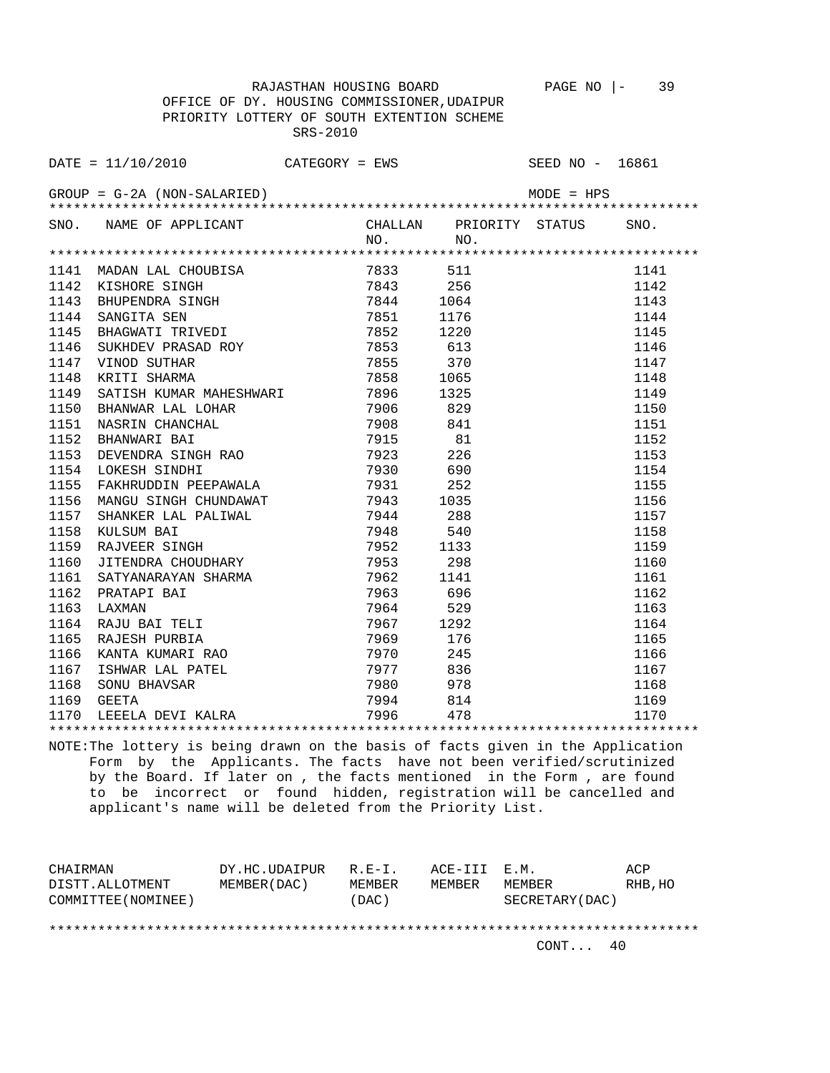RAJASTHAN HOUSING BOARD PAGE NO |- 39 OFFICE OF DY. HOUSING COMMISSIONER,UDAIPUR PRIORITY LOTTERY OF SOUTH EXTENTION SCHEME

SRS-2010

|      | SNO. NAME OF APPLICANT                                                                                                                                                                  |      | NO.                                         | CHALLAN PRIORITY STATUS SNO.<br>NO. |      |
|------|-----------------------------------------------------------------------------------------------------------------------------------------------------------------------------------------|------|---------------------------------------------|-------------------------------------|------|
|      |                                                                                                                                                                                         |      |                                             |                                     |      |
|      | 1141 MADAN LAL CHOUBISA<br>1142 KISHORE SINGH<br>1143 BHUPENDRA SINGH<br>1144 SANGITA SEN<br>1145 BHAGWATI TRIVEDI<br>1146 SUKHDEV PRASAD ROY<br>1147 VINOD SUTHAR<br>1148 KRITI SHARMA |      | 7833 511                                    |                                     | 1141 |
|      |                                                                                                                                                                                         |      | 7843                                        | 256                                 | 1142 |
|      |                                                                                                                                                                                         |      | 7844 1064                                   |                                     | 1143 |
|      |                                                                                                                                                                                         |      | 7851                                        | 1176                                | 1144 |
|      |                                                                                                                                                                                         |      | 7852                                        | 1220                                | 1145 |
|      |                                                                                                                                                                                         |      | 7852<br>7853<br>7855                        | 613                                 | 1146 |
|      |                                                                                                                                                                                         |      |                                             | 370                                 | 1147 |
|      |                                                                                                                                                                                         |      | 7858                                        | 1065                                | 1148 |
| 1149 | KRITI SHARMA<br>SATISH KUMAR MAHESHWARI 7896<br>BHANWAR LAL LOHAR 7906<br>NASRIN CHANCHAL 7908<br>BHANWARI BAI 7915                                                                     |      |                                             | 1325                                | 1149 |
| 1150 |                                                                                                                                                                                         |      |                                             | 829                                 | 1150 |
| 1151 |                                                                                                                                                                                         |      |                                             | 841                                 | 1151 |
| 1152 |                                                                                                                                                                                         |      |                                             | 81                                  | 1152 |
| 1153 | DEVENDRA SINGH RAO<br>LOKESH SINGH RAO<br>1930 1000                                                                                                                                     |      |                                             | 226                                 | 1153 |
| 1154 |                                                                                                                                                                                         |      | 7930                                        | 690                                 | 1154 |
| 1155 | FAKHRUDDIN PEEPAWALA                                                                                                                                                                    |      | 7931                                        | 252                                 | 1155 |
| 1156 | MANGU SINGH CHUNDAWAT                                                                                                                                                                   |      | $7943$ $1035$<br>$7944$ $288$<br>$7948$ 540 |                                     | 1156 |
| 1157 | SHANKER LAL PALIWAL                                                                                                                                                                     |      |                                             |                                     | 1157 |
| 1158 |                                                                                                                                                                                         |      |                                             |                                     | 1158 |
| 1159 | KULSUM BAI<br>RAJVEER SINGH<br>TITUL                                                                                                                                                    |      | 7952                                        | 1133                                | 1159 |
| 1160 | JITENDRA CHOUDHARY                                                                                                                                                                      | 7953 |                                             | 298                                 | 1160 |
| 1161 |                                                                                                                                                                                         |      |                                             | 1141                                | 1161 |
| 1162 |                                                                                                                                                                                         |      | 7963 696                                    |                                     | 1162 |
| 1163 |                                                                                                                                                                                         |      |                                             | 529                                 | 1163 |
| 1164 | RAJU BAI TELI                                                                                                                                                                           |      | 7967 1292                                   |                                     | 1164 |
| 1165 | RAJESH PURBIA                                                                                                                                                                           |      | 7969 176                                    |                                     | 1165 |
|      |                                                                                                                                                                                         |      |                                             |                                     | 1166 |
|      |                                                                                                                                                                                         |      |                                             |                                     | 1167 |
|      |                                                                                                                                                                                         |      |                                             |                                     | 1168 |
|      | 1165 KAUESH PUKBIA<br>1166 KANTA KUMARI RAO 7970 245<br>1167 ISHWAR LAL PATEL 7977 836<br>1168 SONU BHAVSAR 7980 978<br>1169 GEETA 7994 814<br>1170 LEEELA DEVI KALRA 7996 478          |      | 7994 814                                    |                                     | 1169 |
|      |                                                                                                                                                                                         |      |                                             |                                     | 1170 |
|      |                                                                                                                                                                                         |      |                                             |                                     |      |

NOTE:The lottery is being drawn on the basis of facts given in the Application Form by the Applicants. The facts have not been verified/scrutinized by the Board. If later on , the facts mentioned in the Form , are found to be incorrect or found hidden, registration will be cancelled and applicant's name will be deleted from the Priority List.

| CHAIRMAN            | DY.HC.UDAIPUR | $R.F - T$ . | ACE-III E.M. |                 | ACP     |
|---------------------|---------------|-------------|--------------|-----------------|---------|
| DISTT.ALLOTMENT     | MEMBER (DAC)  | MEMBER      | MEMBER       | MEMBER          | RHB, HO |
| COMMITTEE (NOMINEE) |               | (DAC)       |              | SECRETARY (DAC) |         |
|                     |               |             |              |                 |         |
|                     |               |             |              |                 |         |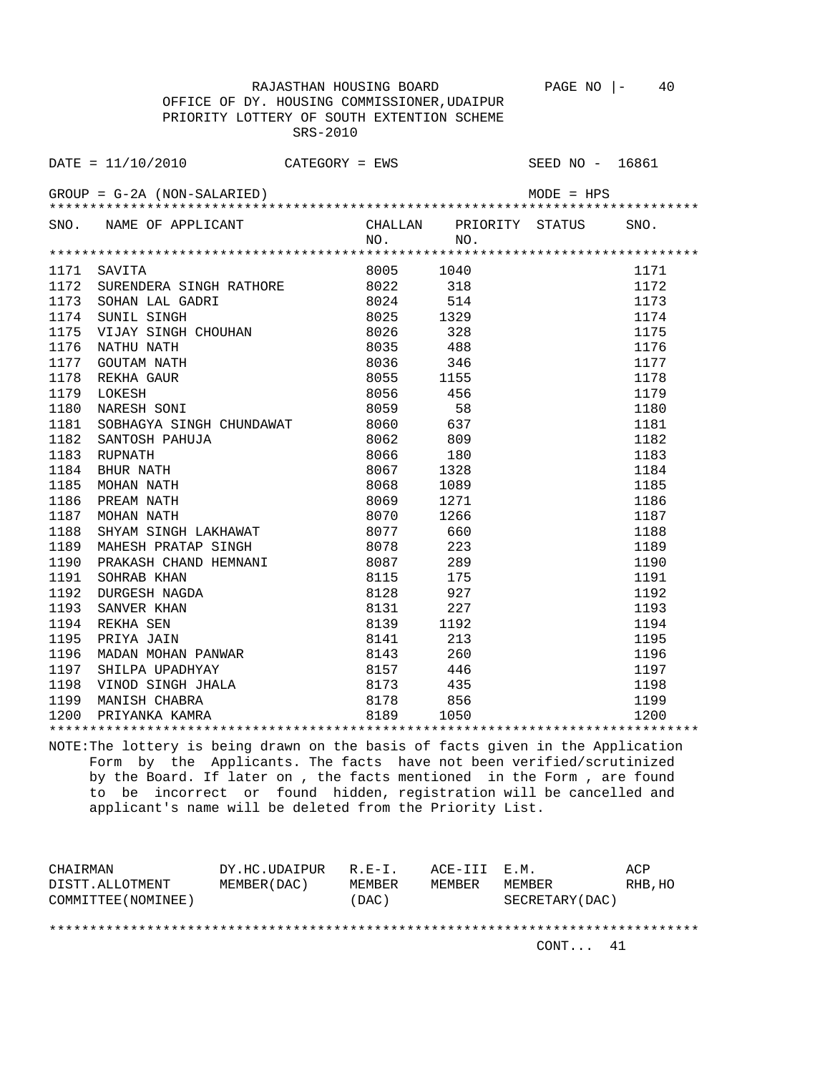OFFICE OF DY. HOUSING COMMISSIONER,UDAIPUR PRIORITY LOTTERY OF SOUTH EXTENTION SCHEME SRS-2010

|      | DATE = $11/10/2010$ CATEGORY = EWS SEED NO - 16861                                                                                                                                                                                            |           |     |      |
|------|-----------------------------------------------------------------------------------------------------------------------------------------------------------------------------------------------------------------------------------------------|-----------|-----|------|
|      |                                                                                                                                                                                                                                               |           |     |      |
|      | SNO. NAME OF APPLICANT CHALLAN PRIORITY STATUS                                                                                                                                                                                                | NO.       | NO. | SNO. |
|      |                                                                                                                                                                                                                                               |           |     |      |
|      | 1171 SAVITA                                                                                                                                                                                                                                   | 8005 1040 |     | 1171 |
|      |                                                                                                                                                                                                                                               |           |     | 1172 |
|      |                                                                                                                                                                                                                                               |           |     | 1173 |
|      |                                                                                                                                                                                                                                               |           |     | 1174 |
|      |                                                                                                                                                                                                                                               |           |     | 1175 |
|      |                                                                                                                                                                                                                                               |           |     | 1176 |
|      |                                                                                                                                                                                                                                               |           |     | 1177 |
|      |                                                                                                                                                                                                                                               |           |     | 1178 |
|      |                                                                                                                                                                                                                                               |           |     | 1179 |
|      |                                                                                                                                                                                                                                               |           |     | 1180 |
| 1181 | SOBHAGYA SINGH CHUNDAWAT 8060 637                                                                                                                                                                                                             |           |     | 1181 |
| 1182 | HUJA 8062 809<br>HUJA 8062 809<br>8066 180<br>8067 1328<br>8068 1089<br>8069 1271<br>3JAKUALLAT<br>SANTOSH PAHUJA                                                                                                                             |           |     | 1182 |
| 1183 | RUPNATH                                                                                                                                                                                                                                       |           |     | 1183 |
| 1184 | BHUR NATH                                                                                                                                                                                                                                     |           |     | 1184 |
| 1185 | MOHAN NATH                                                                                                                                                                                                                                    |           |     | 1185 |
| 1186 | PREAM NATH                                                                                                                                                                                                                                    |           |     | 1186 |
| 1187 | MOHAN NATH                                                                                                                                                                                                                                    |           |     | 1187 |
| 1188 | SHYAM SINGH LAKHAWAT                                                                                                                                                                                                                          |           |     | 1188 |
| 1189 | SHYAM SINGH LAKHAWAT 8077 660<br>MAHESH PRATAP SINGH 8078 223                                                                                                                                                                                 |           |     | 1189 |
| 1190 |                                                                                                                                                                                                                                               |           |     | 1190 |
| 1191 |                                                                                                                                                                                                                                               |           |     | 1191 |
| 1192 |                                                                                                                                                                                                                                               |           |     | 1192 |
| 1193 |                                                                                                                                                                                                                                               |           |     | 1193 |
| 1194 |                                                                                                                                                                                                                                               |           |     | 1194 |
| 1195 |                                                                                                                                                                                                                                               |           |     | 1195 |
| 1196 |                                                                                                                                                                                                                                               |           |     | 1196 |
| 1197 |                                                                                                                                                                                                                                               |           |     | 1197 |
| 1198 |                                                                                                                                                                                                                                               |           |     | 1198 |
| 1199 | MAHESH PRATAP SINGH 8078 223<br>PRAKASH CHAND HEMNANI 8087 289<br>SOHRAB KHAN 8115 175<br>DURGESH NAGDA 8128 927<br>SANVER KHAN 8131 227<br>REKHA SEN 8139 1192<br>PRIYA JAIN 8141 213<br>MADAN MOHAN PANWAR 8143 260<br>SHILPA UPADHYAY 8157 |           |     | 1199 |
| 1200 |                                                                                                                                                                                                                                               |           |     | 1200 |
|      |                                                                                                                                                                                                                                               |           |     |      |

NOTE:The lottery is being drawn on the basis of facts given in the Application Form by the Applicants. The facts have not been verified/scrutinized by the Board. If later on , the facts mentioned in the Form , are found to be incorrect or found hidden, registration will be cancelled and applicant's name will be deleted from the Priority List.

| CHAIRMAN            | DY.HC.UDAIPUR | $R.F - T$ . | ACE-III E.M. |                  | ACP     |
|---------------------|---------------|-------------|--------------|------------------|---------|
| DISTT.ALLOTMENT     | MEMBER (DAC)  | MEMBER      | MEMBER       | MEMBER           | RHB, HO |
| COMMITTEE (NOMINEE) |               | (DAC)       |              | SECRETARY (DAC ) |         |
|                     |               |             |              |                  |         |
|                     |               |             |              |                  |         |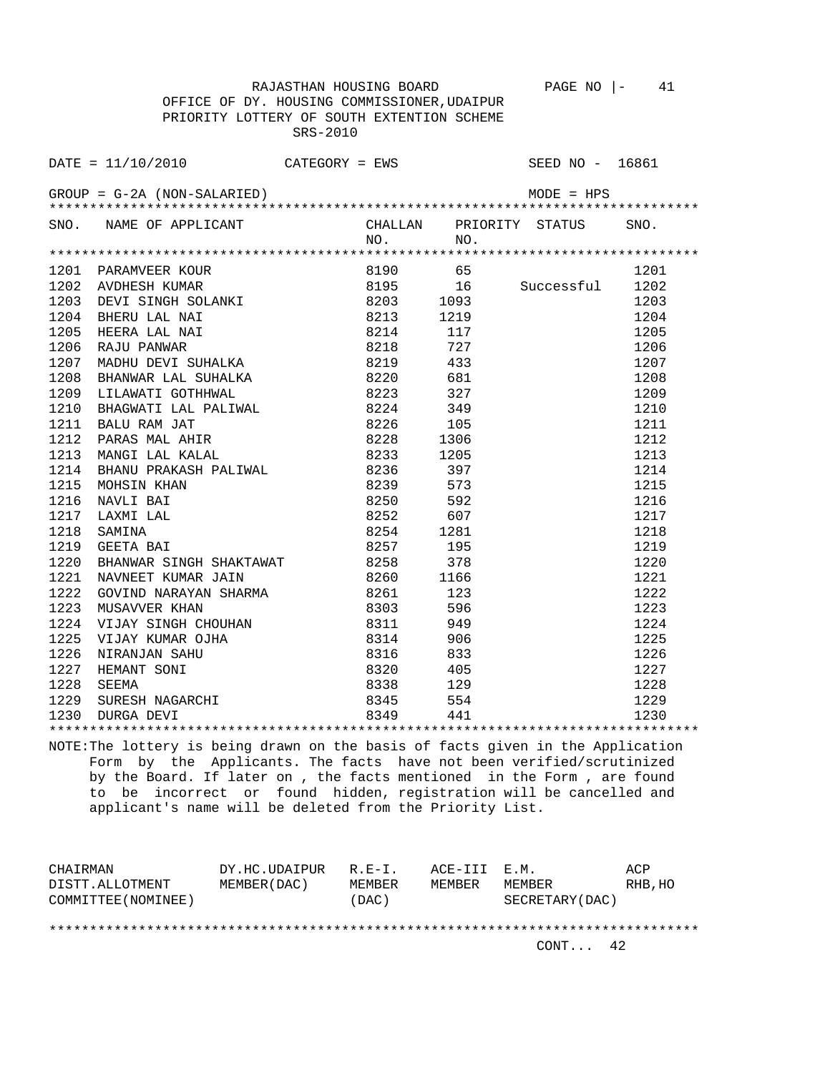RAJASTHAN HOUSING BOARD PAGE NO |- 41 OFFICE OF DY. HOUSING COMMISSIONER,UDAIPUR PRIORITY LOTTERY OF SOUTH EXTENTION SCHEME SRS-2010

DATE = 11/10/2010 CATEGORY = EWS SEED NO - 16861 GROUP = G-2A (NON-SALARIED) MODE = HPS \*\*\*\*\*\*\*\*\*\*\*\*\*\*\*\*\*\*\*\*\*\*\*\*\*\*\*\*\*\*\*\*\*\*\*\*\*\*\*\*\*\*\*\*\*\*\*\*\*\*\*\*\*\*\*\*\*\*\*\*\*\*\*\*\*\*\*\*\*\*\*\*\*\*\*\*\*\*\*\* SNO. NAME OF APPLICANT CHALLAN PRIORITY STATUS NO. NO. \*\*\*\*\*\*\*\*\*\*\*\*\*\*\*\*\*\*\*\*\*\*\*\*\*\*\*\*\*\*\*\*\*\*\*\*\*\*\*\*\*\*\*\*\*\*\*\*\*\*\*\*\*\*\*\*\*\*\*\*\*\*\*\*\*\*\*\*\*\*\*\*\*\*\*\*\*\*\*\* 1201 PARAMVEER KOUR 8190 65 1201<br>1202 AVDHESH KUMAR 8195 16 Successful 1202<br>1203 DEVI SINGH SOLANKI 8203 1093 1204<br>1204 BHERU LAL NAI 8213 1219 1204 1202 AVDHESH KUMAR 8195 16 Successful 1202 1203 DEVI SINGH SOLANKI 8203 1093 1203 1204 BHERU LAL NAI 8213 1219 1204 1205 HEERA LAL NAI 8214 117 1205 1206 RAJU PANWAR 8218 727 1206 1207 MADHU DEVI SUHALKA 8219 433 1207 1208 BHANWAR LAL SUHALKA 8220 681 1208 1209 LILAWATI GOTHHWAL 8223 327 1209 1210 BHAGWATI LAL PALIWAL 8224 349 1210 1211 BALU RAM JAT 8226 105 1211 1212 PARAS MAL AHIR 8228 1306 1212 1213 MANGI LAL KALAL 8233 1205 1213 1214 BHANU PRAKASH PALIWAL 8236 397 1214 1215 MOHSIN KHAN 8239 573 1215 1216 NAVLI BAI 8250 592 1216 1217 LAXMI LAL 8252 607 1217 1218 SAMINA 8254 1281 1218 1219 GEETA BAI 8257 195 1219 1219 1220 BHANWAR SINGH SHAKTAWAT 8258 378 1220 1221 NAVNEET KUMAR JAIN 8260 1166<br>1222 GOVIND NARAYAN SHARMA 8261 123<br>1223 MUSAVVER KHAN 8303 596 1222 GOVIND NARAYAN SHARMA 8261 123 1222<br>1222 123 1223 MUSAVVER KHAN 8303 596 1223 1224 VIJAY SINGH CHOUHAN 8311 949 1224 1225 VIJAY KUMAR OJHA 8314 906 1225 1226 NIRANJAN SAHU 8316 833 1226 1227 HEMANT SONI 8320 405 1227 1228 SEEMA 8338 129<br>1229 SURESH NAGARCHI 8345 554 1229 SURESH NAGARCHI 8345 554 1229 1230 DURGA DEVI 8349 441 1230 \*\*\*\*\*\*\*\*\*\*\*\*\*\*\*\*\*\*\*\*\*\*\*\*\*\*\*\*\*\*\*\*\*\*\*\*\*\*\*\*\*\*\*\*\*\*\*\*\*\*\*\*\*\*\*\*\*\*\*\*\*\*\*\*\*\*\*\*\*\*\*\*\*\*\*\*\*\*\*\*

NOTE:The lottery is being drawn on the basis of facts given in the Application Form by the Applicants. The facts have not been verified/scrutinized by the Board. If later on , the facts mentioned in the Form , are found to be incorrect or found hidden, registration will be cancelled and applicant's name will be deleted from the Priority List.

CHAIRMAN DY.HC.UDAIPUR R.E-I. ACE-III E.M. ACP DISTT.ALLOTMENT MEMBER(DAC) MEMBER MEMBER MEMBER RHB,HO COMMITTEE(NOMINEE) (DAC) SECRETARY(DAC) \*\*\*\*\*\*\*\*\*\*\*\*\*\*\*\*\*\*\*\*\*\*\*\*\*\*\*\*\*\*\*\*\*\*\*\*\*\*\*\*\*\*\*\*\*\*\*\*\*\*\*\*\*\*\*\*\*\*\*\*\*\*\*\*\*\*\*\*\*\*\*\*\*\*\*\*\*\*\*\*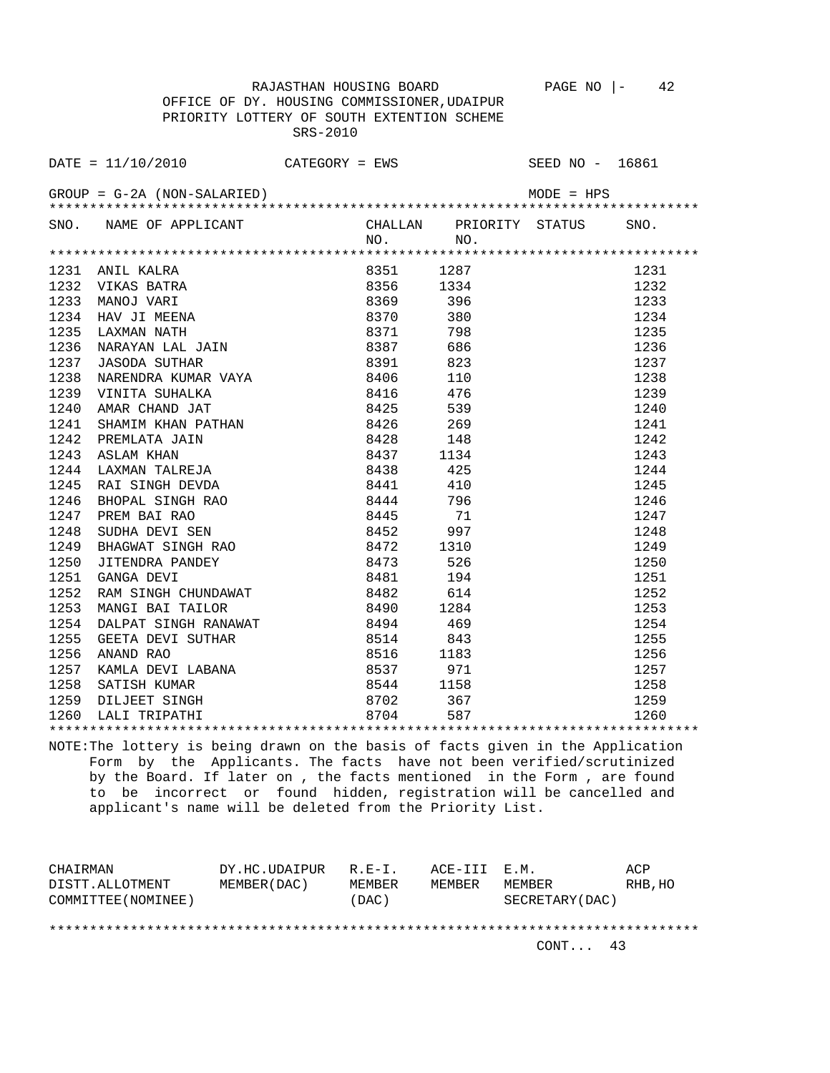OFFICE OF DY. HOUSING COMMISSIONER,UDAIPUR PRIORITY LOTTERY OF SOUTH EXTENTION SCHEME SRS-2010

|      | DATE = $11/10/2010$ CATEGORY = EWS SEED NO - 16861                                                                                                                                                                                                                            |                      |                                   |      |      |
|------|-------------------------------------------------------------------------------------------------------------------------------------------------------------------------------------------------------------------------------------------------------------------------------|----------------------|-----------------------------------|------|------|
|      | $GROUP = G-2A (NON-SALARIED)$                                                                                                                                                                                                                                                 |                      |                                   |      |      |
|      | SNO. NAME OF APPLICANT CHALLAN PRIORITY STATUS                                                                                                                                                                                                                                |                      | NO.                               | NO.  | SNO. |
|      |                                                                                                                                                                                                                                                                               |                      |                                   |      |      |
|      | 1231 ANIL KALRA<br>ANIL KALRA (1987)<br>NANOJ VARI (1987)<br>NANOJ VARI (1987)<br>HAV JI MEENA (1987)<br>HAV JI MEENA (1987)<br>LAXMAN NATH (1987)<br>NARAYAN LAL JAIN (1987)<br>NARAYAN LAL JAIN (1988)<br>JASODA SUTHAR (1988)<br>1986)<br>1986<br>1989<br>1986<br>1982<br> |                      |                                   |      | 1231 |
|      | 1232 VIKAS BATRA                                                                                                                                                                                                                                                              |                      |                                   |      | 1232 |
| 1233 |                                                                                                                                                                                                                                                                               |                      |                                   |      | 1233 |
| 1234 |                                                                                                                                                                                                                                                                               |                      |                                   |      | 1234 |
| 1235 |                                                                                                                                                                                                                                                                               |                      |                                   |      | 1235 |
| 1236 |                                                                                                                                                                                                                                                                               |                      |                                   |      | 1236 |
| 1237 | $\begin{tabular}{llllllll} \texttt{JASODA} & \texttt{SUTHAR} & \texttt{8391} & \texttt{823} \\ \texttt{NARENDRA} & \texttt{KUMAR} & \texttt{VAYA} & \texttt{8406} & \texttt{110} \\ \end{tabular}$                                                                            |                      |                                   |      | 1237 |
| 1238 |                                                                                                                                                                                                                                                                               |                      |                                   |      | 1238 |
| 1239 | VINITA SUHALKA                                                                                                                                                                                                                                                                | 8416 476<br>8425 539 |                                   |      | 1239 |
| 1240 | AMAR CHAND JAT                                                                                                                                                                                                                                                                |                      |                                   |      | 1240 |
| 1241 |                                                                                                                                                                                                                                                                               |                      |                                   |      | 1241 |
| 1242 |                                                                                                                                                                                                                                                                               |                      |                                   |      | 1242 |
| 1243 | SHAMIM KHAN PATHAN 8426 269<br>PREMLATA JAIN 8428 148<br>ASLAM KHAN 8437 1134                                                                                                                                                                                                 |                      |                                   |      | 1243 |
| 1244 | LAXMAN TALREJA                                                                                                                                                                                                                                                                |                      | 8438 425                          |      | 1244 |
| 1245 | RAI SINGH DEVDA                                                                                                                                                                                                                                                               |                      | 8441 410                          |      | 1245 |
| 1246 | BHOPAL SINGH RAO 8444 796                                                                                                                                                                                                                                                     |                      |                                   |      | 1246 |
| 1247 | PREM BAI RAO                                                                                                                                                                                                                                                                  | 8445                 |                                   | 71   | 1247 |
| 1248 | SUDHA DEVI SEN                                                                                                                                                                                                                                                                |                      | 8452                              | 997  | 1248 |
| 1249 |                                                                                                                                                                                                                                                                               |                      | 8472                              | 1310 | 1249 |
| 1250 | BHAGWAT SINGH RAO<br>JITENDRA PANDEY<br>GANGA DEVI                                                                                                                                                                                                                            |                      | 8473                              | 526  | 1250 |
| 1251 | GANGA DEVI                                                                                                                                                                                                                                                                    |                      | 8481 194<br>8482 614<br>8490 1284 | 194  | 1251 |
| 1252 | RAM SINGH CHUNDAWAT                                                                                                                                                                                                                                                           |                      |                                   |      | 1252 |
| 1253 | MANGI BAI TAILOR                                                                                                                                                                                                                                                              |                      |                                   |      | 1253 |
| 1254 |                                                                                                                                                                                                                                                                               |                      |                                   |      | 1254 |
| 1255 |                                                                                                                                                                                                                                                                               |                      |                                   |      | 1255 |
| 1256 |                                                                                                                                                                                                                                                                               |                      |                                   |      | 1256 |
| 1257 |                                                                                                                                                                                                                                                                               |                      |                                   |      | 1257 |
| 1258 | MANGI BAI TALLOR (CHETA DEVI SUTHAR 1994)<br>CEETA DEVI SUTHAR 1994 1994<br>ANAND RAO 1183<br>KAMLA DEVI LABANA 19537 971<br>SATISH KUMAR 19537 971<br>SATISH KUMAR 19537 971<br>LALI TRIPATHI 19702 367<br>LALI TRIPATHI 19704 587                                           |                      |                                   |      | 1258 |
| 1259 |                                                                                                                                                                                                                                                                               |                      |                                   |      | 1259 |
| 1260 |                                                                                                                                                                                                                                                                               |                      |                                   |      | 1260 |
|      |                                                                                                                                                                                                                                                                               |                      |                                   |      |      |

NOTE:The lottery is being drawn on the basis of facts given in the Application Form by the Applicants. The facts have not been verified/scrutinized by the Board. If later on , the facts mentioned in the Form , are found to be incorrect or found hidden, registration will be cancelled and applicant's name will be deleted from the Priority List.

| CHAIRMAN            | DY.HC.UDAIPUR | $R.F - T$ . | ACE-III E.M. |                  | ACP     |
|---------------------|---------------|-------------|--------------|------------------|---------|
| DISTT.ALLOTMENT     | MEMBER (DAC)  | MEMBER      | MEMBER       | MEMBER           | RHB, HO |
| COMMITTEE (NOMINEE) |               | (DAC)       |              | SECRETARY (DAC ) |         |
|                     |               |             |              |                  |         |
|                     |               |             |              |                  |         |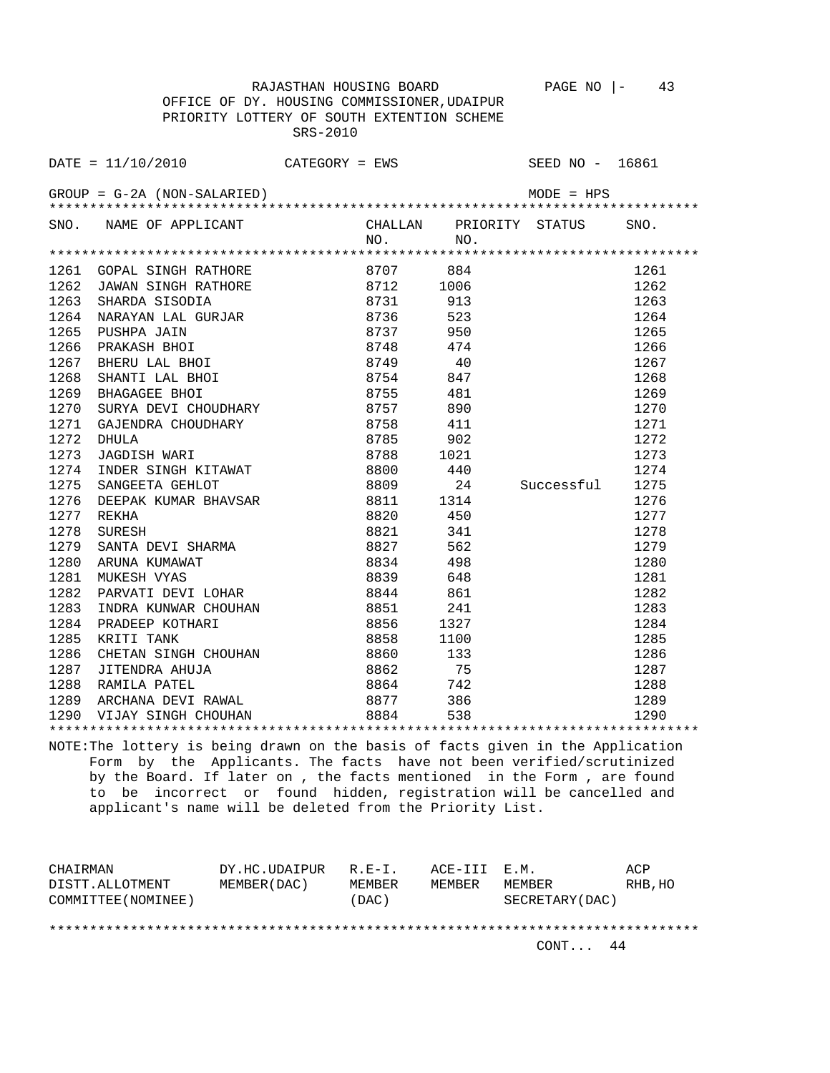RAJASTHAN HOUSING BOARD PAGE NO |- 43 OFFICE OF DY. HOUSING COMMISSIONER,UDAIPUR PRIORITY LOTTERY OF SOUTH EXTENTION SCHEME SRS-2010

DATE = 11/10/2010 CATEGORY = EWS SEED NO - 16861 GROUP = G-2A (NON-SALARIED) MODE = HPS \*\*\*\*\*\*\*\*\*\*\*\*\*\*\*\*\*\*\*\*\*\*\*\*\*\*\*\*\*\*\*\*\*\*\*\*\*\*\*\*\*\*\*\*\*\*\*\*\*\*\*\*\*\*\*\*\*\*\*\*\*\*\*\*\*\*\*\*\*\*\*\*\*\*\*\*\*\*\*\* SNO. NAME OF APPLICANT CHALLAN PRIORITY STATUS SNO. NO. NO. \*\*\*\*\*\*\*\*\*\*\*\*\*\*\*\*\*\*\*\*\*\*\*\*\*\*\*\*\*\*\*\*\*\*\*\*\*\*\*\*\*\*\*\*\*\*\*\*\*\*\*\*\*\*\*\*\*\*\*\*\*\*\*\*\*\*\*\*\*\*\*\*\*\*\*\*\*\*\*\* 1261 GOPAL SINGH RATHORE 8707 884 1261<br>1262 JAWAN SINGH RATHORE 8712 1006 1262 1262 JAWAN SINGH RATHORE 8712 1006 1262 1263 SHARDA SISODIA 8731 913 1263 1263 SHINGH SISSEIR<br>1264 NARAYAN LAL GURJAR 8736 523 1264 1265 PUSHPA JAIN 8737 950 1265 1266 PRAKASH BHOI 8748 474 1266 1267 BHERU LAL BHOI 8749 40 1267 1268 SHANTI LAL BHOI 8754 847 1268 1269 BHAGAGEE BHOI 8755 481 1269 1270 SURYA DEVI CHOUDHARY 8757 890 1270 1271 GAJENDRA CHOUDHARY 6758 411 1271 1271 1272 DHULA 8785 902 1272 1273 JAGDISH WARI 1278 8788 1021 1273<br>1274 INDER SINGH KITAWAT 18800 440 1274 1274 INDER SINGH KITAWAT 8800 440 1274 1275 SANGEETA GEHLOT 8809 24 Successful 1275 1276 DEEPAK KUMAR BHAVSAR 8811 1314 1276 1277 REKHA 8820 450 1277 1278 SURESH 8821 341 1278 1279 SANTA DEVI SHARMA 8827 562 1279 1280 ARUNA KUMAWAT 8834 498 1280 1281 MUKESH VYAS 8839 648 1281 1282 PARVATI DEVI LOHAR 8844 861 1282 1283 INDRA KUNWAR CHOUHAN 8851 241 1283 1284 PRADEEP KOTHARI 8856 1327 1284 1285 KRITI TANK 8858 1100 1285 1286 CHETAN SINGH CHOUHAN 8860 133 1286 1287 JITENDRA AHUJA 8862 75 1287 1288 RAMILA PATEL 8864 742 1288<br>1289 ARCHANA DEVI RAWAL 8877 386 1289<br>1290 VIJAY SINGH CHOUHAN 8884 538 1290 1289 ARCHANA DEVI RAWAL 8877 386 1289 1290 VIJAY SINGH CHOUHAN 8884 538 1290

NOTE:The lottery is being drawn on the basis of facts given in the Application Form by the Applicants. The facts have not been verified/scrutinized by the Board. If later on , the facts mentioned in the Form , are found to be incorrect or found hidden, registration will be cancelled and applicant's name will be deleted from the Priority List.

\*\*\*\*\*\*\*\*\*\*\*\*\*\*\*\*\*\*\*\*\*\*\*\*\*\*\*\*\*\*\*\*\*\*\*\*\*\*\*\*\*\*\*\*\*\*\*\*\*\*\*\*\*\*\*\*\*\*\*\*\*\*\*\*\*\*\*\*\*\*\*\*\*\*\*\*\*\*\*\*

| CHAIRMAN            | DY.HC.UDAIPUR R.E-I. |        | ACE-III E.M. |                  | ACP     |
|---------------------|----------------------|--------|--------------|------------------|---------|
| DISTT.ALLOTMENT     | MEMBER (DAC)         | MEMBER | MEMBER       | MEMBER           | RHB, HO |
| COMMITTEE (NOMINEE) |                      | (DAC)  |              | SECRETARY (DAC ) |         |
|                     |                      |        |              |                  |         |

\*\*\*\*\*\*\*\*\*\*\*\*\*\*\*\*\*\*\*\*\*\*\*\*\*\*\*\*\*\*\*\*\*\*\*\*\*\*\*\*\*\*\*\*\*\*\*\*\*\*\*\*\*\*\*\*\*\*\*\*\*\*\*\*\*\*\*\*\*\*\*\*\*\*\*\*\*\*\*\*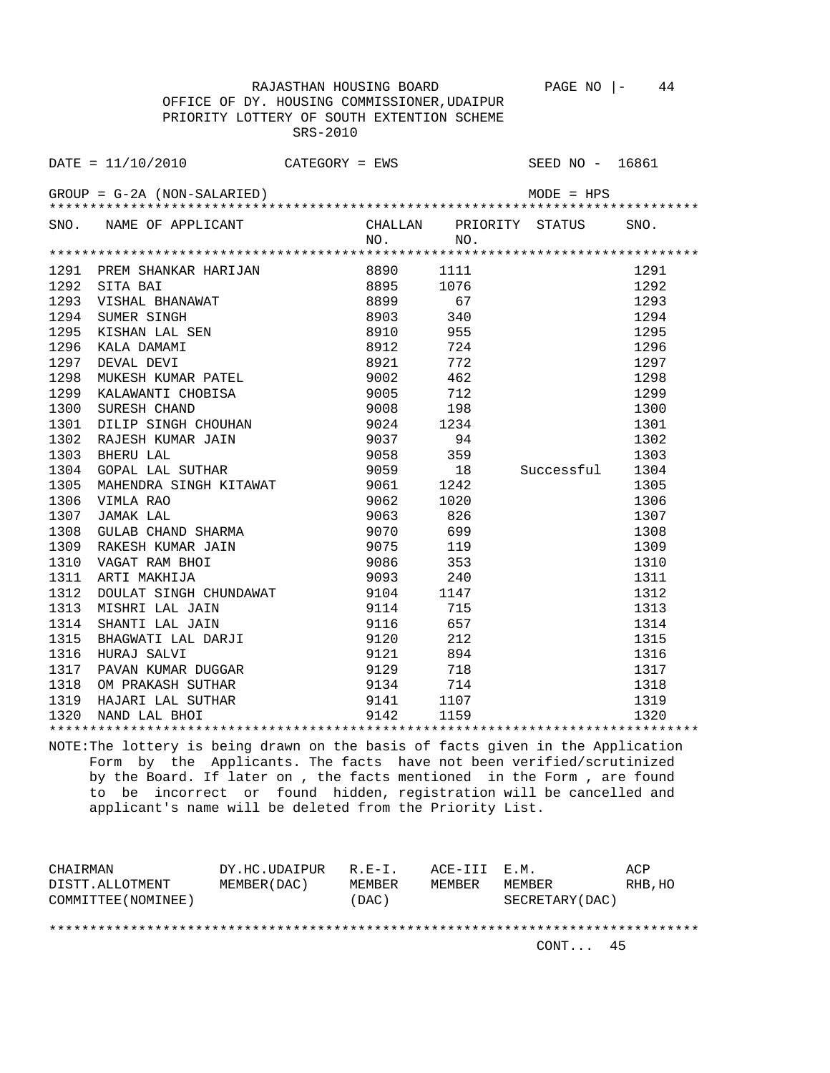OFFICE OF DY. HOUSING COMMISSIONER,UDAIPUR PRIORITY LOTTERY OF SOUTH EXTENTION SCHEME SRS-2010

|      | $\texttt{DATE} = 11/10/2010$ CATEGORY = EWS                                                                                                                                                                                    |                                |           |      | SEED NO - 16861         |      |
|------|--------------------------------------------------------------------------------------------------------------------------------------------------------------------------------------------------------------------------------|--------------------------------|-----------|------|-------------------------|------|
|      | $GROUP = G-2A (NON-SALARIED)$                                                                                                                                                                                                  |                                |           |      | $MODE = HPS$            |      |
|      | SNO. NAME OF APPLICANT                                                                                                                                                                                                         |                                | NO.       | NO.  | CHALLAN PRIORITY STATUS | SNO. |
|      |                                                                                                                                                                                                                                |                                |           |      |                         |      |
|      | 1291 PREM SHANKAR HARIJAN 8890                                                                                                                                                                                                 |                                |           | 1111 |                         | 1291 |
| 1292 | EXERCISE AN EXERCISE AN EXERCISE AND RESPONSIVE A SAFEKEEPING A SUBSERVED AND REPORT OF A SAFEKEEPING A SUBSERVED AND REPORT OF A SAFEKEEPING SUBSERVED A SUBSERVED AND REPORT OF A SUBSERVED AND REPORT OF A SUBSERVED AND RE |                                |           | 1076 |                         | 1292 |
| 1293 |                                                                                                                                                                                                                                |                                |           | 67   |                         | 1293 |
| 1294 |                                                                                                                                                                                                                                |                                |           | 340  |                         | 1294 |
| 1295 |                                                                                                                                                                                                                                |                                |           | 955  |                         | 1295 |
| 1296 |                                                                                                                                                                                                                                |                                |           | 724  |                         | 1296 |
| 1297 |                                                                                                                                                                                                                                |                                |           | 772  |                         | 1297 |
| 1298 | MUKESH KUMAR PATEL                                                                                                                                                                                                             |                                | 9002      | 462  |                         | 1298 |
| 1299 | KALAWANTI CHOBISA                                                                                                                                                                                                              | 9005                           |           | 712  |                         | 1299 |
| 1300 | SURESH CHAND                                                                                                                                                                                                                   |                                | 9008 198  |      |                         | 1300 |
| 1301 | DILIP SINGH CHOUHAN 9024 1234                                                                                                                                                                                                  |                                |           |      |                         | 1301 |
| 1302 | RAJESH KUMAR JAIN                                                                                                                                                                                                              | 9037                           |           | 94   |                         | 1302 |
| 1303 | BHERU LAL                                                                                                                                                                                                                      |                                | 9058 359  |      |                         | 1303 |
| 1304 | GOPAL LAL SUTHAR                                                                                                                                                                                                               |                                | 9059 18   |      | Successful 1304         |      |
| 1305 | MAHENDRA SINGH KITAWAT 9061 1242                                                                                                                                                                                               |                                |           |      |                         | 1305 |
| 1306 | VIMLA RAO                                                                                                                                                                                                                      |                                | 9062 1020 |      |                         | 1306 |
| 1307 | JAMAK LAL                                                                                                                                                                                                                      |                                | 9063 826  |      |                         | 1307 |
| 1308 |                                                                                                                                                                                                                                |                                |           |      |                         | 1308 |
| 1309 |                                                                                                                                                                                                                                |                                |           |      |                         | 1309 |
| 1310 | VAGAT RAM BHOI                                                                                                                                                                                                                 |                                | 9086      | 353  |                         | 1310 |
| 1311 | ARTI MAKHIJA                                                                                                                                                                                                                   |                                | 9093      | 240  |                         | 1311 |
| 1312 | DOULAT SINGH CHUNDAWAT                                                                                                                                                                                                         |                                | 9104      | 1147 |                         | 1312 |
| 1313 | MISHRI LAL JAIN                                                                                                                                                                                                                |                                | 9114      | 715  |                         | 1313 |
| 1314 | SHANTI LAL JAIN                                                                                                                                                                                                                |                                | 9116      | 657  |                         | 1314 |
| 1315 | BHAGWATI LAL DARJI                                                                                                                                                                                                             |                                | 9120      | 212  |                         | 1315 |
| 1316 | HURAJ SALVI                                                                                                                                                                                                                    |                                | 9121      | 894  |                         | 1316 |
| 1317 | PAVAN KUMAR DUGGAR                                                                                                                                                                                                             |                                | 9129      | 718  |                         | 1317 |
| 1318 | OM PRAKASH SUTHAR                                                                                                                                                                                                              |                                | 9134 714  |      |                         | 1318 |
| 1319 | HAJARI LAL SUTHAR                                                                                                                                                                                                              | $9141$ $1107$<br>$9142$ $1159$ |           |      |                         | 1319 |
| 1320 | NAND LAL BHOI                                                                                                                                                                                                                  |                                |           |      |                         | 1320 |
|      |                                                                                                                                                                                                                                |                                |           |      |                         |      |

NOTE:The lottery is being drawn on the basis of facts given in the Application Form by the Applicants. The facts have not been verified/scrutinized by the Board. If later on , the facts mentioned in the Form , are found to be incorrect or found hidden, registration will be cancelled and applicant's name will be deleted from the Priority List.

| CHAIRMAN            | DY.HC.UDAIPUR | $R. F - T.$ | ACE-III E.M. |                 | ACP     |
|---------------------|---------------|-------------|--------------|-----------------|---------|
| DISTT.ALLOTMENT     | MEMBER (DAC ) | MF.MBF.R    | MEMBER       | MEMBER          | RHB, HO |
| COMMITTEE (NOMINEE) |               | (DAC)       |              | SECRETARY (DAC) |         |
|                     |               |             |              |                 |         |
|                     |               |             |              |                 |         |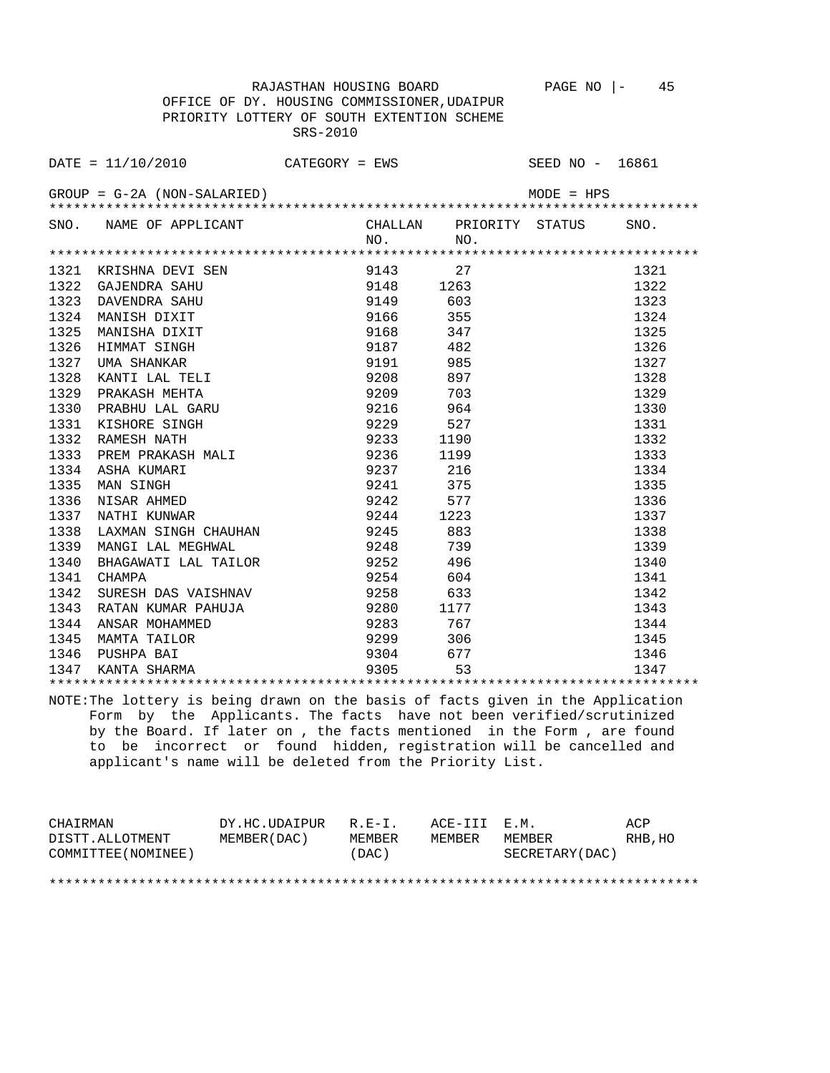OFFICE OF DY. HOUSING COMMISSIONER,UDAIPUR PRIORITY LOTTERY OF SOUTH EXTENTION SCHEME SRS-2010

|      | $\texttt{DATE} = 11/10/2010$ CATEGORY = EWS                                                                                                             |              |                 | SEED NO - 16861         |      |
|------|---------------------------------------------------------------------------------------------------------------------------------------------------------|--------------|-----------------|-------------------------|------|
|      | $GROUP = G-2A (NON-SALARIED)$                                                                                                                           |              |                 | MODE = HPS              |      |
|      | SNO. NAME OF APPLICANT                                                                                                                                  | NO.          | NO <sub>1</sub> | CHALLAN PRIORITY STATUS | SNO. |
|      |                                                                                                                                                         |              |                 |                         |      |
|      | 1321 KRISHNA DEVI SEN                                                                                                                                   | 9143 27      |                 |                         | 1321 |
|      | 1322 GAJENDRA SAHU                                                                                                                                      | 9148 1263    |                 |                         | 1322 |
| 1323 | DAVENDRA SAHU                                                                                                                                           | 9149         | 603             |                         | 1323 |
|      | 1324 MANISH DIXIT                                                                                                                                       | 9166         | 355             |                         | 1324 |
| 1325 | MANISHA DIXIT                                                                                                                                           | 9168         | 347             |                         | 1325 |
| 1326 | HIMMAT SINGH                                                                                                                                            | 9187 482     |                 |                         | 1326 |
| 1327 | UMA SHANKAR                                                                                                                                             | 9191         | 985             |                         | 1327 |
| 1328 | KANTI LAL TELI                                                                                                                                          | 9208         | 897             |                         | 1328 |
| 1329 | PRAKASH MEHTA                                                                                                                                           | 9209         | 703             |                         | 1329 |
| 1330 | PRABHU LAL GARU                                                                                                                                         | 9216         | 964             |                         | 1330 |
| 1331 | KISHORE SINGH                                                                                                                                           | 9229         | 527             |                         | 1331 |
| 1332 | RAMESH NATH                                                                                                                                             | 9233         | 1190            |                         | 1332 |
| 1333 | PREM PRAKASH MALI                                                                                                                                       | 9236         | 1199            |                         | 1333 |
| 1334 | ASHA KUMARI                                                                                                                                             | 9237         | 216             |                         | 1334 |
| 1335 | MAN SINGH                                                                                                                                               | 9241         | 375             |                         | 1335 |
| 1336 | NISAR AHMED                                                                                                                                             | 9242         | 577             |                         | 1336 |
|      | 1337 NATHI KUNWAR                                                                                                                                       | 9244 1223    |                 |                         | 1337 |
| 1338 | LAXMAN SINGH CHAUHAN                                                                                                                                    | 9245         | 883             |                         | 1338 |
| 1339 | MANGI LAL MEGHWAL                                                                                                                                       | 9248         | 739             |                         | 1339 |
| 1340 | BHAGAWATI LAL TAILOR                                                                                                                                    | 9252         | - 496           |                         | 1340 |
| 1341 | CHAMPA                                                                                                                                                  | 9254         | 604             |                         | 1341 |
| 1342 | SURESH DAS VAISHNAV 9258                                                                                                                                |              | 633             |                         | 1342 |
| 1343 | RATAN KUMAR PAHUJA                                                                                                                                      | 9280<br>1177 |                 |                         | 1343 |
| 1344 | ANSAR MOHAMMED                                                                                                                                          | 9283         | 767             |                         | 1344 |
|      | 1345 MAMTA TAILOR                                                                                                                                       | 9299         | 306             |                         | 1345 |
|      | 1346 PUSHPA BAI                                                                                                                                         | 9304         | 677             |                         | 1346 |
|      | 1347 KANTA SHARMA                                                                                                                                       | 9305         | 53              |                         | 1347 |
|      |                                                                                                                                                         |              |                 |                         |      |
|      | NOTE: The lottery is being drawn on the basis of facts given in the Application<br>Form by the Applicants. The facts have not been verified/scrutinized |              |                 |                         |      |
|      | by the Board. If later on, the facts mentioned in the Form, are found                                                                                   |              |                 |                         |      |
|      | to be incorrect or found hidden, registration will be cancelled and                                                                                     |              |                 |                         |      |
|      | applicant's name will be deleted from the Priority List.                                                                                                |              |                 |                         |      |
|      |                                                                                                                                                         |              |                 |                         |      |
|      |                                                                                                                                                         |              |                 |                         |      |

| CHAIRMAN            | DY.HC.UDAIPUR R.E-I. |        | ACE-III E.M. |                  | ACP     |
|---------------------|----------------------|--------|--------------|------------------|---------|
| DISTT.ALLOTMENT     | MEMBER (DAC)         | MEMBER | MEMBER       | MEMBER           | RHB, HO |
| COMMITTEE (NOMINEE) |                      | (DAC)  |              | SECRETARY (DAC ) |         |
|                     |                      |        |              |                  |         |

\*\*\*\*\*\*\*\*\*\*\*\*\*\*\*\*\*\*\*\*\*\*\*\*\*\*\*\*\*\*\*\*\*\*\*\*\*\*\*\*\*\*\*\*\*\*\*\*\*\*\*\*\*\*\*\*\*\*\*\*\*\*\*\*\*\*\*\*\*\*\*\*\*\*\*\*\*\*\*\*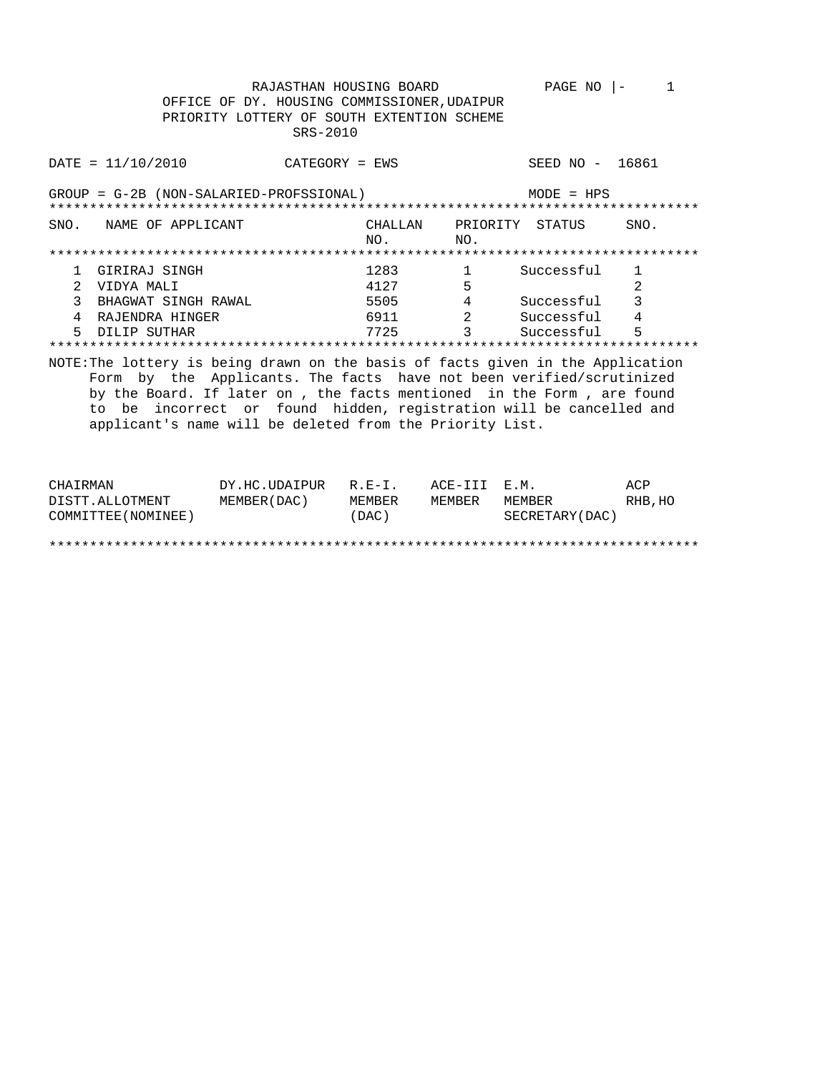RAJASTHAN HOUSING BOARD PAGE NO  $|-1$ OFFICE OF DY. HOUSING COMMISSIONER, UDAIPUR PRIORITY LOTTERY OF SOUTH EXTENTION SCHEME SRS-2010  $\text{DATE} = 11/10/2010$ SEED NO - 16861 CATEGORY = EWS GROUP = G-2B (NON-SALARIED-PROFSSIONAL)  $MODE = HPS$ CHALLAN PRIORITY STATUS SNO. NAME OF APPLICANT SNO. NO.  $NO.$  $\begin{array}{c} 1 \\ 5 \end{array}$ 1 GIRIRAJ SINGH Successful 1283  $\mathbf{1}$ 2 VIDYA MALI 4127  $\mathfrak{D}$ Successful 3 BHAGWAT SINGH RAWAL  $\overline{\mathbf{3}}$ 5505  $4\overline{ }$  $\overline{\mathbf{2}}$ 6911 4 RAJENDRA HINGER Successful 4  $\overline{\mathbf{3}}$ 5 DILIP SUTHAR 7725 Successful 5 NOTE: The lottery is being drawn on the basis of facts given in the Application Form by the Applicants. The facts have not been verified/scrutinized by the Board. If later on , the facts mentioned in the Form , are found to be incorrect or found hidden, registration will be cancelled and applicant's name will be deleted from the Priority List.

| CHAIRMAN            | DY.HC.UDAIPUR R.E-I. |        | ACE-III E.M. |                  | ACP     |
|---------------------|----------------------|--------|--------------|------------------|---------|
| DISTT.ALLOTMENT     | MEMBER(DAC)          | MEMBER | MEMBER       | MEMBER           | RHB, HO |
| COMMITTEE (NOMINEE) |                      | (DAC)  |              | SECRETARY (DAC ) |         |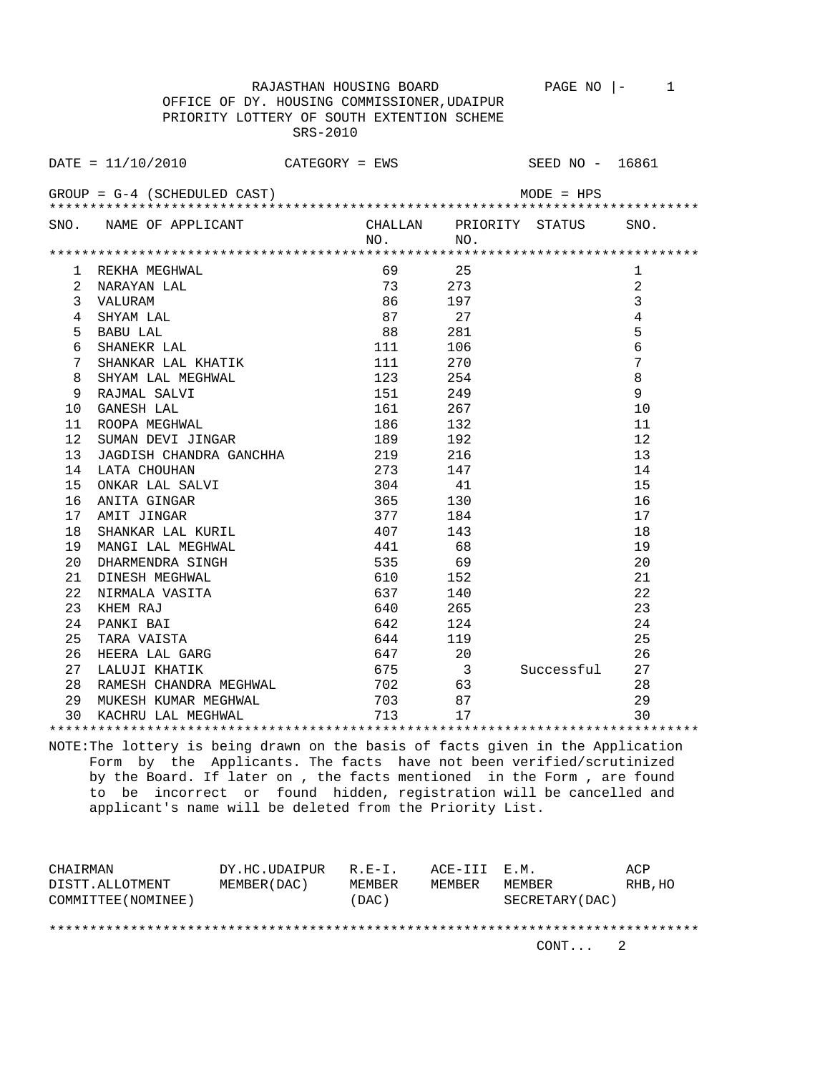RAJASTHAN HOUSING BOARD PAGE NO |- 1 OFFICE OF DY. HOUSING COMMISSIONER,UDAIPUR PRIORITY LOTTERY OF SOUTH EXTENTION SCHEME SRS-2010

DATE = 11/10/2010 CATEGORY = EWS SEED NO - 16861 GROUP = G-4 (SCHEDULED CAST) MODE = HPS \*\*\*\*\*\*\*\*\*\*\*\*\*\*\*\*\*\*\*\*\*\*\*\*\*\*\*\*\*\*\*\*\*\*\*\*\*\*\*\*\*\*\*\*\*\*\*\*\*\*\*\*\*\*\*\*\*\*\*\*\*\*\*\*\*\*\*\*\*\*\*\*\*\*\*\*\*\*\*\* SNO. NAME OF APPLICANT CHALLAN PRIORITY STATUS SNO. NO. NO. \*\*\*\*\*\*\*\*\*\*\*\*\*\*\*\*\*\*\*\*\*\*\*\*\*\*\*\*\*\*\*\*\*\*\*\*\*\*\*\*\*\*\*\*\*\*\*\*\*\*\*\*\*\*\*\*\*\*\*\*\*\*\*\*\*\*\*\*\*\*\*\*\*\*\*\*\*\*\*\* 1 REKHA MEGHWAL 69 25 1 2 NARAYAN LAL 2 273 273 22 274 274 274 274 274 274 274 274 273 2 3 VALURAM 86 197 3 4 SHYAM LAL 87 27 4 5 BABU LAL 88 281 5 6 SHANEKR LAL 111 106 6 7 SHANKAR LAL KHATIK 111 270 7 8 SHYAM LAL MEGHWAL 123 254 8<br>9 RAJMAL SALVI 151 249 9 9 RAJMAL SALVI 151 249 9 10 GANESH LAL 161<br>11 ROOPA MEGHWAL 186 11 ROOPA MEGHWAL 186 132 11 12 SUMAN DEVI JINGAR 189 192 12 13 JAGDISH CHANDRA GANCHHA 219 216 13 14 LATA CHOUHAN 273 147 14 15 ONKAR LAL SALVI 304 41 15

16 ANITA GINGAR 16 130 16 16 16 16 16 16 16 17 17 184 17 17 AMIT JINGAR 377 184 17 18 SHANKAR LAL KURIL 407 143 18 19 MANGI LAL MEGHWAL 441 68 19 20 DHARMENDRA SINGH 535 69 20 21 DINESH MEGHWAL 610 152 21<br>22 NIRMALA VASITA 637 140 22 22 NIRMALA VASITA 637 140 22 23 KHEM RAJ 640 265 23 24 PANKI BAI 642 124 24 25 TARA VAISTA 644 119 25 26 HEERA LAL GARG 647 20 26 27 LALUJI KHATIK 675 3 Successful 27 28 RAMESH CHANDRA MEGHWAL 702 63 28<br>29 MUKESH KUMAR MEGHWAL 703 87 29<br>30 KACHPU LAL MEGHWAL 713 17 17 30 29 MUKESH KUMAR MEGHWAL 1988 7 29 29 29 29 30 KACHRU LAL MEGHWAL 17 713 17 30

NOTE:The lottery is being drawn on the basis of facts given in the Application Form by the Applicants. The facts have not been verified/scrutinized by the Board. If later on , the facts mentioned in the Form , are found to be incorrect or found hidden, registration will be cancelled and applicant's name will be deleted from the Priority List.

\*\*\*\*\*\*\*\*\*\*\*\*\*\*\*\*\*\*\*\*\*\*\*\*\*\*\*\*\*\*\*\*\*\*\*\*\*\*\*\*\*\*\*\*\*\*\*\*\*\*\*\*\*\*\*\*\*\*\*\*\*\*\*\*\*\*\*\*\*\*\*\*\*\*\*\*\*\*\*\*

| CHAIRMAN            | DY.HC.UDAIPUR | $R$ $R$ $-$ T | ACE-III E.M. |                 | ACP     |
|---------------------|---------------|---------------|--------------|-----------------|---------|
| DISTT.ALLOTMENT     | MEMBER (DAC)  | MEMBER        | MEMBER       | MF.MBF.R        | RHB, HO |
| COMMITTEE (NOMINEE) |               | (DAC)         |              | SECRETARY (DAC) |         |
|                     |               |               |              |                 |         |
|                     |               |               |              |                 |         |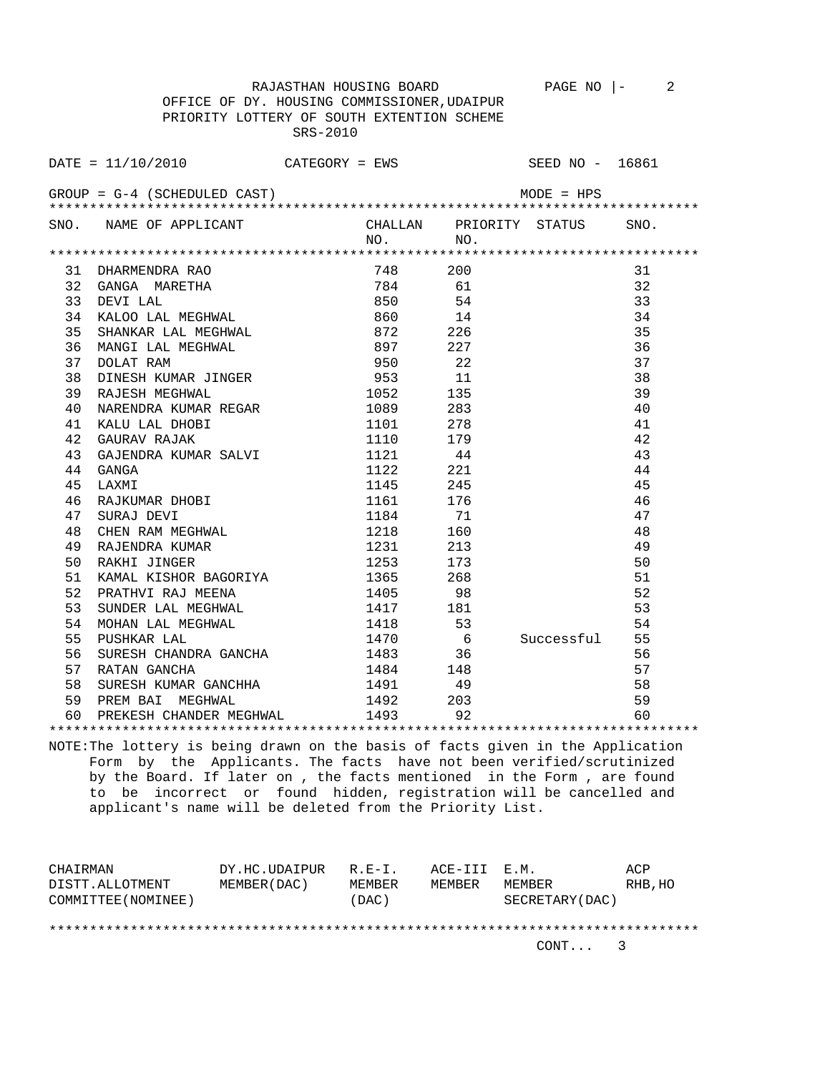RAJASTHAN HOUSING BOARD PAGE NO  $\vert - \vert$  2 OFFICE OF DY. HOUSING COMMISSIONER,UDAIPUR PRIORITY LOTTERY OF SOUTH EXTENTION SCHEME SRS-2010

|    | DATE = $11/10/2010$ CATEGORY = EWS SEED NO - 16861                          |                   |               |    |
|----|-----------------------------------------------------------------------------|-------------------|---------------|----|
|    | $GROUP = G-4$ (SCHEDULED CAST)                                              |                   | $MODE = HPS$  |    |
|    |                                                                             | $NO.$ $NO.$       |               |    |
|    |                                                                             |                   |               |    |
|    |                                                                             |                   |               | 31 |
|    |                                                                             |                   |               | 32 |
|    |                                                                             |                   |               | 33 |
|    |                                                                             |                   |               | 34 |
|    | 35 SHANKAR LAL MEGHWAL 672 226                                              |                   |               | 35 |
| 36 |                                                                             | 897 227           |               | 36 |
| 37 | MANGI LAL MEGHWAL<br>DOLAT RAM                                              | 950 22            |               | 37 |
| 38 | 950 22<br>DINESH KUMAR JINGER 953 11<br>RAJESH MEGHWAL 1052 125             |                   |               | 38 |
| 39 |                                                                             |                   |               | 39 |
| 40 | NARENDRA KUMAR REGAR 1089 283                                               |                   |               | 40 |
|    |                                                                             | $278$<br>1101 278 |               | 41 |
|    | 41 KALU LAL DHOBI<br>42 GAURAV RAJAK                                        | 1110 179          |               | 42 |
| 43 | GAJENDRA KUMAR SALVI<br>GANGA                                               | 1121 44           |               | 43 |
| 44 |                                                                             |                   |               | 44 |
| 45 |                                                                             |                   |               | 45 |
| 46 | GANGA 1122 221<br>LAXMI 1122 221<br>RAJKUMAR DHOBI 1145 245<br>SIIPAJ DEVIT |                   |               | 46 |
| 47 |                                                                             |                   |               | 47 |
| 48 |                                                                             |                   |               | 48 |
| 49 |                                                                             |                   |               | 49 |
| 50 | RAJENDRA KUMAR<br>RAKHI JINGER                                              | 1253 173          |               | 50 |
| 51 | KAMAL KISHOR BAGORIYA 1365 268                                              |                   |               | 51 |
| 52 | PRATHVI RAJ MEENA 1405 98                                                   |                   |               | 52 |
| 53 | SUNDER LAL MEGHWAL 1417 181                                                 |                   |               | 53 |
|    |                                                                             |                   |               | 54 |
|    |                                                                             | 1470 6            | Successful 55 |    |
|    |                                                                             |                   |               | 56 |

 58 SURESH KUMAR GANCHHA 1491 49 58 59 PREM BAI MEGHWAL 1492 203 59 60 PREKESH CHANDER MEGHWAL 1493 92 60 \*\*\*\*\*\*\*\*\*\*\*\*\*\*\*\*\*\*\*\*\*\*\*\*\*\*\*\*\*\*\*\*\*\*\*\*\*\*\*\*\*\*\*\*\*\*\*\*\*\*\*\*\*\*\*\*\*\*\*\*\*\*\*\*\*\*\*\*\*\*\*\*\*\*\*\*\*\*\*\* NOTE:The lottery is being drawn on the basis of facts given in the Application Form by the Applicants. The facts have not been verified/scrutinized by the Board. If later on , the facts mentioned in the Form , are found

57 RATAN GANCHA 1484 148 57

 to be incorrect or found hidden, registration will be cancelled and applicant's name will be deleted from the Priority List.

| CHAIRMAN            | DY.HC.UDAIPUR | $R.F - T$ . | ACE-III E.M. |                 | ACP     |
|---------------------|---------------|-------------|--------------|-----------------|---------|
| DISTT.ALLOTMENT     | MEMBER (DAC)  | MEMBER      | MEMBER       | MEMBER          | RHB, HO |
| COMMITTEE (NOMINEE) |               | (DAC)       |              | SECRETARY (DAC) |         |
|                     |               |             |              |                 |         |
|                     |               |             |              |                 |         |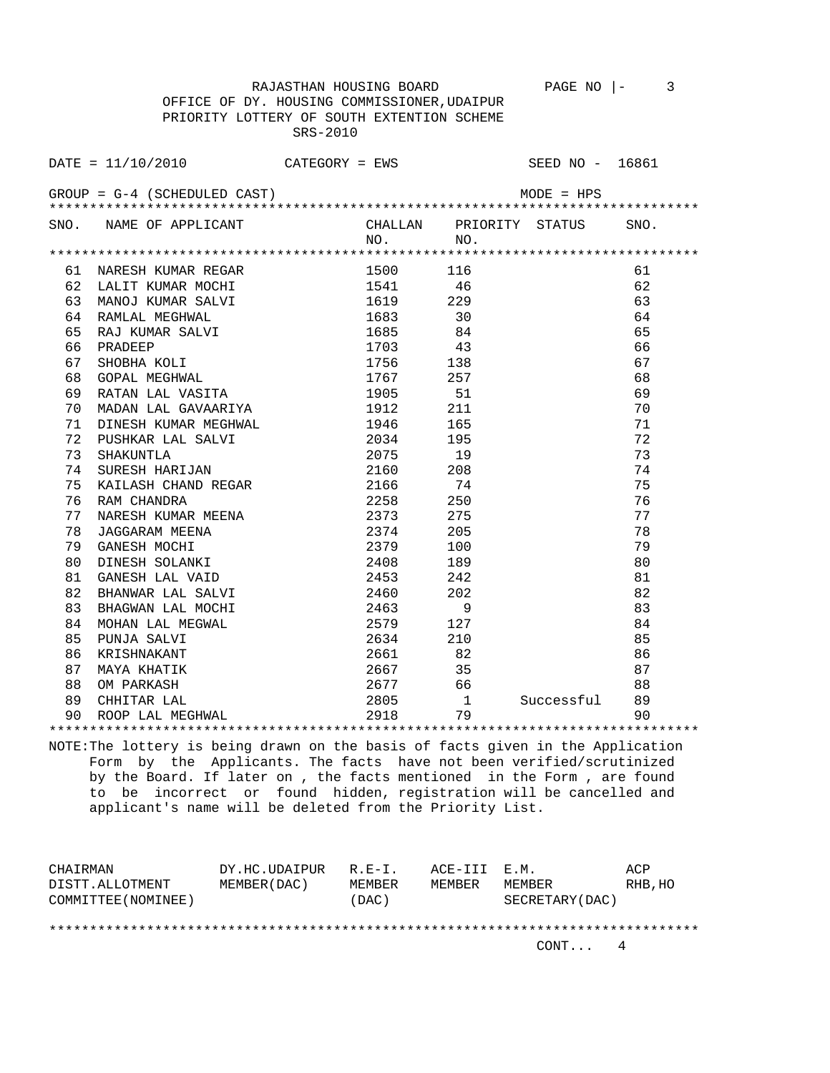RAJASTHAN HOUSING BOARD PAGE NO |- 3 OFFICE OF DY. HOUSING COMMISSIONER,UDAIPUR PRIORITY LOTTERY OF SOUTH EXTENTION SCHEME SRS-2010

|               | DATE = 11/10/2010            | CATEGORY = EWS |                |                        | SEED NO - 16861 |               |  |
|---------------|------------------------------|----------------|----------------|------------------------|-----------------|---------------|--|
|               | GROUP = G-4 (SCHEDULED CAST) |                |                |                        | $MODE = HPS$    |               |  |
|               | SNO. NAME OF APPLICANT       |                | CHALLAN<br>NO. | PRIORITY STATUS<br>NO. |                 | SNO.          |  |
|               |                              |                |                |                        |                 |               |  |
| 61            | NARESH KUMAR REGAR           |                | 1500           | 116                    |                 | 61            |  |
| 62            | LALIT KUMAR MOCHI            |                | 1541           | 46                     |                 | 62            |  |
| 63            | MANOJ KUMAR SALVI            |                | 1619           | 229                    |                 | 63            |  |
| 64            | RAMLAL MEGHWAL               |                | 1683           | 30                     |                 | 64            |  |
| 65            | RAJ KUMAR SALVI              |                | 1685           | 84                     |                 | 65            |  |
| 66            | PRADEEP                      |                | 1703           | 43                     |                 | 66            |  |
| 67            | SHOBHA KOLI                  |                | 1756           | 138                    |                 | 67            |  |
| 68            | GOPAL MEGHWAL                |                | 1767           | 257                    |                 | 68            |  |
| $\sim$ $\sim$ | DRMAT TRT TTROTMR            |                | 100E           | <b>F1</b>              |                 | $\sim$ $\sim$ |  |

| 67 | SHOBHA KOLI<br>GOPAL MEGHWAL | 1756        | 138 |            | 67 |
|----|------------------------------|-------------|-----|------------|----|
| 68 |                              | 1767        | 257 |            | 68 |
| 69 | RATAN LAL VASITA             | 1905 51     |     |            | 69 |
| 70 | MADAN LAL GAVAARIYA          | 1912        | 211 |            | 70 |
| 71 | DINESH KUMAR MEGHWAL         | 1946 — 1946 | 165 |            | 71 |
| 72 | PUSHKAR LAL SALVI            | 2034        | 195 |            | 72 |
| 73 | SHAKUNTLA<br>SURESH HARIJAN  | 2075 19     |     |            | 73 |
| 74 |                              | 2160 208    |     |            | 74 |
| 75 | KAILASH CHAND REGAR          | 2166 74     |     |            | 75 |
| 76 | RAM CHANDRA                  | 2258        | 250 |            | 76 |
| 77 | NARESH KUMAR MEENA           | 2373        | 275 |            | 77 |
| 78 | JAGGARAM MEENA               | 2374        | 205 |            | 78 |
| 79 | GANESH MOCHI                 | 2379        | 100 |            | 79 |
| 80 | DINESH SOLANKI               | 2408        | 189 |            | 80 |
| 81 | GANESH LAL VAID              | 2453        | 242 |            | 81 |
| 82 | BHANWAR LAL SALVI            | 2460 202    |     |            | 82 |
| 83 | BHAGWAN LAL MOCHI            | 2463 9      |     |            | 83 |
| 84 | MOHAN LAL MEGWAL             | 2579 — 257  | 127 |            | 84 |
| 85 | PUNJA SALVI                  | 2634 210    |     |            | 85 |
| 86 | KRISHNAKANT                  | 2661 82     |     |            | 86 |
| 87 | MAYA KHATIK                  | 2667        | 35  |            | 87 |
| 88 | OM PARKASH                   | 2677 66     |     |            | 88 |
| 89 | CHHITAR LAL                  | $2805$ 1    |     | Successful | 89 |
| 90 | ROOP LAL MEGHWAL             | 2918        | 79  |            | 90 |
|    |                              |             |     |            |    |

NOTE:The lottery is being drawn on the basis of facts given in the Application Form by the Applicants. The facts have not been verified/scrutinized by the Board. If later on , the facts mentioned in the Form , are found to be incorrect or found hidden, registration will be cancelled and applicant's name will be deleted from the Priority List.

| CHAIRMAN            | DY.HC.UDAIPUR | $R$ $R$ $-$ T | ACE-III E.M. |                 | ACP     |
|---------------------|---------------|---------------|--------------|-----------------|---------|
| DISTT.ALLOTMENT     | MEMBER (DAC)  | MEMBER        | MEMBER       | MF.MBF.R        | RHB, HO |
| COMMITTEE (NOMINEE) |               | (DAC)         |              | SECRETARY (DAC) |         |
|                     |               |               |              |                 |         |
|                     |               |               |              |                 |         |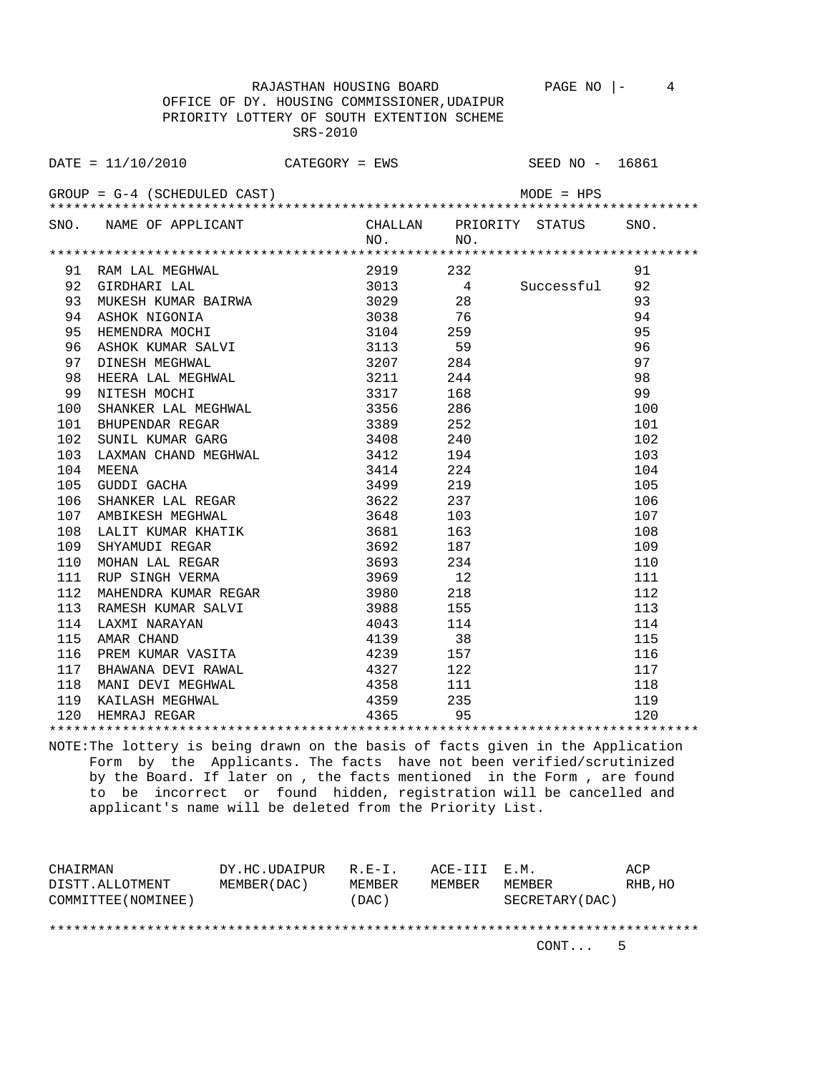OFFICE OF DY. HOUSING COMMISSIONER,UDAIPUR PRIORITY LOTTERY OF SOUTH EXTENTION SCHEME SRS-2010

|     | DATE = $11/10/2010$ CATEGORY = EWS SEED NO - 16861                                                                                                                                                                                           |                                                                                          |                      |     |                         |      |
|-----|----------------------------------------------------------------------------------------------------------------------------------------------------------------------------------------------------------------------------------------------|------------------------------------------------------------------------------------------|----------------------|-----|-------------------------|------|
|     | $GROUP = G-4 (SCHEDULED CAST)$                                                                                                                                                                                                               |                                                                                          |                      |     |                         |      |
|     | SNO. NAME OF APPLICANT                                                                                                                                                                                                                       |                                                                                          | NO.                  | NO. | CHALLAN PRIORITY STATUS | SNO. |
|     |                                                                                                                                                                                                                                              |                                                                                          |                      |     |                         |      |
|     | 91 RAM LAL MEGHWAL 2919 232<br>92 GIRDHARI LAL 3013 4<br>93 MUKESH KUMAR BAIRWA 3029 28<br>94 ASHOK NIGONIA 3038 76<br>95 HEMENDRA MOCHI 3104 259<br>96 ASHOK KUMAR SALVI 3113 59<br>97 DINESH MEGHWAL 3207 284<br>98 HEERA LAL MEGHWAL 3211 |                                                                                          |                      |     |                         | 91   |
|     |                                                                                                                                                                                                                                              |                                                                                          |                      |     | 4 Successful            | 92   |
|     |                                                                                                                                                                                                                                              |                                                                                          |                      |     |                         | 93   |
|     |                                                                                                                                                                                                                                              |                                                                                          |                      |     |                         | 94   |
|     |                                                                                                                                                                                                                                              |                                                                                          |                      |     |                         | 95   |
|     |                                                                                                                                                                                                                                              |                                                                                          |                      |     |                         | 96   |
|     |                                                                                                                                                                                                                                              |                                                                                          |                      |     |                         | 97   |
|     |                                                                                                                                                                                                                                              |                                                                                          |                      |     |                         | 98   |
|     | NITESH MOCHI<br>NITESH MOCHI<br>SHANKER LAL MEGHWAL 3317 168<br>BHUPENDAR REGAR 3389 252<br>SUNIL KUMAR GARG 3408 240<br>LAXMAN CHAND MEGHWAL 3412 194                                                                                       |                                                                                          |                      |     |                         | 99   |
| 100 |                                                                                                                                                                                                                                              |                                                                                          |                      |     |                         | 100  |
| 101 |                                                                                                                                                                                                                                              |                                                                                          |                      |     |                         | 101  |
| 102 |                                                                                                                                                                                                                                              |                                                                                          |                      |     |                         | 102  |
| 103 |                                                                                                                                                                                                                                              |                                                                                          |                      |     |                         | 103  |
| 104 | MEENA                                                                                                                                                                                                                                        | $3414$ $224$<br>$3499$ $219$<br>$219$                                                    |                      |     |                         | 104  |
| 105 | GUDDI GACHA                                                                                                                                                                                                                                  |                                                                                          |                      |     |                         | 105  |
| 106 |                                                                                                                                                                                                                                              |                                                                                          |                      |     |                         | 106  |
| 107 |                                                                                                                                                                                                                                              |                                                                                          | 3648                 |     |                         | 107  |
| 108 |                                                                                                                                                                                                                                              |                                                                                          |                      | 163 |                         | 108  |
| 109 |                                                                                                                                                                                                                                              |                                                                                          |                      | 187 |                         | 109  |
| 110 |                                                                                                                                                                                                                                              |                                                                                          |                      | 234 |                         | 110  |
| 111 | NUMBER SINGH VERMA<br>MAHENDRA KUMAR REGAR<br>RAMESH KUMAR SALVI<br>LAXMI NARAYAN<br>AMAR CHAND                                                                                                                                              |                                                                                          | 3969<br>3980<br>3988 | 12  |                         | 111  |
| 112 |                                                                                                                                                                                                                                              |                                                                                          |                      | 218 |                         | 112  |
| 113 |                                                                                                                                                                                                                                              |                                                                                          |                      | 155 |                         | 113  |
| 114 |                                                                                                                                                                                                                                              |                                                                                          | 4043                 | 114 |                         | 114  |
| 115 |                                                                                                                                                                                                                                              |                                                                                          | 4139                 | 38  |                         | 115  |
| 116 | PREM KUMAR VASITA                                                                                                                                                                                                                            | 4239                                                                                     |                      | 157 |                         | 116  |
| 117 | BHAWANA DEVI RAWAL                                                                                                                                                                                                                           | 4327                                                                                     |                      | 122 |                         | 117  |
| 118 | MANI DEVI MEGHWAL                                                                                                                                                                                                                            |                                                                                          |                      | 111 |                         | 118  |
| 119 | KAILASH MEGHWAL                                                                                                                                                                                                                              | $\begin{array}{ccc}\n & & 132 \\ \hline\n11 & & 4358 \\  & 4359 \\  & 4365\n\end{array}$ |                      | 235 |                         | 119  |
| 120 | HEMRAJ REGAR                                                                                                                                                                                                                                 |                                                                                          |                      | 95  |                         | 120  |
|     |                                                                                                                                                                                                                                              |                                                                                          |                      |     |                         |      |

NOTE:The lottery is being drawn on the basis of facts given in the Application Form by the Applicants. The facts have not been verified/scrutinized by the Board. If later on , the facts mentioned in the Form , are found to be incorrect or found hidden, registration will be cancelled and applicant's name will be deleted from the Priority List.

| CHAIRMAN            | DY.HC.UDAIPUR | $R.E-I.$ | ACE-III E.M. |                 | ACP     |
|---------------------|---------------|----------|--------------|-----------------|---------|
| DISTT.ALLOTMENT     | MEMBER (DAC)  | MEMBER   | MEMBER       | MEMBER          | RHB, HO |
| COMMITTEE (NOMINEE) |               | (DAC)    |              | SECRETARY (DAC) |         |
|                     |               |          |              |                 |         |
|                     |               |          |              |                 |         |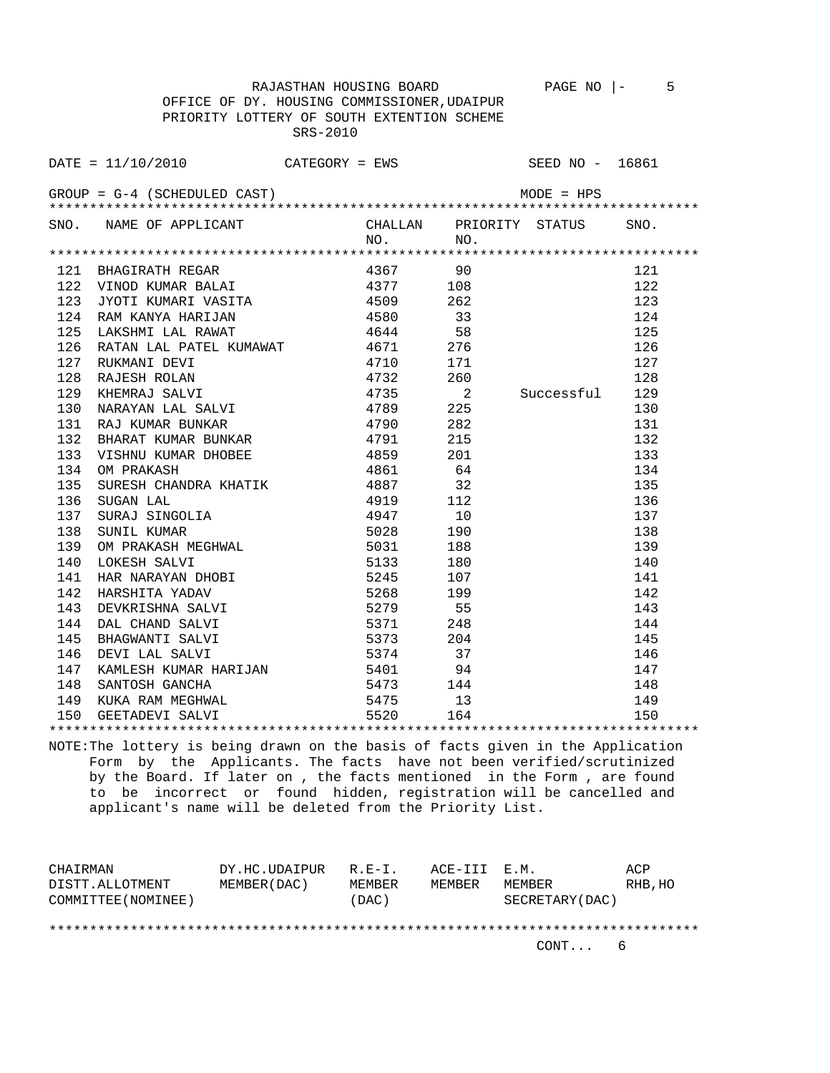OFFICE OF DY. HOUSING COMMISSIONER,UDAIPUR PRIORITY LOTTERY OF SOUTH EXTENTION SCHEME SRS-2010

| SNO. NAME OF APPLICANT CHALLAN PRIORITY STATUS SNO.<br>NO. NO. NO.                                                                                                                                    |  |  |
|-------------------------------------------------------------------------------------------------------------------------------------------------------------------------------------------------------|--|--|
|                                                                                                                                                                                                       |  |  |
|                                                                                                                                                                                                       |  |  |
|                                                                                                                                                                                                       |  |  |
|                                                                                                                                                                                                       |  |  |
|                                                                                                                                                                                                       |  |  |
| 124 RAM KANYA HARIJAN 125 ASSO 133<br>125 LAKSHMI LAL RAWAT 14644 58                                                                                                                                  |  |  |
| 126 RATAN LAL PATEL KUMAWAT $4671$ 276                                                                                                                                                                |  |  |
|                                                                                                                                                                                                       |  |  |
| 120 KATAN LALI PATELI KOMAWAT 4710 171<br>128 RAJESH ROLAN 4732 260<br>129 KHEMRAJ SALVI 4735 2<br>130 NARAYAN LAL SALVI 4789 225<br>131 RAJ KUMAR BUNKAR 4790 282<br>122 PUART KUMAR PUNKAR 4790 282 |  |  |
|                                                                                                                                                                                                       |  |  |
|                                                                                                                                                                                                       |  |  |
|                                                                                                                                                                                                       |  |  |
|                                                                                                                                                                                                       |  |  |
|                                                                                                                                                                                                       |  |  |
|                                                                                                                                                                                                       |  |  |
|                                                                                                                                                                                                       |  |  |
|                                                                                                                                                                                                       |  |  |
|                                                                                                                                                                                                       |  |  |
|                                                                                                                                                                                                       |  |  |
|                                                                                                                                                                                                       |  |  |
|                                                                                                                                                                                                       |  |  |
|                                                                                                                                                                                                       |  |  |
|                                                                                                                                                                                                       |  |  |
|                                                                                                                                                                                                       |  |  |
|                                                                                                                                                                                                       |  |  |
|                                                                                                                                                                                                       |  |  |
|                                                                                                                                                                                                       |  |  |
|                                                                                                                                                                                                       |  |  |
|                                                                                                                                                                                                       |  |  |
|                                                                                                                                                                                                       |  |  |
|                                                                                                                                                                                                       |  |  |
|                                                                                                                                                                                                       |  |  |

NOTE:The lottery is being drawn on the basis of facts given in the Application Form by the Applicants. The facts have not been verified/scrutinized by the Board. If later on , the facts mentioned in the Form , are found to be incorrect or found hidden, registration will be cancelled and applicant's name will be deleted from the Priority List.

| CHAIRMAN            | DY.HC.UDAIPUR | $R.E-I.$ | ACE-III E.M. |                 | ACP     |
|---------------------|---------------|----------|--------------|-----------------|---------|
| DISTT.ALLOTMENT     | MEMBER (DAC)  | MEMBER   | MEMBER       | MEMBER          | RHB, HO |
| COMMITTEE (NOMINEE) |               | (DAC)    |              | SECRETARY (DAC) |         |
|                     |               |          |              |                 |         |
|                     |               |          |              |                 |         |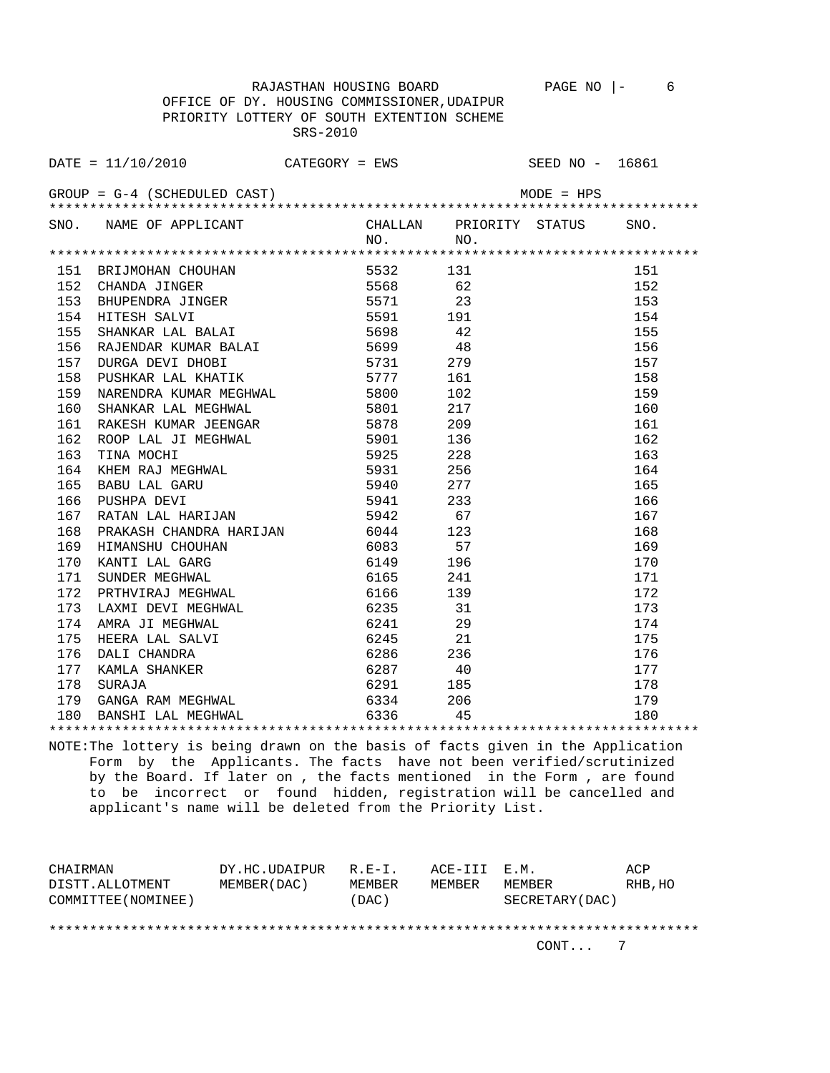OFFICE OF DY. HOUSING COMMISSIONER,UDAIPUR PRIORITY LOTTERY OF SOUTH EXTENTION SCHEME SRS-2010

| DATE = $11/10/2010$ CATEGORY = EWS SEED NO - 16861                                                                                              |           |  |  |
|-------------------------------------------------------------------------------------------------------------------------------------------------|-----------|--|--|
|                                                                                                                                                 |           |  |  |
| SNO. NAME OF APPLICANT $\begin{array}{ccc}\n\text{CHALLAN} & \text{PRIORITY} & \text{STATUS} \\ \text{NN} & \text{NN} & \text{NN}\n\end{array}$ | $NO.$ NO. |  |  |
|                                                                                                                                                 |           |  |  |
|                                                                                                                                                 |           |  |  |
|                                                                                                                                                 |           |  |  |
|                                                                                                                                                 |           |  |  |
|                                                                                                                                                 |           |  |  |
|                                                                                                                                                 |           |  |  |
|                                                                                                                                                 |           |  |  |
|                                                                                                                                                 |           |  |  |
|                                                                                                                                                 |           |  |  |
|                                                                                                                                                 |           |  |  |
|                                                                                                                                                 |           |  |  |
|                                                                                                                                                 |           |  |  |
|                                                                                                                                                 |           |  |  |
|                                                                                                                                                 |           |  |  |
|                                                                                                                                                 |           |  |  |
|                                                                                                                                                 |           |  |  |
|                                                                                                                                                 |           |  |  |
|                                                                                                                                                 |           |  |  |
|                                                                                                                                                 |           |  |  |
|                                                                                                                                                 |           |  |  |
|                                                                                                                                                 |           |  |  |
|                                                                                                                                                 |           |  |  |
|                                                                                                                                                 |           |  |  |
|                                                                                                                                                 |           |  |  |
|                                                                                                                                                 |           |  |  |
|                                                                                                                                                 |           |  |  |
|                                                                                                                                                 |           |  |  |
|                                                                                                                                                 |           |  |  |
|                                                                                                                                                 |           |  |  |
|                                                                                                                                                 |           |  |  |
|                                                                                                                                                 |           |  |  |
|                                                                                                                                                 |           |  |  |

NOTE:The lottery is being drawn on the basis of facts given in the Application Form by the Applicants. The facts have not been verified/scrutinized by the Board. If later on , the facts mentioned in the Form , are found to be incorrect or found hidden, registration will be cancelled and applicant's name will be deleted from the Priority List.

| CHAIRMAN            | DY.HC.UDAIPUR | R.E-I. | ACE-III E.M. |                 | ACP     |
|---------------------|---------------|--------|--------------|-----------------|---------|
| DISTT.ALLOTMENT     | MEMBER (DAC)  | MEMBER | MEMBER       | MEMBER          | RHB, HO |
| COMMITTEE (NOMINEE) |               | (DAC)  |              | SECRETARY (DAC) |         |
|                     |               |        |              |                 |         |
|                     |               |        |              |                 |         |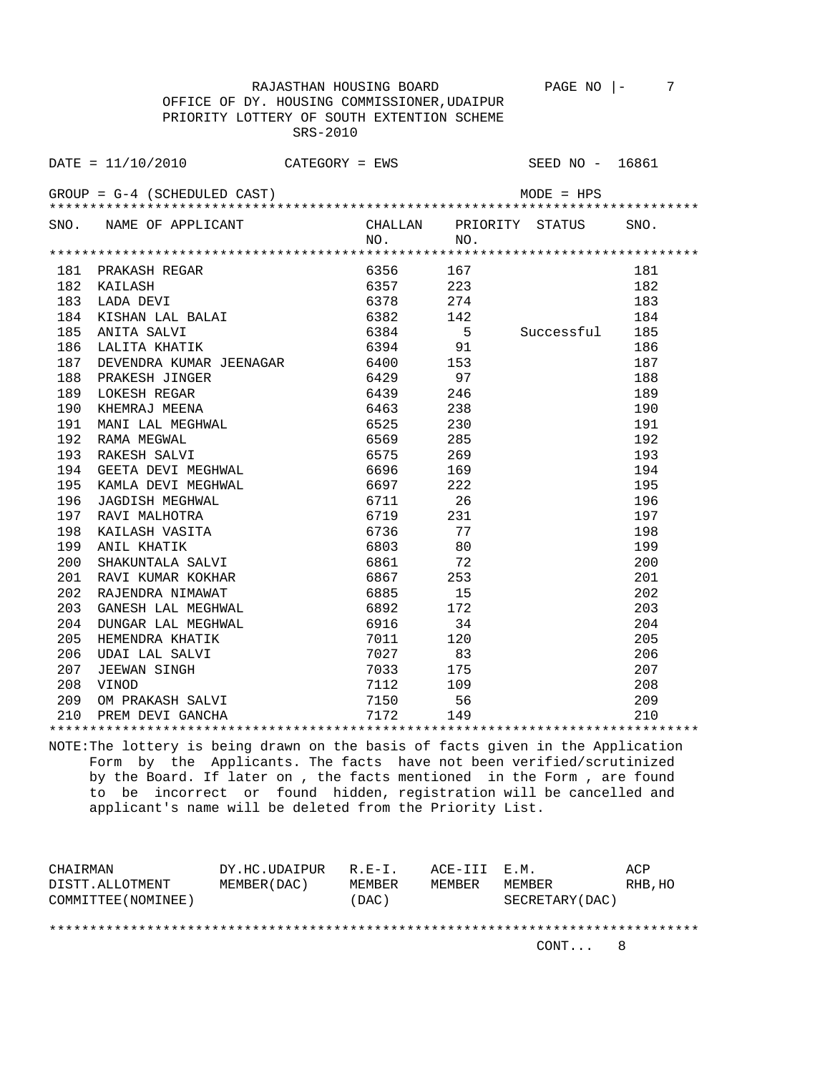OFFICE OF DY. HOUSING COMMISSIONER,UDAIPUR PRIORITY LOTTERY OF SOUTH EXTENTION SCHEME SRS-2010

|     | $\texttt{DATE} = 11/10/2010$ CATEGORY = EWS SEED NO - 16861                                 |          |                 |                |      |
|-----|---------------------------------------------------------------------------------------------|----------|-----------------|----------------|------|
|     | $GROUP = G-4$ (SCHEDULED CAST)                                                              |          |                 | $MODE = HPS$   |      |
|     |                                                                                             |          |                 |                |      |
|     | SNO. NAME OF APPLICANT CHALLAN PRIORITY STATUS                                              | NO.      | NO.             |                | SNO. |
|     |                                                                                             |          |                 |                |      |
| 181 |                                                                                             | 6356     | 167             |                | 181  |
| 182 | PRAKASH REGAR<br>KAILASH<br>LADA DEVI<br>KISHAN LAL BALAI<br>ANITA SALVI<br>LALITA KHATIK   | 6357     | 223             |                | 182  |
| 183 |                                                                                             | 6378     | 274             |                | 183  |
| 184 |                                                                                             | 6382     | 274<br>142<br>5 |                | 184  |
| 185 |                                                                                             | 6384     |                 | Successful 185 |      |
| 186 |                                                                                             | 6394 91  |                 |                | 186  |
| 187 | DEVENDRA KUMAR JEENAGAR 6400 153                                                            |          |                 |                | 187  |
| 188 | PRAKESH JINGER                                                                              | 6429 97  |                 |                | 188  |
| 189 | LOKESH REGAR                                                                                | 6439     | 246             |                | 189  |
| 190 | KHEMRAJ MEENA                                                                               | 6463 238 |                 |                | 190  |
| 191 | MANI LAL MEGHWAL 6525                                                                       |          | 230             |                | 191  |
| 192 | RAMA MEGWAL                                                                                 | 6569     | 285             |                | 192  |
| 193 | RAKESH SALVI                                                                                | 6575     | 269             |                | 193  |
| 194 | GEETA DEVI MEGHWAL 6696                                                                     |          | 169             |                | 194  |
| 195 | KAMLA DEVI MEGHWAL 6697 222                                                                 |          |                 |                | 195  |
| 196 | JAGDISH MEGHWAL                                                                             | 6711 26  |                 |                | 196  |
| 197 | RAVI MALHOTRA                                                                               | 6719 231 |                 |                | 197  |
| 198 | KAILASH VASITA                                                                              | 6736     | 77              |                | 198  |
| 199 | ANIL KHATIK                                                                                 | 6803     | 80              |                | 199  |
| 200 | SHAKUNTALA SALVI                                                                            | 6861     | 72              |                | 200  |
| 201 | RAVI KUMAR KOKHAR                                                                           | 6867     | 253             |                | 201  |
| 202 | RAJENDRA NIMAWAT                                                                            | 6885     | 15              |                | 202  |
| 203 | GANESH LAL MEGHWAL                                                                          | 6892     | 172             |                | 203  |
| 204 |                                                                                             | 6916     | 34              |                | 204  |
| 205 |                                                                                             | 7011     | 120             |                | 205  |
| 206 |                                                                                             | 7027     | 83              |                | 206  |
| 207 | GANESH DAD ALLER<br>DUNGAR LAL MEGHWAL<br>HEMENDRA KHATIK<br>UDAI LAL SALVI<br>JEEWAN SINGH | 7033     | 175             |                | 207  |
| 208 | VINOD                                                                                       | 7112 109 |                 |                | 208  |
| 209 |                                                                                             | 7150 56  |                 |                | 209  |
| 210 |                                                                                             |          | 149             |                | 210  |
|     |                                                                                             |          |                 |                |      |

NOTE:The lottery is being drawn on the basis of facts given in the Application Form by the Applicants. The facts have not been verified/scrutinized by the Board. If later on , the facts mentioned in the Form , are found to be incorrect or found hidden, registration will be cancelled and applicant's name will be deleted from the Priority List.

| CHAIRMAN            | DY.HC.UDAIPUR | R.E-I. | ACE-III E.M. |                 | ACP     |
|---------------------|---------------|--------|--------------|-----------------|---------|
| DISTT.ALLOTMENT     | MEMBER (DAC)  | MEMBER | MEMBER       | MEMBER          | RHB, HO |
| COMMITTEE (NOMINEE) |               | (DAC)  |              | SECRETARY (DAC) |         |
|                     |               |        |              |                 |         |
|                     |               |        |              |                 |         |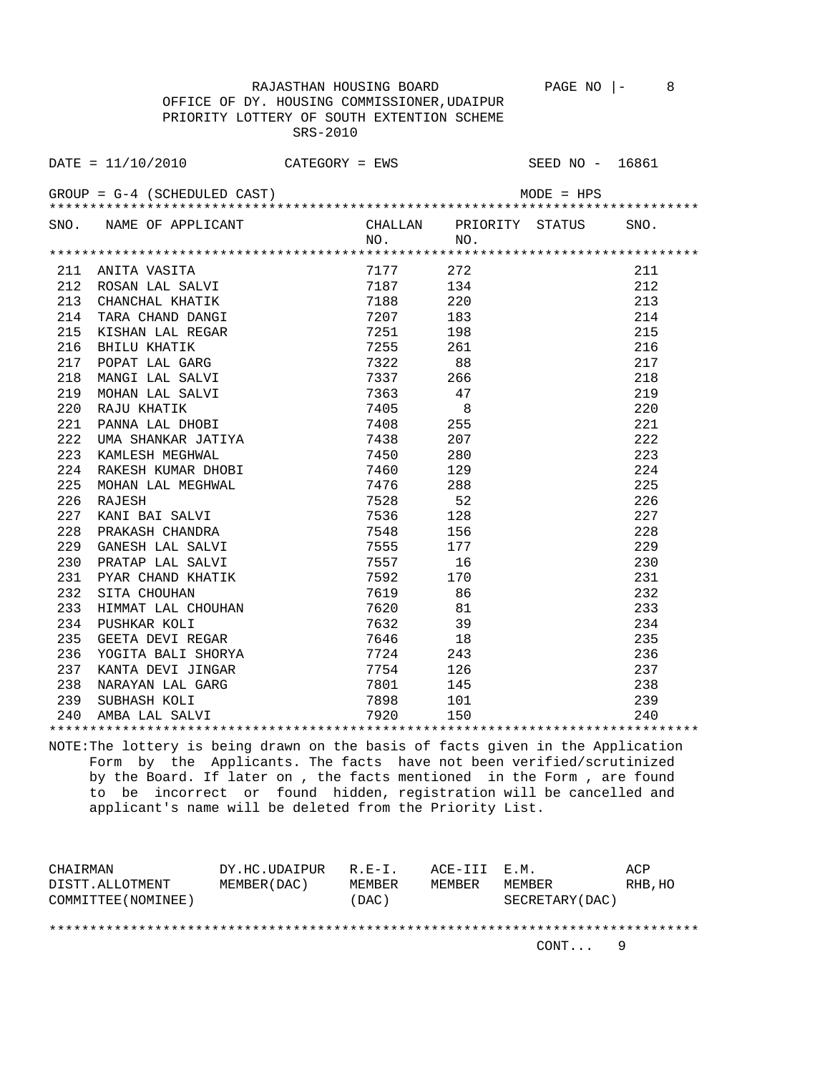OFFICE OF DY. HOUSING COMMISSIONER,UDAIPUR PRIORITY LOTTERY OF SOUTH EXTENTION SCHEME SRS-2010

| DATE = $11/10/2010$ CATEGORY = EWS SEED NO - 16861             |                                                                                                                                                                                                                                                                  |  |  |
|----------------------------------------------------------------|------------------------------------------------------------------------------------------------------------------------------------------------------------------------------------------------------------------------------------------------------------------|--|--|
| $GROUP = G-4 (SCHEDULED CAST)$                                 |                                                                                                                                                                                                                                                                  |  |  |
| SNO. NAME OF APPLICANT CHALLAN PRIORITY STATUS SNO.<br>NO. NO. | NO. NO. NO.<br>1717 272<br>17187 134 212<br>187 134 212<br>187 134 212<br>17187 134 212<br>17187 134 212<br>188 220<br>187 188 211<br>187 188 215<br>17251 198 215<br>1725 88 216<br>17337 266 211<br>17337 266 211<br>1746 8 215<br>17408 255<br>17408 255<br>1 |  |  |
|                                                                |                                                                                                                                                                                                                                                                  |  |  |
|                                                                |                                                                                                                                                                                                                                                                  |  |  |
|                                                                |                                                                                                                                                                                                                                                                  |  |  |
|                                                                |                                                                                                                                                                                                                                                                  |  |  |
|                                                                |                                                                                                                                                                                                                                                                  |  |  |
|                                                                |                                                                                                                                                                                                                                                                  |  |  |
|                                                                |                                                                                                                                                                                                                                                                  |  |  |
|                                                                |                                                                                                                                                                                                                                                                  |  |  |
|                                                                |                                                                                                                                                                                                                                                                  |  |  |
|                                                                |                                                                                                                                                                                                                                                                  |  |  |
|                                                                |                                                                                                                                                                                                                                                                  |  |  |
|                                                                |                                                                                                                                                                                                                                                                  |  |  |
|                                                                |                                                                                                                                                                                                                                                                  |  |  |
|                                                                |                                                                                                                                                                                                                                                                  |  |  |
|                                                                |                                                                                                                                                                                                                                                                  |  |  |
|                                                                |                                                                                                                                                                                                                                                                  |  |  |
|                                                                |                                                                                                                                                                                                                                                                  |  |  |
|                                                                |                                                                                                                                                                                                                                                                  |  |  |
|                                                                |                                                                                                                                                                                                                                                                  |  |  |
|                                                                |                                                                                                                                                                                                                                                                  |  |  |
|                                                                |                                                                                                                                                                                                                                                                  |  |  |
|                                                                |                                                                                                                                                                                                                                                                  |  |  |
|                                                                |                                                                                                                                                                                                                                                                  |  |  |
|                                                                |                                                                                                                                                                                                                                                                  |  |  |
|                                                                |                                                                                                                                                                                                                                                                  |  |  |
|                                                                |                                                                                                                                                                                                                                                                  |  |  |
|                                                                |                                                                                                                                                                                                                                                                  |  |  |
|                                                                |                                                                                                                                                                                                                                                                  |  |  |
|                                                                |                                                                                                                                                                                                                                                                  |  |  |
|                                                                |                                                                                                                                                                                                                                                                  |  |  |
|                                                                |                                                                                                                                                                                                                                                                  |  |  |
|                                                                |                                                                                                                                                                                                                                                                  |  |  |

NOTE:The lottery is being drawn on the basis of facts given in the Application Form by the Applicants. The facts have not been verified/scrutinized by the Board. If later on , the facts mentioned in the Form , are found to be incorrect or found hidden, registration will be cancelled and applicant's name will be deleted from the Priority List.

| CHAIRMAN            | DY.HC.UDAIPUR | $R.F - T$ . | ACE-III E.M. |                  | ACP     |
|---------------------|---------------|-------------|--------------|------------------|---------|
| DISTT.ALLOTMENT     | MEMBER (DAC)  | MEMBER      | MEMBER       | MEMBER           | RHB, HO |
| COMMITTEE (NOMINEE) |               | (DAC)       |              | SECRETARY (DAC ) |         |
|                     |               |             |              |                  |         |
|                     |               |             |              |                  |         |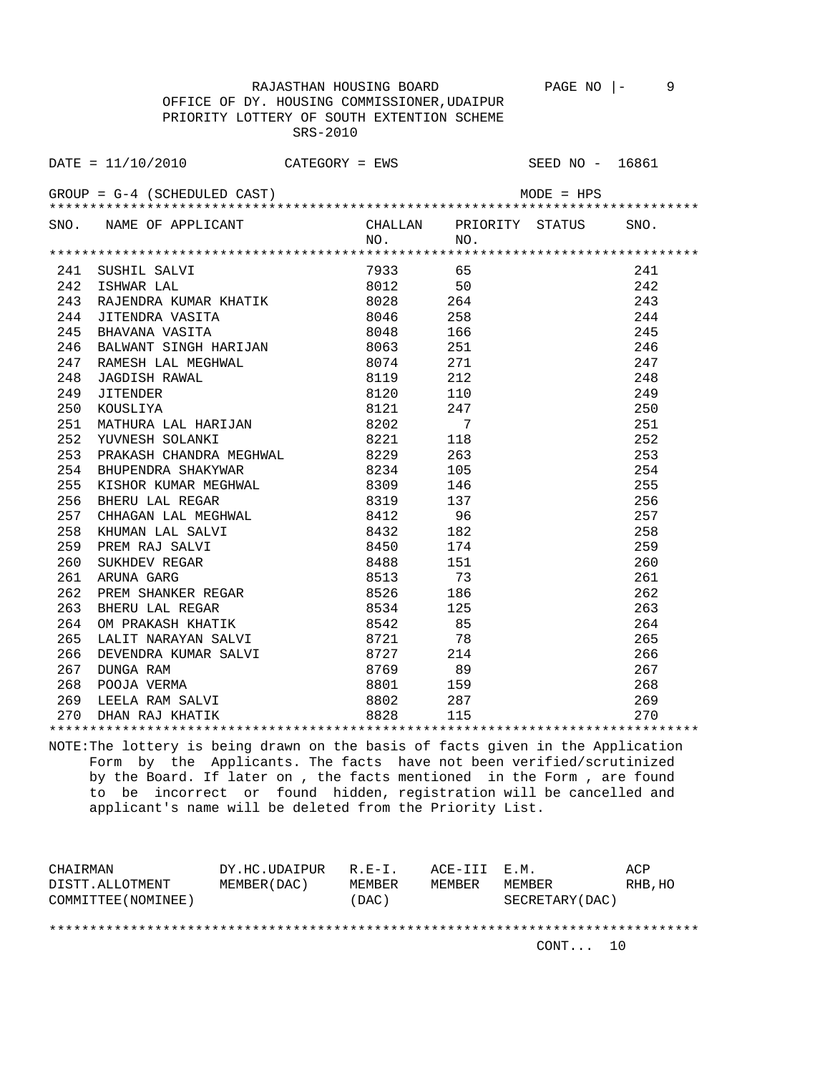OFFICE OF DY. HOUSING COMMISSIONER,UDAIPUR PRIORITY LOTTERY OF SOUTH EXTENTION SCHEME SRS-2010

|     | DATE = $11/10/2010$ CATEGORY = EWS SEED NO - 16861                                                                                                                                                                                                 |              |            |              |      |
|-----|----------------------------------------------------------------------------------------------------------------------------------------------------------------------------------------------------------------------------------------------------|--------------|------------|--------------|------|
|     | $GROUP = G-4$ (SCHEDULED CAST)                                                                                                                                                                                                                     |              |            | $MODE = HPS$ |      |
|     | SNO. NAME OF APPLICANT CHALLAN PRIORITY STATUS                                                                                                                                                                                                     |              | $NO.$ NO.  |              | SNO. |
|     |                                                                                                                                                                                                                                                    |              |            |              |      |
|     |                                                                                                                                                                                                                                                    |              | 7933 65    |              | 241  |
|     | 241 SUSHIL SALVI<br>242 ISHWAR LAL                                                                                                                                                                                                                 |              | 8012       | 50           | 242  |
|     | 242 ISIMAN DAD<br>243 RAJENDRA KUMAR KHATIK 8028<br>244 JITENDRA VASITA 8046<br>245 BHAVANA VASITA 8048                                                                                                                                            |              | $8028$ 264 |              | 243  |
|     |                                                                                                                                                                                                                                                    |              |            | 258          | 244  |
|     |                                                                                                                                                                                                                                                    |              |            | 166          | 245  |
|     | 246 BALWANT SINGH HARIJAN 8063                                                                                                                                                                                                                     |              |            | 251          | 246  |
|     | 247 RAMESH LAL MEGHWAL 8074 271<br>248 JAGDISH RAWAL 8119 212<br>249 JITENDER 8120 110<br>250 KOUSLIYA 8121 247                                                                                                                                    |              |            |              | 247  |
|     |                                                                                                                                                                                                                                                    |              |            |              | 248  |
|     |                                                                                                                                                                                                                                                    |              |            |              | 249  |
|     |                                                                                                                                                                                                                                                    |              |            |              | 250  |
|     | 251 MATHURA LAL HARIJAN 8202 7<br>252 YUVNESH SOLANKI 8221 118                                                                                                                                                                                     |              |            |              | 251  |
|     |                                                                                                                                                                                                                                                    |              |            |              | 252  |
|     | 252 TOWARD SOMETHING<br>253 PRAKASH CHANDRA MEGHWAL 8229 263<br>254 BHUPENDRA SHAKYWAR 8234 105                                                                                                                                                    |              |            |              | 253  |
|     |                                                                                                                                                                                                                                                    |              |            |              | 254  |
| 255 | ENDENDRA SHARTWAR<br>KISHOR KUMAR MEGHWAL<br>BHERU LAL REGAR<br>CHHAGAN LAL MEGHWAL<br>S309 146<br>BHERU LAL REGAR<br>KHUMAN LAL SALVI 8432 182<br>PREM RAJ SALVI 8432 182<br>PREM RAJ SALVI 8432 182<br>PREM RAJ SALVI 8432 182<br>PREM RAJ SALVI |              |            |              | 255  |
| 256 |                                                                                                                                                                                                                                                    |              |            |              | 256  |
| 257 |                                                                                                                                                                                                                                                    |              |            |              | 257  |
| 258 |                                                                                                                                                                                                                                                    |              |            |              | 258  |
| 259 |                                                                                                                                                                                                                                                    |              |            |              | 259  |
| 260 |                                                                                                                                                                                                                                                    |              |            |              | 260  |
| 261 |                                                                                                                                                                                                                                                    |              |            |              | 261  |
| 262 |                                                                                                                                                                                                                                                    |              |            |              | 262  |
| 263 |                                                                                                                                                                                                                                                    |              |            |              | 263  |
| 264 | OM PRAKASH KHATIK                                                                                                                                                                                                                                  | 8542<br>8721 | 8542       | 85           | 264  |
| 265 | LALIT NARAYAN SALVI                                                                                                                                                                                                                                |              |            | 78           | 265  |
|     |                                                                                                                                                                                                                                                    |              |            |              |      |
|     |                                                                                                                                                                                                                                                    |              |            |              |      |
|     |                                                                                                                                                                                                                                                    |              |            |              |      |
|     |                                                                                                                                                                                                                                                    |              |            |              |      |
|     |                                                                                                                                                                                                                                                    |              |            |              |      |
|     |                                                                                                                                                                                                                                                    |              |            |              |      |

NOTE:The lottery is being drawn on the basis of facts given in the Application Form by the Applicants. The facts have not been verified/scrutinized by the Board. If later on , the facts mentioned in the Form , are found to be incorrect or found hidden, registration will be cancelled and applicant's name will be deleted from the Priority List.

| CHAIRMAN            | DY.HC.UDAIPUR | $R$ $R - T$ | ACE-III E.M. |                 | ACP     |
|---------------------|---------------|-------------|--------------|-----------------|---------|
| DISTT.ALLOTMENT     | MEMBER (DAC ) | MEMBER      | MEMBER       | MEMBER          | RHB, HO |
| COMMITTEE (NOMINEE) |               | (DAC)       |              | SECRETARY (DAC) |         |
|                     |               |             |              |                 |         |
|                     |               |             |              |                 |         |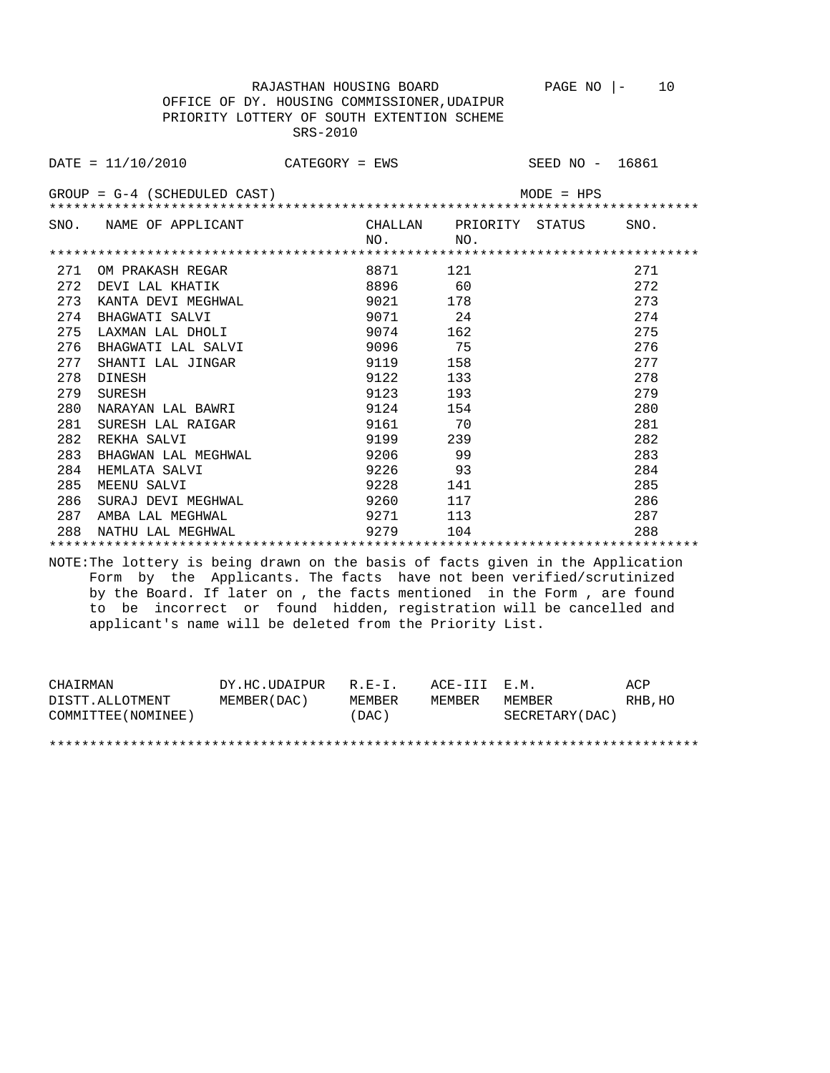OFFICE OF DY. HOUSING COMMISSIONER,UDAIPUR PRIORITY LOTTERY OF SOUTH EXTENTION SCHEME SRS-2010

|     | $\text{DATE} = 11/10/2010$ CATEGORY = EWS                                       |          |                         | SEED NO - 16861 |      |
|-----|---------------------------------------------------------------------------------|----------|-------------------------|-----------------|------|
|     | $GROUP = G-4$ (SCHEDULED CAST)                                                  |          |                         | $MODE = HPS$    |      |
|     |                                                                                 |          |                         |                 |      |
|     | SNO. NAME OF APPLICANT                                                          |          | CHALLAN PRIORITY STATUS |                 | SNO. |
|     |                                                                                 | NO.      | NO <sub>1</sub>         |                 |      |
|     |                                                                                 |          |                         |                 |      |
| 271 | OM PRAKASH REGAR                                                                | 8871     | 121                     |                 | 271  |
| 272 | DEVI LAL KHATIK                                                                 | 8896 60  |                         |                 | 272  |
|     | 273 KANTA DEVI MEGHWAL                                                          | 9021 178 |                         |                 | 273  |
| 274 | BHAGWATI SALVI                                                                  | 9071 24  |                         |                 | 274  |
| 275 | LAXMAN LAL DHOLI                                                                | 9074 162 |                         |                 | 275  |
| 276 | BHAGWATI LAL SALVI                                                              | 9096 75  |                         |                 | 276  |
| 277 | SHANTI LAL JINGAR                                                               | 9119 158 |                         |                 | 277  |
| 278 | DINESH                                                                          | 9122     | 133                     |                 | 278  |
| 279 | SURESH                                                                          | 9123     | 193                     |                 | 279  |
| 280 | NARAYAN LAL BAWRI                                                               | 9124     | 154                     |                 | 280  |
| 281 | SURESH LAL RAIGAR                                                               | 9161     | 70                      |                 | 281  |
| 282 | REKHA SALVI                                                                     | 9199 239 |                         |                 | 282  |
| 283 | BHAGWAN LAL MEGHWAL                                                             | 9206 99  |                         |                 | 283  |
|     | 284 HEMLATA SALVI                                                               | 9226     | 93                      |                 | 284  |
| 285 | MEENU SALVI                                                                     | 9228 141 |                         |                 | 285  |
| 286 | SURAJ DEVI MEGHWAL                                                              | 9260     | 117                     |                 | 286  |
|     | 287 AMBA LAL MEGHWAL                                                            | 9271 113 |                         |                 | 287  |
| 288 | NATHU LAL MEGHWAL                                                               | 9279     | 104                     |                 | 288  |
|     |                                                                                 |          |                         |                 |      |
|     | NOTE: The lottery is being drawn on the basis of facts given in the Application |          |                         |                 |      |
|     | Form by the Applicants. The facts have not been verified/scrutinized            |          |                         |                 |      |
|     | by the Board. If later on, the facts mentioned in the Form, are found           |          |                         |                 |      |
|     | to be incorrect or found hidden, registration will be cancelled and             |          |                         |                 |      |
|     | applicant's name will be deleted from the Priority List.                        |          |                         |                 |      |

| CHAIRMAN            | DY.HC.UDAIPUR | $R.F - T$ | ACE-III E.M. |                  | ACP     |
|---------------------|---------------|-----------|--------------|------------------|---------|
| DISTT.ALLOTMENT     | MEMBER (DAC)  | MEMBER    | MEMBER       | MEMBER           | RHB, HO |
| COMMITTEE (NOMINEE) |               | (DAC)     |              | SECRETARY (DAC ) |         |
|                     |               |           |              |                  |         |

\*\*\*\*\*\*\*\*\*\*\*\*\*\*\*\*\*\*\*\*\*\*\*\*\*\*\*\*\*\*\*\*\*\*\*\*\*\*\*\*\*\*\*\*\*\*\*\*\*\*\*\*\*\*\*\*\*\*\*\*\*\*\*\*\*\*\*\*\*\*\*\*\*\*\*\*\*\*\*\*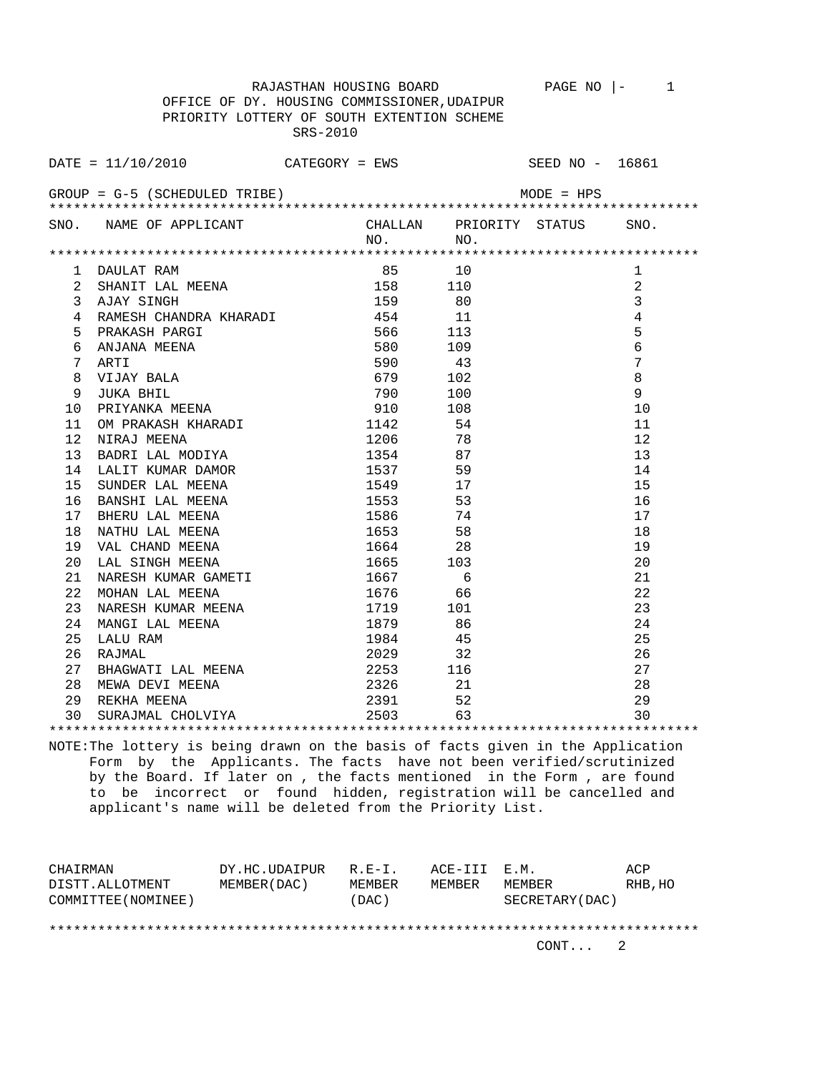RAJASTHAN HOUSING BOARD PAGE NO  $|-1$  OFFICE OF DY. HOUSING COMMISSIONER,UDAIPUR PRIORITY LOTTERY OF SOUTH EXTENTION SCHEME

SRS-2010

| DATE = $11/10/2010$ CATEGORY = EWS SEED NO - 16861                                                                                                                                                                                                             |  |                                         |              |                 |
|----------------------------------------------------------------------------------------------------------------------------------------------------------------------------------------------------------------------------------------------------------------|--|-----------------------------------------|--------------|-----------------|
| $GROUP = G-5$ (SCHEDULED TRIBE)                                                                                                                                                                                                                                |  |                                         | $MODE = HPS$ |                 |
| SNO. NAME OF APPLICANT                                                                                                                                                                                                                                         |  | CHALLAN PRIORITY STATUS SNO.<br>NO. NO. |              |                 |
|                                                                                                                                                                                                                                                                |  |                                         |              |                 |
|                                                                                                                                                                                                                                                                |  |                                         |              | 1               |
|                                                                                                                                                                                                                                                                |  |                                         |              | $\overline{2}$  |
|                                                                                                                                                                                                                                                                |  |                                         |              | $\overline{3}$  |
|                                                                                                                                                                                                                                                                |  |                                         |              | $\overline{4}$  |
|                                                                                                                                                                                                                                                                |  |                                         |              | 5               |
|                                                                                                                                                                                                                                                                |  |                                         |              | $\epsilon$      |
|                                                                                                                                                                                                                                                                |  |                                         |              | $7\phantom{.0}$ |
|                                                                                                                                                                                                                                                                |  |                                         |              | $\,8\,$         |
|                                                                                                                                                                                                                                                                |  |                                         |              | 9               |
|                                                                                                                                                                                                                                                                |  |                                         |              | 10              |
|                                                                                                                                                                                                                                                                |  |                                         |              | 11              |
|                                                                                                                                                                                                                                                                |  |                                         |              | 12              |
|                                                                                                                                                                                                                                                                |  |                                         |              | 13              |
|                                                                                                                                                                                                                                                                |  |                                         |              | 14              |
|                                                                                                                                                                                                                                                                |  |                                         |              | 15              |
|                                                                                                                                                                                                                                                                |  |                                         |              | 16              |
|                                                                                                                                                                                                                                                                |  |                                         |              | 17              |
|                                                                                                                                                                                                                                                                |  |                                         |              | 18              |
|                                                                                                                                                                                                                                                                |  |                                         |              | 19              |
|                                                                                                                                                                                                                                                                |  |                                         |              | 20              |
|                                                                                                                                                                                                                                                                |  |                                         |              | 21              |
|                                                                                                                                                                                                                                                                |  |                                         |              | 22              |
|                                                                                                                                                                                                                                                                |  |                                         |              | 23              |
|                                                                                                                                                                                                                                                                |  |                                         |              | 24              |
|                                                                                                                                                                                                                                                                |  |                                         |              | 25              |
|                                                                                                                                                                                                                                                                |  |                                         |              | 26              |
|                                                                                                                                                                                                                                                                |  |                                         |              | 27              |
|                                                                                                                                                                                                                                                                |  |                                         |              | 28              |
|                                                                                                                                                                                                                                                                |  |                                         |              | 29              |
| 1 DAULAT RAM<br>1 DAULAT RAM<br>1 DAULAT RAM<br>1 STANTI LAL MEENA 156<br>10 SAJAY STINGH<br>158<br>10 100<br>2 AJAY STINGH<br>158<br>10 100<br>2 REAKASH PARCI 159<br>50 109<br>7 ATATI 156<br>6 ANJANA MEENA 156<br>7 ATATI 156<br>10 100<br>7 NITAT 1560 10 |  |                                         |              | 30              |

\*\*\*\*\*\*\*\*\*\*\*\*\*\*\*\*\*\*\*\*\*\*\*\*\*\*\*\*\*\*\*\*\*\*\*\*\*\*\*\*\*\*\*\*\*\*\*\*\*\*\*\*\*\*\*\*\*\*\*\*\*\*\*\*\*\*\*\*\*\*\*\*\*\*\*\*\*\*\*\* NOTE:The lottery is being drawn on the basis of facts given in the Application Form by the Applicants. The facts have not been verified/scrutinized by the Board. If later on , the facts mentioned in the Form , are found to be incorrect or found hidden, registration will be cancelled and applicant's name will be deleted from the Priority List.

| CHAIRMAN            | DY.HC.UDAIPUR | $R$ . $F - T$ . | ACE-TTT F.M. |                 | ACP     |
|---------------------|---------------|-----------------|--------------|-----------------|---------|
| DISTT.ALLOTMENT     | MEMBER (DAC)  | MEMBER          | MEMBER       | MEMBER          | RHB, HO |
| COMMITTEE (NOMINEE) |               | (DAC)           |              | SECRETARY (DAC) |         |
|                     |               |                 |              |                 |         |
|                     |               |                 |              |                 |         |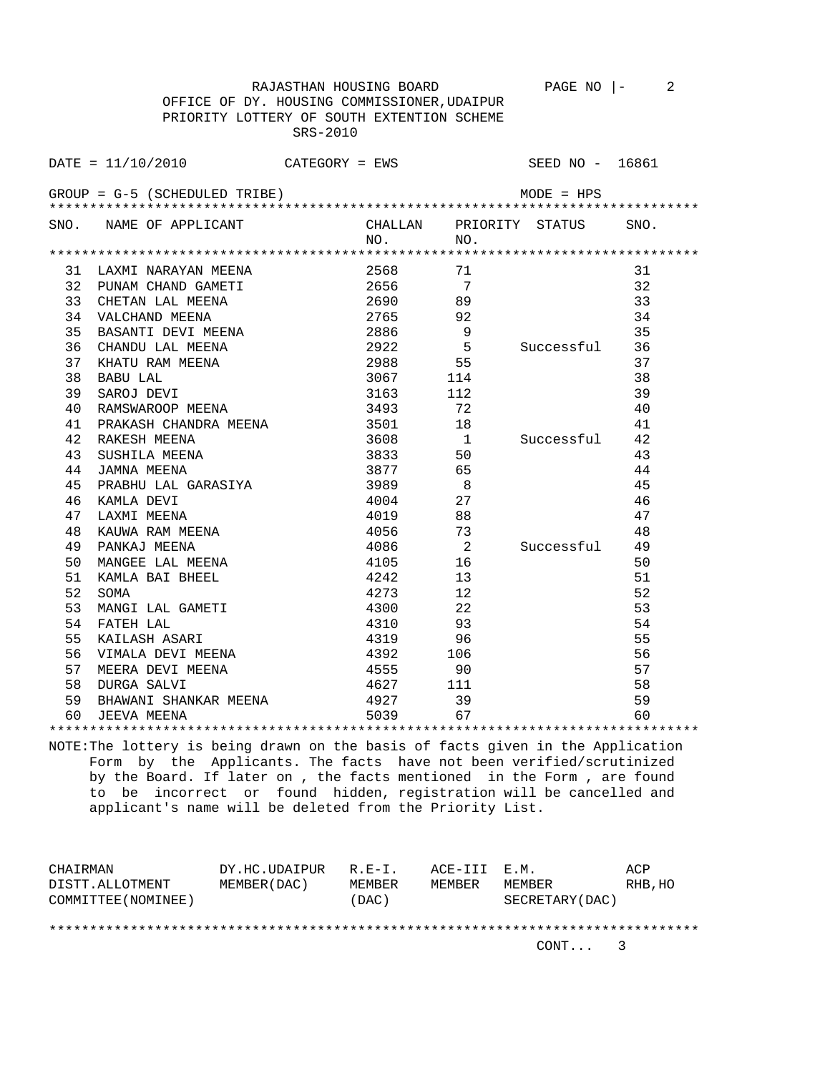RAJASTHAN HOUSING BOARD PAGE NO |- 2 OFFICE OF DY. HOUSING COMMISSIONER,UDAIPUR PRIORITY LOTTERY OF SOUTH EXTENTION SCHEME SRS-2010

 $\text{DATE} = 11/10/2010$  CATEGORY = EWS SEED NO - 16861 GROUP = G-5 (SCHEDULED TRIBE) MODE = HPS \*\*\*\*\*\*\*\*\*\*\*\*\*\*\*\*\*\*\*\*\*\*\*\*\*\*\*\*\*\*\*\*\*\*\*\*\*\*\*\*\*\*\*\*\*\*\*\*\*\*\*\*\*\*\*\*\*\*\*\*\*\*\*\*\*\*\*\*\*\*\*\*\*\*\*\*\*\*\*\* SNO. NAME OF APPLICANT CHALLAN PRIORITY STATUS SNO.<br>NO. NO. NO. NO. \*\*\*\*\*\*\*\*\*\*\*\*\*\*\*\*\*\*\*\*\*\*\*\*\*\*\*\*\*\*\*\*\*\*\*\*\*\*\*\*\*\*\*\*\*\*\*\*\*\*\*\*\*\*\*\*\*\*\*\*\*\*\*\*\*\*\*\*\*\*\*\*\*\*\*\*\*\*\*\* 31 LAXMI NARAYAN MEENA 2568 71 31 32 PUNAM CHAND GAMETI 2656 7 32 33 CHETAN LAL MEENA 2690 89 33 34 VALCHAND MEENA 2765 92 34 35 BASANTI DEVI MEENA 2886 9 35 36 CHANDU LAL MEENA  $2922$  5 Successful 36<br>37 KHATU RAM MEENA 2988 55 37<br>38 BABU LAL 38 37 KHATU RAM MEENA 2988 55 37 38 BABU LAL 3067 114 38<br>39 SAROJ DEVI 3163 112 39 39 SAROJ DEVI 3163 112 39 40 RAMSWAROOP MEENA 3493 72 40 41 PRAKASH CHANDRA MEENA 3501 18 41 42 RAKESH MEENA 3608 1 Successful 42 43 SUSHILA MEENA 3833 50 43 44 JAMNA MEENA 3877 65 44 45 PRABHU LAL GARASIYA 3989 8 45 46 KAMLA DEVI 4004 27 46 47 LAXMI MEENA 4019 88 47 48 KAUWA RAM MEENA 4056 73 48 49 PANKAJ MEENA 4086 2 Successful 49 50 MANGEE LAL MEENA 4105 16 50 51 KAMLA BAI BHEEL 4242 13 51<br>52 SOMA 4273 12 52<br>53 MANGI LAL GAMETI 4300 22 53 52 SOMA 4273 12 52 53 MANGI LAL GAMETI 4300 22 53<br>54 FATEH LAL 4310 93 54 54 FATEH LAL 4310 93 54 55 KAILASH ASARI 4319 96 55 56 VIMALA DEVI MEENA 4392 106 56 57 MEERA DEVI MEENA 4555 90 57

 59 BHAWANI SHANKAR MEENA 4927 39 59 60 JEEVA MEENA 5039 67 60 \*\*\*\*\*\*\*\*\*\*\*\*\*\*\*\*\*\*\*\*\*\*\*\*\*\*\*\*\*\*\*\*\*\*\*\*\*\*\*\*\*\*\*\*\*\*\*\*\*\*\*\*\*\*\*\*\*\*\*\*\*\*\*\*\*\*\*\*\*\*\*\*\*\*\*\*\*\*\*\* NOTE:The lottery is being drawn on the basis of facts given in the Application Form by the Applicants. The facts have not been verified/scrutinized by the Board. If later on , the facts mentioned in the Form , are found

58 DURGA SALVI 4627 111 58

 to be incorrect or found hidden, registration will be cancelled and applicant's name will be deleted from the Priority List.

| CHAIRMAN            | DY.HC.UDAIPUR | $R.E-I.$ | ACE-III E.M. |                 | ACP     |
|---------------------|---------------|----------|--------------|-----------------|---------|
| DISTT.ALLOTMENT     | MEMBER (DAC)  | MEMBER   | MEMBER       | MEMBER          | RHB, HO |
| COMMITTEE (NOMINEE) |               | (DAC)    |              | SECRETARY (DAC) |         |
|                     |               |          |              |                 |         |
|                     |               |          |              |                 |         |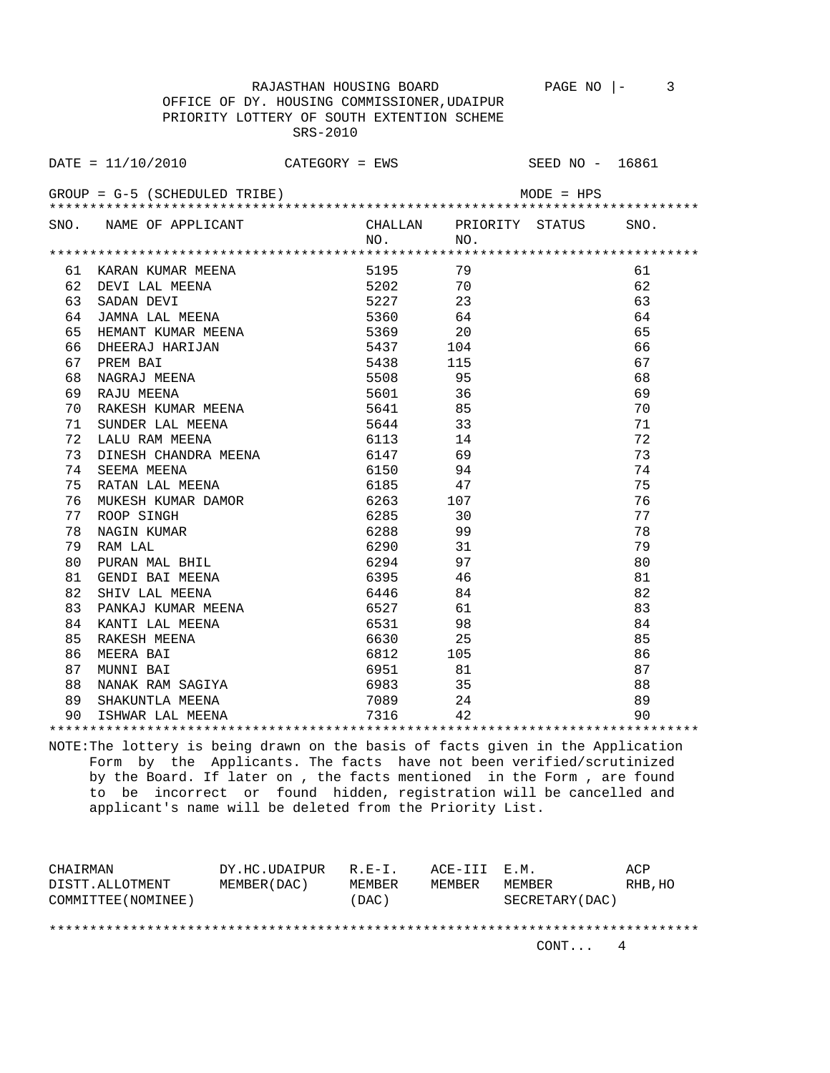RAJASTHAN HOUSING BOARD PAGE NO |- 3 OFFICE OF DY. HOUSING COMMISSIONER,UDAIPUR PRIORITY LOTTERY OF SOUTH EXTENTION SCHEME

 SRS-2010  $\text{DATE} = 11/10/2010$  CATEGORY = EWS SEED NO - 16861

| SNO. NAME OF APPLICANT CHALLAN PRIORITY STATUS SNO.                                                                                                                                                                                                                                                                                                                                                                                                                  |                                               |     |  |    |  |
|----------------------------------------------------------------------------------------------------------------------------------------------------------------------------------------------------------------------------------------------------------------------------------------------------------------------------------------------------------------------------------------------------------------------------------------------------------------------|-----------------------------------------------|-----|--|----|--|
|                                                                                                                                                                                                                                                                                                                                                                                                                                                                      | NO.                                           | NO. |  |    |  |
|                                                                                                                                                                                                                                                                                                                                                                                                                                                                      |                                               |     |  |    |  |
| 61                                                                                                                                                                                                                                                                                                                                                                                                                                                                   |                                               |     |  | 61 |  |
| 62                                                                                                                                                                                                                                                                                                                                                                                                                                                                   |                                               |     |  | 62 |  |
| EXARAN KUMAR MEENA<br>DEVI LAL MEENA 5202 70<br>SADAN DEVI 5227 23<br>JAMNA LAL MEENA 5360 64<br>HEMANT KIMAR MEENA 5360 64<br>63                                                                                                                                                                                                                                                                                                                                    |                                               |     |  | 63 |  |
| 64<br>DAPINA PAR REENA<br>HEMANT KUMAR MEENA                                                                                                                                                                                                                                                                                                                                                                                                                         |                                               |     |  | 64 |  |
| MANNA LAL MEENA<br>HEMANT KUMAR MEENA<br>DHEERAJ HARIJAN 5437 104<br>PREM BAI 5437 104<br>PREM BAI 5438 115<br>NAGRAJ MEENA 5508 95<br>RAJU MEENA 5601 36<br>RAKESH KUMAR MEENA 5641 85<br>INDER LAL MEENA 5641 85<br>65                                                                                                                                                                                                                                             | $5369$<br>$5437$<br>$5439$<br>$5439$<br>$104$ |     |  | 65 |  |
| 66                                                                                                                                                                                                                                                                                                                                                                                                                                                                   |                                               |     |  | 66 |  |
| 67                                                                                                                                                                                                                                                                                                                                                                                                                                                                   |                                               |     |  | 67 |  |
| 68                                                                                                                                                                                                                                                                                                                                                                                                                                                                   |                                               |     |  | 68 |  |
| 69                                                                                                                                                                                                                                                                                                                                                                                                                                                                   |                                               |     |  | 69 |  |
| 70                                                                                                                                                                                                                                                                                                                                                                                                                                                                   |                                               |     |  | 70 |  |
| SUNDER LAL MEENA 5644<br>71                                                                                                                                                                                                                                                                                                                                                                                                                                          |                                               | 33  |  | 71 |  |
| 72<br>LALU RAM MEENA                                                                                                                                                                                                                                                                                                                                                                                                                                                 | 6113                                          | 14  |  | 72 |  |
| DINESH CHANDRA MEENA 6147 69<br>73                                                                                                                                                                                                                                                                                                                                                                                                                                   |                                               |     |  | 73 |  |
| SEEMA MEENA<br>74                                                                                                                                                                                                                                                                                                                                                                                                                                                    | 6150 94                                       |     |  | 74 |  |
| RATAN LAL MEENA<br>75                                                                                                                                                                                                                                                                                                                                                                                                                                                | 6185 47                                       |     |  | 75 |  |
| 76 -                                                                                                                                                                                                                                                                                                                                                                                                                                                                 |                                               |     |  | 76 |  |
| ROOP SINGH<br>77                                                                                                                                                                                                                                                                                                                                                                                                                                                     |                                               |     |  | 77 |  |
| 78                                                                                                                                                                                                                                                                                                                                                                                                                                                                   |                                               |     |  | 78 |  |
| MUKESH KUMAR DAMOR<br>ROOP SINGH<br>NAGIN KUMAR 6285 30<br>NAGIN KUMAR 6288 99<br>RAM LAL 6290 31<br>RAM LAL<br>79                                                                                                                                                                                                                                                                                                                                                   | 6290                                          | 31  |  | 79 |  |
| 80                                                                                                                                                                                                                                                                                                                                                                                                                                                                   | 6294                                          | 97  |  | 80 |  |
| PURAN MAL BHIL<br>GENDI BAI MEENA<br>81                                                                                                                                                                                                                                                                                                                                                                                                                              | 6395                                          | 46  |  | 81 |  |
| 82                                                                                                                                                                                                                                                                                                                                                                                                                                                                   | 6446                                          | 84  |  | 82 |  |
| SHIV LAL MEENA<br>PANKAJ KUMAR MEENA<br>83                                                                                                                                                                                                                                                                                                                                                                                                                           | 6527                                          | 61  |  | 83 |  |
| 84                                                                                                                                                                                                                                                                                                                                                                                                                                                                   |                                               |     |  | 84 |  |
| $\begin{tabular}{l l l l l} \multicolumn{1}{c}{\textbf{KANTI LAL MEENA}} & \multicolumn{1}{c}{\textbf{6531}} & \multicolumn{1}{c}{\textbf{98}} \\ \multicolumn{1}{c}{\textbf{RAKESH MEENA}} & \multicolumn{1}{c}{\textbf{6630}} & \multicolumn{1}{c}{\textbf{25}} \\ \multicolumn{1}{c}{\textbf{MEERA BAI}} & \multicolumn{1}{c}{\textbf{6812}} & \multicolumn{1}{c}{\textbf{105}} \\ \multicolumn{1}{c}{\textbf{MUNNI BAI}} & \multicolumn{1}{c}{\textbf{695$<br>85 |                                               |     |  | 85 |  |
| 86                                                                                                                                                                                                                                                                                                                                                                                                                                                                   |                                               |     |  | 86 |  |
| 87                                                                                                                                                                                                                                                                                                                                                                                                                                                                   |                                               |     |  | 87 |  |
| 88                                                                                                                                                                                                                                                                                                                                                                                                                                                                   |                                               |     |  | 88 |  |
| 89                                                                                                                                                                                                                                                                                                                                                                                                                                                                   |                                               |     |  | 89 |  |
| 90.                                                                                                                                                                                                                                                                                                                                                                                                                                                                  |                                               |     |  | 90 |  |
|                                                                                                                                                                                                                                                                                                                                                                                                                                                                      |                                               |     |  |    |  |

NOTE:The lottery is being drawn on the basis of facts given in the Application Form by the Applicants. The facts have not been verified/scrutinized by the Board. If later on , the facts mentioned in the Form , are found to be incorrect or found hidden, registration will be cancelled and applicant's name will be deleted from the Priority List.

| CHAIRMAN            | DY.HC.UDAIPUR | $R$ . $F - T$ . | ACE-TTT F.M. |                 | ACP     |
|---------------------|---------------|-----------------|--------------|-----------------|---------|
| DISTT.ALLOTMENT     | MEMBER (DAC)  | MEMBER          | MEMBER       | MEMBER          | RHB, HO |
| COMMITTEE (NOMINEE) |               | (DAC)           |              | SECRETARY (DAC) |         |
|                     |               |                 |              |                 |         |
|                     |               |                 |              |                 |         |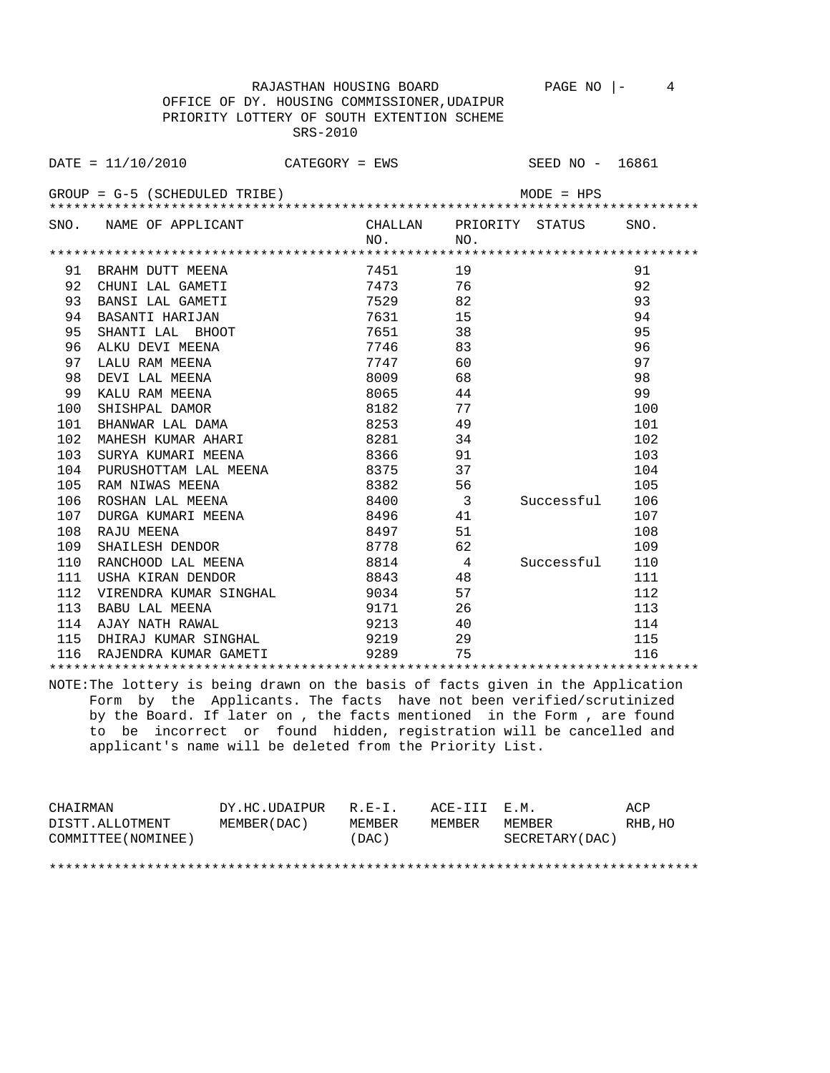RAJASTHAN HOUSING BOARD PAGE NO  $\vert - \vert$  4

 OFFICE OF DY. HOUSING COMMISSIONER,UDAIPUR PRIORITY LOTTERY OF SOUTH EXTENTION SCHEME SRS-2010

|     | SNO. NAME OF APPLICANT                                                         |      |                          | CHALLAN PRIORITY STATUS | SNO. |
|-----|--------------------------------------------------------------------------------|------|--------------------------|-------------------------|------|
|     |                                                                                | NO.  | NO.                      |                         |      |
|     |                                                                                |      |                          |                         |      |
| 91  | BRAHM DUTT MEENA                                                               | 7451 | 19                       |                         | 91   |
| 92  | CHUNI LAL GAMETI                                                               | 7473 | 76                       |                         | 92   |
| 93  | BANSI LAL GAMETI                                                               |      | 7529<br>82               |                         | 93   |
| 94  | BASANTI HARIJAN                                                                |      | 7631 7631 18<br>15       |                         | 94   |
| 95  | SHANTI LAL BHOOT                                                               | 7651 | 38                       |                         | 95   |
| 96  | ALKU DEVI MEENA                                                                | 7746 | 83                       |                         | 96   |
| 97  | LALU RAM MEENA                                                                 | 7747 | 60                       |                         | 97   |
| 98  | DEVI LAL MEENA                                                                 | 8009 | 68                       |                         | 98   |
| 99  | KALU RAM MEENA                                                                 | 8065 | 44                       |                         | 99   |
| 100 | SHISHPAL DAMOR                                                                 | 8182 | 77                       |                         | 100  |
| 101 | BHANWAR LAL DAMA                                                               | 8253 | 49                       |                         | 101  |
| 102 | MAHESH KUMAR AHARI                                                             | 8281 | 34                       |                         | 102  |
| 103 | SURYA KUMARI MEENA                                                             | 8366 | 91                       |                         | 103  |
| 104 | PURUSHOTTAM LAL MEENA                                                          | 8375 | 37                       |                         | 104  |
| 105 | RAM NIWAS MEENA                                                                | 8382 | 56                       |                         | 105  |
| 106 | ROSHAN LAL MEENA                                                               | 8400 | $\overline{\phantom{a}}$ | Successful              | 106  |
| 107 | DURGA KUMARI MEENA                                                             | 8496 | 41                       |                         | 107  |
| 108 | RAJU MEENA                                                                     | 8497 | 51                       |                         | 108  |
| 109 | SHAILESH DENDOR                                                                | 8778 | 62                       |                         | 109  |
| 110 | RANCHOOD LAL MEENA                                                             | 8814 | $\overline{4}$           | Successful              | 110  |
| 111 | USHA KIRAN DENDOR                                                              | 8843 | 48                       |                         | 111  |
| 112 |                                                                                |      | 57                       |                         | 112  |
| 113 | BABU LAL MEENA                                                                 | 9171 | 26                       |                         | 113  |
|     | 114 AJAY NATH RAWAL                                                            | 9213 | 40                       |                         | 114  |
| 115 | DHIRAJ KUMAR SINGHAL                                                           | 9219 | 29                       |                         | 115  |
| 116 | RAJENDRA KUMAR GAMETI                                                          | 9289 | 75                       |                         | 116  |
|     |                                                                                |      |                          |                         |      |
|     | NOTE:The lottery is being drawn on the basis of facts given in the Application |      |                          |                         |      |
|     | Form by the Applicants. The facts have not been verified/scrutinized           |      |                          |                         |      |
|     | by the Board. If later on, the facts mentioned in the Form, are found          |      |                          |                         |      |
|     | incorrect or found hidden, registration will be cancelled and<br>to be         |      |                          |                         |      |
|     | applicant's name will be deleted from the Priority List.                       |      |                          |                         |      |

CHAIRMAN DY.HC.UDAIPUR R.E-I. ACE-III E.M. ACP DISTT.ALLOTMENT MEMBER(DAC) MEMBER MEMBER MEMBER RHB,HO COMMITTEE(NOMINEE) (DAC) SECRETARY(DAC)

\*\*\*\*\*\*\*\*\*\*\*\*\*\*\*\*\*\*\*\*\*\*\*\*\*\*\*\*\*\*\*\*\*\*\*\*\*\*\*\*\*\*\*\*\*\*\*\*\*\*\*\*\*\*\*\*\*\*\*\*\*\*\*\*\*\*\*\*\*\*\*\*\*\*\*\*\*\*\*\*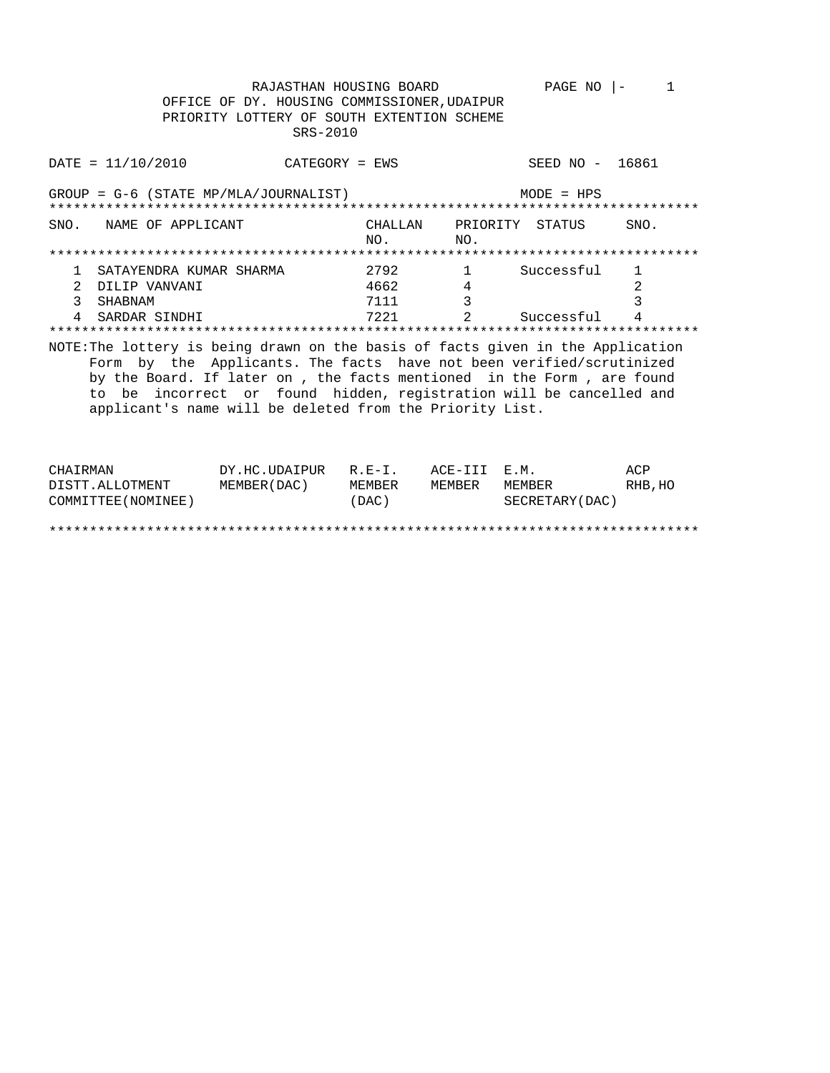RAJASTHAN HOUSING BOARD PAGE NO  $|-1$ OFFICE OF DY. HOUSING COMMISSIONER, UDAIPUR PRIORITY LOTTERY OF SOUTH EXTENTION SCHEME SRS-2010

| $DATA = 11/10/2010$                                                             | $CATEGORY = EWS$                                                                                                                                                                                                                                                                   |                |                 | SEED NO -    | 16861 |
|---------------------------------------------------------------------------------|------------------------------------------------------------------------------------------------------------------------------------------------------------------------------------------------------------------------------------------------------------------------------------|----------------|-----------------|--------------|-------|
| $GROUP = G-6$ (STATE MP/MLA/JOURNALIST)                                         |                                                                                                                                                                                                                                                                                    |                |                 | $MODE = HPS$ |       |
| SNO.<br>NAME OF APPLICANT                                                       |                                                                                                                                                                                                                                                                                    | CHALLAN<br>NO. | PRIORITY<br>NO. | STATUS       | SNO.  |
|                                                                                 |                                                                                                                                                                                                                                                                                    |                |                 |              |       |
| SATAYENDRA KUMAR SHARMA                                                         |                                                                                                                                                                                                                                                                                    | 2792           | 1               | Successful   | 1     |
| DILIP VANVANI                                                                   |                                                                                                                                                                                                                                                                                    | 4662           | 4               |              | 2     |
| 3<br><b>SHABNAM</b>                                                             |                                                                                                                                                                                                                                                                                    | 7111           | 3               |              | 3     |
| SARDAR SINDHI                                                                   |                                                                                                                                                                                                                                                                                    | 7221           |                 | Successful   | 4     |
|                                                                                 |                                                                                                                                                                                                                                                                                    |                |                 |              |       |
| NOTE: The lottery is being drawn on the basis of facts given in the Application | Form by the Applicants. The facts have not been verified/scrutinized<br>by the Board. If later on , the facts mentioned in the Form , are found<br>to be incorrect or found hidden, registration will be cancelled and<br>applicant's name will be deleted from the Priority List. |                |                 |              |       |

| CHAIRMAN            | DY.HC.UDAIPUR | $R.E-I$ . | ACE-III E.M. |                  | ACP     |
|---------------------|---------------|-----------|--------------|------------------|---------|
| DISTT.ALLOTMENT     | MEMBER (DAC)  | MEMBER    | MEMBER       | MEMBER           | RHB, HO |
| COMMITTEE (NOMINEE) |               | (DAC)     |              | SECRETARY (DAC ) |         |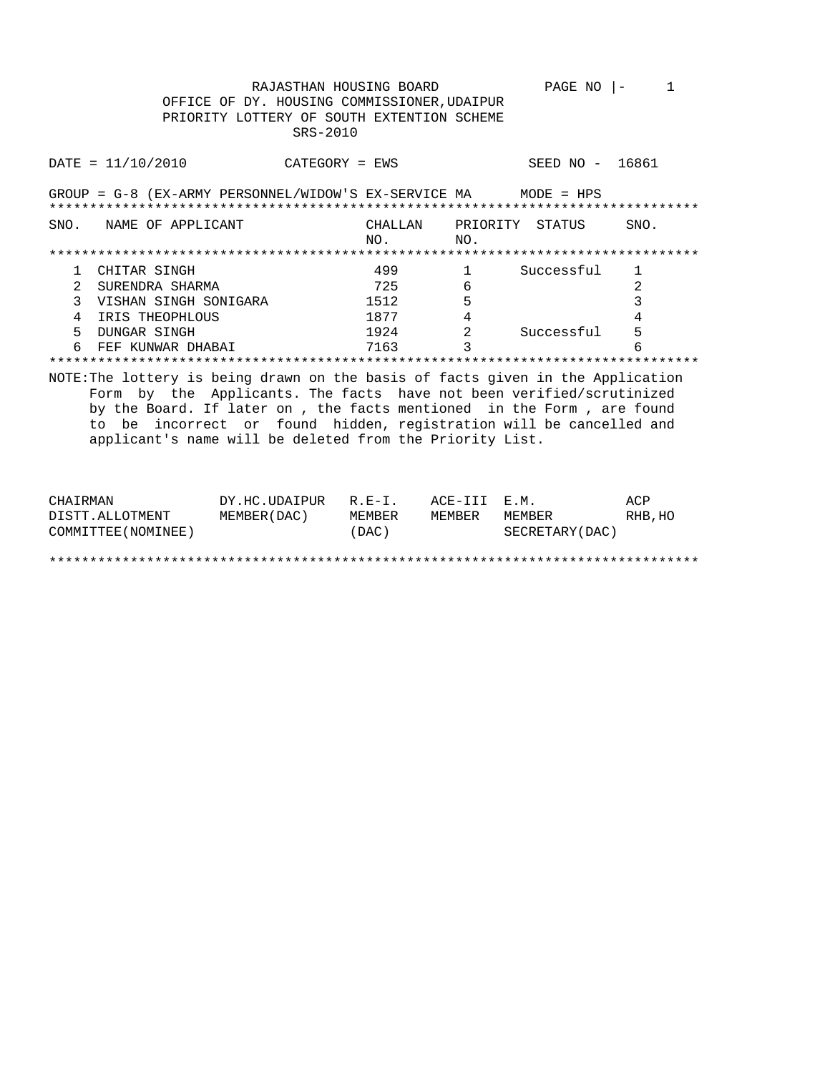|                | OFFICE OF DY. HOUSING COMMISSIONER, UDAIPUR<br>PRIORITY LOTTERY OF SOUTH EXTENTION SCHEME                                                                                                                                                                                                                                                                           | RAJASTHAN HOUSING BOARD<br>SRS-2010 |                |                        | PAGE NO         | $\mathbf{1}$<br>$\Box$ |
|----------------|---------------------------------------------------------------------------------------------------------------------------------------------------------------------------------------------------------------------------------------------------------------------------------------------------------------------------------------------------------------------|-------------------------------------|----------------|------------------------|-----------------|------------------------|
|                | $\texttt{DATE} = 11/10/2010$                                                                                                                                                                                                                                                                                                                                        | $CATEGORY = EWS$                    |                |                        | SEED NO - 16861 |                        |
|                | GROUP = $G-8$ (EX-ARMY PERSONNEL/WIDOW'S EX-SERVICE MA MODE = HPS                                                                                                                                                                                                                                                                                                   |                                     |                |                        |                 |                        |
|                | SNO. NAME OF APPLICANT                                                                                                                                                                                                                                                                                                                                              |                                     | CHALLAN<br>NO. | PRIORITY STATUS<br>NO. |                 | SNO.                   |
|                |                                                                                                                                                                                                                                                                                                                                                                     |                                     |                |                        |                 |                        |
| $\mathbf{1}$   | CHITAR SINGH                                                                                                                                                                                                                                                                                                                                                        |                                     | 499            | 1                      | Successful      | 1                      |
| 2              | SURENDRA SHARMA                                                                                                                                                                                                                                                                                                                                                     |                                     | 725            | 6                      |                 | $\overline{2}$         |
| 3              | VISHAN SINGH SONIGARA                                                                                                                                                                                                                                                                                                                                               |                                     | 1512           | 5                      |                 | 3                      |
| $\overline{4}$ | IRIS THEOPHLOUS                                                                                                                                                                                                                                                                                                                                                     |                                     | 1877           | 4                      |                 | 4                      |
| 5              | DUNGAR SINGH                                                                                                                                                                                                                                                                                                                                                        |                                     | 1924           | $\overline{a}$         | Successful      | 5                      |
|                | FEF KUNWAR DHABAI                                                                                                                                                                                                                                                                                                                                                   |                                     | 7163           | ζ                      |                 |                        |
|                |                                                                                                                                                                                                                                                                                                                                                                     |                                     |                |                        |                 |                        |
|                | NOTE: The lottery is being drawn on the basis of facts given in the Application<br>Form by the Applicants. The facts have not been verified/scrutinized<br>by the Board. If later on, the facts mentioned in the Form, are found<br>to be incorrect or found hidden, registration will be cancelled and<br>applicant's name will be deleted from the Priority List. |                                     |                |                        |                 |                        |
| CHAIRMAN       |                                                                                                                                                                                                                                                                                                                                                                     | DY.HC.UDAIPUR R.E-I.                |                | ACE-III                | F.M.            | ACP                    |

DISTT.ALLOTMENT MEMBER(DAC) MEMBER MEMBER MEMBER RHB, HO<br>COMMITTEE(NOMINEE) (DAC) (DAC) SECRETARY(DAC)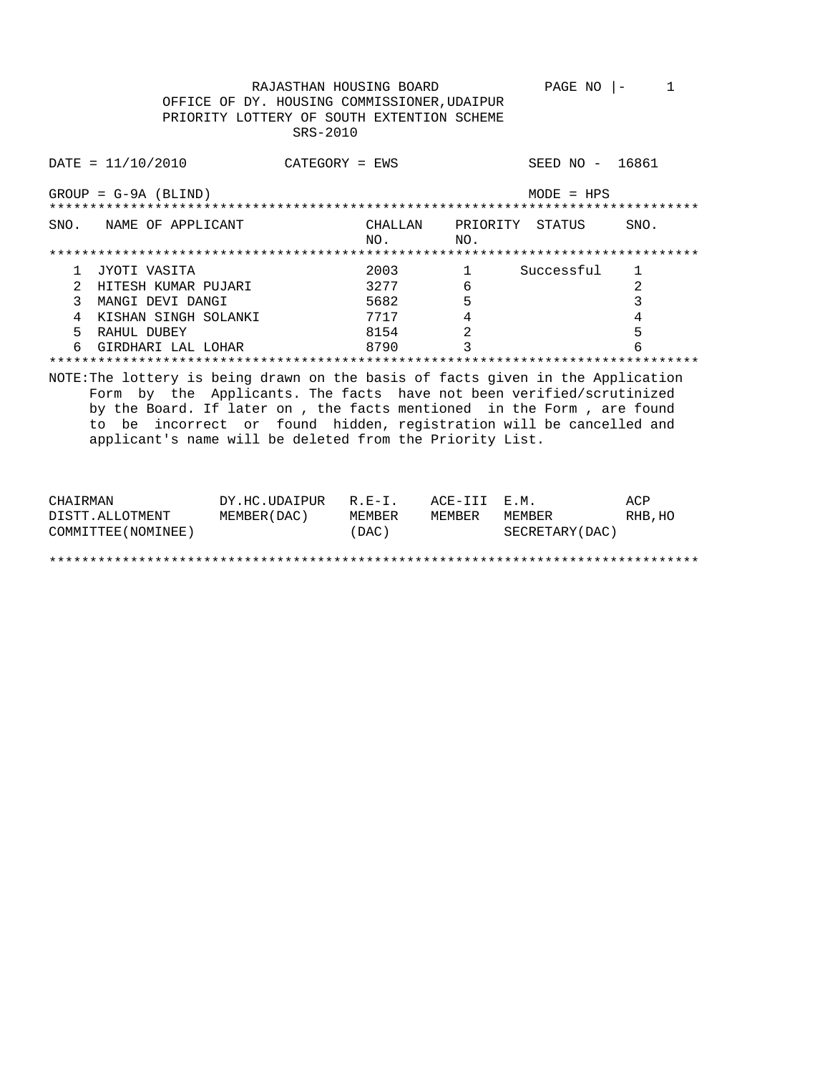RAJASTHAN HOUSING BOARD PAGE NO  $|-1$ OFFICE OF DY. HOUSING COMMISSIONER, UDAIPUR PRIORITY LOTTERY OF SOUTH EXTENTION SCHEME SRS-2010

|               | DATA / 2010                                                                                                                                                                                                                                                                                                                                                            | $CATFGORY = FWS$ |                |                 | SEED NO - 16861 |      |
|---------------|------------------------------------------------------------------------------------------------------------------------------------------------------------------------------------------------------------------------------------------------------------------------------------------------------------------------------------------------------------------------|------------------|----------------|-----------------|-----------------|------|
|               | $GROUP = G-9A (BLIND)$                                                                                                                                                                                                                                                                                                                                                 |                  |                |                 | $MODE = HPS$    |      |
| SNO.          | NAME OF APPLICANT                                                                                                                                                                                                                                                                                                                                                      |                  | CHALLAN<br>NO. | PRIORITY<br>NO. | STATUS          | SNO. |
|               |                                                                                                                                                                                                                                                                                                                                                                        |                  |                |                 |                 |      |
| 1             | JYOTI VASITA                                                                                                                                                                                                                                                                                                                                                           |                  | 2003           | $\mathbf 1$     | Successful      | 1    |
| $\mathcal{L}$ | HITESH KUMAR PUJARI                                                                                                                                                                                                                                                                                                                                                    |                  | 3277           | 6               |                 | 2    |
| 3             | MANGI DEVI DANGI                                                                                                                                                                                                                                                                                                                                                       |                  | 5682           | 5               |                 | 3    |
| 4             | KISHAN SINGH SOLANKI                                                                                                                                                                                                                                                                                                                                                   |                  | 7717           | 4               |                 | 4    |
| 5             | RAHUL DUBEY                                                                                                                                                                                                                                                                                                                                                            |                  | 8154           | $\overline{2}$  |                 | 5    |
|               | GIRDHARI LAL LOHAR                                                                                                                                                                                                                                                                                                                                                     |                  | 8790           |                 |                 |      |
|               |                                                                                                                                                                                                                                                                                                                                                                        |                  |                |                 |                 |      |
|               | NOTE: The lottery is being drawn on the basis of facts given in the Application<br>Form by the Applicants. The facts have not been verified/scrutinized<br>by the Board. If later on, the facts mentioned in the Form, are found<br>incorrect or found hidden, registration will be cancelled and<br>to be<br>applicant's name will be deleted from the Priority List. |                  |                |                 |                 |      |

| CHAIRMAN            | DY.HC.UDAIPUR | $R.F - T$ . | ACE-III E.M. |                 | ACP     |
|---------------------|---------------|-------------|--------------|-----------------|---------|
| DISTT.ALLOTMENT     | MEMBER (DAC)  | MEMBER      | MEMBER       | MEMBER          | RHB, HO |
| COMMITTEE (NOMINEE) |               | (DAC)       |              | SECRETARY (DAC) |         |
|                     |               |             |              |                 |         |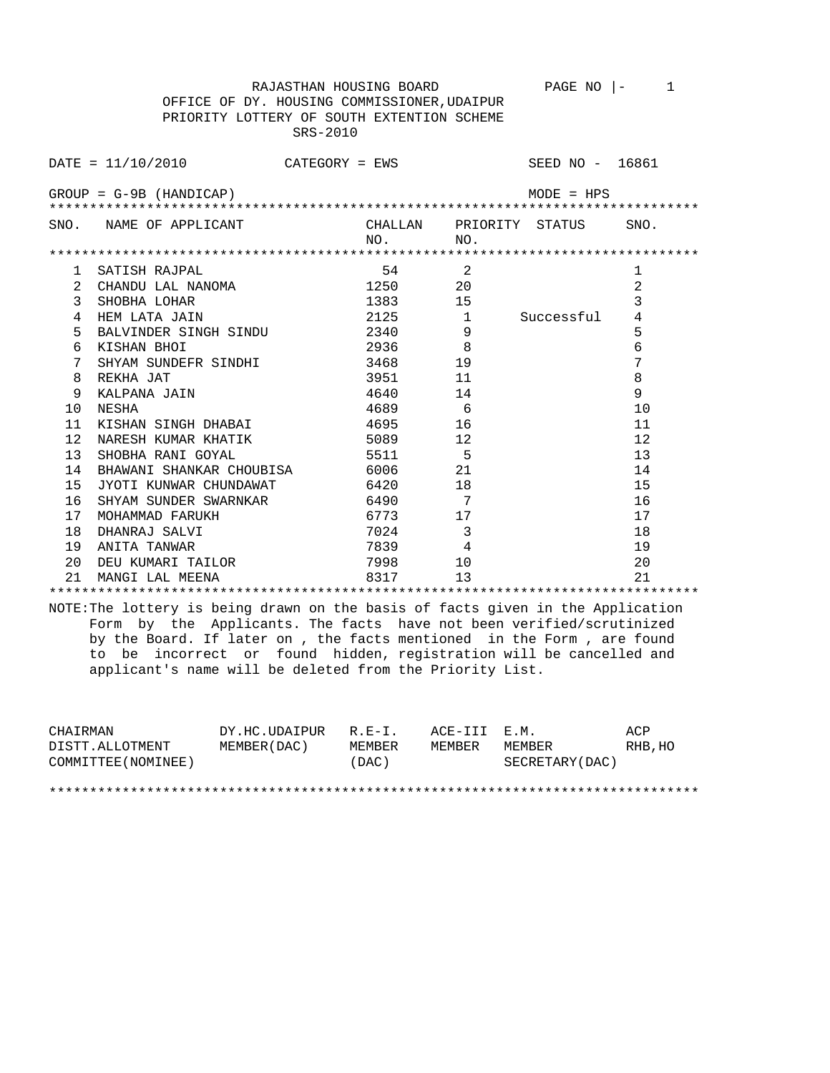OFFICE OF DY. HOUSING COMMISSIONER,UDAIPUR PRIORITY LOTTERY OF SOUTH EXTENTION SCHEME SRS-2010

|    | DATE = $11/10/2010$ CATEGORY = EWS SEED NO - 16861 |         |          |                         |              |                |
|----|----------------------------------------------------|---------|----------|-------------------------|--------------|----------------|
|    |                                                    |         |          |                         |              |                |
|    | $GROUP = G-9B$ (HANDICAP)                          |         |          |                         | $MODE = HPS$ |                |
|    |                                                    |         |          |                         |              |                |
|    | SNO. NAME OF APPLICANT                             |         |          | CHALLAN PRIORITY STATUS |              | SNO.           |
|    |                                                    |         | NO.      | NO.                     |              |                |
|    |                                                    |         |          |                         |              |                |
| 1  | SATISH RAJPAL                                      |         | 54 6     | 2                       |              | 1              |
| 2  | CHANDU LAL NANOMA                                  | 1250    |          | 20                      |              | $\overline{2}$ |
| 3  | SHOBHA LOHAR                                       | 1383 15 |          |                         |              | 3              |
| 4  | HEM LATA JAIN                                      |         | $2125$ 1 |                         | Successful   | 4              |
| 5  | BALVINDER SINGH SINDU 2340                         |         |          | 9                       |              | 5              |
| 6  | KISHAN BHOI                                        |         | 2936     | 8                       |              | 6              |
| 7  | SHYAM SUNDEFR SINDHI 3468                          |         |          | 19                      |              | 7              |
| 8  | REKHA JAT                                          |         | 3951     | 11                      |              | $\,8\,$        |
| 9  | KALPANA JAIN                                       |         | 4640 14  |                         |              | 9              |
| 10 | NESHA                                              |         | 4689     | 6                       |              | 10             |
| 11 | KISHAN SINGH DHABAI                                |         | 4695     | 16                      |              | 11             |
| 12 | NARESH KUMAR KHATIK 5089 12                        |         |          |                         |              | 12             |
| 13 | SHOBHA RANI GOYAL                                  |         | 5511 5   |                         |              | 13             |
| 14 | BHAWANI SHANKAR CHOUBISA 6006 21                   |         |          |                         |              | 14             |
| 15 | JYOTI KUNWAR CHUNDAWAT                             |         | 6420 54  | 18                      |              | 15             |
| 16 | SHYAM SUNDER SWARNKAR 6490 7                       |         |          |                         |              | 16             |
| 17 | MOHAMMAD FARUKH                                    |         | 6773 17  |                         |              | 17             |
| 18 | DHANRAJ SALVI                                      |         | 7024     | 3                       |              | 18             |
| 19 | ANITA TANWAR                                       |         | 7839     | $\overline{4}$          |              | 19             |
| 20 | DEU KUMARI TAILOR                                  |         | 7998 79  | 10                      |              | 20             |
| 21 | MANGI LAL MEENA                                    |         | 8317     | 13                      |              | 2.1            |
|    |                                                    |         |          |                         |              |                |

NOTE:The lottery is being drawn on the basis of facts given in the Application Form by the Applicants. The facts have not been verified/scrutinized by the Board. If later on , the facts mentioned in the Form , are found to be incorrect or found hidden, registration will be cancelled and applicant's name will be deleted from the Priority List.

| CHAIRMAN            | DY.HC.UDAIPUR | $R.F - T$ . | ACE-III E.M. |                 | ACP     |
|---------------------|---------------|-------------|--------------|-----------------|---------|
| DISTT.ALLOTMENT     | MEMBER (DAC)  | MEMBER      | MEMBER       | MEMBER          | RHB, HO |
| COMMITTEE (NOMINEE) |               | (DAC)       |              | SECRETARY (DAC) |         |
|                     |               |             |              |                 |         |
|                     |               |             |              |                 |         |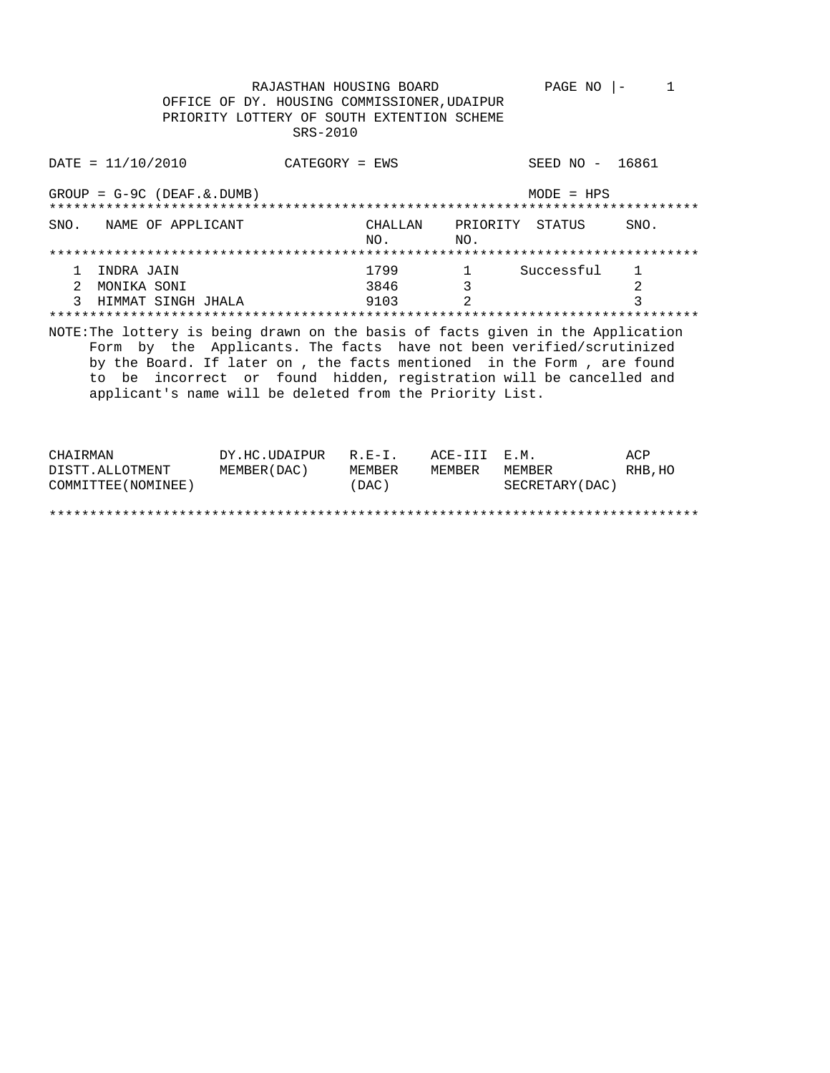RAJASTHAN HOUSING BOARD PAGE NO  $|-1$ OFFICE OF DY. HOUSING COMMISSIONER, UDAIPUR PRIORITY LOTTERY OF SOUTH EXTENTION SCHEME SRS-2010  $\text{DATE} = 11/10/2010$ SEED NO - 16861 CATEGORY = EWS  $GROUP = G-9C (DEAF. & DUMB)$  $MODE = HPS$ CHALLAN PRIORITY STATUS SNO. NAME OF APPLICANT SNO. NO.  $NO.$ 1 INDRA JAIN  $\begin{array}{ccc} 1799 & & 1 \\ 3846 & & 3 \end{array}$ Successful  $\mathbf{1}$ 2 MONIKA SONI 3846 2 9103 3 HIMMAT SINGH JHALA  $\overline{2}$  $\mathcal{E}$ NOTE: The lottery is being drawn on the basis of facts given in the Application Form by the Applicants. The facts have not been verified/scrutinized by the Board. If later on , the facts mentioned in the Form , are found to be incorrect or found hidden, registration will be cancelled and applicant's name will be deleted from the Priority List. דג בארבד ב<del>זז</del>י  $\overline{M}$   $\overline{M}$   $\overline{M}$   $\overline{M}$   $\overline{M}$   $\overline{M}$   $\overline{M}$   $\overline{M}$   $\overline{M}$   $\overline{M}$   $\overline{M}$   $\overline{M}$   $\overline{M}$   $\overline{M}$   $\overline{M}$   $\overline{M}$   $\overline{M}$   $\overline{M}$   $\overline{M}$   $\overline{M}$   $\overline{M}$   $\overline{M}$   $\overline{M}$   $\overline{M}$   $\overline{$  $\overline{2}$ 

| CHAIRMAN            | $DY.HC.UDAIPUR R.E-I.$ |        | $ACE = \perp \perp \perp$ $E \cdot M$ . |                 | ACP     |
|---------------------|------------------------|--------|-----------------------------------------|-----------------|---------|
| DISTT.ALLOTMENT     | MEMBER (DAC)           | MEMBER | MEMBER                                  | MEMBER          | RHB, HO |
| COMMITTEE (NOMINEE) |                        | (DAC)  |                                         | SECRETARY (DAC) |         |
|                     |                        |        |                                         |                 |         |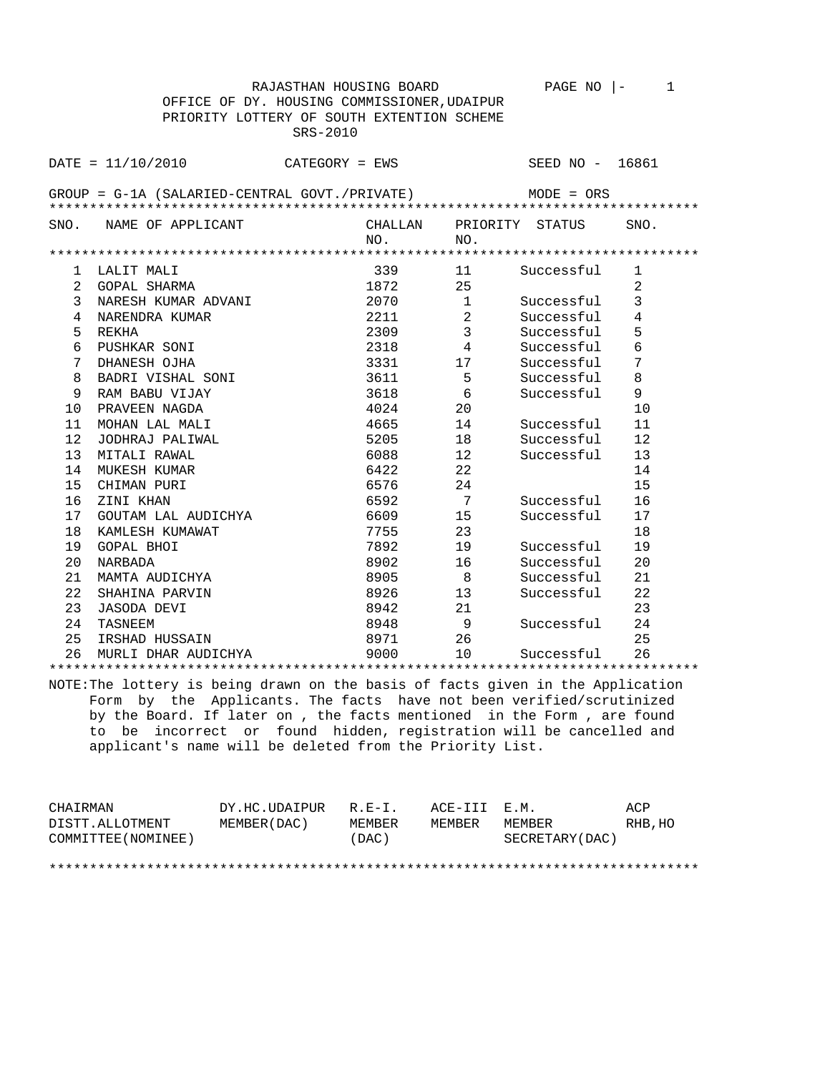|                 |                                                                                 | RAJASTHAN HOUSING BOARD |                | PAGE NO         | 1<br>$\vert -$ |  |  |  |
|-----------------|---------------------------------------------------------------------------------|-------------------------|----------------|-----------------|----------------|--|--|--|
|                 | OFFICE OF DY. HOUSING COMMISSIONER, UDAIPUR                                     |                         |                |                 |                |  |  |  |
|                 | PRIORITY LOTTERY OF SOUTH EXTENTION SCHEME                                      |                         |                |                 |                |  |  |  |
|                 |                                                                                 | SRS-2010                |                |                 |                |  |  |  |
|                 |                                                                                 |                         |                |                 |                |  |  |  |
|                 | $\texttt{DATE} = 11/10/2010$                                                    | $CATEGORY = EWS$        |                | SEED NO -       | 16861          |  |  |  |
|                 |                                                                                 |                         |                |                 |                |  |  |  |
|                 | GROUP = G-1A (SALARIED-CENTRAL GOVT./PRIVATE)                                   |                         |                | $MODE = ORS$    |                |  |  |  |
|                 |                                                                                 |                         |                |                 |                |  |  |  |
| SNO.            | NAME OF APPLICANT                                                               | CHALLAN                 |                | PRIORITY STATUS | SNO.           |  |  |  |
|                 |                                                                                 | NO.                     | NO.            |                 |                |  |  |  |
|                 |                                                                                 |                         |                |                 |                |  |  |  |
| 1               | LALIT MALI                                                                      | 339                     | 11             | Successful      | 1              |  |  |  |
| 2               | GOPAL SHARMA                                                                    | 1872                    | 25             |                 | $\overline{a}$ |  |  |  |
| 3               | NARESH KUMAR ADVANI                                                             | 2070                    | $\mathbf{1}$   | Successful      | 3              |  |  |  |
| 4               | NARENDRA KUMAR                                                                  | 2211                    | $\overline{2}$ | Successful      | 4              |  |  |  |
| 5               | REKHA                                                                           | 2309                    | $\mathbf{3}$   | Successful      | 5              |  |  |  |
| 6               | PUSHKAR SONI                                                                    | 2318                    | $\overline{4}$ | Successful      | $\epsilon$     |  |  |  |
| $\overline{7}$  | DHANESH OJHA                                                                    | 3331                    | 17             | Successful      | 7              |  |  |  |
| 8               | BADRI VISHAL SONI                                                               | 3611                    | 5              | Successful      | 8              |  |  |  |
| 9               | RAM BABU VIJAY                                                                  | 3618                    | 6              | Successful      | 9              |  |  |  |
| 10              | PRAVEEN NAGDA                                                                   | 4024                    | 20             |                 | 10             |  |  |  |
| 11              | MOHAN LAL MALI                                                                  | 4665                    | 14             | Successful      | 11             |  |  |  |
| 12 <sup>2</sup> | JODHRAJ PALIWAL                                                                 | 5205                    | 18             | Successful      | 12             |  |  |  |
| 13              | MITALI RAWAL                                                                    | 6088                    | 12             | Successful      | 13             |  |  |  |
| 14              | MUKESH KUMAR                                                                    | 6422                    | 22             |                 | 14             |  |  |  |
| 15              | CHIMAN PURI                                                                     | 6576                    | 24             |                 | 15             |  |  |  |
| 16              | ZINI KHAN                                                                       | 6592                    | $\overline{7}$ | Successful      | 16             |  |  |  |
| 17              | GOUTAM LAL AUDICHYA                                                             | 6609                    | 15             | Successful      | 17             |  |  |  |
| 18              | KAMLESH KUMAWAT                                                                 | 7755                    | 23             |                 | 18             |  |  |  |
| 19              | GOPAL BHOI                                                                      | 7892                    | 19             | Successful      | 19             |  |  |  |
| 20              | NARBADA                                                                         | 8902                    | 16             | Successful      | 20             |  |  |  |
| 21              | MAMTA AUDICHYA                                                                  | 8905                    | 8 <sup>8</sup> | Successful      | 21             |  |  |  |
| 22              | SHAHINA PARVIN                                                                  | 8926                    | 13             | Successful      | 22             |  |  |  |
| 23              | JASODA DEVI                                                                     | 8942                    | 21             |                 | 23             |  |  |  |
| 24              | TASNEEM                                                                         | 8948                    | - 9            | Successful      | 24             |  |  |  |
| 25              | IRSHAD HUSSAIN                                                                  | 8971                    | 26             |                 | 25             |  |  |  |
| 26              | MURLI DHAR AUDICHYA                                                             | 9000                    | 10             | Successful      | 26             |  |  |  |
|                 |                                                                                 |                         |                |                 |                |  |  |  |
|                 | NOTE: The lottery is being drawn on the basis of facts given in the Application |                         |                |                 |                |  |  |  |

 Form by the Applicants. The facts have not been verified/scrutinized by the Board. If later on , the facts mentioned in the Form , are found to be incorrect or found hidden, registration will be cancelled and applicant's name will be deleted from the Priority List.

| CHAIRMAN            | DY.HC.UDAIPUR | $R.E-I.$ | ACE-III E.M. |                 | ACP     |
|---------------------|---------------|----------|--------------|-----------------|---------|
| DISTT.ALLOTMENT     | MEMBER (DAC)  | MEMBER   | MEMBER       | MEMBER          | RHB, HO |
| COMMITTEE (NOMINEE) |               | (DAC)    |              | SECRETARY (DAC) |         |
|                     |               |          |              |                 |         |
|                     |               |          |              |                 |         |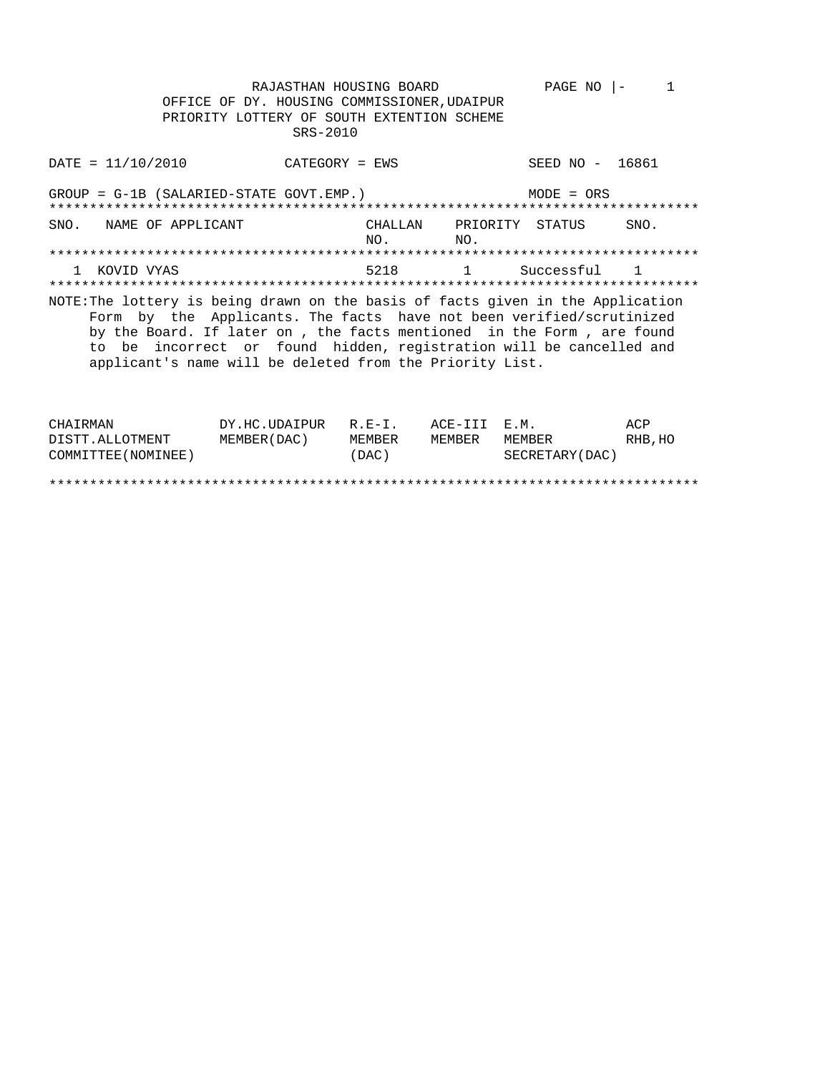RAJASTHAN HOUSING BOARD PAGE NO  $|-1$ OFFICE OF DY. HOUSING COMMISSIONER, UDAIPUR PRIORITY LOTTERY OF SOUTH EXTENTION SCHEME SRS-2010

| $DATA = 11/10/2010$                                                                                                                                                                                                                                                                                                                                                 | CATEGORY = EWS |                                |     | SEED NO - 16861     |      |
|---------------------------------------------------------------------------------------------------------------------------------------------------------------------------------------------------------------------------------------------------------------------------------------------------------------------------------------------------------------------|----------------|--------------------------------|-----|---------------------|------|
| GROUP = G-1B (SALARIED-STATE GOVT.EMP.)                                                                                                                                                                                                                                                                                                                             |                |                                |     | $MODE = ORS$        |      |
| SNO. NAME OF APPLICANT                                                                                                                                                                                                                                                                                                                                              |                | CHALLAN PRIORITY STATUS<br>NO. | NO. |                     | SNO. |
|                                                                                                                                                                                                                                                                                                                                                                     |                |                                |     |                     |      |
| KOVID VYAS                                                                                                                                                                                                                                                                                                                                                          |                |                                |     | 5218 1 Successful 1 |      |
|                                                                                                                                                                                                                                                                                                                                                                     |                |                                |     |                     |      |
| NOTE: The lottery is being drawn on the basis of facts given in the Application<br>Form by the Applicants. The facts have not been verified/scrutinized<br>by the Board. If later on, the facts mentioned in the Form, are found<br>to be incorrect or found hidden, registration will be cancelled and<br>applicant's name will be deleted from the Priority List. |                |                                |     |                     |      |

| CHAIRMAN            | DY.HC.UDAIPUR | $R$ . $F - T$ . | ACE-TTT F.M. |                 | ACP     |
|---------------------|---------------|-----------------|--------------|-----------------|---------|
| DISTT.ALLOTMENT     | MEMBER (DAC)  | MEMBER          | MEMBER       | MEMBER          | RHB, HO |
| COMMITTEE (NOMINEE) |               | (DAC)           |              | SECRETARY (DAC) |         |
|                     |               |                 |              |                 |         |
|                     |               |                 |              |                 |         |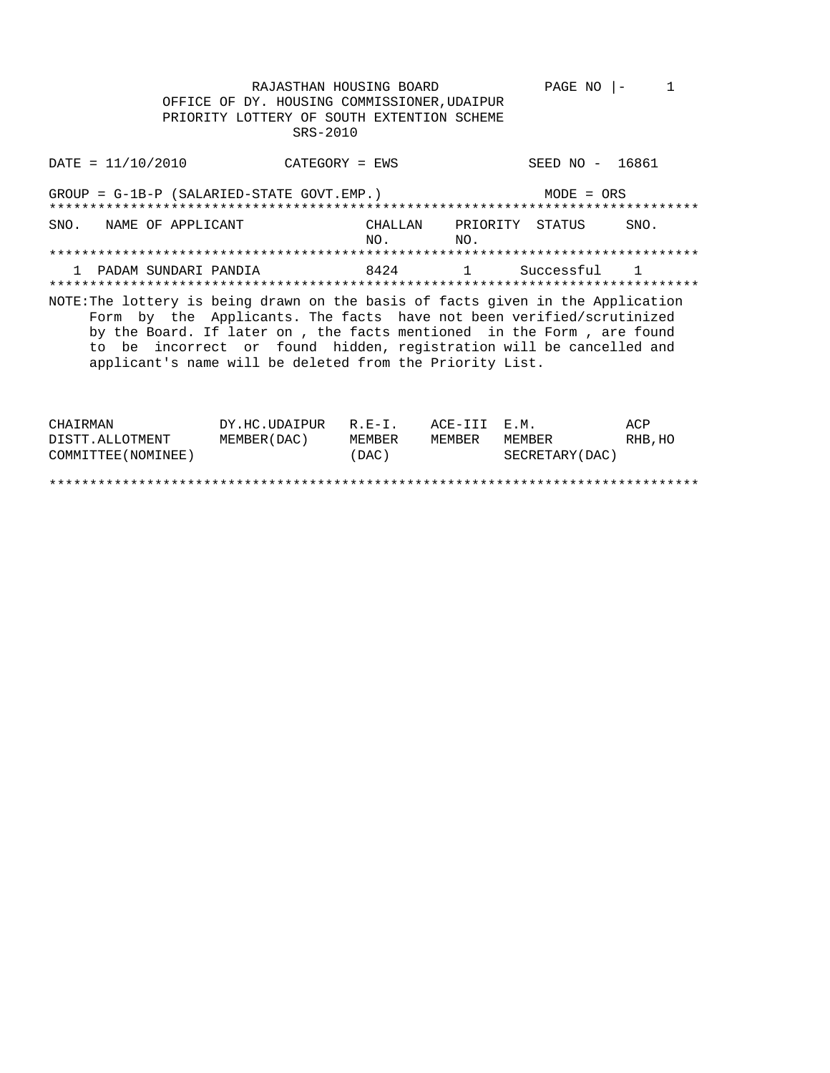RAJASTHAN HOUSING BOARD PAGE NO  $|-1$ OFFICE OF DY. HOUSING COMMISSIONER, UDAIPUR PRIORITY LOTTERY OF SOUTH EXTENTION SCHEME SRS-2010

SEED NO - 16861  $\text{DATE} = 11/10/2010$ CATEGORY = EWS  $GROUP = G-1B-P (SALARIED-STATE GOUT. EMP.)$  $MODE = ORS$ CHALLAN PRIORITY STATUS SNO. NAME OF APPLICANT SNO. NO.  $NO.$ 8424 1 PADAM SUNDARI PANDIA  $\overline{1}$ Successful  $\overline{1}$ NOTE: The lottery is being drawn on the basis of facts given in the Application Form by the Applicants. The facts have not been verified/scrutinized by the Board. If later on, the facts mentioned in the Form, are found to be incorrect or found hidden, registration will be cancelled and applicant's name will be deleted from the Priority List. DY.HC.UDAIPUR R.E-I. ACE-III E.M. CHAIRMAN ACP

| COMMITTEE (NOMINEE) | (DAC) | SECRETARY (DAC) |
|---------------------|-------|-----------------|
|                     |       |                 |

MEMBER(DAC) MEMBER MEMBER MEMBER

RHB, HO

DISTT.ALLOTMENT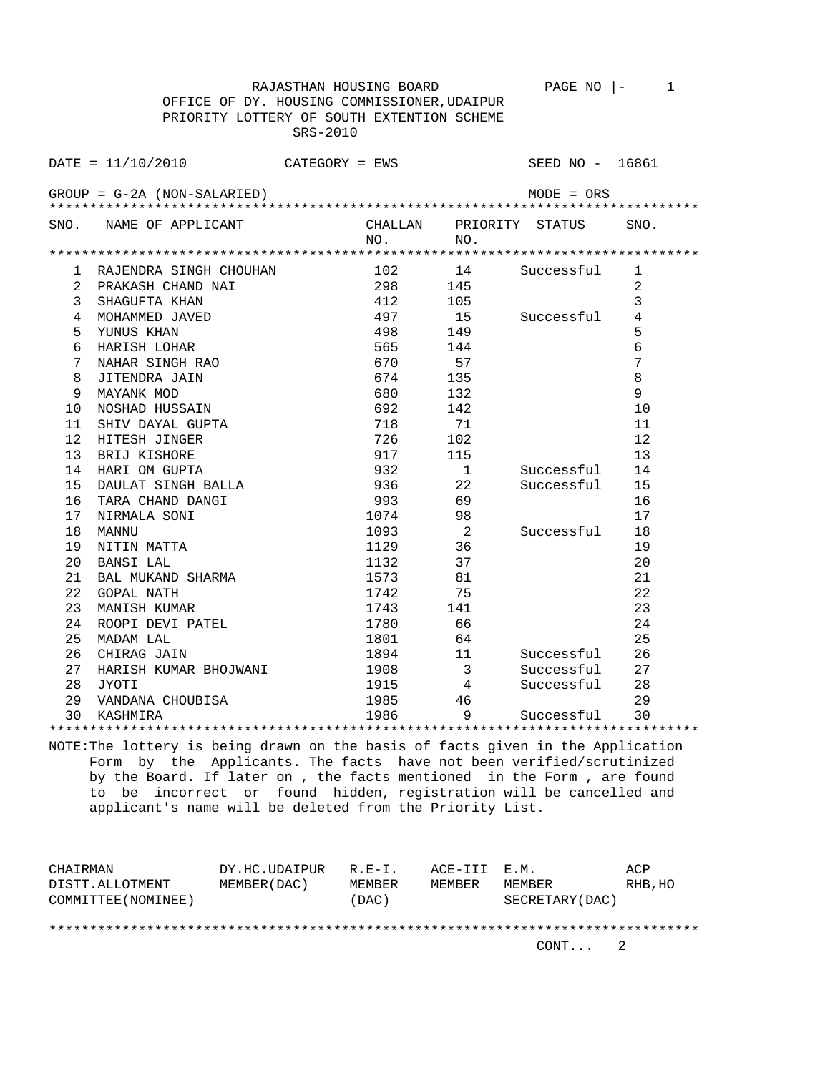OFFICE OF DY. HOUSING COMMISSIONER,UDAIPUR PRIORITY LOTTERY OF SOUTH EXTENTION SCHEME SRS-2010 DATE = 11/10/2010 CATEGORY = EWS SEED NO - 16861 GROUP = G-2A (NON-SALARIED) MODE = ORS \*\*\*\*\*\*\*\*\*\*\*\*\*\*\*\*\*\*\*\*\*\*\*\*\*\*\*\*\*\*\*\*\*\*\*\*\*\*\*\*\*\*\*\*\*\*\*\*\*\*\*\*\*\*\*\*\*\*\*\*\*\*\*\*\*\*\*\*\*\*\*\*\*\*\*\*\*\*\*\* SNO. NAME OF APPLICANT CHALLAN PRIORITY STATUS SNO.<br>NO. NO. NO. NO. \*\*\*\*\*\*\*\*\*\*\*\*\*\*\*\*\*\*\*\*\*\*\*\*\*\*\*\*\*\*\*\*\*\*\*\*\*\*\*\*\*\*\*\*\*\*\*\*\*\*\*\*\*\*\*\*\*\*\*\*\*\*\*\*\*\*\*\*\*\*\*\*\*\*\*\*\*\*\*\* 1 RAJENDRA SINGH CHOUHAN 102 14 Successful 1 2 PRAKASH CHAND NAI 298 145 2 3 SHAGUFTA KHAN 412 105 3 4 MOHAMMED JAVED 497 15 Successful 4 5 YUNUS KHAN 498 149 5 6 HARISH LOHAR 565 144 6 7 NAHAR SINGH RAO 670 57 7<br>
8 JITENDRA JAIN 674 135 8<br>
9 MAYANIK MOD 8 JITENDRA JAIN 674 135 8 9 MAYANK MOD 680 132 9<br>10 NOSHAD HUSSAIN 692 142 10 10 NOSHAD HUSSAIN 692 142<br>11 SHIV DAYAL GUPTA 718 71 11 SHIV DAYAL GUPTA 718 71 71 71 11 12 HITESH JINGER 102 102 12<br>13 BRIJ KISHORE 107 115 13 13 BRIJ KISHORE 917 115 13 14 HARI OM GUPTA 932 1 Successful 14 15 DAULAT SINGH BALLA 936 22 Successful 15 16 TARA CHAND DANGI 16 993 69 16 17 NIRMALA SONI 1074 98 17 18 MANNU 1093 2 Successful 18 19 NITIN MATTA 1129 36 19 20 BANSI LAL 1132 37 20 21 BAL MUKAND SHARMA 1573 81 21 22 GOPAL NATH 1742 75 22 22 GOPAL NATH  $\begin{array}{cccc} 22 & 3 & 21 & 21 \\ 23 & 22 & 22 \\ 24 & 23 & 23 \\ 24 & 24 & 24 \end{array}$  ROOPI DEVI PATEL  $\begin{array}{cccc} 21 & 21 & 21 \\ 1742 & 75 & 23 \\ 1743 & 141 & 66 \\ 66 & 66 & 24 \end{array}$ 24 ROOPI DEVI PATEL 1780 66 66 24 25 MADAM LAL  $1801$  64 25<br>
26 CHIRAG JAIN 1894 11 Successful 26<br>
27 HARISH KUMAR BHOJWANI 1908 3 Successful 27<br>
28 JYOTI 1915 4 Successful 28 26 CHIRAG JAIN 1894 11 Successful 26 27 HARISH KUMAR BHOJWANI 1908 3 Successful 27 1915 4 Successful 28<br>1985 46 29<br>1996 9 Successful 20 29 VANDANA CHOUBISA 1985 46 29 30 KASHMIRA 1986 9 Successful 30 \*\*\*\*\*\*\*\*\*\*\*\*\*\*\*\*\*\*\*\*\*\*\*\*\*\*\*\*\*\*\*\*\*\*\*\*\*\*\*\*\*\*\*\*\*\*\*\*\*\*\*\*\*\*\*\*\*\*\*\*\*\*\*\*\*\*\*\*\*\*\*\*\*\*\*\*\*\*\*\*

RAJASTHAN HOUSING BOARD PAGE NO |- 1

NOTE:The lottery is being drawn on the basis of facts given in the Application Form by the Applicants. The facts have not been verified/scrutinized by the Board. If later on , the facts mentioned in the Form , are found to be incorrect or found hidden, registration will be cancelled and applicant's name will be deleted from the Priority List.

| CHAIRMAN            | DY.HC.UDAIPUR | $R. F - T.$ | ACE-III E.M. |                 | ACP     |  |
|---------------------|---------------|-------------|--------------|-----------------|---------|--|
| DISTT.ALLOTMENT     | MEMBER (DAC)  | MEMBER      | MEMBER       | MEMBER          | RHB, HO |  |
| COMMITTEE (NOMINEE) |               | (DAC)       |              | SECRETARY (DAC) |         |  |
|                     |               |             |              |                 |         |  |
|                     |               |             |              |                 |         |  |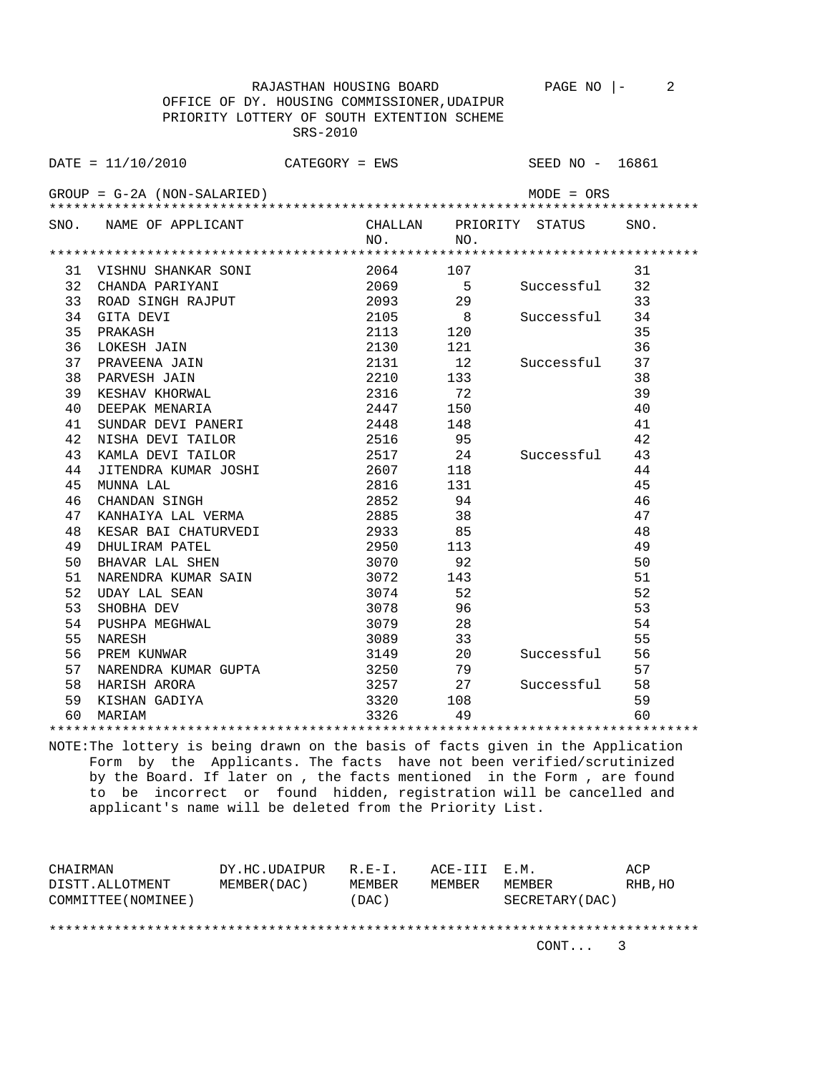OFFICE OF DY. HOUSING COMMISSIONER,UDAIPUR PRIORITY LOTTERY OF SOUTH EXTENTION SCHEME SRS-2010 DATE = 11/10/2010 CATEGORY = EWS SEED NO - 16861 GROUP = G-2A (NON-SALARIED) MODE = ORS \*\*\*\*\*\*\*\*\*\*\*\*\*\*\*\*\*\*\*\*\*\*\*\*\*\*\*\*\*\*\*\*\*\*\*\*\*\*\*\*\*\*\*\*\*\*\*\*\*\*\*\*\*\*\*\*\*\*\*\*\*\*\*\*\*\*\*\*\*\*\*\*\*\*\*\*\*\*\*\* SNO. NAME OF APPLICANT CHALLAN PRIORITY STATUS SNO.<br>NO. NO. NO. NO. \*\*\*\*\*\*\*\*\*\*\*\*\*\*\*\*\*\*\*\*\*\*\*\*\*\*\*\*\*\*\*\*\*\*\*\*\*\*\*\*\*\*\*\*\*\*\*\*\*\*\*\*\*\*\*\*\*\*\*\*\*\*\*\*\*\*\*\*\*\*\*\*\*\*\*\*\*\*\*\* 31 VISHNU SHANKAR SONI 2064 107 31 32 CHANDA PARIYANI 2069 5 Successful 32 33 ROAD SINGH RAJPUT 2093 29 33 34 GITA DEVI 2105 8 Successful 34 35 PRAKASH 2113 120 35 36 LOKESH JAIN 2130 121 36 37 PRAVEENA JAIN 2131 12 Successful 37<br>38 PARVESH JAIN 2131 12 Successful 37<br>39 KESHAV KHORWAL 2316 72 39<br>40 DEEPAK MENARIA 2447 150 40 38 PARVESH JAIN 2210 133 38 39 KESHAV KHORWAL 2316 72 39 29 2010 40 DEEPAK MENARIA 2447 150 40 41 SUNDAR DEVI PANERI 2448 148 41 42 NISHA DEVI TAILOR 2516 95 42 43 KAMLA DEVI TAILOR 2517 24 Successful 43 44 JITENDRA KUMAR JOSHI 2607 118 44 45 MUNNA LAL 2816 131 45 46 CHANDAN SINGH 2852 94 46 47 KANHAIYA LAL VERMA  $2885$  38<br>
48 KESAR BAI CHATURVEDI 2933 85<br>
49 DHULIRAM PATEL 2950 113<br>
50 BHAVAR LAL SHEN 3070 92<br>
51 NARENDRA KUMAR SAIN 3072 143<br>
52 UDAY LAL SEAN 3074 52 48 KESAR BAI CHATURVEDI 2933 85 48 49 DHULIRAM PATEL 2950 113 49 50 BHAVAR LAL SHEN 3070 92 50 51 NARENDRA KUMAR SAIN 3072 143 51 52 UDAY LAL SEAN 52<br>52 SHOBHA DEV 3074 52 53 SHOBHA DEV 3078 96 52 UDAY LAL SEAN 3074 52 SHOBHA DEV 53 53 SHOBHA DEV 53 SHOBHA DEV 53 SHOBHA DEV 53 SHOBHA DEV 53 SHOBHA 28 SHOBHA DEV 54 SHOBHA 28 SHOBHA DEV 54 SHOBHA DEV 54 SHOBHA DEV 54 SHOBHA DEV 54 SHOBHA DEV 54 SHOBHA DEV 54 SHOBHA DEV 55 SHOBHA DEV 55 SHOBHA DEV 56 SHO 54 PUSHPA MEGHWAL 3079 28 54 55 NARESH 3089 33 55 56 PREM KUNWAR 3149 20 Successful 56 57 NARENDRA KUMAR GUPTA 3250 79 57 58 HARISH ARORA 3257 27 Successful 58 59 KISHAN GADIYA 3320 108 59 60 MARIAM 3326 49 60

RAJASTHAN HOUSING BOARD PAGE NO |- 2

NOTE:The lottery is being drawn on the basis of facts given in the Application Form by the Applicants. The facts have not been verified/scrutinized by the Board. If later on , the facts mentioned in the Form , are found to be incorrect or found hidden, registration will be cancelled and applicant's name will be deleted from the Priority List.

\*\*\*\*\*\*\*\*\*\*\*\*\*\*\*\*\*\*\*\*\*\*\*\*\*\*\*\*\*\*\*\*\*\*\*\*\*\*\*\*\*\*\*\*\*\*\*\*\*\*\*\*\*\*\*\*\*\*\*\*\*\*\*\*\*\*\*\*\*\*\*\*\*\*\*\*\*\*\*\*

| CHAIRMAN            | DY.HC.UDAIPUR | $R. F - T.$ | ACE-III E.M. |                 | ACP     |  |
|---------------------|---------------|-------------|--------------|-----------------|---------|--|
| DISTT.ALLOTMENT     | MEMBER (DAC)  | MEMBER      | MEMBER       | MEMBER          | RHB, HO |  |
| COMMITTEE (NOMINEE) |               | (DAC)       |              | SECRETARY (DAC) |         |  |
|                     |               |             |              |                 |         |  |
|                     |               |             |              |                 |         |  |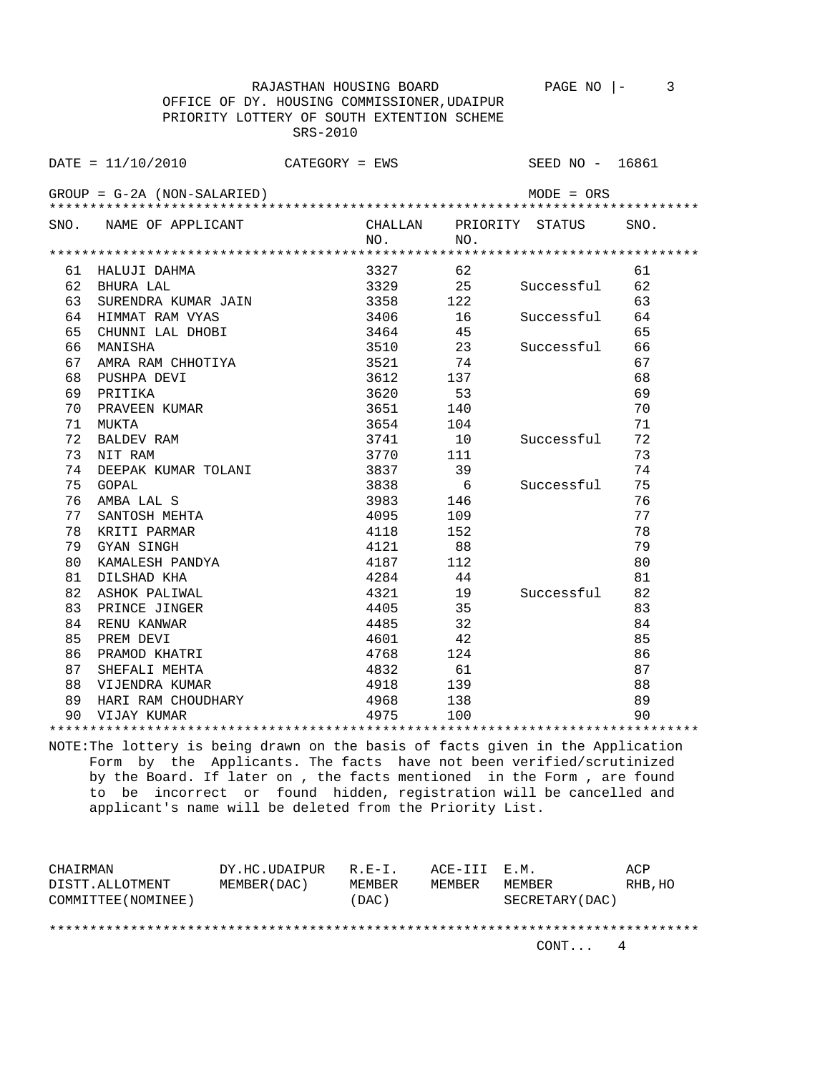OFFICE OF DY. HOUSING COMMISSIONER,UDAIPUR PRIORITY LOTTERY OF SOUTH EXTENTION SCHEME SRS-2010 DATE = 11/10/2010 CATEGORY = EWS SEED NO - 16861 GROUP = G-2A (NON-SALARIED) MODE = ORS \*\*\*\*\*\*\*\*\*\*\*\*\*\*\*\*\*\*\*\*\*\*\*\*\*\*\*\*\*\*\*\*\*\*\*\*\*\*\*\*\*\*\*\*\*\*\*\*\*\*\*\*\*\*\*\*\*\*\*\*\*\*\*\*\*\*\*\*\*\*\*\*\*\*\*\*\*\*\*\* SNO. NAME OF APPLICANT CHALLAN PRIORITY STATUS SNO.<br>NO. NO. NO. NO. \*\*\*\*\*\*\*\*\*\*\*\*\*\*\*\*\*\*\*\*\*\*\*\*\*\*\*\*\*\*\*\*\*\*\*\*\*\*\*\*\*\*\*\*\*\*\*\*\*\*\*\*\*\*\*\*\*\*\*\*\*\*\*\*\*\*\*\*\*\*\*\*\*\*\*\*\*\*\*\* 61 HALUJI DAHMA 3327 62 61 62 BHURA LAL 3329 25 Successful 62 63 SURENDRA KUMAR JAIN 3358 122 63 64 HIMMAT RAM VYAS 3406 16 Successful 64 65 CHUNNI LAL DHOBI 3464 45 65 66 MANISHA 3510 23 Successful 66 67 AMRA RAM CHHOTIYA  $3521$  74 67 68 PUSHPA DEVI 3612 137 68 69 PRITIKA 3620 53 69 70 PRAVEEN KUMAR 3651 140 70 71 MUKTA 3654 104 71 72 BALDEV RAM 3741 10 Successful 72 73 NIT RAM 3770 111 73 74 DEEPAK KUMAR TOLANI 3837 39 74 75 GOPAL 3838 6 Successful 75 76 AMBA LAL S 3983 146 76 77 SANTOSH MEHTA 4095 109 77 78 KRITI PARMAR 1118 152 152 79 GYAN SINGH 4121 88 79 80 KAMALESH PANDYA 4187 112 80 81 DILSHAD KHA 4284 44 81 82 ASHOK PALIWAL 4321 19 Successful 82 83 PRINCE JINGER 1405 35 83 84 RENU KANWAR 14485 32 85 PREM DEVI 4601 42 85 86 PRAMOD KHATRI 4768 124 86 87 SHEFALI MEHTA 4832 61 87 88 VIJENDRA KUMAR 4918 139 88 89 HARI RAM CHOUDHARY 4968 138 89 90 VIJAY KUMAR 4975 100 90

RAJASTHAN HOUSING BOARD PAGE NO |- 3

NOTE:The lottery is being drawn on the basis of facts given in the Application Form by the Applicants. The facts have not been verified/scrutinized by the Board. If later on , the facts mentioned in the Form , are found to be incorrect or found hidden, registration will be cancelled and applicant's name will be deleted from the Priority List.

\*\*\*\*\*\*\*\*\*\*\*\*\*\*\*\*\*\*\*\*\*\*\*\*\*\*\*\*\*\*\*\*\*\*\*\*\*\*\*\*\*\*\*\*\*\*\*\*\*\*\*\*\*\*\*\*\*\*\*\*\*\*\*\*\*\*\*\*\*\*\*\*\*\*\*\*\*\*\*\*

| CHAIRMAN            | DY.HC.UDAIPUR | $R.F - T$ | ACE-III E.M. |                 | ACP     |  |
|---------------------|---------------|-----------|--------------|-----------------|---------|--|
| DISTT.ALLOTMENT     | MEMBER (DAC)  | MEMBER    | MEMBER       | MEMBER          | RHB, HO |  |
| COMMITTEE (NOMINEE) |               | (DAC)     |              | SECRETARY (DAC) |         |  |
|                     |               |           |              |                 |         |  |
|                     |               |           |              |                 |         |  |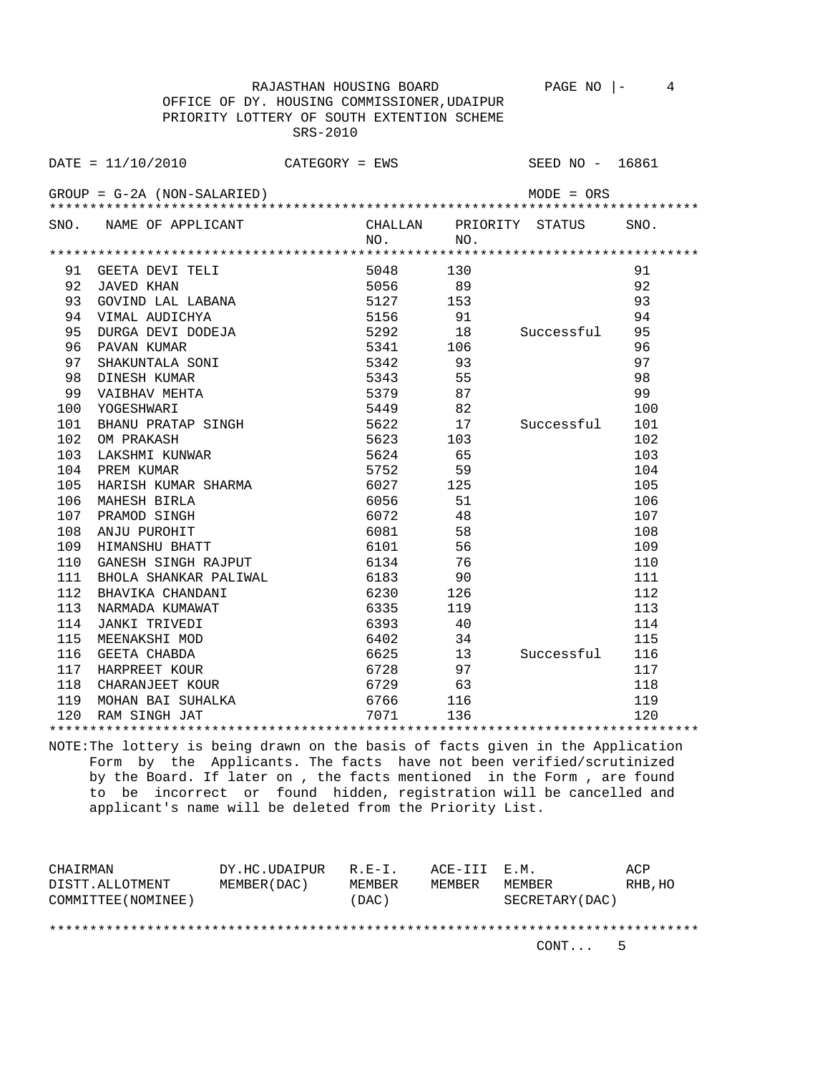RAJASTHAN HOUSING BOARD PAGE NO |- 4 OFFICE OF DY. HOUSING COMMISSIONER,UDAIPUR PRIORITY LOTTERY OF SOUTH EXTENTION SCHEME SRS-2010

|               | DATE = 11/10/2010           | CATEGORY = EWS |                        | SEED NO - 16861 |
|---------------|-----------------------------|----------------|------------------------|-----------------|
|               | GROUP = G-2A (NON-SALARIED) |                | $MODE = ORS$           |                 |
|               | SNO. NAME OF APPLICANT      | CHALLAN<br>NO. | PRIORITY STATUS<br>NO. | SNO.            |
|               |                             |                |                        |                 |
| 91            | GEETA DEVI TELI             | 5048           | 130                    | 91              |
| 92            | JAVED KHAN                  | 5056           | 89                     | 92              |
| 93            | GOVIND LAL LABANA           | 5127           | 153                    | 93              |
| 94            | VIMAL AUDICHYA              | 5156           | 91                     | 94              |
| 95            | DURGA DEVI DODEJA           | 5292           | 18<br>Successful       | 95              |
| 96            | PAVAN KUMAR                 | 5341           | 106                    | 96              |
| 97            | SHAKUNTALA SONI             | 5342           | 93                     | 97              |
| 98            | DINESH KUMAR                | 5343           | 55                     | 98              |
| $\cap$ $\cap$ | גרחזהזהו זזגורר בזז         | $\Gamma$ 2.70  | $\Omega$               | $\cap$          |

| 98  | DINESH KUMAR<br>VAIBHAV MEHTA | 5343        | 55  |                | 98  |
|-----|-------------------------------|-------------|-----|----------------|-----|
| 99  |                               | 5379        | 87  |                | 99  |
| 100 | YOGESHWARI                    | 5449        | 82  |                | 100 |
| 101 | BHANU PRATAP SINGH            | 5622 17     |     | Successful     | 101 |
| 102 | OM PRAKASH                    | 5623        | 103 |                | 102 |
| 103 | LAKSHMI KUNWAR                | 5624        | 65  |                | 103 |
| 104 | PREM KUMAR                    | 5752        | 59  |                | 104 |
| 105 | HARISH KUMAR SHARMA           | 6027 125    |     |                | 105 |
| 106 | MAHESH BIRLA                  | 6056        | 51  |                | 106 |
| 107 | PRAMOD SINGH                  | 6072        | 48  |                | 107 |
| 108 | ANJU PUROHIT                  | 6081 600    | 58  |                | 108 |
| 109 | HIMANSHU BHATT                | 6101 7      | 56  |                | 109 |
| 110 | GANESH SINGH RAJPUT           | 6134        | 76  |                | 110 |
| 111 | BHOLA SHANKAR PALIWAL         | 6183   1890 | 90  |                | 111 |
| 112 | BHAVIKA CHANDANI              |             | 126 |                | 112 |
| 113 | NARMADA KUMAWAT               | 6335        | 119 |                | 113 |
| 114 | JANKI TRIVEDI                 | 6393 — 100  | 40  |                | 114 |
| 115 | MEENAKSHI MOD                 | 6402        | 34  |                | 115 |
| 116 | GEETA CHABDA                  | 6625        | 13  | Successful 116 |     |
| 117 | HARPREET KOUR                 | 6728 — 10   | 97  |                | 117 |
| 118 | CHARANJEET KOUR               | 6729 63     |     |                | 118 |
| 119 | MOHAN BAI SUHALKA             | 6766 116    |     |                | 119 |
| 120 | RAM SINGH JAT                 | 7071        | 136 |                | 120 |
|     |                               |             |     |                |     |

NOTE:The lottery is being drawn on the basis of facts given in the Application Form by the Applicants. The facts have not been verified/scrutinized by the Board. If later on , the facts mentioned in the Form , are found to be incorrect or found hidden, registration will be cancelled and applicant's name will be deleted from the Priority List.

| CHAIRMAN            | DY.HC.UDAIPUR | $R.E-I.$ | ACE-III E.M. |                 | ACP     |
|---------------------|---------------|----------|--------------|-----------------|---------|
| DISTT.ALLOTMENT     | MEMBER (DAC)  | MEMBER   | MEMBER       | MEMBER          | RHB, HO |
| COMMITTEE (NOMINEE) |               | (DAC)    |              | SECRETARY (DAC) |         |
|                     |               |          |              |                 |         |
|                     |               |          |              |                 |         |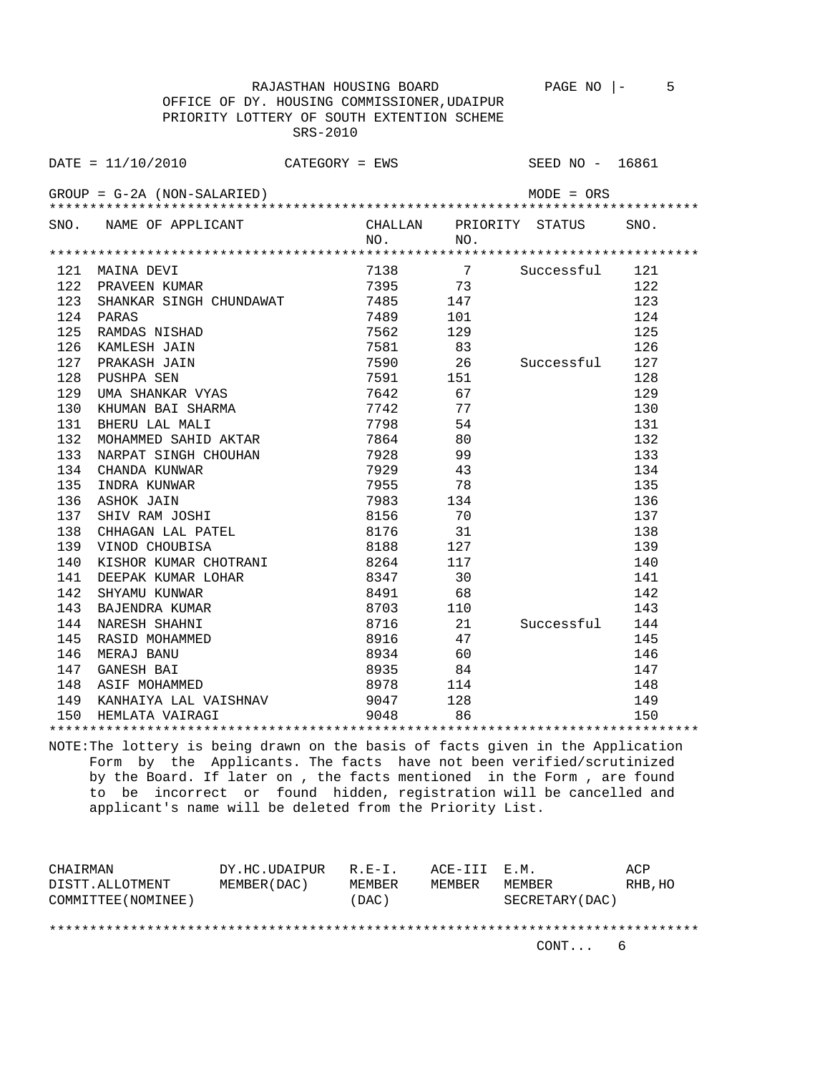RAJASTHAN HOUSING BOARD PAGE NO |- 5 OFFICE OF DY. HOUSING COMMISSIONER,UDAIPUR PRIORITY LOTTERY OF SOUTH EXTENTION SCHEME SRS-2010

DATE = 11/10/2010 CATEGORY = EWS SEED NO - 16861 GROUP = G-2A (NON-SALARIED) MODE = ORS \*\*\*\*\*\*\*\*\*\*\*\*\*\*\*\*\*\*\*\*\*\*\*\*\*\*\*\*\*\*\*\*\*\*\*\*\*\*\*\*\*\*\*\*\*\*\*\*\*\*\*\*\*\*\*\*\*\*\*\*\*\*\*\*\*\*\*\*\*\*\*\*\*\*\*\*\*\*\*\* SNO. NAME OF APPLICANT CHALLAN PRIORITY STATUS SNO.<br>NO. NO. NO. NO. \*\*\*\*\*\*\*\*\*\*\*\*\*\*\*\*\*\*\*\*\*\*\*\*\*\*\*\*\*\*\*\*\*\*\*\*\*\*\*\*\*\*\*\*\*\*\*\*\*\*\*\*\*\*\*\*\*\*\*\*\*\*\*\*\*\*\*\*\*\*\*\*\*\*\*\*\*\*\*\* 121 138 7 Successful 121<br>
122 123 147 123<br>
147 123<br>
124 124 122 PRAVEEN KUMAR 7395 73 122 123 SHANKAR SINGH CHUNDAWAT 12485 147 123 23<br>124 PARAS 124 124 124 PARAS 7489 101 124 125 RAMDAS NISHAD 7562 129 125 126 KAMLESH JAIN 7581 83 126 127 PRAKASH JAIN 7590 26 Successful 127 128 PUSHPA SEN 7591 151 128 129 UMA SHANKAR VYAS 7642 67 129 130 KHUMAN BAI SHARMA 7742 77 130 131 BHERU LAL MALI 7798 54 131 132 MOHAMMED SAHID AKTAR 7864 80 132 133 NARPAT SINGH CHOUHAN 1928 99 133<br>134 CHANDA KUNWAR 134 7929 43 134 134 CHANDA KUNWAR 7929 43 134 135 INDRA KUNWAR 7955 78 135 136 ASHOK JAIN 7983 134 136 137 SHIV RAM JOSHI 8156 70 137 CHINAGAN LAL PATEL 8176 31 138<br>138 CHHAGAN LAL PATEL 8188 127 139<br>139 VINOD CHOUBLSA 139 VINOD CHOUBISA 8188 127 139 140 KISHOR KUMAR CHOTRANI 8264 117 140 141 DEEPAK KUMAR LOHAR 8347 30 141 142 SHYAMU KUNWAR 8491 68 142 143 BAJENDRA KUMAR 8703 110 143 8716 21 Successful 144<br>8916 47 145 145 RASID MOHAMMED 8916 47 145 146 MERAJ BANU 8934 60 146 147 GANESH BAI 8935 84 147<br>148 ASIF MOHAMMED 8978 114 148 148 ASIF MOHAMMED 8978 114 148<br>149 KANHAIYA LAL VAISHNAV 9047 128 149<br>150 HEMLATA VAIRAGI 9048 86 150

\*\*\*\*\*\*\*\*\*\*\*\*\*\*\*\*\*\*\*\*\*\*\*\*\*\*\*\*\*\*\*\*\*\*\*\*\*\*\*\*\*\*\*\*\*\*\*\*\*\*\*\*\*\*\*\*\*\*\*\*\*\*\*\*\*\*\*\*\*\*\*\*\*\*\*\*\*\*\*\* NOTE:The lottery is being drawn on the basis of facts given in the Application Form by the Applicants. The facts have not been verified/scrutinized by the Board. If later on , the facts mentioned in the Form , are found to be incorrect or found hidden, registration will be cancelled and applicant's name will be deleted from the Priority List.

 149 KANHAIYA LAL VAISHNAV 9047 128 149 150 HEMLATA VAIRAGI 9048 86 150

CHAIRMAN DY.HC.UDAIPUR R.E-I. ACE-III E.M. ACP DISTT.ALLOTMENT MEMBER(DAC) MEMBER MEMBER MEMBER RHB,HO COMMITTEE(NOMINEE) (DAC) SECRETARY(DAC)

## \*\*\*\*\*\*\*\*\*\*\*\*\*\*\*\*\*\*\*\*\*\*\*\*\*\*\*\*\*\*\*\*\*\*\*\*\*\*\*\*\*\*\*\*\*\*\*\*\*\*\*\*\*\*\*\*\*\*\*\*\*\*\*\*\*\*\*\*\*\*\*\*\*\*\*\*\*\*\*\*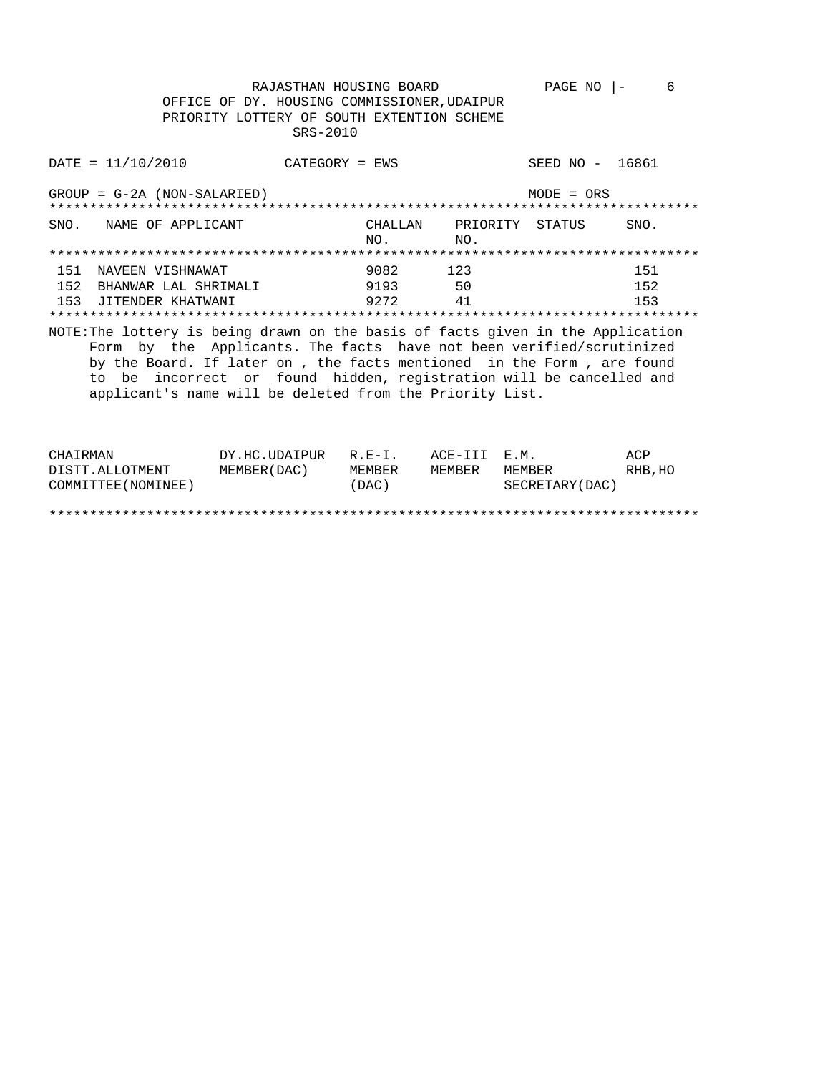RAJASTHAN HOUSING BOARD<br>OFFICE OF DY. HOUSING COMMISSIONER, UDAIPUR PAGE NO  $|-$  6 PRIORITY LOTTERY OF SOUTH EXTENTION SCHEME SRS-2010 DATE =  $11/10/2010$  CATEGORY = EWS SEED NO - 16861

|                   | $GROUP = G-2A (NON-SALARIED)$                                                                                                                                                                                                                                                                                                                                       |                      |                                   | $MODE = ORS$ |                   |
|-------------------|---------------------------------------------------------------------------------------------------------------------------------------------------------------------------------------------------------------------------------------------------------------------------------------------------------------------------------------------------------------------|----------------------|-----------------------------------|--------------|-------------------|
|                   | SNO. NAME OF APPLICANT                                                                                                                                                                                                                                                                                                                                              | CHALLAN<br>NO.       | PRIORITY<br>$N_O$ .               | STATUS       | SNO.              |
|                   |                                                                                                                                                                                                                                                                                                                                                                     |                      |                                   |              |                   |
| 151<br>152<br>153 | NAVEEN VISHNAWAT<br>BHANWAR LAL SHRIMALI<br>JITENDER KHATWANI                                                                                                                                                                                                                                                                                                       | 9082<br>9193<br>9272 | 123<br>50<br>41<br>************** |              | 151<br>152<br>153 |
|                   | NOTE: The lottery is being drawn on the basis of facts given in the Application<br>Form by the Applicants. The facts have not been verified/scrutinized<br>by the Board. If later on, the facts mentioned in the Form, are found<br>to be incorrect or found hidden, registration will be cancelled and<br>applicant's name will be deleted from the Priority List. |                      |                                   |              |                   |

| CHAIRMAN            | DY.HC.UDAIPUR | $R.E-I.$ | ACE-III E.M. |                 | ACP     |
|---------------------|---------------|----------|--------------|-----------------|---------|
| DISTT.ALLOTMENT     | MEMBER (DAC)  | MEMBER   | MEMBER       | MEMBER          | RHB, HO |
| COMMITTEE (NOMINEE) |               | (DAC)    |              | SECRETARY (DAC) |         |
|                     |               |          |              |                 |         |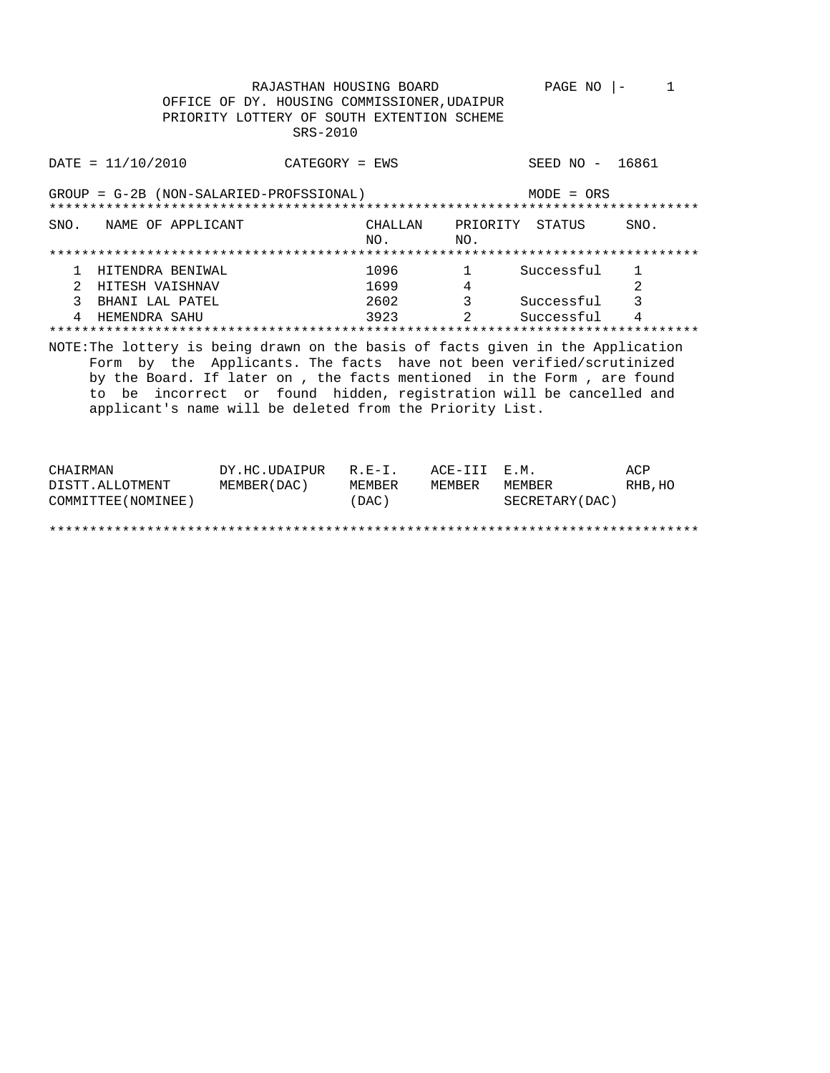RAJASTHAN HOUSING BOARD PAGE NO  $|-1$ OFFICE OF DY. HOUSING COMMISSIONER, UDAIPUR PRIORITY LOTTERY OF SOUTH EXTENTION SCHEME SRS-2010 SEED NO - 16861  $\text{DATE} = 11/10/2010$ CATEGORY = EWS GROUP = G-2B (NON-SALARIED-PROFSSIONAL)  $MODE = ORS$ CHALLAN PRIORITY STATUS SNO. NAME OF APPLICANT SNO. NO.  $NO.$  $\begin{array}{ccc} 1096 & & 1 \\ 1699 & & 4 \end{array}$ 1 HITENDRA BENIWAL  $\overline{1}$ Successful 2 HITESH VAISHNAV 1699  $\mathfrak{D}$ 3 BHANI LAL PATEL 3<br>
2<br>
Successful<br>
4 2602 4 HEMENDRA SAHU 3923 NOTE: The lottery is being drawn on the basis of facts given in the Application Form by the Applicants. The facts have not been verified/scrutinized by the Board. If later on , the facts mentioned in the Form , are found to be incorrect or found hidden, registration will be cancelled and applicant's name will be deleted from the Priority List.

| CHAIRMAN            | DY.HC.UDAIPUR | $R.E-I.$ | ACE-III E.M. |                 | ACP     |
|---------------------|---------------|----------|--------------|-----------------|---------|
| DISTT.ALLOTMENT     | MEMBER (DAC)  | MEMBER   | MEMBER       | MEMBER          | RHB, HO |
| COMMITTEE (NOMINEE) |               | (DAC)    |              | SECRETARY (DAC) |         |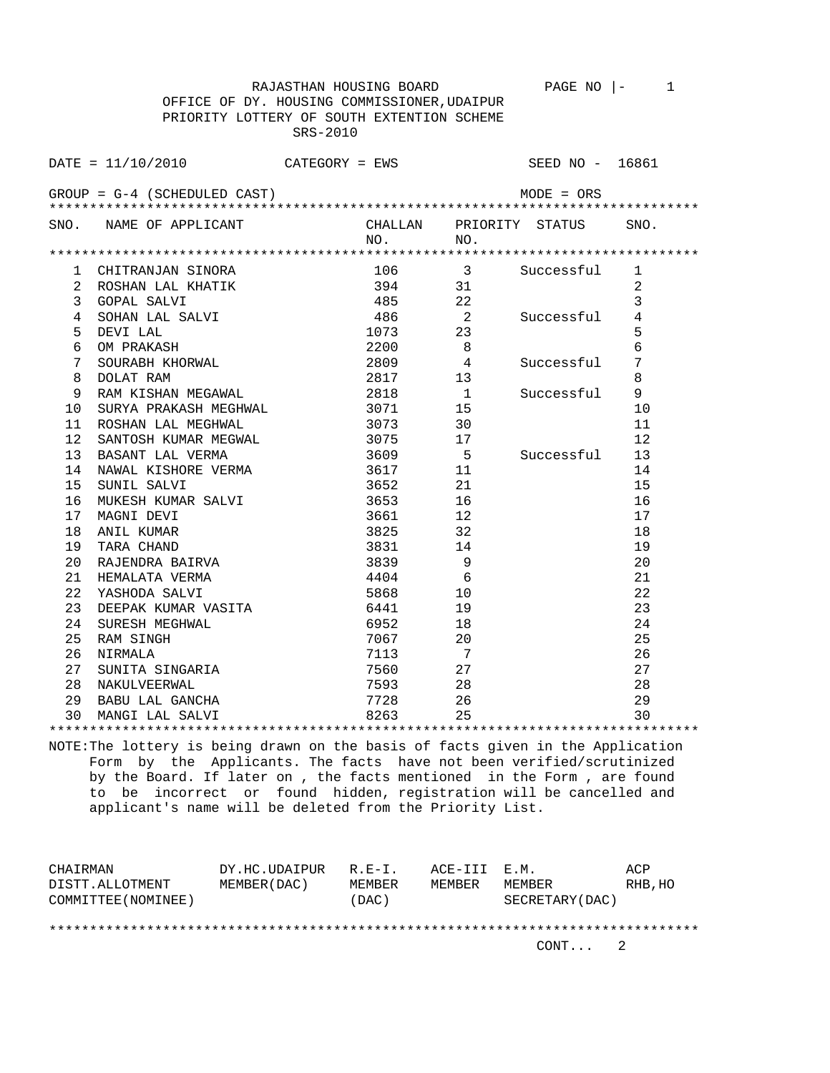RAJASTHAN HOUSING BOARD PAGE NO |- 1 OFFICE OF DY. HOUSING COMMISSIONER,UDAIPUR PRIORITY LOTTERY OF SOUTH EXTENTION SCHEME SRS-2010

DATE = 11/10/2010 CATEGORY = EWS SEED NO - 16861 GROUP = G-4 (SCHEDULED CAST) MODE = ORS \*\*\*\*\*\*\*\*\*\*\*\*\*\*\*\*\*\*\*\*\*\*\*\*\*\*\*\*\*\*\*\*\*\*\*\*\*\*\*\*\*\*\*\*\*\*\*\*\*\*\*\*\*\*\*\*\*\*\*\*\*\*\*\*\*\*\*\*\*\*\*\*\*\*\*\*\*\*\*\* SNO. NAME OF APPLICANT CHALLAN PRIORITY STATUS SNO.<br>NO. NO. NO. NO. \*\*\*\*\*\*\*\*\*\*\*\*\*\*\*\*\*\*\*\*\*\*\*\*\*\*\*\*\*\*\*\*\*\*\*\*\*\*\*\*\*\*\*\*\*\*\*\*\*\*\*\*\*\*\*\*\*\*\*\*\*\*\*\*\*\*\*\*\*\*\*\*\*\*\*\*\*\*\*\* 1 CHITRANJAN SINORA 106 3 Successful 1 2 ROSHAN LAL KHATIK 394 31 2 3 GOPAL SALVI 485 22 3 4 SOHAN LAL SALVI 486 2 Successful 4<br>5 DEVI LAL 1073 23 5<br>6 OM PRAKASH 2200 8 5 DEVI LAL 1073 23 5 6 OM PRAKASH 2200 8 6 7 SOURABH KHORWAL 2809 4 Successful 7 8 DOLAT RAM 2817 13 8 9 RAM KISHAN MEGAWAL 2818 1 Successful 9 10 SURYA PRAKASH MEGHWAL 3071 15 10 11 ROSHAN LAL MEGHWAL 3073 3073 30 30 11 12 SANTOSH KUMAR MEGWAL 3075 17 12 13 BASANT LAL VERMA 3609 5 Successful 13 14 NAWAL KISHORE VERMA 3617 11 14 15 SUNIL SALVI 3652 21 15 16 MUKESH KUMAR SALVI 3653 16 16 17 MAGNI DEVI 3661 12 17 18 ANIL KUMAR 3825 32 18 19 TARA CHAND 3831 14 19 20 RAJENDRA BAIRVA 3839 9 20 21 HEMALATA VERMA 4404 6 21 22 YASHODA SALVI 5868 10 22 23 DEEPAK KUMAR VASITA 6441 19 23 24 SURESH MEGHWAL 6952 18 24<br>25 RAM SINGH 25 26 27 27 27 27 28 25 RAM SINGH 20 20 25 20 25 26 NIRMALA 7113 7 26 27 SUNITA SINGARIA 7560 27 27 28 NAKULVEERWAL 7593 28 28 29 BABU LAL GANCHA 7728 26 29

\*\*\*\*\*\*\*\*\*\*\*\*\*\*\*\*\*\*\*\*\*\*\*\*\*\*\*\*\*\*\*\*\*\*\*\*\*\*\*\*\*\*\*\*\*\*\*\*\*\*\*\*\*\*\*\*\*\*\*\*\*\*\*\*\*\*\*\*\*\*\*\*\*\*\*\*\*\*\*\* NOTE:The lottery is being drawn on the basis of facts given in the Application Form by the Applicants. The facts have not been verified/scrutinized by the Board. If later on , the facts mentioned in the Form , are found to be incorrect or found hidden, registration will be cancelled and applicant's name will be deleted from the Priority List.

30 MANGI LAL SALVI 8263 25 30

| CHAIRMAN            | DY.HC.UDAIPUR | $R.F - T$ | ACE-III E.M. |                 | ACP     |  |
|---------------------|---------------|-----------|--------------|-----------------|---------|--|
| DISTT.ALLOTMENT     | MEMBER (DAC)  | MEMBER    | MEMBER       | MEMBER          | RHB, HO |  |
| COMMITTEE (NOMINEE) |               | (DAC)     |              | SECRETARY (DAC) |         |  |
|                     |               |           |              |                 |         |  |
|                     |               |           |              |                 |         |  |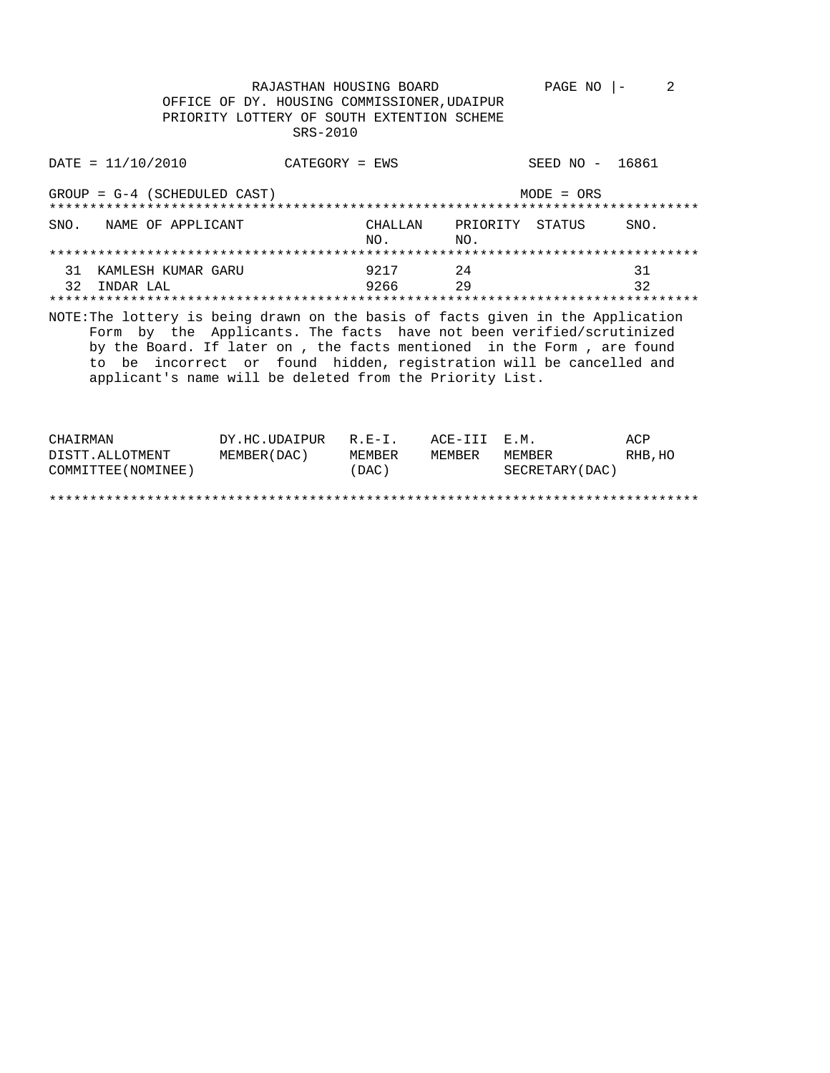RAJASTHAN HOUSING BOARD PAGE NO  $|-2$ OFFICE OF DY. HOUSING COMMISSIONER, UDAIPUR PRIORITY LOTTERY OF SOUTH EXTENTION SCHEME SRS-2010

| DATA / 2010                                                                     | $CATEGORY = EWS$                                                                                                                                                                                                                                                                 |                |                                    | SEED NO - 16861 |          |
|---------------------------------------------------------------------------------|----------------------------------------------------------------------------------------------------------------------------------------------------------------------------------------------------------------------------------------------------------------------------------|----------------|------------------------------------|-----------------|----------|
| $GROUP = G-4$ (SCHEDULED CAST)                                                  |                                                                                                                                                                                                                                                                                  |                |                                    | $MODE = ORS$    |          |
| SNO.<br>NAME OF APPLICANT                                                       |                                                                                                                                                                                                                                                                                  | CHALLAN<br>NO. | PRIORITY STATUS<br>NO <sub>z</sub> |                 | SNO.     |
|                                                                                 |                                                                                                                                                                                                                                                                                  |                |                                    |                 |          |
| 31<br>KAMLESH KUMAR GARU<br>32<br>INDAR LAL                                     |                                                                                                                                                                                                                                                                                  | 9217<br>9266   | 2.4<br>29                          |                 | 31<br>32 |
| NOTE: The lottery is being drawn on the basis of facts given in the Application | Form by the Applicants. The facts have not been verified/scrutinized<br>by the Board. If later on, the facts mentioned in the Form, are found<br>to be incorrect or found hidden, registration will be cancelled and<br>applicant's name will be deleted from the Priority List. |                |                                    |                 |          |

| COMMITTEE (NOMINEE) |                      | (DAC)  |              | SECRETARY (DAC) |         |
|---------------------|----------------------|--------|--------------|-----------------|---------|
| DISTT.ALLOTMENT     | MEMBER (DAC)         | MEMBER | MEMBER       | MEMBER          | RHB, HO |
| CHAIRMAN            | DY.HC.UDAIPUR R.E-I. |        | ACE-III E.M. |                 | ACP     |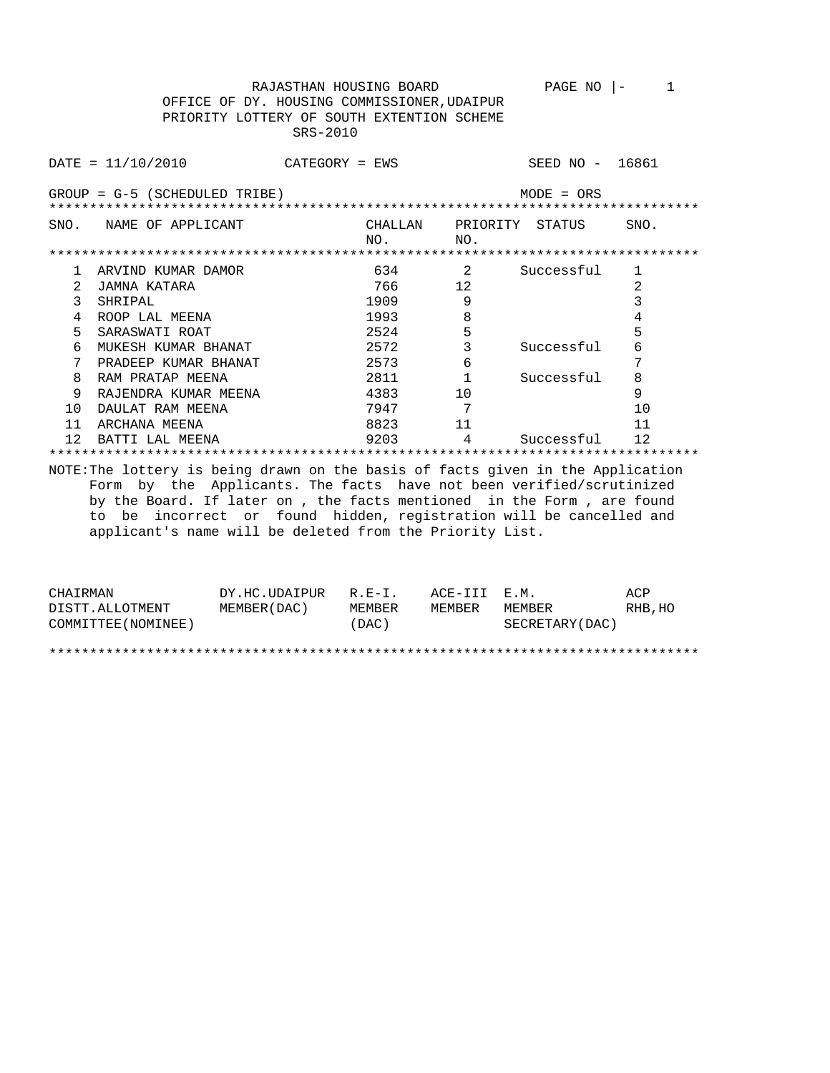RAJASTHAN HOUSING BOARD PAGE NO |- 1 OFFICE OF DY. HOUSING COMMISSIONER,UDAIPUR PRIORITY LOTTERY OF SOUTH EXTENTION SCHEME SRS-2010

DATE = 11/10/2010 CATEGORY = EWS SEED NO - 16861 GROUP = G-5 (SCHEDULED TRIBE) MODE = ORS \*\*\*\*\*\*\*\*\*\*\*\*\*\*\*\*\*\*\*\*\*\*\*\*\*\*\*\*\*\*\*\*\*\*\*\*\*\*\*\*\*\*\*\*\*\*\*\*\*\*\*\*\*\*\*\*\*\*\*\*\*\*\*\*\*\*\*\*\*\*\*\*\*\*\*\*\*\*\*\* SNO. NAME OF APPLICANT CHALLAN PRIORITY STATUS SNO.<br>NO. NO. NO. NO. \*\*\*\*\*\*\*\*\*\*\*\*\*\*\*\*\*\*\*\*\*\*\*\*\*\*\*\*\*\*\*\*\*\*\*\*\*\*\*\*\*\*\*\*\*\*\*\*\*\*\*\*\*\*\*\*\*\*\*\*\*\*\*\*\*\*\*\*\*\*\*\*\*\*\*\*\*\*\*\* 1 ARVIND KUMAR DAMOR 634 2 Successful 1 2 JAMNA KATARA 766 12 2 3 SHRIPAL 1909 9 3 3<br>4 ROOP LAL MEENA 1993 8 4 4 ROOP LAL MEENA 1993 8 4 5 SARASWATI ROAT 2524 5 5 6 MUKESH KUMAR BHANAT 2572 3 Successful 6 7 PRADEEP KUMAR BHANAT 2573 6 7

 8 RAM PRATAP MEENA 2811 1 Successful 8 9 RAJENDRA KUMAR MEENA 4383 10 9 10 DAULAT RAM MEENA 7947 7 7 10 11 ARCHANA MEENA 8823 11 11 12 BATTI LAL MEENA 9203 4 Successful 12 \*\*\*\*\*\*\*\*\*\*\*\*\*\*\*\*\*\*\*\*\*\*\*\*\*\*\*\*\*\*\*\*\*\*\*\*\*\*\*\*\*\*\*\*\*\*\*\*\*\*\*\*\*\*\*\*\*\*\*\*\*\*\*\*\*\*\*\*\*\*\*\*\*\*\*\*\*\*\*\* NOTE:The lottery is being drawn on the basis of facts given in the Application Form by the Applicants. The facts have not been verified/scrutinized

 by the Board. If later on , the facts mentioned in the Form , are found to be incorrect or found hidden, registration will be cancelled and applicant's name will be deleted from the Priority List.

| CHAIRMAN            | DY.HC.UDAIPUR | $R.E-I.$ | ACE-III E.M. |                  | ACP     |
|---------------------|---------------|----------|--------------|------------------|---------|
| DISTT.ALLOTMENT     | MEMBER (DAC)  | MEMBER   | MEMBER       | MEMBER           | RHB, HO |
| COMMITTEE (NOMINEE) |               | (DAC)    |              | SECRETARY (DAC ) |         |
|                     |               |          |              |                  |         |
|                     |               |          |              |                  |         |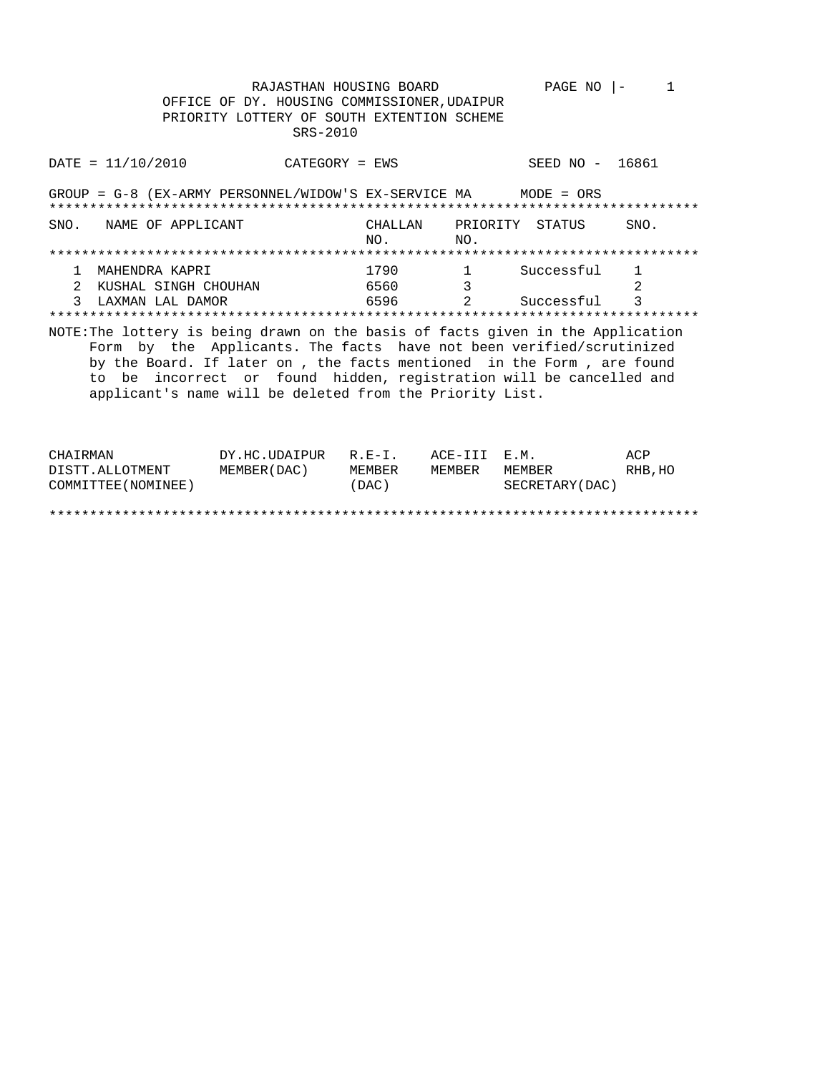RAJASTHAN HOUSING BOARD PAGE NO  $|-1$ OFFICE OF DY. HOUSING COMMISSIONER, UDAIPUR PRIORITY LOTTERY OF SOUTH EXTENTION SCHEME SRS-2010 SEED NO - 16861  $\text{DATE} = 11/10/2010$ CATEGORY = EWS GROUP =  $G-8$  (EX-ARMY PERSONNEL/WIDOW'S EX-SERVICE MA MODE = ORS CHALLAN PRIORITY STATUS SNO. NAME OF APPLICANT SNO. NO. NO.  $1.790$ <br>  $6560$ <br>  $6596$ <br>  $3.78$ <br>  $3.78$ <br>  $3.78$ <br>  $7.790$ <br>  $3.78$ <br>  $3.78$ 1 MAHENDRA KAPRI Successful  $\mathbf{1}$ 2 KUSHAL SINGH CHOUHAN 2 2 Successful 3 LAXMAN LAL DAMOR  $\overline{\mathbf{3}}$ NOTE: The lottery is being drawn on the basis of facts given in the Application Form by the Applicants. The facts have not been verified/scrutinized by the Board. If later on , the facts mentioned in the Form , are found to be incorrect or found hidden, registration will be cancelled and applicant's name will be deleted from the Priority List.

| CHAIRMAN            | DY.HC.UDAIPUR R.E-I. |        | ACE-III E.M. |                 | ACP     |
|---------------------|----------------------|--------|--------------|-----------------|---------|
| DISTT.ALLOTMENT     | MEMBER (DAC)         | MEMBER | MEMBER       | MEMBER          | RHB, HO |
| COMMITTEE (NOMINEE) |                      | (DAC)  |              | SECRETARY (DAC) |         |
|                     |                      |        |              |                 |         |